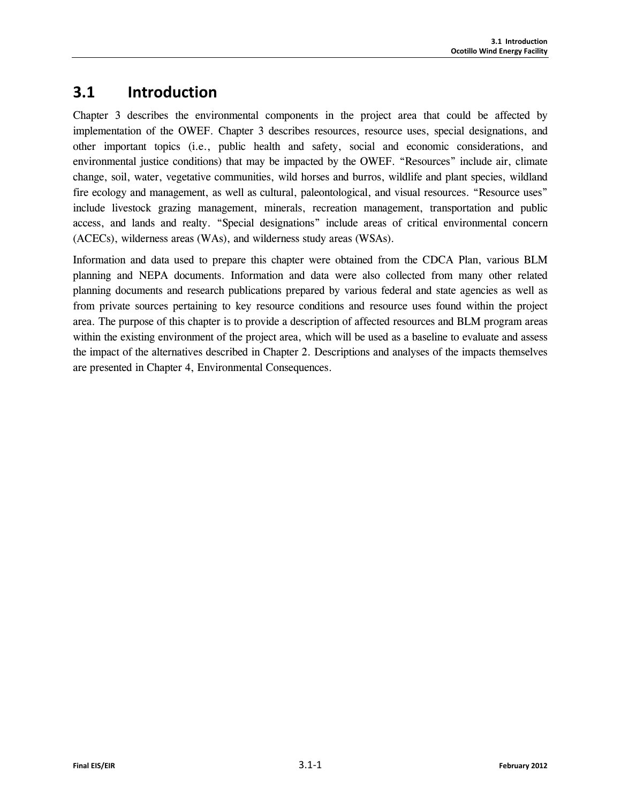# **3.1 Introduction**

Chapter 3 describes the environmental components in the project area that could be affected by implementation of the OWEF. Chapter 3 describes resources, resource uses, special designations, and other important topics (i.e., public health and safety, social and economic considerations, and environmental justice conditions) that may be impacted by the OWEF. "Resources" include air, climate change, soil, water, vegetative communities, wild horses and burros, wildlife and plant species, wildland fire ecology and management, as well as cultural, paleontological, and visual resources. "Resource uses" include livestock grazing management, minerals, recreation management, transportation and public access, and lands and realty. "Special designations" include areas of critical environmental concern (ACECs), wilderness areas (WAs), and wilderness study areas (WSAs).

Information and data used to prepare this chapter were obtained from the CDCA Plan, various BLM planning and NEPA documents. Information and data were also collected from many other related planning documents and research publications prepared by various federal and state agencies as well as from private sources pertaining to key resource conditions and resource uses found within the project area. The purpose of this chapter is to provide a description of affected resources and BLM program areas within the existing environment of the project area, which will be used as a baseline to evaluate and assess the impact of the alternatives described in Chapter 2. Descriptions and analyses of the impacts themselves are presented in Chapter 4, Environmental Consequences.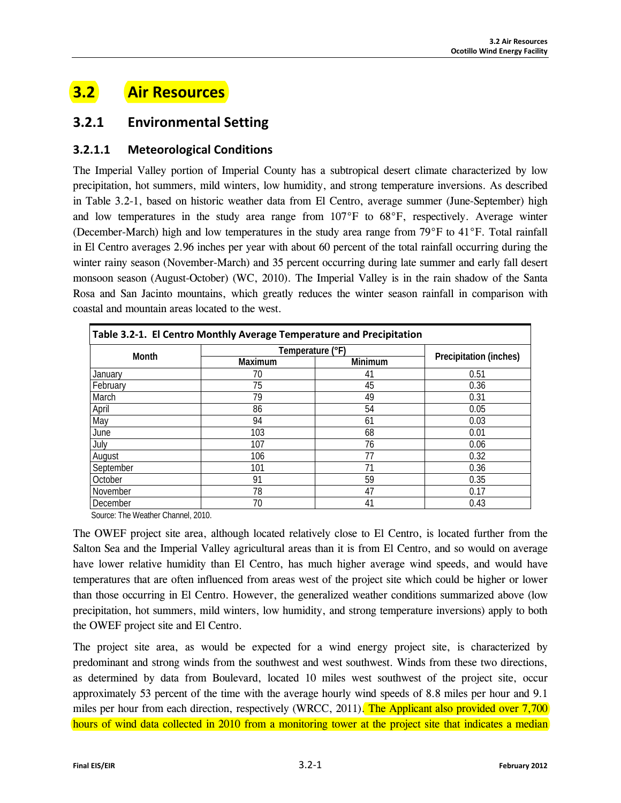# **3.2 Air Resources**

## **3.2.1 Environmental Setting**

## **3.2.1.1 Meteorological Conditions**

The Imperial Valley portion of Imperial County has a subtropical desert climate characterized by low precipitation, hot summers, mild winters, low humidity, and strong temperature inversions. As described in Table 3.2-1, based on historic weather data from El Centro, average summer (June-September) high and low temperatures in the study area range from 107°F to 68°F, respectively. Average winter (December-March) high and low temperatures in the study area range from 79°F to 41°F. Total rainfall in El Centro averages 2.96 inches per year with about 60 percent of the total rainfall occurring during the winter rainy season (November-March) and 35 percent occurring during late summer and early fall desert monsoon season (August-October) (WC, 2010). The Imperial Valley is in the rain shadow of the Santa Rosa and San Jacinto mountains, which greatly reduces the winter season rainfall in comparison with coastal and mountain areas located to the west.

| Table 3.2-1. El Centro Monthly Average Temperature and Precipitation |                  |         |                        |  |  |  |
|----------------------------------------------------------------------|------------------|---------|------------------------|--|--|--|
| <b>Month</b>                                                         | Temperature (°F) |         |                        |  |  |  |
|                                                                      | Maximum          | Minimum | Precipitation (inches) |  |  |  |
| January                                                              | 70               | 41      | 0.51                   |  |  |  |
| February                                                             | 75               | 45      | 0.36                   |  |  |  |
| March                                                                | 79               | 49      | 0.31                   |  |  |  |
| April                                                                | 86               | 54      | 0.05                   |  |  |  |
| May                                                                  | 94               | 61      | 0.03                   |  |  |  |
| June                                                                 | 103              | 68      | 0.01                   |  |  |  |
| July                                                                 | 107              | 76      | 0.06                   |  |  |  |
| August                                                               | 106              | 77      | 0.32                   |  |  |  |
| September                                                            | 101              | 71      | 0.36                   |  |  |  |
| October                                                              | 91               | 59      | 0.35                   |  |  |  |
| November                                                             | 78               | 47      | 0.17                   |  |  |  |
| December                                                             | 70               | 41      | 0.43                   |  |  |  |

Source: The Weather Channel, 2010.

The OWEF project site area, although located relatively close to El Centro, is located further from the Salton Sea and the Imperial Valley agricultural areas than it is from El Centro, and so would on average have lower relative humidity than El Centro, has much higher average wind speeds, and would have temperatures that are often influenced from areas west of the project site which could be higher or lower than those occurring in El Centro. However, the generalized weather conditions summarized above (low precipitation, hot summers, mild winters, low humidity, and strong temperature inversions) apply to both the OWEF project site and El Centro.

The project site area, as would be expected for a wind energy project site, is characterized by predominant and strong winds from the southwest and west southwest. Winds from these two directions, as determined by data from Boulevard, located 10 miles west southwest of the project site, occur approximately 53 percent of the time with the average hourly wind speeds of 8.8 miles per hour and 9.1 miles per hour from each direction, respectively (WRCC, 2011). The Applicant also provided over 7,700 hours of wind data collected in 2010 from a monitoring tower at the project site that indicates a median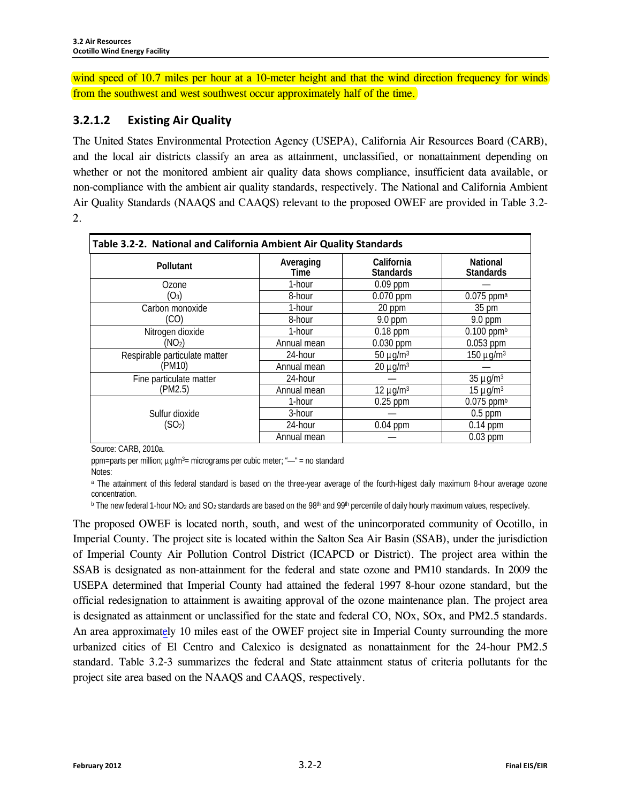wind speed of 10.7 miles per hour at a 10-meter height and that the wind direction frequency for winds from the southwest and west southwest occur approximately half of the time.

## **3.2.1.2 Existing Air Quality**

The United States Environmental Protection Agency (USEPA), California Air Resources Board (CARB), and the local air districts classify an area as attainment, unclassified, or nonattainment depending on whether or not the monitored ambient air quality data shows compliance, insufficient data available, or non-compliance with the ambient air quality standards, respectively. The National and California Ambient Air Quality Standards (NAAQS and CAAQS) relevant to the proposed OWEF are provided in Table 3.2- 2.

| Table 3.2-2. National and California Ambient Air Quality Standards |                   |                                |                                     |  |  |  |
|--------------------------------------------------------------------|-------------------|--------------------------------|-------------------------------------|--|--|--|
| <b>Pollutant</b>                                                   | Averaging<br>Time | California<br><b>Standards</b> | <b>National</b><br><b>Standards</b> |  |  |  |
| Ozone                                                              | 1-hour            | $0.09$ ppm                     |                                     |  |  |  |
| $(O_3)$                                                            | 8-hour            | 0.070 ppm                      | $0.075$ ppma                        |  |  |  |
| Carbon monoxide                                                    | 1-hour            | 20 ppm                         | 35 pm                               |  |  |  |
| (CO)                                                               | 8-hour            | 9.0 ppm                        | $9.0$ ppm                           |  |  |  |
| Nitrogen dioxide                                                   | 1-hour            | $0.18$ ppm                     | $0.100$ ppm <sup>b</sup>            |  |  |  |
| (NO <sub>2</sub> )                                                 | Annual mean       | $0.030$ ppm                    | $0.053$ ppm                         |  |  |  |
| Respirable particulate matter                                      | 24-hour           | $50 \mu g/m^3$                 | 150 µg/m <sup>3</sup>               |  |  |  |
| (PM10)                                                             | Annual mean       | $20 \mu g/m3$                  |                                     |  |  |  |
| Fine particulate matter                                            | 24-hour           |                                | $35 \mu g/m3$                       |  |  |  |
| (PM2.5)                                                            | Annual mean       | $12 \mu g/m3$                  | $15 \mu q/m^3$                      |  |  |  |
|                                                                    | 1-hour            | $0.25$ ppm                     | $0.075$ ppm <sup>b</sup>            |  |  |  |
| Sulfur dioxide                                                     | 3-hour            |                                | $0.5$ ppm                           |  |  |  |
| (SO <sub>2</sub> )                                                 | 24-hour           | $0.04$ ppm                     | $0.14$ ppm                          |  |  |  |
|                                                                    | Annual mean       |                                | $0.03$ ppm                          |  |  |  |

Source: CARB, 2010a.

ppm=parts per million; µg/m3= micrograms per cubic meter; "—" = no standard

Notes:

a The attainment of this federal standard is based on the three-year average of the fourth-higest daily maximum 8-hour average ozone concentration.

 $b$  The new federal 1-hour NO<sub>2</sub> and SO<sub>2</sub> standards are based on the 98<sup>th</sup> and 99<sup>th</sup> percentile of daily hourly maximum values, respectively.

The proposed OWEF is located north, south, and west of the unincorporated community of Ocotillo, in Imperial County. The project site is located within the Salton Sea Air Basin (SSAB), under the jurisdiction of Imperial County Air Pollution Control District (ICAPCD or District). The project area within the SSAB is designated as non-attainment for the federal and state ozone and PM10 standards. In 2009 the USEPA determined that Imperial County had attained the federal 1997 8-hour ozone standard, but the official redesignation to attainment is awaiting approval of the ozone maintenance plan. The project area is designated as attainment or unclassified for the state and federal CO, NOx, SOx, and PM2.5 standards. An area approximately 10 miles east of the OWEF project site in Imperial County surrounding the more urbanized cities of El Centro and Calexico is designated as nonattainment for the 24-hour PM2.5 standard. Table 3.2-3 summarizes the federal and State attainment status of criteria pollutants for the project site area based on the NAAQS and CAAQS, respectively.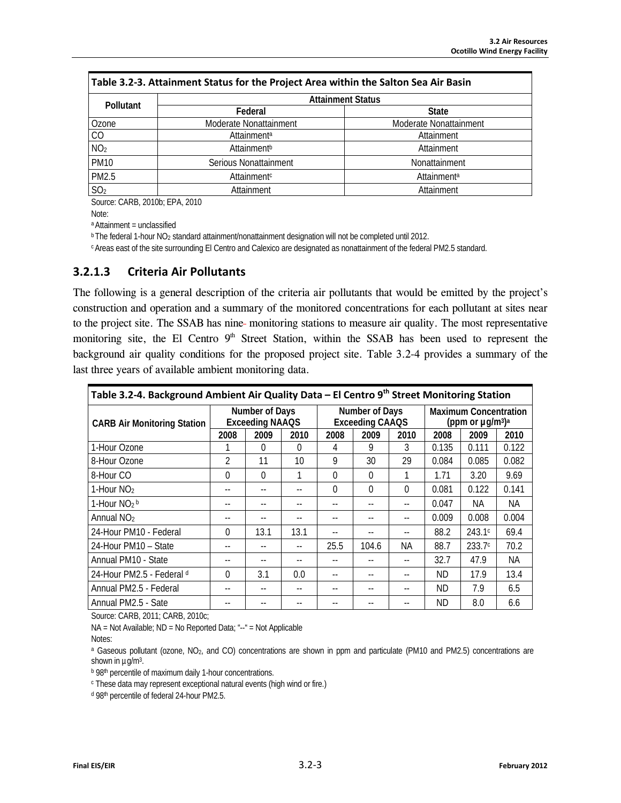| <b>Pollutant</b> | <b>Attainment Status</b> |                        |  |  |  |
|------------------|--------------------------|------------------------|--|--|--|
|                  | Federal                  | <b>State</b>           |  |  |  |
| Ozone            | Moderate Nonattainment   | Moderate Nonattainment |  |  |  |
| CO               | Attainment <sup>a</sup>  | Attainment             |  |  |  |
| NO <sub>2</sub>  | Attainment <sup>b</sup>  | Attainment             |  |  |  |
| <b>PM10</b>      | Serious Nonattainment    | Nonattainment          |  |  |  |
| PM2.5            | Attainment <sup>c</sup>  | <b>Attainmenta</b>     |  |  |  |
| SO <sub>2</sub>  | Attainment               | Attainment             |  |  |  |

Source: CARB, 2010b; EPA, 2010

Note:

a Attainment = unclassified

**b** The federal 1-hour NO<sub>2</sub> standard attainment/nonattainment designation will not be completed until 2012.

c Areas east of the site surrounding El Centro and Calexico are designated as nonattainment of the federal PM2.5 standard.

#### **3.2.1.3 Criteria Air Pollutants**

The following is a general description of the criteria air pollutants that would be emitted by the project's construction and operation and a summary of the monitored concentrations for each pollutant at sites near to the project site. The SSAB has nine-monitoring stations to measure air quality. The most representative monitoring site, the El Centro 9<sup>th</sup> Street Station, within the SSAB has been used to represent the background air quality conditions for the proposed project site. Table 3.2-4 provides a summary of the last three years of available ambient monitoring data.

| Table 3.2-4. Background Ambient Air Quality Data - El Centro 9th Street Monitoring Station |                                          |      |                                          |          |                                                                               |                          |       |        |       |
|--------------------------------------------------------------------------------------------|------------------------------------------|------|------------------------------------------|----------|-------------------------------------------------------------------------------|--------------------------|-------|--------|-------|
| <b>CARB Air Monitoring Station</b>                                                         | Number of Days<br><b>Exceeding NAAQS</b> |      | Number of Days<br><b>Exceeding CAAQS</b> |          | <b>Maximum Concentration</b><br>(ppm or $\mu$ g/m <sup>3</sup> ) <sup>a</sup> |                          |       |        |       |
|                                                                                            | 2008                                     | 2009 | 2010                                     | 2008     | 2009                                                                          | 2010                     | 2008  | 2009   | 2010  |
| 1-Hour Ozone                                                                               |                                          | 0    | 0                                        | 4        | 9                                                                             | 3                        | 0.135 | 0.111  | 0.122 |
| 8-Hour Ozone                                                                               | $\mathfrak{D}$                           | 11   | 10                                       | 9        | 30                                                                            | 29                       | 0.084 | 0.085  | 0.082 |
| 8-Hour CO                                                                                  | $\Omega$                                 | 0    | 1                                        | $\Omega$ | $\Omega$                                                                      |                          | 1.71  | 3.20   | 9.69  |
| 1-Hour $NO2$                                                                               | $-$                                      |      |                                          | $\Omega$ | $\Omega$                                                                      | $\Omega$                 | 0.081 | 0.122  | 0.141 |
| 1-Hour $NO2 b$                                                                             |                                          |      |                                          | --       |                                                                               | $\overline{\phantom{a}}$ | 0.047 | NA.    | NА    |
| Annual NO <sub>2</sub>                                                                     | --                                       |      |                                          |          |                                                                               |                          | 0.009 | 0.008  | 0.004 |
| 24-Hour PM10 - Federal                                                                     | $\Omega$                                 | 13.1 | 13.1                                     |          |                                                                               |                          | 88.2  | 243.1c | 69.4  |
| 24-Hour PM10 - State                                                                       |                                          |      | --                                       | 25.5     | 104.6                                                                         | <b>NA</b>                | 88.7  | 233.7c | 70.2  |
| Annual PM10 - State                                                                        | $- -$                                    | $-$  |                                          |          |                                                                               |                          | 32.7  | 47.9   | NA.   |
| 24-Hour PM2.5 - Federal d                                                                  | $\Omega$                                 | 3.1  | 0.0                                      | --       |                                                                               | $-$                      | ND.   | 17.9   | 13.4  |
| Annual PM2.5 - Federal                                                                     |                                          |      |                                          |          |                                                                               |                          | ND.   | 7.9    | 6.5   |
| Annual PM2.5 - Sate                                                                        |                                          |      |                                          |          |                                                                               |                          | ND    | 8.0    | 6.6   |

Source: CARB, 2011; CARB, 2010c;

NA = Not Available; ND = No Reported Data; "--" = Not Applicable

Notes:

<sup>a</sup> Gaseous pollutant (ozone, NO<sub>2</sub>, and CO) concentrations are shown in ppm and particulate (PM10 and PM2.5) concentrations are

shown in  $\mu$ g/m<sup>3</sup>.<br>**b 98th percentile of maximum daily 1-hour concentrations.** 

<sup>c</sup> These data may represent exceptional natural events (high wind or fire.)

<sup>d</sup> 98th percentile of federal 24-hour PM2.5.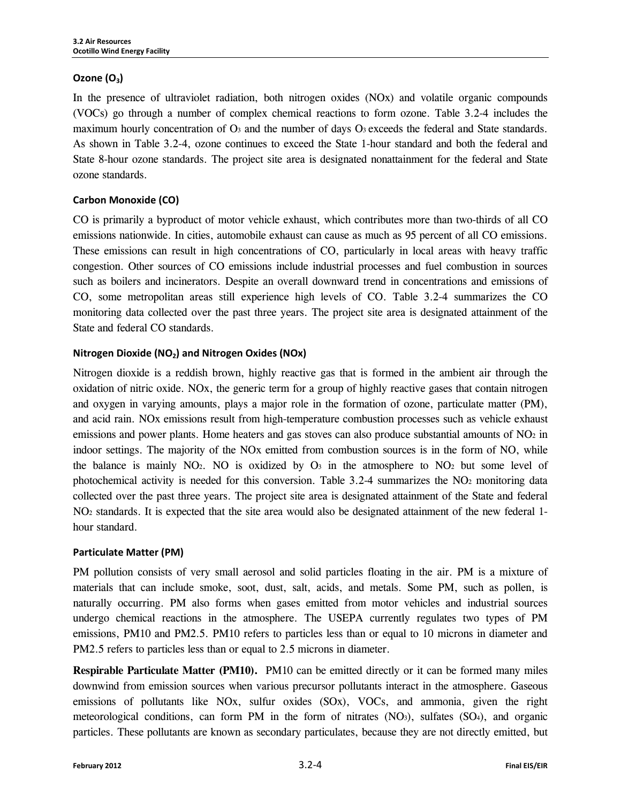#### **Ozone (O<sub>3</sub>)**

In the presence of ultraviolet radiation, both nitrogen oxides (NOx) and volatile organic compounds (VOCs) go through a number of complex chemical reactions to form ozone. Table 3.2-4 includes the maximum hourly concentration of  $\mathbf{O}_3$  and the number of days  $\mathbf{O}_3$  exceeds the federal and State standards. As shown in Table 3.2-4, ozone continues to exceed the State 1-hour standard and both the federal and State 8-hour ozone standards. The project site area is designated nonattainment for the federal and State ozone standards.

#### **Carbon Monoxide (CO)**

CO is primarily a byproduct of motor vehicle exhaust, which contributes more than two-thirds of all CO emissions nationwide. In cities, automobile exhaust can cause as much as 95 percent of all CO emissions. These emissions can result in high concentrations of CO, particularly in local areas with heavy traffic congestion. Other sources of CO emissions include industrial processes and fuel combustion in sources such as boilers and incinerators. Despite an overall downward trend in concentrations and emissions of CO, some metropolitan areas still experience high levels of CO. Table 3.2-4 summarizes the CO monitoring data collected over the past three years. The project site area is designated attainment of the State and federal CO standards.

#### **Nitrogen Dioxide (NO<sub>2</sub>) and Nitrogen Oxides (NOx)**

Nitrogen dioxide is a reddish brown, highly reactive gas that is formed in the ambient air through the oxidation of nitric oxide. NOx, the generic term for a group of highly reactive gases that contain nitrogen and oxygen in varying amounts, plays a major role in the formation of ozone, particulate matter (PM), and acid rain. NOx emissions result from high-temperature combustion processes such as vehicle exhaust emissions and power plants. Home heaters and gas stoves can also produce substantial amounts of  $NO<sub>2</sub>$  in indoor settings. The majority of the NOx emitted from combustion sources is in the form of NO, while the balance is mainly NO<sub>2</sub>. NO is oxidized by  $O_3$  in the atmosphere to NO<sub>2</sub> but some level of photochemical activity is needed for this conversion. Table  $3.2-4$  summarizes the NO<sub>2</sub> monitoring data collected over the past three years. The project site area is designated attainment of the State and federal NO2 standards. It is expected that the site area would also be designated attainment of the new federal 1 hour standard.

#### **Particulate Matter (PM)**

PM pollution consists of very small aerosol and solid particles floating in the air. PM is a mixture of materials that can include smoke, soot, dust, salt, acids, and metals. Some PM, such as pollen, is naturally occurring. PM also forms when gases emitted from motor vehicles and industrial sources undergo chemical reactions in the atmosphere. The USEPA currently regulates two types of PM emissions, PM10 and PM2.5. PM10 refers to particles less than or equal to 10 microns in diameter and PM2.5 refers to particles less than or equal to 2.5 microns in diameter.

**Respirable Particulate Matter (PM10).** PM10 can be emitted directly or it can be formed many miles downwind from emission sources when various precursor pollutants interact in the atmosphere. Gaseous emissions of pollutants like NOx, sulfur oxides (SOx), VOCs, and ammonia, given the right meteorological conditions, can form PM in the form of nitrates  $(NO<sub>3</sub>)$ , sulfates  $(SO<sub>4</sub>)$ , and organic particles. These pollutants are known as secondary particulates, because they are not directly emitted, but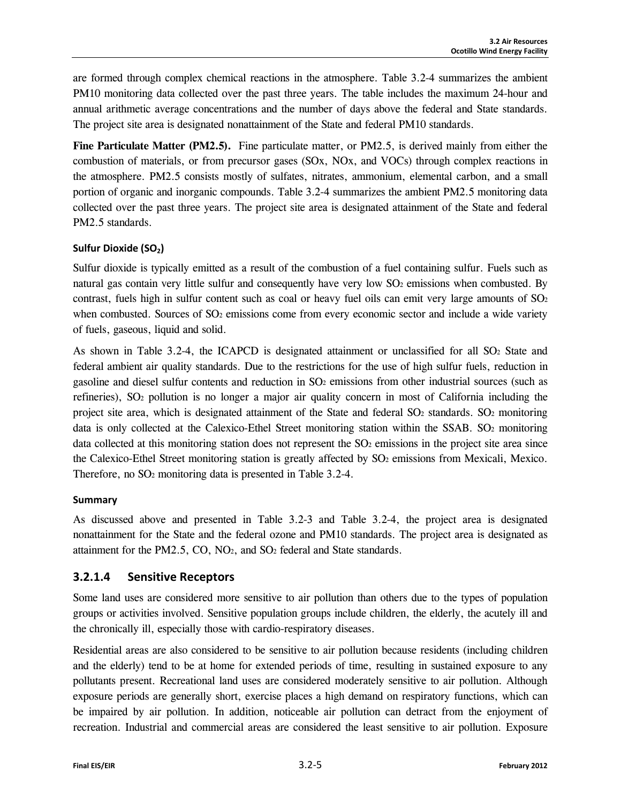are formed through complex chemical reactions in the atmosphere. Table 3.2-4 summarizes the ambient PM10 monitoring data collected over the past three years. The table includes the maximum 24-hour and annual arithmetic average concentrations and the number of days above the federal and State standards. The project site area is designated nonattainment of the State and federal PM10 standards.

Fine Particulate Matter (PM2.5). Fine particulate matter, or PM2.5, is derived mainly from either the combustion of materials, or from precursor gases (SOx, NOx, and VOCs) through complex reactions in the atmosphere. PM2.5 consists mostly of sulfates, nitrates, ammonium, elemental carbon, and a small portion of organic and inorganic compounds. Table 3.2-4 summarizes the ambient PM2.5 monitoring data collected over the past three years. The project site area is designated attainment of the State and federal PM2.5 standards.

#### **Sulfur Dioxide (SO<sub>2</sub>)**

Sulfur dioxide is typically emitted as a result of the combustion of a fuel containing sulfur. Fuels such as natural gas contain very little sulfur and consequently have very low  $SO<sub>2</sub>$  emissions when combusted. By contrast, fuels high in sulfur content such as coal or heavy fuel oils can emit very large amounts of  $SO<sub>2</sub>$ when combusted. Sources of SO<sub>2</sub> emissions come from every economic sector and include a wide variety of fuels, gaseous, liquid and solid.

As shown in Table 3.2-4, the ICAPCD is designated attainment or unclassified for all  $SO<sub>2</sub>$  State and federal ambient air quality standards. Due to the restrictions for the use of high sulfur fuels, reduction in gasoline and diesel sulfur contents and reduction in SO2 emissions from other industrial sources (such as refineries), SO2 pollution is no longer a major air quality concern in most of California including the project site area, which is designated attainment of the State and federal SO<sub>2</sub> standards. SO<sub>2</sub> monitoring data is only collected at the Calexico-Ethel Street monitoring station within the SSAB. SO<sub>2</sub> monitoring data collected at this monitoring station does not represent the  $SO<sub>2</sub>$  emissions in the project site area since the Calexico-Ethel Street monitoring station is greatly affected by SO2 emissions from Mexicali, Mexico. Therefore, no SO2 monitoring data is presented in Table 3.2-4.

#### **Summary**

As discussed above and presented in Table 3.2-3 and Table 3.2-4, the project area is designated nonattainment for the State and the federal ozone and PM10 standards. The project area is designated as attainment for the PM2.5, CO, NO2, and SO2 federal and State standards.

## **3.2.1.4 Sensitive Receptors**

Some land uses are considered more sensitive to air pollution than others due to the types of population groups or activities involved. Sensitive population groups include children, the elderly, the acutely ill and the chronically ill, especially those with cardio-respiratory diseases.

Residential areas are also considered to be sensitive to air pollution because residents (including children and the elderly) tend to be at home for extended periods of time, resulting in sustained exposure to any pollutants present. Recreational land uses are considered moderately sensitive to air pollution. Although exposure periods are generally short, exercise places a high demand on respiratory functions, which can be impaired by air pollution. In addition, noticeable air pollution can detract from the enjoyment of recreation. Industrial and commercial areas are considered the least sensitive to air pollution. Exposure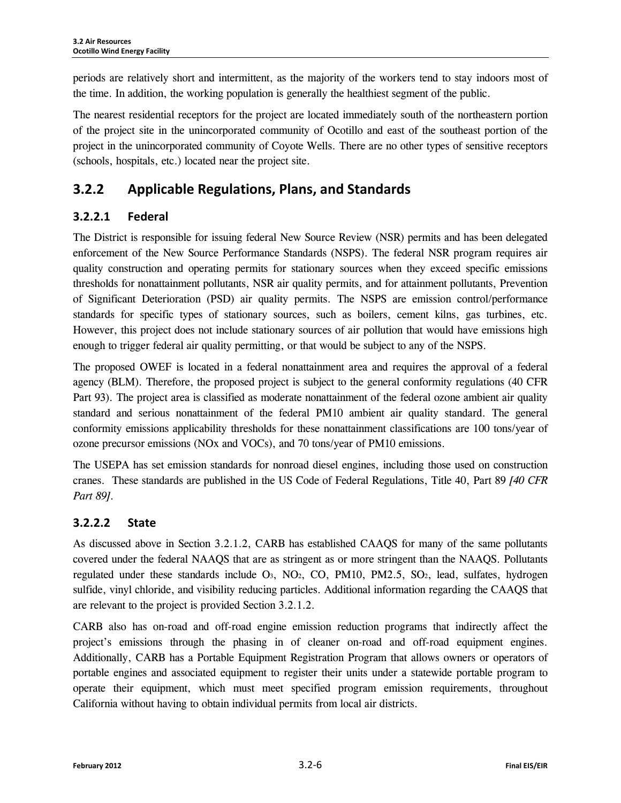periods are relatively short and intermittent, as the majority of the workers tend to stay indoors most of the time. In addition, the working population is generally the healthiest segment of the public.

The nearest residential receptors for the project are located immediately south of the northeastern portion of the project site in the unincorporated community of Ocotillo and east of the southeast portion of the project in the unincorporated community of Coyote Wells. There are no other types of sensitive receptors (schools, hospitals, etc.) located near the project site.

## **3.2.2 Applicable Regulations, Plans, and Standards**

## **3.2.2.1 Federal**

The District is responsible for issuing federal New Source Review (NSR) permits and has been delegated enforcement of the New Source Performance Standards (NSPS). The federal NSR program requires air quality construction and operating permits for stationary sources when they exceed specific emissions thresholds for nonattainment pollutants, NSR air quality permits, and for attainment pollutants, Prevention of Significant Deterioration (PSD) air quality permits. The NSPS are emission control/performance standards for specific types of stationary sources, such as boilers, cement kilns, gas turbines, etc. However, this project does not include stationary sources of air pollution that would have emissions high enough to trigger federal air quality permitting, or that would be subject to any of the NSPS.

The proposed OWEF is located in a federal nonattainment area and requires the approval of a federal agency (BLM). Therefore, the proposed project is subject to the general conformity regulations (40 CFR Part 93). The project area is classified as moderate nonattainment of the federal ozone ambient air quality standard and serious nonattainment of the federal PM10 ambient air quality standard. The general conformity emissions applicability thresholds for these nonattainment classifications are 100 tons/year of ozone precursor emissions (NOx and VOCs), and 70 tons/year of PM10 emissions.

The USEPA has set emission standards for nonroad diesel engines, including those used on construction cranes. These standards are published in the US Code of Federal Regulations, Title 40, Part 89 *[40 CFR Part 89]*.

## **3.2.2.2 State**

As discussed above in Section 3.2.1.2, CARB has established CAAQS for many of the same pollutants covered under the federal NAAQS that are as stringent as or more stringent than the NAAQS. Pollutants regulated under these standards include  $O_3$ ,  $NO_2$ ,  $CO$ ,  $PM10$ ,  $PM2.5$ ,  $SO_2$ , lead, sulfates, hydrogen sulfide, vinyl chloride, and visibility reducing particles. Additional information regarding the CAAQS that are relevant to the project is provided Section 3.2.1.2.

CARB also has on-road and off-road engine emission reduction programs that indirectly affect the project's emissions through the phasing in of cleaner on-road and off-road equipment engines. Additionally, CARB has a Portable Equipment Registration Program that allows owners or operators of portable engines and associated equipment to register their units under a statewide portable program to operate their equipment, which must meet specified program emission requirements, throughout California without having to obtain individual permits from local air districts.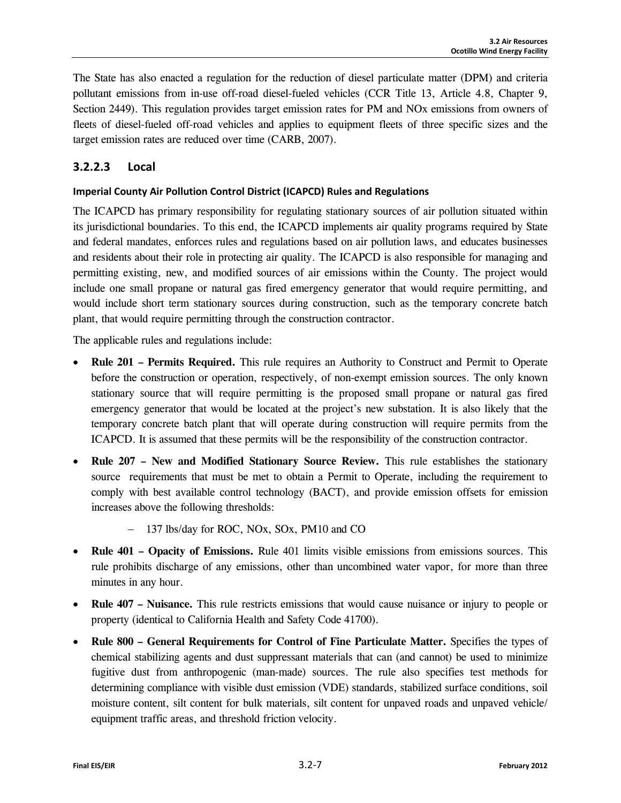The State has also enacted a regulation for the reduction of diesel particulate matter (DPM) and criteria pollutant emissions from in-use off-road diesel-fueled vehicles (CCR Title 13, Article 4.8, Chapter 9, Section 2449). This regulation provides target emission rates for PM and NOx emissions from owners of fleets of diesel-fueled off-road vehicles and applies to equipment fleets of three specific sizes and the target emission rates are reduced over time (CARB, 2007).

## **3.2.2.3 Local**

#### **Imperial County Air Pollution Control District (ICAPCD) Rules and Regulations**

The ICAPCD has primary responsibility for regulating stationary sources of air pollution situated within its jurisdictional boundaries. To this end, the ICAPCD implements air quality programs required by State and federal mandates, enforces rules and regulations based on air pollution laws, and educates businesses and residents about their role in protecting air quality. The ICAPCD is also responsible for managing and permitting existing, new, and modified sources of air emissions within the County. The project would include one small propane or natural gas fired emergency generator that would require permitting, and would include short term stationary sources during construction, such as the temporary concrete batch plant, that would require permitting through the construction contractor.

The applicable rules and regulations include:

- **Rule 201 Permits Required.** This rule requires an Authority to Construct and Permit to Operate before the construction or operation, respectively, of non-exempt emission sources. The only known stationary source that will require permitting is the proposed small propane or natural gas fired emergency generator that would be located at the project's new substation. It is also likely that the temporary concrete batch plant that will operate during construction will require permits from the ICAPCD. It is assumed that these permits will be the responsibility of the construction contractor.
- **Rule 207 New and Modified Stationary Source Review.** This rule establishes the stationary source requirements that must be met to obtain a Permit to Operate, including the requirement to comply with best available control technology (BACT), and provide emission offsets for emission increases above the following thresholds:
	- − 137 lbs/day for ROC, NOx, SOx, PM10 and CO
- **Rule 401 Opacity of Emissions.** Rule 401 limits visible emissions from emissions sources. This rule prohibits discharge of any emissions, other than uncombined water vapor, for more than three minutes in any hour.
- **Rule 407 Nuisance.** This rule restricts emissions that would cause nuisance or injury to people or property (identical to California Health and Safety Code 41700).
- **Rule 800 General Requirements for Control of Fine Particulate Matter.** Specifies the types of chemical stabilizing agents and dust suppressant materials that can (and cannot) be used to minimize fugitive dust from anthropogenic (man-made) sources. The rule also specifies test methods for determining compliance with visible dust emission (VDE) standards, stabilized surface conditions, soil moisture content, silt content for bulk materials, silt content for unpaved roads and unpaved vehicle/ equipment traffic areas, and threshold friction velocity.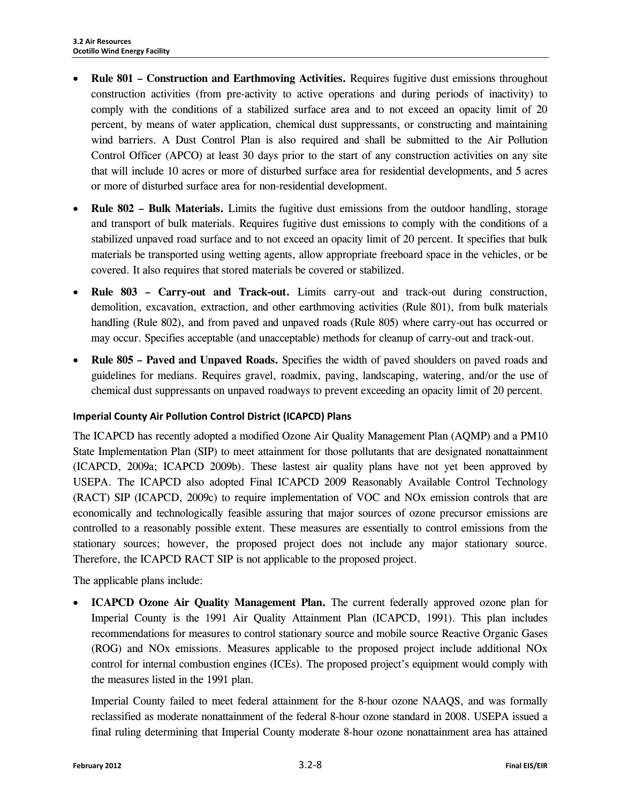- **Rule 801 Construction and Earthmoving Activities.** Requires fugitive dust emissions throughout construction activities (from pre-activity to active operations and during periods of inactivity) to comply with the conditions of a stabilized surface area and to not exceed an opacity limit of 20 percent, by means of water application, chemical dust suppressants, or constructing and maintaining wind barriers. A Dust Control Plan is also required and shall be submitted to the Air Pollution Control Officer (APCO) at least 30 days prior to the start of any construction activities on any site that will include 10 acres or more of disturbed surface area for residential developments, and 5 acres or more of disturbed surface area for non-residential development.
- **Rule 802 Bulk Materials.** Limits the fugitive dust emissions from the outdoor handling, storage and transport of bulk materials. Requires fugitive dust emissions to comply with the conditions of a stabilized unpaved road surface and to not exceed an opacity limit of 20 percent. It specifies that bulk materials be transported using wetting agents, allow appropriate freeboard space in the vehicles, or be covered. It also requires that stored materials be covered or stabilized.
- **Rule 803 Carry-out and Track-out.** Limits carry-out and track-out during construction, demolition, excavation, extraction, and other earthmoving activities (Rule 801), from bulk materials handling (Rule 802), and from paved and unpaved roads (Rule 805) where carry-out has occurred or may occur. Specifies acceptable (and unacceptable) methods for cleanup of carry-out and track-out.
- **Rule 805 Paved and Unpaved Roads.** Specifies the width of paved shoulders on paved roads and guidelines for medians. Requires gravel, roadmix, paving, landscaping, watering, and/or the use of chemical dust suppressants on unpaved roadways to prevent exceeding an opacity limit of 20 percent.

#### **Imperial County Air Pollution Control District (ICAPCD) Plans**

The ICAPCD has recently adopted a modified Ozone Air Quality Management Plan (AQMP) and a PM10 State Implementation Plan (SIP) to meet attainment for those pollutants that are designated nonattainment (ICAPCD, 2009a; ICAPCD 2009b). These lastest air quality plans have not yet been approved by USEPA. The ICAPCD also adopted Final ICAPCD 2009 Reasonably Available Control Technology (RACT) SIP (ICAPCD, 2009c) to require implementation of VOC and NOx emission controls that are economically and technologically feasible assuring that major sources of ozone precursor emissions are controlled to a reasonably possible extent. These measures are essentially to control emissions from the stationary sources; however, the proposed project does not include any major stationary source. Therefore, the ICAPCD RACT SIP is not applicable to the proposed project.

The applicable plans include:

• **ICAPCD Ozone Air Quality Management Plan.** The current federally approved ozone plan for Imperial County is the 1991 Air Quality Attainment Plan (ICAPCD, 1991). This plan includes recommendations for measures to control stationary source and mobile source Reactive Organic Gases (ROG) and NOx emissions. Measures applicable to the proposed project include additional NOx control for internal combustion engines (ICEs). The proposed project's equipment would comply with the measures listed in the 1991 plan.

Imperial County failed to meet federal attainment for the 8-hour ozone NAAQS, and was formally reclassified as moderate nonattainment of the federal 8-hour ozone standard in 2008. USEPA issued a final ruling determining that Imperial County moderate 8-hour ozone nonattainment area has attained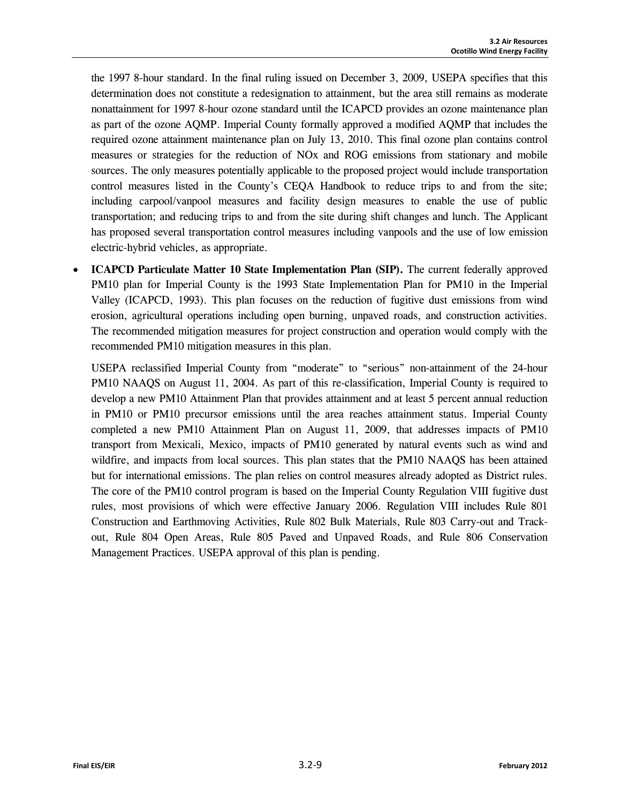the 1997 8-hour standard. In the final ruling issued on December 3, 2009, USEPA specifies that this determination does not constitute a redesignation to attainment, but the area still remains as moderate nonattainment for 1997 8-hour ozone standard until the ICAPCD provides an ozone maintenance plan as part of the ozone AQMP. Imperial County formally approved a modified AQMP that includes the required ozone attainment maintenance plan on July 13, 2010. This final ozone plan contains control measures or strategies for the reduction of NOx and ROG emissions from stationary and mobile sources. The only measures potentially applicable to the proposed project would include transportation control measures listed in the County's CEQA Handbook to reduce trips to and from the site; including carpool/vanpool measures and facility design measures to enable the use of public transportation; and reducing trips to and from the site during shift changes and lunch. The Applicant has proposed several transportation control measures including vanpools and the use of low emission electric-hybrid vehicles, as appropriate.

• **ICAPCD Particulate Matter 10 State Implementation Plan (SIP).** The current federally approved PM10 plan for Imperial County is the 1993 State Implementation Plan for PM10 in the Imperial Valley (ICAPCD, 1993). This plan focuses on the reduction of fugitive dust emissions from wind erosion, agricultural operations including open burning, unpaved roads, and construction activities. The recommended mitigation measures for project construction and operation would comply with the recommended PM10 mitigation measures in this plan.

USEPA reclassified Imperial County from "moderate" to "serious" non-attainment of the 24-hour PM10 NAAQS on August 11, 2004. As part of this re-classification, Imperial County is required to develop a new PM10 Attainment Plan that provides attainment and at least 5 percent annual reduction in PM10 or PM10 precursor emissions until the area reaches attainment status. Imperial County completed a new PM10 Attainment Plan on August 11, 2009, that addresses impacts of PM10 transport from Mexicali, Mexico, impacts of PM10 generated by natural events such as wind and wildfire, and impacts from local sources. This plan states that the PM10 NAAQS has been attained but for international emissions. The plan relies on control measures already adopted as District rules. The core of the PM10 control program is based on the Imperial County Regulation VIII fugitive dust rules, most provisions of which were effective January 2006. Regulation VIII includes Rule 801 Construction and Earthmoving Activities, Rule 802 Bulk Materials, Rule 803 Carry-out and Trackout, Rule 804 Open Areas, Rule 805 Paved and Unpaved Roads, and Rule 806 Conservation Management Practices. USEPA approval of this plan is pending.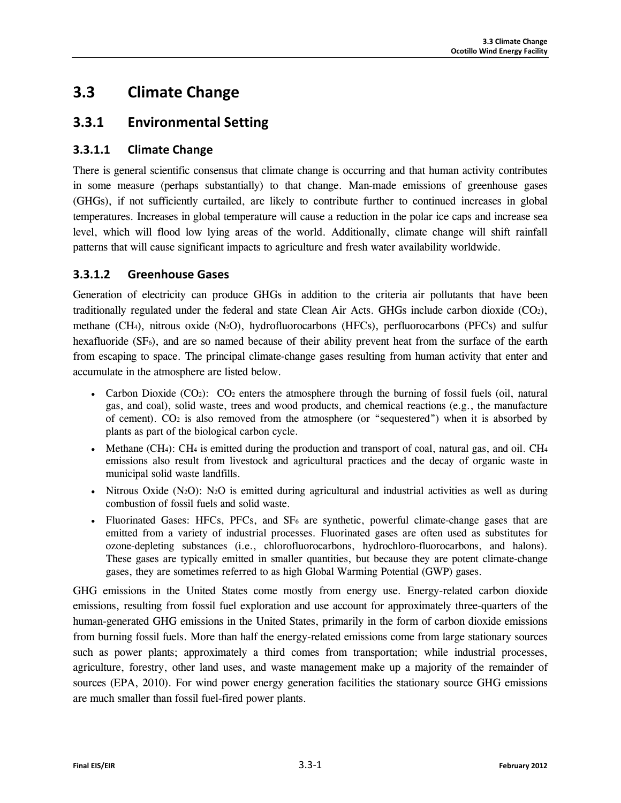# **3.3 Climate Change**

## **3.3.1 Environmental Setting**

## **3.3.1.1 Climate Change**

There is general scientific consensus that climate change is occurring and that human activity contributes in some measure (perhaps substantially) to that change. Man-made emissions of greenhouse gases (GHGs), if not sufficiently curtailed, are likely to contribute further to continued increases in global temperatures. Increases in global temperature will cause a reduction in the polar ice caps and increase sea level, which will flood low lying areas of the world. Additionally, climate change will shift rainfall patterns that will cause significant impacts to agriculture and fresh water availability worldwide.

### **3.3.1.2 Greenhouse Gases**

Generation of electricity can produce GHGs in addition to the criteria air pollutants that have been traditionally regulated under the federal and state Clean Air Acts. GHGs include carbon dioxide (CO2), methane (CH<sub>4</sub>), nitrous oxide (N<sub>2</sub>O), hydrofluorocarbons (HFCs), perfluorocarbons (PFCs) and sulfur hexafluoride (SF<sub>6</sub>), and are so named because of their ability prevent heat from the surface of the earth from escaping to space. The principal climate-change gases resulting from human activity that enter and accumulate in the atmosphere are listed below.

- Carbon Dioxide  $(CO_2)$ :  $CO_2$  enters the atmosphere through the burning of fossil fuels (oil, natural gas, and coal), solid waste, trees and wood products, and chemical reactions (e.g., the manufacture of cement).  $CO<sub>2</sub>$  is also removed from the atmosphere (or "sequestered") when it is absorbed by plants as part of the biological carbon cycle.
- Methane (CH<sub>4</sub>): CH<sub>4</sub> is emitted during the production and transport of coal, natural gas, and oil. CH<sub>4</sub> emissions also result from livestock and agricultural practices and the decay of organic waste in municipal solid waste landfills.
- Nitrous Oxide (N<sub>2</sub>O): N<sub>2</sub>O is emitted during agricultural and industrial activities as well as during combustion of fossil fuels and solid waste.
- Fluorinated Gases: HFCs, PFCs, and  $SF_6$  are synthetic, powerful climate-change gases that are emitted from a variety of industrial processes. Fluorinated gases are often used as substitutes for ozone-depleting substances (i.e., chlorofluorocarbons, hydrochloro-fluorocarbons, and halons). These gases are typically emitted in smaller quantities, but because they are potent climate-change gases, they are sometimes referred to as high Global Warming Potential (GWP) gases.

GHG emissions in the United States come mostly from energy use. Energy-related carbon dioxide emissions, resulting from fossil fuel exploration and use account for approximately three-quarters of the human-generated GHG emissions in the United States, primarily in the form of carbon dioxide emissions from burning fossil fuels. More than half the energy-related emissions come from large stationary sources such as power plants; approximately a third comes from transportation; while industrial processes, agriculture, forestry, other land uses, and waste management make up a majority of the remainder of sources (EPA, 2010). For wind power energy generation facilities the stationary source GHG emissions are much smaller than fossil fuel-fired power plants.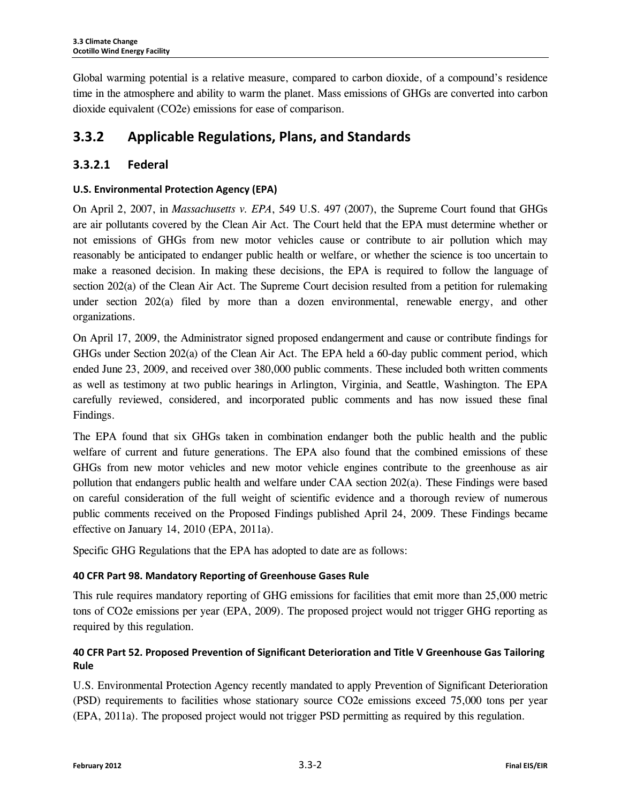Global warming potential is a relative measure, compared to carbon dioxide, of a compound's residence time in the atmosphere and ability to warm the planet. Mass emissions of GHGs are converted into carbon dioxide equivalent (CO2e) emissions for ease of comparison.

## **3.3.2 Applicable Regulations, Plans, and Standards**

## **3.3.2.1 Federal**

#### **U.S. Environmental Protection Agency (EPA)**

On April 2, 2007, in *Massachusetts v. EPA*, 549 U.S. 497 (2007), the Supreme Court found that GHGs are air pollutants covered by the Clean Air Act. The Court held that the EPA must determine whether or not emissions of GHGs from new motor vehicles cause or contribute to air pollution which may reasonably be anticipated to endanger public health or welfare, or whether the science is too uncertain to make a reasoned decision. In making these decisions, the EPA is required to follow the language of section 202(a) of the Clean Air Act. The Supreme Court decision resulted from a petition for rulemaking under section 202(a) filed by more than a dozen environmental, renewable energy, and other organizations.

On April 17, 2009, the Administrator signed proposed endangerment and cause or contribute findings for GHGs under Section 202(a) of the Clean Air Act. The EPA held a 60-day public comment period, which ended June 23, 2009, and received over 380,000 public comments. These included both written comments as well as testimony at two public hearings in Arlington, Virginia, and Seattle, Washington. The EPA carefully reviewed, considered, and incorporated public comments and has now issued these final Findings.

The EPA found that six GHGs taken in combination endanger both the public health and the public welfare of current and future generations. The EPA also found that the combined emissions of these GHGs from new motor vehicles and new motor vehicle engines contribute to the greenhouse as air pollution that endangers public health and welfare under CAA section 202(a). These Findings were based on careful consideration of the full weight of scientific evidence and a thorough review of numerous public comments received on the Proposed Findings published April 24, 2009. These Findings became effective on January 14, 2010 (EPA, 2011a).

Specific GHG Regulations that the EPA has adopted to date are as follows:

#### **40 CFR Part 98. Mandatory Reporting of Greenhouse Gases Rule**

This rule requires mandatory reporting of GHG emissions for facilities that emit more than 25,000 metric tons of CO2e emissions per year (EPA, 2009). The proposed project would not trigger GHG reporting as required by this regulation.

## **40 CFR Part 52. Proposed Prevention of Significant Deterioration and Title V Greenhouse Gas Tailoring Rule**

U.S. Environmental Protection Agency recently mandated to apply Prevention of Significant Deterioration (PSD) requirements to facilities whose stationary source CO2e emissions exceed 75,000 tons per year (EPA, 2011a). The proposed project would not trigger PSD permitting as required by this regulation.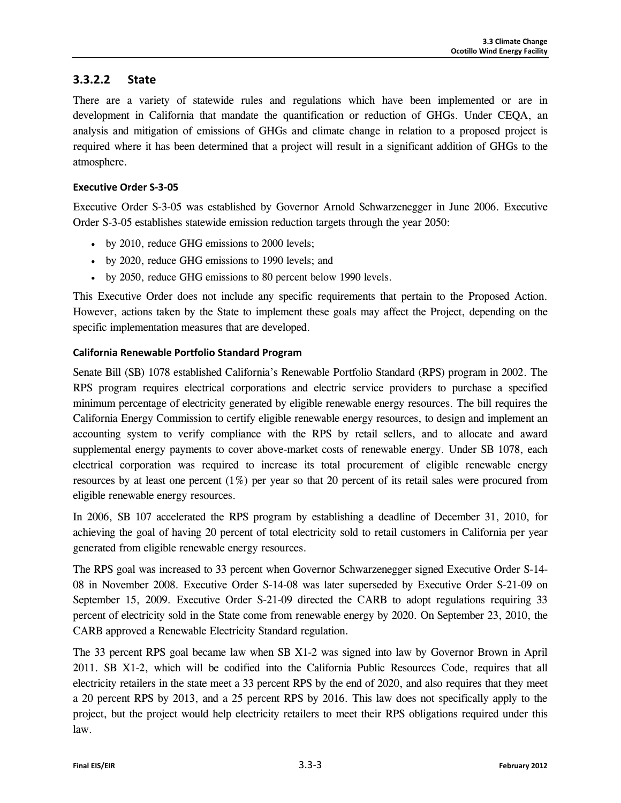#### **3.3.2.2 State**

There are a variety of statewide rules and regulations which have been implemented or are in development in California that mandate the quantification or reduction of GHGs. Under CEQA, an analysis and mitigation of emissions of GHGs and climate change in relation to a proposed project is required where it has been determined that a project will result in a significant addition of GHGs to the atmosphere.

#### **Executive Order S-3-05**

Executive Order S-3-05 was established by Governor Arnold Schwarzenegger in June 2006. Executive Order S-3-05 establishes statewide emission reduction targets through the year 2050:

- by 2010, reduce GHG emissions to 2000 levels;
- by 2020, reduce GHG emissions to 1990 levels; and
- by 2050, reduce GHG emissions to 80 percent below 1990 levels.

This Executive Order does not include any specific requirements that pertain to the Proposed Action. However, actions taken by the State to implement these goals may affect the Project, depending on the specific implementation measures that are developed.

#### **California Renewable Portfolio Standard Program**

Senate Bill (SB) 1078 established California's Renewable Portfolio Standard (RPS) program in 2002. The RPS program requires electrical corporations and electric service providers to purchase a specified minimum percentage of electricity generated by eligible renewable energy resources. The bill requires the California Energy Commission to certify eligible renewable energy resources, to design and implement an accounting system to verify compliance with the RPS by retail sellers, and to allocate and award supplemental energy payments to cover above-market costs of renewable energy. Under SB 1078, each electrical corporation was required to increase its total procurement of eligible renewable energy resources by at least one percent  $(1\%)$  per year so that 20 percent of its retail sales were procured from eligible renewable energy resources.

In 2006, SB 107 accelerated the RPS program by establishing a deadline of December 31, 2010, for achieving the goal of having 20 percent of total electricity sold to retail customers in California per year generated from eligible renewable energy resources.

The RPS goal was increased to 33 percent when Governor Schwarzenegger signed Executive Order S-14- 08 in November 2008. Executive Order S-14-08 was later superseded by Executive Order S-21-09 on September 15, 2009. Executive Order S-21-09 directed the CARB to adopt regulations requiring 33 percent of electricity sold in the State come from renewable energy by 2020. On September 23, 2010, the CARB approved a Renewable Electricity Standard regulation.

The 33 percent RPS goal became law when SB X1-2 was signed into law by Governor Brown in April 2011. SB X1-2, which will be codified into the California Public Resources Code, requires that all electricity retailers in the state meet a 33 percent RPS by the end of 2020, and also requires that they meet a 20 percent RPS by 2013, and a 25 percent RPS by 2016. This law does not specifically apply to the project, but the project would help electricity retailers to meet their RPS obligations required under this law.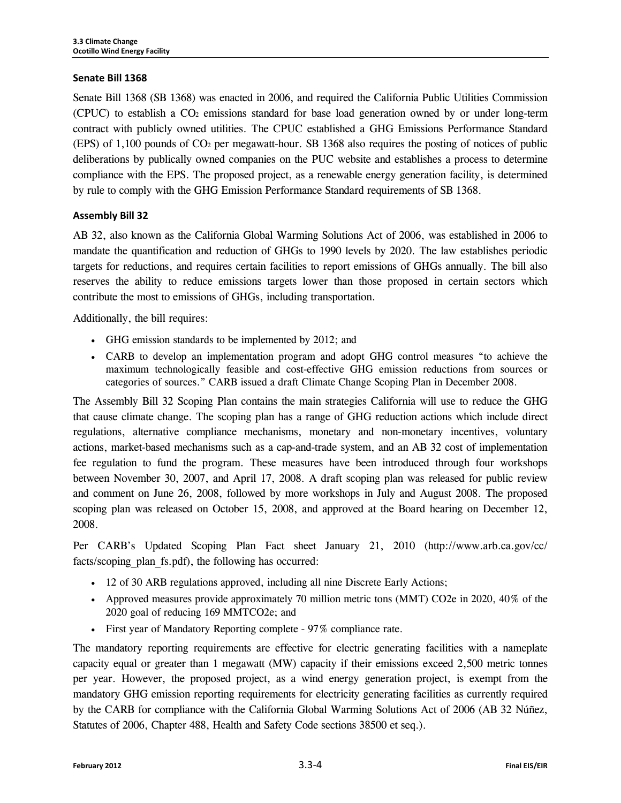#### **Senate Bill 1368**

Senate Bill 1368 (SB 1368) was enacted in 2006, and required the California Public Utilities Commission (CPUC) to establish a CO2 emissions standard for base load generation owned by or under long-term contract with publicly owned utilities. The CPUC established a GHG Emissions Performance Standard (EPS) of 1,100 pounds of CO2 per megawatt-hour. SB 1368 also requires the posting of notices of public deliberations by publically owned companies on the PUC website and establishes a process to determine compliance with the EPS. The proposed project, as a renewable energy generation facility, is determined by rule to comply with the GHG Emission Performance Standard requirements of SB 1368.

#### **Assembly Bill 32**

AB 32, also known as the California Global Warming Solutions Act of 2006, was established in 2006 to mandate the quantification and reduction of GHGs to 1990 levels by 2020. The law establishes periodic targets for reductions, and requires certain facilities to report emissions of GHGs annually. The bill also reserves the ability to reduce emissions targets lower than those proposed in certain sectors which contribute the most to emissions of GHGs, including transportation.

Additionally, the bill requires:

- GHG emission standards to be implemented by 2012; and
- CARB to develop an implementation program and adopt GHG control measures "to achieve the maximum technologically feasible and cost-effective GHG emission reductions from sources or categories of sources." CARB issued a draft Climate Change Scoping Plan in December 2008.

The Assembly Bill 32 Scoping Plan contains the main strategies California will use to reduce the GHG that cause climate change. The scoping plan has a range of GHG reduction actions which include direct regulations, alternative compliance mechanisms, monetary and non-monetary incentives, voluntary actions, market-based mechanisms such as a cap-and-trade system, and an AB 32 cost of implementation fee regulation to fund the program. These measures have been introduced through four workshops between November 30, 2007, and April 17, 2008. A draft scoping plan was released for public review and comment on June 26, 2008, followed by more workshops in July and August 2008. The proposed scoping plan was released on October 15, 2008, and approved at the Board hearing on December 12, 2008.

Per CARB's Updated Scoping Plan Fact sheet January 21, 2010 (http://www.arb.ca.gov/cc/ facts/scoping plan fs.pdf), the following has occurred:

- 12 of 30 ARB regulations approved, including all nine Discrete Early Actions;
- Approved measures provide approximately 70 million metric tons (MMT) CO2e in 2020, 40% of the 2020 goal of reducing 169 MMTCO2e; and
- First year of Mandatory Reporting complete 97% compliance rate.

The mandatory reporting requirements are effective for electric generating facilities with a nameplate capacity equal or greater than 1 megawatt (MW) capacity if their emissions exceed 2,500 metric tonnes per year. However, the proposed project, as a wind energy generation project, is exempt from the mandatory GHG emission reporting requirements for electricity generating facilities as currently required by the CARB for compliance with the California Global Warming Solutions Act of 2006 (AB 32 Núñez, Statutes of 2006, Chapter 488, Health and Safety Code sections 38500 et seq.).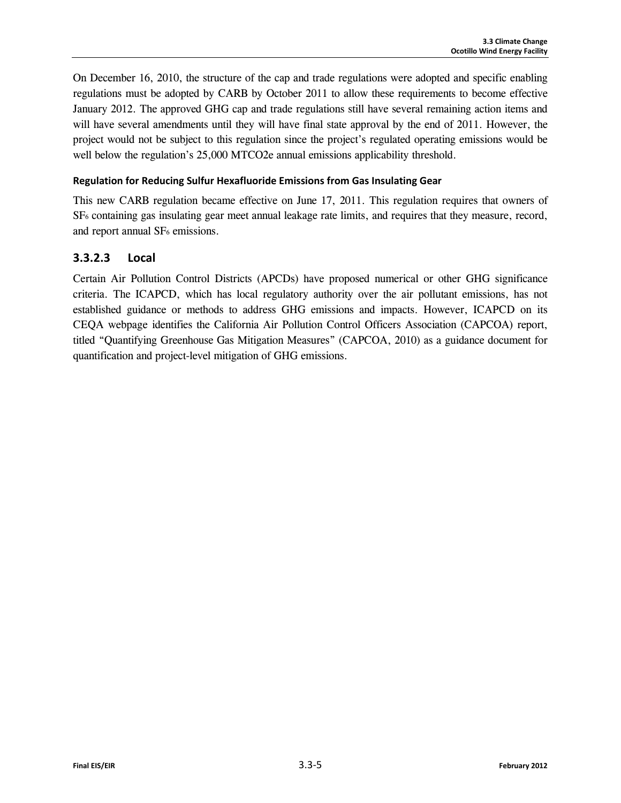On December 16, 2010, the structure of the cap and trade regulations were adopted and specific enabling regulations must be adopted by CARB by October 2011 to allow these requirements to become effective January 2012. The approved GHG cap and trade regulations still have several remaining action items and will have several amendments until they will have final state approval by the end of 2011. However, the project would not be subject to this regulation since the project's regulated operating emissions would be well below the regulation's 25,000 MTCO2e annual emissions applicability threshold.

#### **Regulation for Reducing Sulfur Hexafluoride Emissions from Gas Insulating Gear**

This new CARB regulation became effective on June 17, 2011. This regulation requires that owners of SF6 containing gas insulating gear meet annual leakage rate limits, and requires that they measure, record, and report annual SF<sub>6</sub> emissions.

## **3.3.2.3 Local**

Certain Air Pollution Control Districts (APCDs) have proposed numerical or other GHG significance criteria. The ICAPCD, which has local regulatory authority over the air pollutant emissions, has not established guidance or methods to address GHG emissions and impacts. However, ICAPCD on its CEQA webpage identifies the California Air Pollution Control Officers Association (CAPCOA) report, titled "Quantifying Greenhouse Gas Mitigation Measures" (CAPCOA, 2010) as a guidance document for quantification and project-level mitigation of GHG emissions.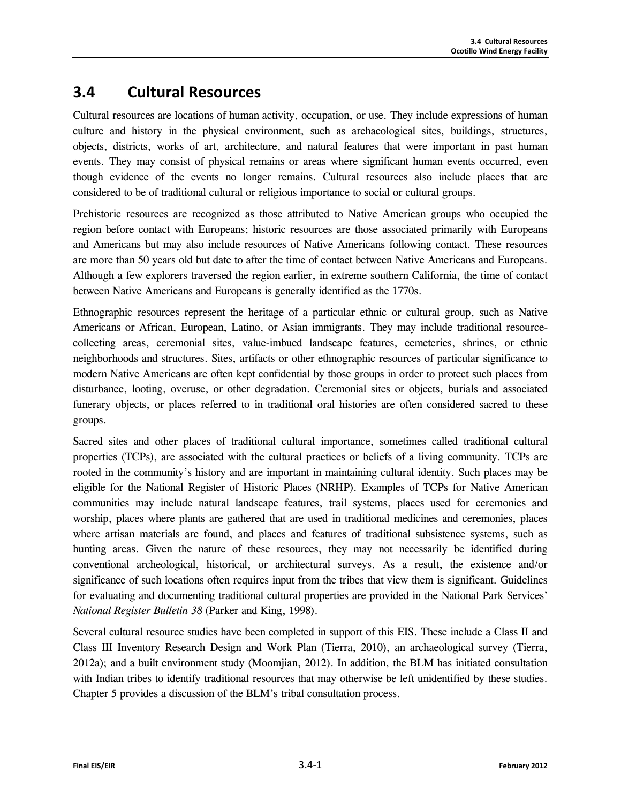# **3.4 Cultural Resources**

Cultural resources are locations of human activity, occupation, or use. They include expressions of human culture and history in the physical environment, such as archaeological sites, buildings, structures, objects, districts, works of art, architecture, and natural features that were important in past human events. They may consist of physical remains or areas where significant human events occurred, even though evidence of the events no longer remains. Cultural resources also include places that are considered to be of traditional cultural or religious importance to social or cultural groups.

Prehistoric resources are recognized as those attributed to Native American groups who occupied the region before contact with Europeans; historic resources are those associated primarily with Europeans and Americans but may also include resources of Native Americans following contact. These resources are more than 50 years old but date to after the time of contact between Native Americans and Europeans. Although a few explorers traversed the region earlier, in extreme southern California, the time of contact between Native Americans and Europeans is generally identified as the 1770s.

Ethnographic resources represent the heritage of a particular ethnic or cultural group, such as Native Americans or African, European, Latino, or Asian immigrants. They may include traditional resourcecollecting areas, ceremonial sites, value-imbued landscape features, cemeteries, shrines, or ethnic neighborhoods and structures. Sites, artifacts or other ethnographic resources of particular significance to modern Native Americans are often kept confidential by those groups in order to protect such places from disturbance, looting, overuse, or other degradation. Ceremonial sites or objects, burials and associated funerary objects, or places referred to in traditional oral histories are often considered sacred to these groups.

Sacred sites and other places of traditional cultural importance, sometimes called traditional cultural properties (TCPs), are associated with the cultural practices or beliefs of a living community. TCPs are rooted in the community's history and are important in maintaining cultural identity. Such places may be eligible for the National Register of Historic Places (NRHP). Examples of TCPs for Native American communities may include natural landscape features, trail systems, places used for ceremonies and worship, places where plants are gathered that are used in traditional medicines and ceremonies, places where artisan materials are found, and places and features of traditional subsistence systems, such as hunting areas. Given the nature of these resources, they may not necessarily be identified during conventional archeological, historical, or architectural surveys. As a result, the existence and/or significance of such locations often requires input from the tribes that view them is significant. Guidelines for evaluating and documenting traditional cultural properties are provided in the National Park Services' *National Register Bulletin 38* (Parker and King, 1998).

Several cultural resource studies have been completed in support of this EIS. These include a Class II and Class III Inventory Research Design and Work Plan (Tierra, 2010), an archaeological survey (Tierra, 2012a); and a built environment study (Moomjian, 2012). In addition, the BLM has initiated consultation with Indian tribes to identify traditional resources that may otherwise be left unidentified by these studies. Chapter 5 provides a discussion of the BLM's tribal consultation process.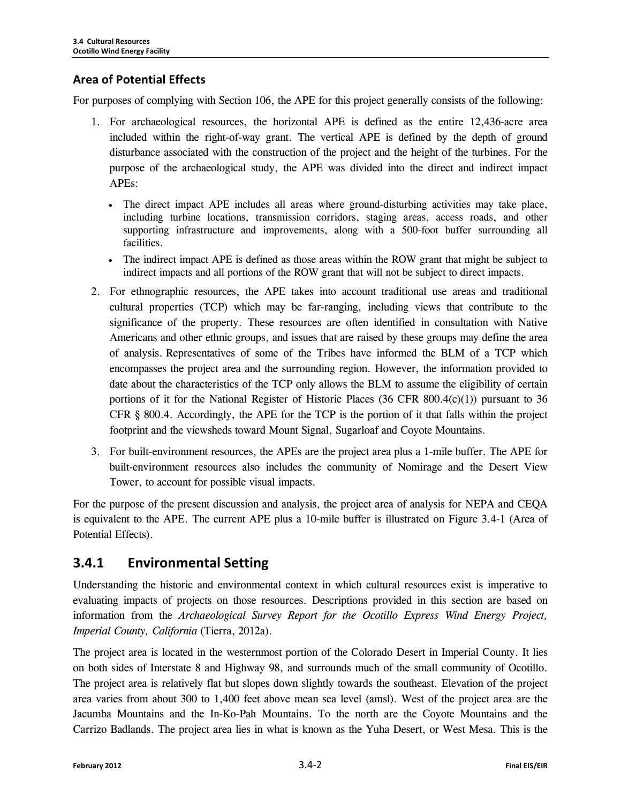## **Area of Potential Effects**

For purposes of complying with Section 106, the APE for this project generally consists of the following:

- 1. For archaeological resources, the horizontal APE is defined as the entire 12,436-acre area included within the right-of-way grant. The vertical APE is defined by the depth of ground disturbance associated with the construction of the project and the height of the turbines. For the purpose of the archaeological study, the APE was divided into the direct and indirect impact APEs:
	- The direct impact APE includes all areas where ground-disturbing activities may take place, including turbine locations, transmission corridors, staging areas, access roads, and other supporting infrastructure and improvements, along with a 500-foot buffer surrounding all facilities.
	- The indirect impact APE is defined as those areas within the ROW grant that might be subject to indirect impacts and all portions of the ROW grant that will not be subject to direct impacts.
- 2. For ethnographic resources, the APE takes into account traditional use areas and traditional cultural properties (TCP) which may be far-ranging, including views that contribute to the significance of the property. These resources are often identified in consultation with Native Americans and other ethnic groups, and issues that are raised by these groups may define the area of analysis. Representatives of some of the Tribes have informed the BLM of a TCP which encompasses the project area and the surrounding region. However, the information provided to date about the characteristics of the TCP only allows the BLM to assume the eligibility of certain portions of it for the National Register of Historic Places (36 CFR 800.4(c)(1)) pursuant to 36 CFR § 800.4. Accordingly, the APE for the TCP is the portion of it that falls within the project footprint and the viewsheds toward Mount Signal, Sugarloaf and Coyote Mountains.
- 3. For built-environment resources, the APEs are the project area plus a 1-mile buffer. The APE for built-environment resources also includes the community of Nomirage and the Desert View Tower, to account for possible visual impacts.

For the purpose of the present discussion and analysis, the project area of analysis for NEPA and CEQA is equivalent to the APE. The current APE plus a 10-mile buffer is illustrated on Figure 3.4-1 (Area of Potential Effects).

## **3.4.1 Environmental Setting**

Understanding the historic and environmental context in which cultural resources exist is imperative to evaluating impacts of projects on those resources. Descriptions provided in this section are based on information from the *Archaeological Survey Report for the Ocotillo Express Wind Energy Project, Imperial County, California* (Tierra, 2012a).

The project area is located in the westernmost portion of the Colorado Desert in Imperial County. It lies on both sides of Interstate 8 and Highway 98, and surrounds much of the small community of Ocotillo. The project area is relatively flat but slopes down slightly towards the southeast. Elevation of the project area varies from about 300 to 1,400 feet above mean sea level (amsl). West of the project area are the Jacumba Mountains and the In-Ko-Pah Mountains. To the north are the Coyote Mountains and the Carrizo Badlands. The project area lies in what is known as the Yuha Desert, or West Mesa. This is the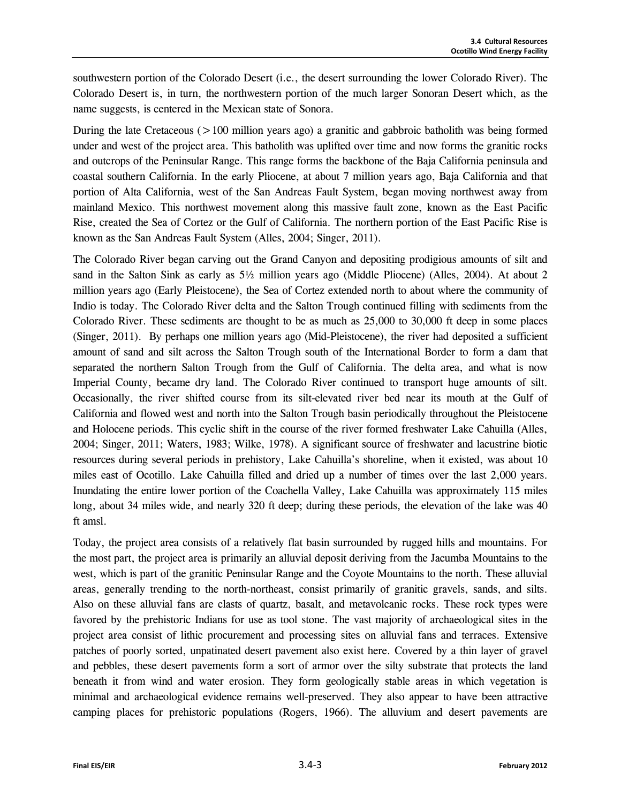southwestern portion of the Colorado Desert (i.e., the desert surrounding the lower Colorado River). The Colorado Desert is, in turn, the northwestern portion of the much larger Sonoran Desert which, as the name suggests, is centered in the Mexican state of Sonora.

During the late Cretaceous (>100 million years ago) a granitic and gabbroic batholith was being formed under and west of the project area. This batholith was uplifted over time and now forms the granitic rocks and outcrops of the Peninsular Range. This range forms the backbone of the Baja California peninsula and coastal southern California. In the early Pliocene, at about 7 million years ago, Baja California and that portion of Alta California, west of the San Andreas Fault System, began moving northwest away from mainland Mexico. This northwest movement along this massive fault zone, known as the East Pacific Rise, created the Sea of Cortez or the Gulf of California. The northern portion of the East Pacific Rise is known as the San Andreas Fault System (Alles, 2004; Singer, 2011).

The Colorado River began carving out the Grand Canyon and depositing prodigious amounts of silt and sand in the Salton Sink as early as 5½ million years ago (Middle Pliocene) (Alles, 2004). At about 2 million years ago (Early Pleistocene), the Sea of Cortez extended north to about where the community of Indio is today. The Colorado River delta and the Salton Trough continued filling with sediments from the Colorado River. These sediments are thought to be as much as 25,000 to 30,000 ft deep in some places (Singer, 2011). By perhaps one million years ago (Mid-Pleistocene), the river had deposited a sufficient amount of sand and silt across the Salton Trough south of the International Border to form a dam that separated the northern Salton Trough from the Gulf of California. The delta area, and what is now Imperial County, became dry land. The Colorado River continued to transport huge amounts of silt. Occasionally, the river shifted course from its silt-elevated river bed near its mouth at the Gulf of California and flowed west and north into the Salton Trough basin periodically throughout the Pleistocene and Holocene periods. This cyclic shift in the course of the river formed freshwater Lake Cahuilla (Alles, 2004; Singer, 2011; Waters, 1983; Wilke, 1978). A significant source of freshwater and lacustrine biotic resources during several periods in prehistory, Lake Cahuilla's shoreline, when it existed, was about 10 miles east of Ocotillo. Lake Cahuilla filled and dried up a number of times over the last 2,000 years. Inundating the entire lower portion of the Coachella Valley, Lake Cahuilla was approximately 115 miles long, about 34 miles wide, and nearly 320 ft deep; during these periods, the elevation of the lake was 40 ft amsl.

Today, the project area consists of a relatively flat basin surrounded by rugged hills and mountains. For the most part, the project area is primarily an alluvial deposit deriving from the Jacumba Mountains to the west, which is part of the granitic Peninsular Range and the Coyote Mountains to the north. These alluvial areas, generally trending to the north-northeast, consist primarily of granitic gravels, sands, and silts. Also on these alluvial fans are clasts of quartz, basalt, and metavolcanic rocks. These rock types were favored by the prehistoric Indians for use as tool stone. The vast majority of archaeological sites in the project area consist of lithic procurement and processing sites on alluvial fans and terraces. Extensive patches of poorly sorted, unpatinated desert pavement also exist here. Covered by a thin layer of gravel and pebbles, these desert pavements form a sort of armor over the silty substrate that protects the land beneath it from wind and water erosion. They form geologically stable areas in which vegetation is minimal and archaeological evidence remains well-preserved. They also appear to have been attractive camping places for prehistoric populations (Rogers, 1966). The alluvium and desert pavements are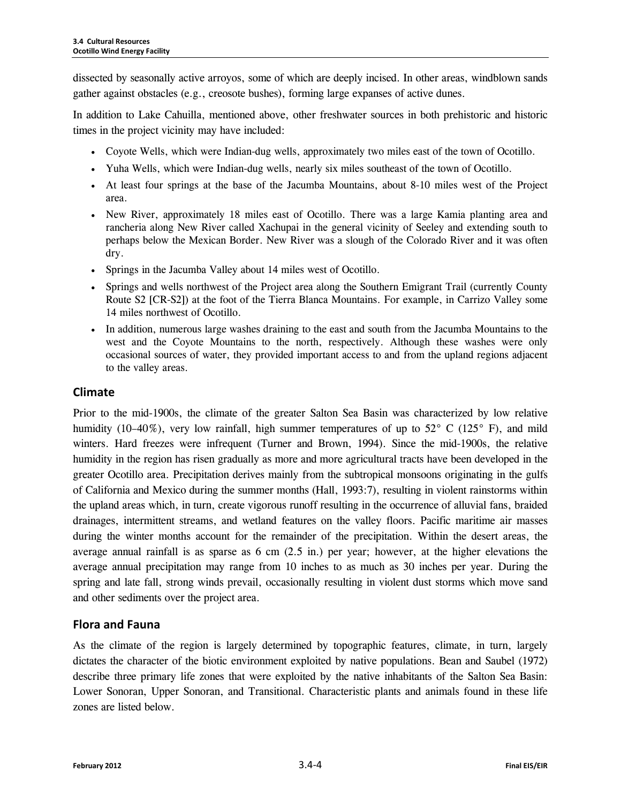dissected by seasonally active arroyos, some of which are deeply incised. In other areas, windblown sands gather against obstacles (e.g., creosote bushes), forming large expanses of active dunes.

In addition to Lake Cahuilla, mentioned above, other freshwater sources in both prehistoric and historic times in the project vicinity may have included:

- Coyote Wells, which were Indian-dug wells, approximately two miles east of the town of Ocotillo.
- Yuha Wells, which were Indian-dug wells, nearly six miles southeast of the town of Ocotillo.
- At least four springs at the base of the Jacumba Mountains, about 8-10 miles west of the Project area.
- New River, approximately 18 miles east of Ocotillo. There was a large Kamia planting area and rancheria along New River called Xachupai in the general vicinity of Seeley and extending south to perhaps below the Mexican Border. New River was a slough of the Colorado River and it was often dry.
- Springs in the Jacumba Valley about 14 miles west of Ocotillo.
- Springs and wells northwest of the Project area along the Southern Emigrant Trail (currently County Route S2 [CR-S2]) at the foot of the Tierra Blanca Mountains. For example, in Carrizo Valley some 14 miles northwest of Ocotillo.
- In addition, numerous large washes draining to the east and south from the Jacumba Mountains to the west and the Coyote Mountains to the north, respectively. Although these washes were only occasional sources of water, they provided important access to and from the upland regions adjacent to the valley areas.

## **Climate**

Prior to the mid-1900s, the climate of the greater Salton Sea Basin was characterized by low relative humidity (10–40%), very low rainfall, high summer temperatures of up to 52° C (125° F), and mild winters. Hard freezes were infrequent (Turner and Brown, 1994). Since the mid-1900s, the relative humidity in the region has risen gradually as more and more agricultural tracts have been developed in the greater Ocotillo area. Precipitation derives mainly from the subtropical monsoons originating in the gulfs of California and Mexico during the summer months (Hall, 1993:7), resulting in violent rainstorms within the upland areas which, in turn, create vigorous runoff resulting in the occurrence of alluvial fans, braided drainages, intermittent streams, and wetland features on the valley floors. Pacific maritime air masses during the winter months account for the remainder of the precipitation. Within the desert areas, the average annual rainfall is as sparse as 6 cm (2.5 in.) per year; however, at the higher elevations the average annual precipitation may range from 10 inches to as much as 30 inches per year. During the spring and late fall, strong winds prevail, occasionally resulting in violent dust storms which move sand and other sediments over the project area.

## **Flora and Fauna**

As the climate of the region is largely determined by topographic features, climate, in turn, largely dictates the character of the biotic environment exploited by native populations. Bean and Saubel (1972) describe three primary life zones that were exploited by the native inhabitants of the Salton Sea Basin: Lower Sonoran, Upper Sonoran, and Transitional. Characteristic plants and animals found in these life zones are listed below.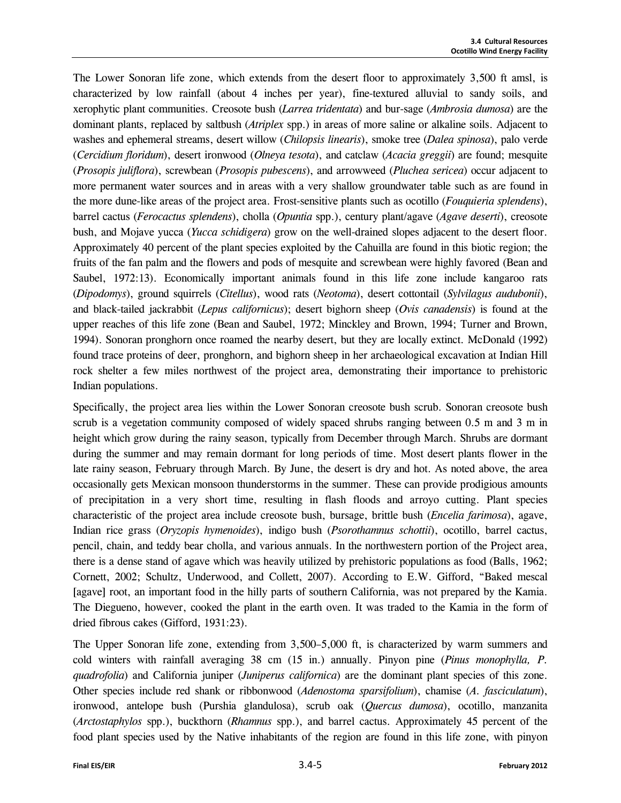The Lower Sonoran life zone, which extends from the desert floor to approximately 3,500 ft amsl, is characterized by low rainfall (about 4 inches per year), fine-textured alluvial to sandy soils, and xerophytic plant communities. Creosote bush (*Larrea tridentata*) and bur-sage (*Ambrosia dumosa*) are the dominant plants, replaced by saltbush (*Atriplex* spp.) in areas of more saline or alkaline soils. Adjacent to washes and ephemeral streams, desert willow (*Chilopsis linearis*), smoke tree (*Dalea spinosa*), palo verde (*Cercidium floridum*), desert ironwood (*Olneya tesota*), and catclaw (*Acacia greggii*) are found; mesquite (*Prosopis juliflora*), screwbean (*Prosopis pubescens*), and arrowweed (*Pluchea sericea*) occur adjacent to more permanent water sources and in areas with a very shallow groundwater table such as are found in the more dune-like areas of the project area. Frost-sensitive plants such as ocotillo (*Fouquieria splendens*), barrel cactus (*Ferocactus splendens*), cholla (*Opuntia* spp.), century plant/agave (*Agave deserti*), creosote bush, and Mojave yucca (*Yucca schidigera*) grow on the well-drained slopes adjacent to the desert floor. Approximately 40 percent of the plant species exploited by the Cahuilla are found in this biotic region; the fruits of the fan palm and the flowers and pods of mesquite and screwbean were highly favored (Bean and Saubel, 1972:13). Economically important animals found in this life zone include kangaroo rats (*Dipodomys*), ground squirrels (*Citellus*), wood rats (*Neotoma*), desert cottontail (*Sylvilagus audubonii*), and black-tailed jackrabbit (*Lepus californicus*); desert bighorn sheep (*Ovis canadensis*) is found at the upper reaches of this life zone (Bean and Saubel, 1972; Minckley and Brown, 1994; Turner and Brown, 1994). Sonoran pronghorn once roamed the nearby desert, but they are locally extinct. McDonald (1992) found trace proteins of deer, pronghorn, and bighorn sheep in her archaeological excavation at Indian Hill rock shelter a few miles northwest of the project area, demonstrating their importance to prehistoric Indian populations.

Specifically, the project area lies within the Lower Sonoran creosote bush scrub. Sonoran creosote bush scrub is a vegetation community composed of widely spaced shrubs ranging between 0.5 m and 3 m in height which grow during the rainy season, typically from December through March. Shrubs are dormant during the summer and may remain dormant for long periods of time. Most desert plants flower in the late rainy season, February through March. By June, the desert is dry and hot. As noted above, the area occasionally gets Mexican monsoon thunderstorms in the summer. These can provide prodigious amounts of precipitation in a very short time, resulting in flash floods and arroyo cutting. Plant species characteristic of the project area include creosote bush, bursage, brittle bush (*Encelia farimosa*), agave, Indian rice grass (*Oryzopis hymenoides*), indigo bush (*Psorothamnus schottii*), ocotillo, barrel cactus, pencil, chain, and teddy bear cholla, and various annuals. In the northwestern portion of the Project area, there is a dense stand of agave which was heavily utilized by prehistoric populations as food (Balls, 1962; Cornett, 2002; Schultz, Underwood, and Collett, 2007). According to E.W. Gifford, "Baked mescal [agave] root, an important food in the hilly parts of southern California, was not prepared by the Kamia. The Diegueno, however, cooked the plant in the earth oven. It was traded to the Kamia in the form of dried fibrous cakes (Gifford, 1931:23).

The Upper Sonoran life zone, extending from 3,500–5,000 ft, is characterized by warm summers and cold winters with rainfall averaging 38 cm (15 in.) annually. Pinyon pine (*Pinus monophylla, P. quadrofolia*) and California juniper (*Juniperus californica*) are the dominant plant species of this zone. Other species include red shank or ribbonwood (*Adenostoma sparsifolium*), chamise (*A. fasciculatum*), ironwood, antelope bush (Purshia glandulosa), scrub oak (*Quercus dumosa*), ocotillo, manzanita (*Arctostaphylos* spp.), buckthorn (*Rhamnus* spp.), and barrel cactus. Approximately 45 percent of the food plant species used by the Native inhabitants of the region are found in this life zone, with pinyon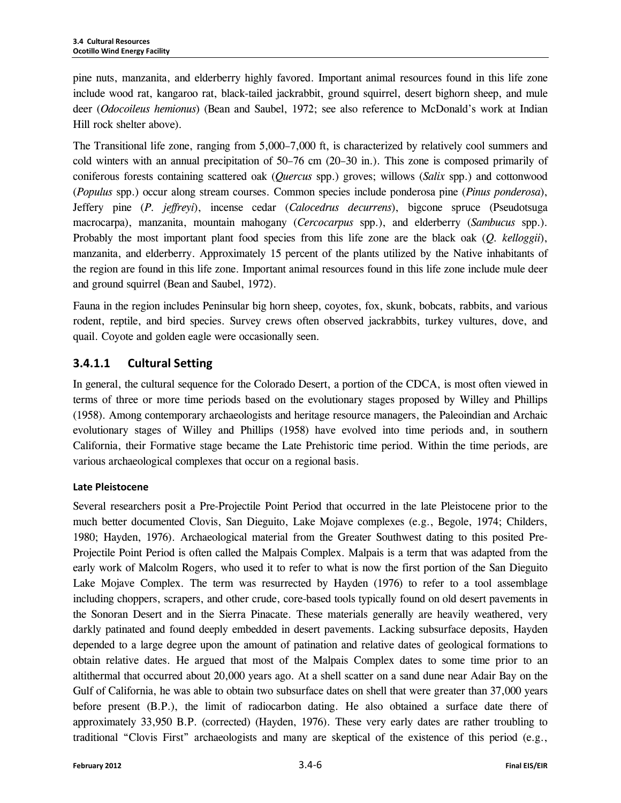pine nuts, manzanita, and elderberry highly favored. Important animal resources found in this life zone include wood rat, kangaroo rat, black-tailed jackrabbit, ground squirrel, desert bighorn sheep, and mule deer (*Odocoileus hemionus*) (Bean and Saubel, 1972; see also reference to McDonald's work at Indian Hill rock shelter above).

The Transitional life zone, ranging from 5,000–7,000 ft, is characterized by relatively cool summers and cold winters with an annual precipitation of 50–76 cm (20–30 in.). This zone is composed primarily of coniferous forests containing scattered oak (*Quercus* spp.) groves; willows (*Salix* spp.) and cottonwood (*Populus* spp.) occur along stream courses. Common species include ponderosa pine (*Pinus ponderosa*), Jeffery pine (*P. jeffreyi*), incense cedar (*Calocedrus decurrens*), bigcone spruce (Pseudotsuga macrocarpa), manzanita, mountain mahogany (*Cercocarpus* spp.), and elderberry (*Sambucus* spp.). Probably the most important plant food species from this life zone are the black oak (*Q. kelloggii*), manzanita, and elderberry. Approximately 15 percent of the plants utilized by the Native inhabitants of the region are found in this life zone. Important animal resources found in this life zone include mule deer and ground squirrel (Bean and Saubel, 1972).

Fauna in the region includes Peninsular big horn sheep, coyotes, fox, skunk, bobcats, rabbits, and various rodent, reptile, and bird species. Survey crews often observed jackrabbits, turkey vultures, dove, and quail. Coyote and golden eagle were occasionally seen.

## **3.4.1.1 Cultural Setting**

In general, the cultural sequence for the Colorado Desert, a portion of the CDCA, is most often viewed in terms of three or more time periods based on the evolutionary stages proposed by Willey and Phillips (1958). Among contemporary archaeologists and heritage resource managers, the Paleoindian and Archaic evolutionary stages of Willey and Phillips (1958) have evolved into time periods and, in southern California, their Formative stage became the Late Prehistoric time period. Within the time periods, are various archaeological complexes that occur on a regional basis.

#### **Late Pleistocene**

Several researchers posit a Pre-Projectile Point Period that occurred in the late Pleistocene prior to the much better documented Clovis, San Dieguito, Lake Mojave complexes (e.g., Begole, 1974; Childers, 1980; Hayden, 1976). Archaeological material from the Greater Southwest dating to this posited Pre-Projectile Point Period is often called the Malpais Complex. Malpais is a term that was adapted from the early work of Malcolm Rogers, who used it to refer to what is now the first portion of the San Dieguito Lake Mojave Complex. The term was resurrected by Hayden (1976) to refer to a tool assemblage including choppers, scrapers, and other crude, core-based tools typically found on old desert pavements in the Sonoran Desert and in the Sierra Pinacate. These materials generally are heavily weathered, very darkly patinated and found deeply embedded in desert pavements. Lacking subsurface deposits, Hayden depended to a large degree upon the amount of patination and relative dates of geological formations to obtain relative dates. He argued that most of the Malpais Complex dates to some time prior to an altithermal that occurred about 20,000 years ago. At a shell scatter on a sand dune near Adair Bay on the Gulf of California, he was able to obtain two subsurface dates on shell that were greater than 37,000 years before present (B.P.), the limit of radiocarbon dating. He also obtained a surface date there of approximately 33,950 B.P. (corrected) (Hayden, 1976). These very early dates are rather troubling to traditional "Clovis First" archaeologists and many are skeptical of the existence of this period (e.g.,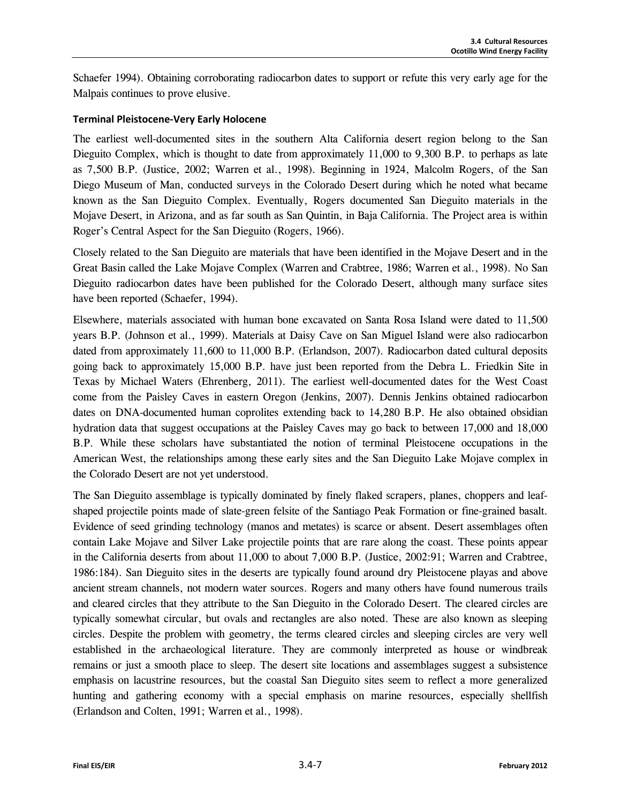Schaefer 1994). Obtaining corroborating radiocarbon dates to support or refute this very early age for the Malpais continues to prove elusive.

#### **Terminal Pleistocene-Very Early Holocene**

The earliest well-documented sites in the southern Alta California desert region belong to the San Dieguito Complex, which is thought to date from approximately 11,000 to 9,300 B.P. to perhaps as late as 7,500 B.P. (Justice, 2002; Warren et al., 1998). Beginning in 1924, Malcolm Rogers, of the San Diego Museum of Man, conducted surveys in the Colorado Desert during which he noted what became known as the San Dieguito Complex. Eventually, Rogers documented San Dieguito materials in the Mojave Desert, in Arizona, and as far south as San Quintin, in Baja California. The Project area is within Roger's Central Aspect for the San Dieguito (Rogers, 1966).

Closely related to the San Dieguito are materials that have been identified in the Mojave Desert and in the Great Basin called the Lake Mojave Complex (Warren and Crabtree, 1986; Warren et al., 1998). No San Dieguito radiocarbon dates have been published for the Colorado Desert, although many surface sites have been reported (Schaefer, 1994).

Elsewhere, materials associated with human bone excavated on Santa Rosa Island were dated to 11,500 years B.P. (Johnson et al., 1999). Materials at Daisy Cave on San Miguel Island were also radiocarbon dated from approximately 11,600 to 11,000 B.P. (Erlandson, 2007). Radiocarbon dated cultural deposits going back to approximately 15,000 B.P. have just been reported from the Debra L. Friedkin Site in Texas by Michael Waters (Ehrenberg, 2011). The earliest well-documented dates for the West Coast come from the Paisley Caves in eastern Oregon (Jenkins, 2007). Dennis Jenkins obtained radiocarbon dates on DNA-documented human coprolites extending back to 14,280 B.P. He also obtained obsidian hydration data that suggest occupations at the Paisley Caves may go back to between 17,000 and 18,000 B.P. While these scholars have substantiated the notion of terminal Pleistocene occupations in the American West, the relationships among these early sites and the San Dieguito Lake Mojave complex in the Colorado Desert are not yet understood.

The San Dieguito assemblage is typically dominated by finely flaked scrapers, planes, choppers and leafshaped projectile points made of slate-green felsite of the Santiago Peak Formation or fine-grained basalt. Evidence of seed grinding technology (manos and metates) is scarce or absent. Desert assemblages often contain Lake Mojave and Silver Lake projectile points that are rare along the coast. These points appear in the California deserts from about 11,000 to about 7,000 B.P. (Justice, 2002:91; Warren and Crabtree, 1986:184). San Dieguito sites in the deserts are typically found around dry Pleistocene playas and above ancient stream channels, not modern water sources. Rogers and many others have found numerous trails and cleared circles that they attribute to the San Dieguito in the Colorado Desert. The cleared circles are typically somewhat circular, but ovals and rectangles are also noted. These are also known as sleeping circles. Despite the problem with geometry, the terms cleared circles and sleeping circles are very well established in the archaeological literature. They are commonly interpreted as house or windbreak remains or just a smooth place to sleep. The desert site locations and assemblages suggest a subsistence emphasis on lacustrine resources, but the coastal San Dieguito sites seem to reflect a more generalized hunting and gathering economy with a special emphasis on marine resources, especially shellfish (Erlandson and Colten, 1991; Warren et al., 1998).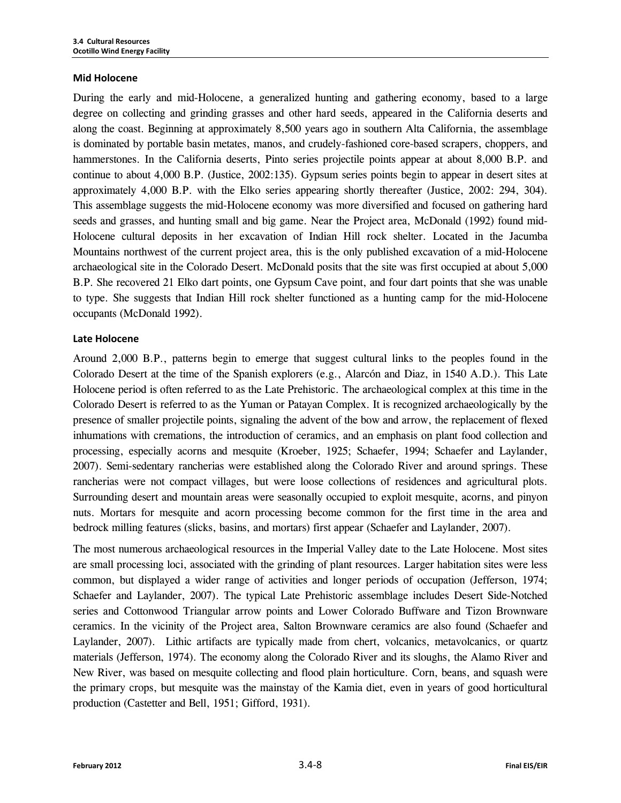#### **Mid Holocene**

During the early and mid-Holocene, a generalized hunting and gathering economy, based to a large degree on collecting and grinding grasses and other hard seeds, appeared in the California deserts and along the coast. Beginning at approximately 8,500 years ago in southern Alta California, the assemblage is dominated by portable basin metates, manos, and crudely-fashioned core-based scrapers, choppers, and hammerstones. In the California deserts, Pinto series projectile points appear at about 8,000 B.P. and continue to about 4,000 B.P. (Justice, 2002:135). Gypsum series points begin to appear in desert sites at approximately 4,000 B.P. with the Elko series appearing shortly thereafter (Justice, 2002: 294, 304). This assemblage suggests the mid-Holocene economy was more diversified and focused on gathering hard seeds and grasses, and hunting small and big game. Near the Project area, McDonald (1992) found mid-Holocene cultural deposits in her excavation of Indian Hill rock shelter. Located in the Jacumba Mountains northwest of the current project area, this is the only published excavation of a mid-Holocene archaeological site in the Colorado Desert. McDonald posits that the site was first occupied at about 5,000 B.P. She recovered 21 Elko dart points, one Gypsum Cave point, and four dart points that she was unable to type. She suggests that Indian Hill rock shelter functioned as a hunting camp for the mid-Holocene occupants (McDonald 1992).

#### **Late Holocene**

Around 2,000 B.P., patterns begin to emerge that suggest cultural links to the peoples found in the Colorado Desert at the time of the Spanish explorers (e.g., Alarcón and Diaz, in 1540 A.D.). This Late Holocene period is often referred to as the Late Prehistoric. The archaeological complex at this time in the Colorado Desert is referred to as the Yuman or Patayan Complex. It is recognized archaeologically by the presence of smaller projectile points, signaling the advent of the bow and arrow, the replacement of flexed inhumations with cremations, the introduction of ceramics, and an emphasis on plant food collection and processing, especially acorns and mesquite (Kroeber, 1925; Schaefer, 1994; Schaefer and Laylander, 2007). Semi-sedentary rancherias were established along the Colorado River and around springs. These rancherias were not compact villages, but were loose collections of residences and agricultural plots. Surrounding desert and mountain areas were seasonally occupied to exploit mesquite, acorns, and pinyon nuts. Mortars for mesquite and acorn processing become common for the first time in the area and bedrock milling features (slicks, basins, and mortars) first appear (Schaefer and Laylander, 2007).

The most numerous archaeological resources in the Imperial Valley date to the Late Holocene. Most sites are small processing loci, associated with the grinding of plant resources. Larger habitation sites were less common, but displayed a wider range of activities and longer periods of occupation (Jefferson, 1974; Schaefer and Laylander, 2007). The typical Late Prehistoric assemblage includes Desert Side-Notched series and Cottonwood Triangular arrow points and Lower Colorado Buffware and Tizon Brownware ceramics. In the vicinity of the Project area, Salton Brownware ceramics are also found (Schaefer and Laylander, 2007). Lithic artifacts are typically made from chert, volcanics, metavolcanics, or quartz materials (Jefferson, 1974). The economy along the Colorado River and its sloughs, the Alamo River and New River, was based on mesquite collecting and flood plain horticulture. Corn, beans, and squash were the primary crops, but mesquite was the mainstay of the Kamia diet, even in years of good horticultural production (Castetter and Bell, 1951; Gifford, 1931).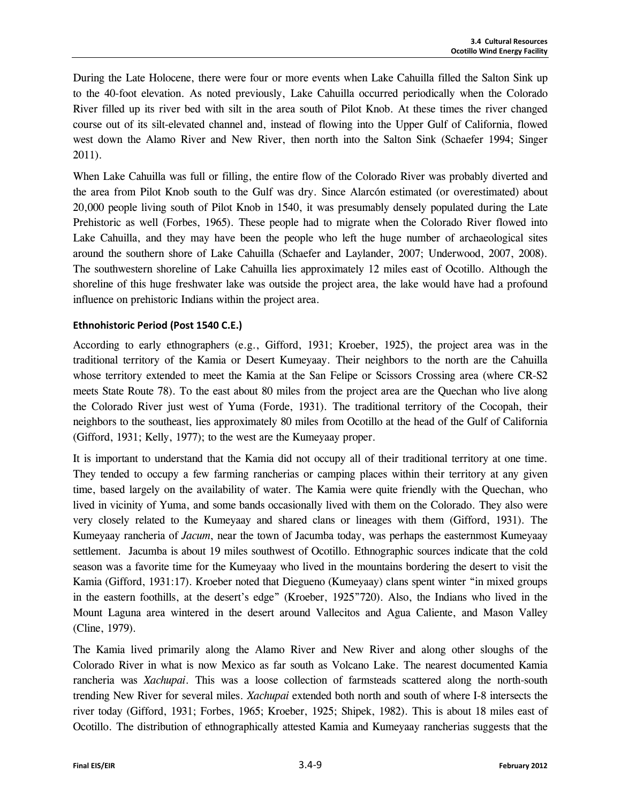During the Late Holocene, there were four or more events when Lake Cahuilla filled the Salton Sink up to the 40-foot elevation. As noted previously, Lake Cahuilla occurred periodically when the Colorado River filled up its river bed with silt in the area south of Pilot Knob. At these times the river changed course out of its silt-elevated channel and, instead of flowing into the Upper Gulf of California, flowed west down the Alamo River and New River, then north into the Salton Sink (Schaefer 1994; Singer 2011).

When Lake Cahuilla was full or filling, the entire flow of the Colorado River was probably diverted and the area from Pilot Knob south to the Gulf was dry. Since Alarcón estimated (or overestimated) about 20,000 people living south of Pilot Knob in 1540, it was presumably densely populated during the Late Prehistoric as well (Forbes, 1965). These people had to migrate when the Colorado River flowed into Lake Cahuilla, and they may have been the people who left the huge number of archaeological sites around the southern shore of Lake Cahuilla (Schaefer and Laylander, 2007; Underwood, 2007, 2008). The southwestern shoreline of Lake Cahuilla lies approximately 12 miles east of Ocotillo. Although the shoreline of this huge freshwater lake was outside the project area, the lake would have had a profound influence on prehistoric Indians within the project area.

#### **Ethnohistoric Period (Post 1540 C.E.)**

According to early ethnographers (e.g., Gifford, 1931; Kroeber, 1925), the project area was in the traditional territory of the Kamia or Desert Kumeyaay. Their neighbors to the north are the Cahuilla whose territory extended to meet the Kamia at the San Felipe or Scissors Crossing area (where CR-S2 meets State Route 78). To the east about 80 miles from the project area are the Quechan who live along the Colorado River just west of Yuma (Forde, 1931). The traditional territory of the Cocopah, their neighbors to the southeast, lies approximately 80 miles from Ocotillo at the head of the Gulf of California (Gifford, 1931; Kelly, 1977); to the west are the Kumeyaay proper.

It is important to understand that the Kamia did not occupy all of their traditional territory at one time. They tended to occupy a few farming rancherias or camping places within their territory at any given time, based largely on the availability of water. The Kamia were quite friendly with the Quechan, who lived in vicinity of Yuma, and some bands occasionally lived with them on the Colorado. They also were very closely related to the Kumeyaay and shared clans or lineages with them (Gifford, 1931). The Kumeyaay rancheria of *Jacum*, near the town of Jacumba today, was perhaps the easternmost Kumeyaay settlement. Jacumba is about 19 miles southwest of Ocotillo. Ethnographic sources indicate that the cold season was a favorite time for the Kumeyaay who lived in the mountains bordering the desert to visit the Kamia (Gifford, 1931:17). Kroeber noted that Diegueno (Kumeyaay) clans spent winter "in mixed groups in the eastern foothills, at the desert's edge" (Kroeber, 1925"720). Also, the Indians who lived in the Mount Laguna area wintered in the desert around Vallecitos and Agua Caliente, and Mason Valley (Cline, 1979).

The Kamia lived primarily along the Alamo River and New River and along other sloughs of the Colorado River in what is now Mexico as far south as Volcano Lake. The nearest documented Kamia rancheria was *Xachupai*. This was a loose collection of farmsteads scattered along the north-south trending New River for several miles. *Xachupai* extended both north and south of where I-8 intersects the river today (Gifford, 1931; Forbes, 1965; Kroeber, 1925; Shipek, 1982). This is about 18 miles east of Ocotillo. The distribution of ethnographically attested Kamia and Kumeyaay rancherias suggests that the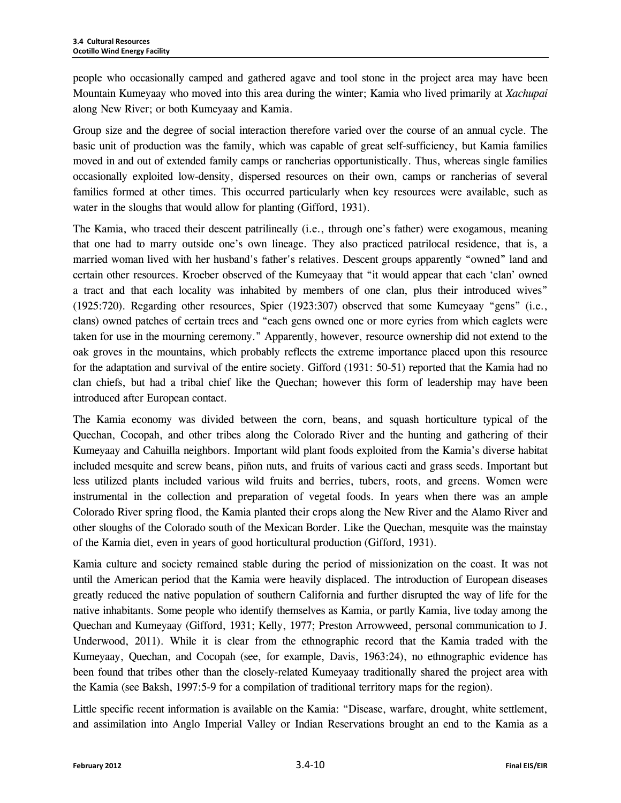people who occasionally camped and gathered agave and tool stone in the project area may have been Mountain Kumeyaay who moved into this area during the winter; Kamia who lived primarily at *Xachupai* along New River; or both Kumeyaay and Kamia.

Group size and the degree of social interaction therefore varied over the course of an annual cycle. The basic unit of production was the family, which was capable of great self-sufficiency, but Kamia families moved in and out of extended family camps or rancherias opportunistically. Thus, whereas single families occasionally exploited low-density, dispersed resources on their own, camps or rancherias of several families formed at other times. This occurred particularly when key resources were available, such as water in the sloughs that would allow for planting (Gifford, 1931).

The Kamia, who traced their descent patrilineally (i.e., through one's father) were exogamous, meaning that one had to marry outside one's own lineage. They also practiced patrilocal residence, that is, a married woman lived with her husband's father's relatives. Descent groups apparently "owned" land and certain other resources. Kroeber observed of the Kumeyaay that "it would appear that each 'clan' owned a tract and that each locality was inhabited by members of one clan, plus their introduced wives" (1925:720). Regarding other resources, Spier (1923:307) observed that some Kumeyaay "gens" (i.e., clans) owned patches of certain trees and "each gens owned one or more eyries from which eaglets were taken for use in the mourning ceremony." Apparently, however, resource ownership did not extend to the oak groves in the mountains, which probably reflects the extreme importance placed upon this resource for the adaptation and survival of the entire society. Gifford (1931: 50-51) reported that the Kamia had no clan chiefs, but had a tribal chief like the Quechan; however this form of leadership may have been introduced after European contact.

The Kamia economy was divided between the corn, beans, and squash horticulture typical of the Quechan, Cocopah, and other tribes along the Colorado River and the hunting and gathering of their Kumeyaay and Cahuilla neighbors. Important wild plant foods exploited from the Kamia's diverse habitat included mesquite and screw beans, piñon nuts, and fruits of various cacti and grass seeds. Important but less utilized plants included various wild fruits and berries, tubers, roots, and greens. Women were instrumental in the collection and preparation of vegetal foods. In years when there was an ample Colorado River spring flood, the Kamia planted their crops along the New River and the Alamo River and other sloughs of the Colorado south of the Mexican Border. Like the Quechan, mesquite was the mainstay of the Kamia diet, even in years of good horticultural production (Gifford, 1931).

Kamia culture and society remained stable during the period of missionization on the coast. It was not until the American period that the Kamia were heavily displaced. The introduction of European diseases greatly reduced the native population of southern California and further disrupted the way of life for the native inhabitants. Some people who identify themselves as Kamia, or partly Kamia, live today among the Quechan and Kumeyaay (Gifford, 1931; Kelly, 1977; Preston Arrowweed, personal communication to J. Underwood, 2011). While it is clear from the ethnographic record that the Kamia traded with the Kumeyaay, Quechan, and Cocopah (see, for example, Davis, 1963:24), no ethnographic evidence has been found that tribes other than the closely-related Kumeyaay traditionally shared the project area with the Kamia (see Baksh, 1997:5-9 for a compilation of traditional territory maps for the region).

Little specific recent information is available on the Kamia: "Disease, warfare, drought, white settlement, and assimilation into Anglo Imperial Valley or Indian Reservations brought an end to the Kamia as a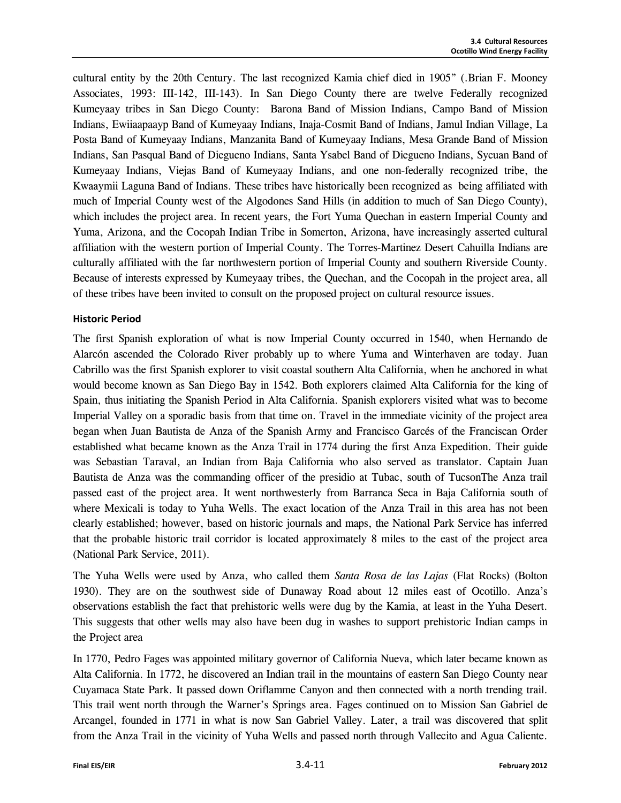cultural entity by the 20th Century. The last recognized Kamia chief died in 1905" (.Brian F. Mooney Associates, 1993: III-142, III-143). In San Diego County there are twelve Federally recognized Kumeyaay tribes in San Diego County: Barona Band of Mission Indians, Campo Band of Mission Indians, Ewiiaapaayp Band of Kumeyaay Indians, Inaja-Cosmit Band of Indians, Jamul Indian Village, La Posta Band of Kumeyaay Indians, Manzanita Band of Kumeyaay Indians, Mesa Grande Band of Mission Indians, San Pasqual Band of Diegueno Indians, Santa Ysabel Band of Diegueno Indians, Sycuan Band of Kumeyaay Indians, Viejas Band of Kumeyaay Indians, and one non-federally recognized tribe, the Kwaaymii Laguna Band of Indians. These tribes have historically been recognized as being affiliated with much of Imperial County west of the Algodones Sand Hills (in addition to much of San Diego County), which includes the project area. In recent years, the Fort Yuma Quechan in eastern Imperial County and Yuma, Arizona, and the Cocopah Indian Tribe in Somerton, Arizona, have increasingly asserted cultural affiliation with the western portion of Imperial County. The Torres-Martinez Desert Cahuilla Indians are culturally affiliated with the far northwestern portion of Imperial County and southern Riverside County. Because of interests expressed by Kumeyaay tribes, the Quechan, and the Cocopah in the project area, all of these tribes have been invited to consult on the proposed project on cultural resource issues.

#### **Historic Period**

The first Spanish exploration of what is now Imperial County occurred in 1540, when Hernando de Alarcón ascended the Colorado River probably up to where Yuma and Winterhaven are today. Juan Cabrillo was the first Spanish explorer to visit coastal southern Alta California, when he anchored in what would become known as San Diego Bay in 1542. Both explorers claimed Alta California for the king of Spain, thus initiating the Spanish Period in Alta California. Spanish explorers visited what was to become Imperial Valley on a sporadic basis from that time on. Travel in the immediate vicinity of the project area began when Juan Bautista de Anza of the Spanish Army and Francisco Garcés of the Franciscan Order established what became known as the Anza Trail in 1774 during the first Anza Expedition. Their guide was Sebastian Taraval, an Indian from Baja California who also served as translator. Captain Juan Bautista de Anza was the commanding officer of the presidio at Tubac, south of TucsonThe Anza trail passed east of the project area. It went northwesterly from Barranca Seca in Baja California south of where Mexicali is today to Yuha Wells. The exact location of the Anza Trail in this area has not been clearly established; however, based on historic journals and maps, the National Park Service has inferred that the probable historic trail corridor is located approximately 8 miles to the east of the project area (National Park Service, 2011).

The Yuha Wells were used by Anza, who called them *Santa Rosa de las Lajas* (Flat Rocks) (Bolton 1930). They are on the southwest side of Dunaway Road about 12 miles east of Ocotillo. Anza's observations establish the fact that prehistoric wells were dug by the Kamia, at least in the Yuha Desert. This suggests that other wells may also have been dug in washes to support prehistoric Indian camps in the Project area

In 1770, Pedro Fages was appointed military governor of California Nueva, which later became known as Alta California. In 1772, he discovered an Indian trail in the mountains of eastern San Diego County near Cuyamaca State Park. It passed down Oriflamme Canyon and then connected with a north trending trail. This trail went north through the Warner's Springs area. Fages continued on to Mission San Gabriel de Arcangel, founded in 1771 in what is now San Gabriel Valley. Later, a trail was discovered that split from the Anza Trail in the vicinity of Yuha Wells and passed north through Vallecito and Agua Caliente.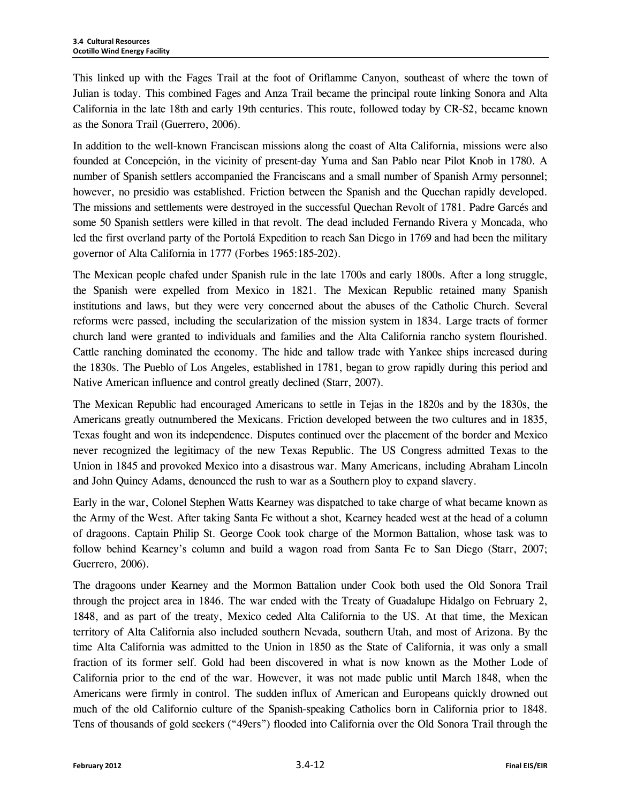This linked up with the Fages Trail at the foot of Oriflamme Canyon, southeast of where the town of Julian is today. This combined Fages and Anza Trail became the principal route linking Sonora and Alta California in the late 18th and early 19th centuries. This route, followed today by CR-S2, became known as the Sonora Trail (Guerrero, 2006).

In addition to the well-known Franciscan missions along the coast of Alta California, missions were also founded at Concepción, in the vicinity of present-day Yuma and San Pablo near Pilot Knob in 1780. A number of Spanish settlers accompanied the Franciscans and a small number of Spanish Army personnel; however, no presidio was established. Friction between the Spanish and the Quechan rapidly developed. The missions and settlements were destroyed in the successful Quechan Revolt of 1781. Padre Garcés and some 50 Spanish settlers were killed in that revolt. The dead included Fernando Rivera y Moncada, who led the first overland party of the Portolá Expedition to reach San Diego in 1769 and had been the military governor of Alta California in 1777 (Forbes 1965:185-202).

The Mexican people chafed under Spanish rule in the late 1700s and early 1800s. After a long struggle, the Spanish were expelled from Mexico in 1821. The Mexican Republic retained many Spanish institutions and laws, but they were very concerned about the abuses of the Catholic Church. Several reforms were passed, including the secularization of the mission system in 1834. Large tracts of former church land were granted to individuals and families and the Alta California rancho system flourished. Cattle ranching dominated the economy. The hide and tallow trade with Yankee ships increased during the 1830s. The Pueblo of Los Angeles, established in 1781, began to grow rapidly during this period and Native American influence and control greatly declined (Starr, 2007).

The Mexican Republic had encouraged Americans to settle in Tejas in the 1820s and by the 1830s, the Americans greatly outnumbered the Mexicans. Friction developed between the two cultures and in 1835, Texas fought and won its independence. Disputes continued over the placement of the border and Mexico never recognized the legitimacy of the new Texas Republic. The US Congress admitted Texas to the Union in 1845 and provoked Mexico into a disastrous war. Many Americans, including Abraham Lincoln and John Quincy Adams, denounced the rush to war as a Southern ploy to expand slavery.

Early in the war, Colonel Stephen Watts Kearney was dispatched to take charge of what became known as the Army of the West. After taking Santa Fe without a shot, Kearney headed west at the head of a column of dragoons. Captain Philip St. George Cook took charge of the Mormon Battalion, whose task was to follow behind Kearney's column and build a wagon road from Santa Fe to San Diego (Starr, 2007; Guerrero, 2006).

The dragoons under Kearney and the Mormon Battalion under Cook both used the Old Sonora Trail through the project area in 1846. The war ended with the Treaty of Guadalupe Hidalgo on February 2, 1848, and as part of the treaty, Mexico ceded Alta California to the US. At that time, the Mexican territory of Alta California also included southern Nevada, southern Utah, and most of Arizona. By the time Alta California was admitted to the Union in 1850 as the State of California, it was only a small fraction of its former self. Gold had been discovered in what is now known as the Mother Lode of California prior to the end of the war. However, it was not made public until March 1848, when the Americans were firmly in control. The sudden influx of American and Europeans quickly drowned out much of the old Californio culture of the Spanish-speaking Catholics born in California prior to 1848. Tens of thousands of gold seekers ("49ers") flooded into California over the Old Sonora Trail through the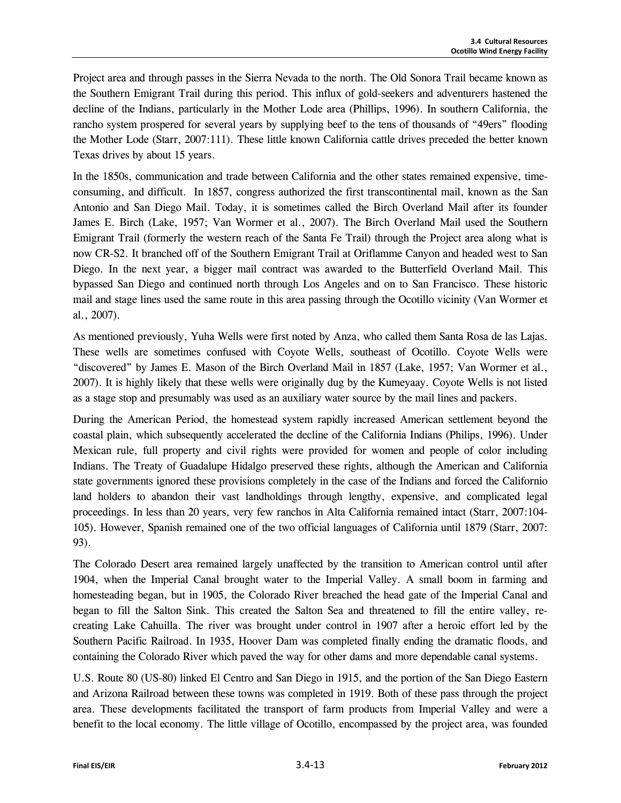Project area and through passes in the Sierra Nevada to the north. The Old Sonora Trail became known as the Southern Emigrant Trail during this period. This influx of gold-seekers and adventurers hastened the decline of the Indians, particularly in the Mother Lode area (Phillips, 1996). In southern California, the rancho system prospered for several years by supplying beef to the tens of thousands of "49ers" flooding the Mother Lode (Starr, 2007:111). These little known California cattle drives preceded the better known Texas drives by about 15 years.

In the 1850s, communication and trade between California and the other states remained expensive, timeconsuming, and difficult. In 1857, congress authorized the first transcontinental mail, known as the San Antonio and San Diego Mail. Today, it is sometimes called the Birch Overland Mail after its founder James E. Birch (Lake, 1957; Van Wormer et al., 2007). The Birch Overland Mail used the Southern Emigrant Trail (formerly the western reach of the Santa Fe Trail) through the Project area along what is now CR-S2. It branched off of the Southern Emigrant Trail at Oriflamme Canyon and headed west to San Diego. In the next year, a bigger mail contract was awarded to the Butterfield Overland Mail. This bypassed San Diego and continued north through Los Angeles and on to San Francisco. These historic mail and stage lines used the same route in this area passing through the Ocotillo vicinity (Van Wormer et al., 2007).

As mentioned previously, Yuha Wells were first noted by Anza, who called them Santa Rosa de las Lajas. These wells are sometimes confused with Coyote Wells, southeast of Ocotillo. Coyote Wells were "discovered" by James E. Mason of the Birch Overland Mail in 1857 (Lake, 1957; Van Wormer et al., 2007). It is highly likely that these wells were originally dug by the Kumeyaay. Coyote Wells is not listed as a stage stop and presumably was used as an auxiliary water source by the mail lines and packers.

During the American Period, the homestead system rapidly increased American settlement beyond the coastal plain, which subsequently accelerated the decline of the California Indians (Philips, 1996). Under Mexican rule, full property and civil rights were provided for women and people of color including Indians. The Treaty of Guadalupe Hidalgo preserved these rights, although the American and California state governments ignored these provisions completely in the case of the Indians and forced the Californio land holders to abandon their vast landholdings through lengthy, expensive, and complicated legal proceedings. In less than 20 years, very few ranchos in Alta California remained intact (Starr, 2007:104- 105). However, Spanish remained one of the two official languages of California until 1879 (Starr, 2007: 93).

The Colorado Desert area remained largely unaffected by the transition to American control until after 1904, when the Imperial Canal brought water to the Imperial Valley. A small boom in farming and homesteading began, but in 1905, the Colorado River breached the head gate of the Imperial Canal and began to fill the Salton Sink. This created the Salton Sea and threatened to fill the entire valley, recreating Lake Cahuilla. The river was brought under control in 1907 after a heroic effort led by the Southern Pacific Railroad. In 1935, Hoover Dam was completed finally ending the dramatic floods, and containing the Colorado River which paved the way for other dams and more dependable canal systems.

U.S. Route 80 (US-80) linked El Centro and San Diego in 1915, and the portion of the San Diego Eastern and Arizona Railroad between these towns was completed in 1919. Both of these pass through the project area. These developments facilitated the transport of farm products from Imperial Valley and were a benefit to the local economy. The little village of Ocotillo, encompassed by the project area, was founded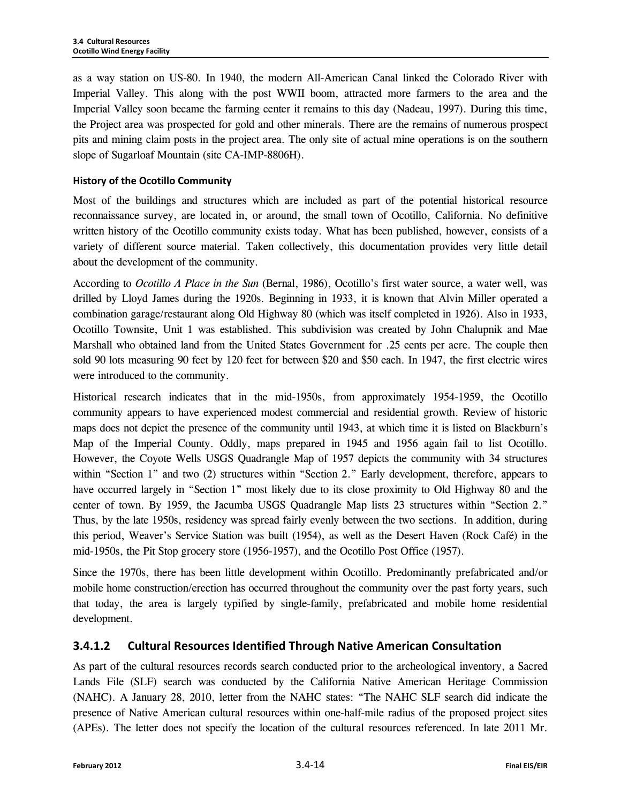as a way station on US-80. In 1940, the modern All-American Canal linked the Colorado River with Imperial Valley. This along with the post WWII boom, attracted more farmers to the area and the Imperial Valley soon became the farming center it remains to this day (Nadeau, 1997). During this time, the Project area was prospected for gold and other minerals. There are the remains of numerous prospect pits and mining claim posts in the project area. The only site of actual mine operations is on the southern slope of Sugarloaf Mountain (site CA-IMP-8806H).

#### **History of the Ocotillo Community**

Most of the buildings and structures which are included as part of the potential historical resource reconnaissance survey, are located in, or around, the small town of Ocotillo, California. No definitive written history of the Ocotillo community exists today. What has been published, however, consists of a variety of different source material. Taken collectively, this documentation provides very little detail about the development of the community.

According to *Ocotillo A Place in the Sun* (Bernal, 1986), Ocotillo's first water source, a water well, was drilled by Lloyd James during the 1920s. Beginning in 1933, it is known that Alvin Miller operated a combination garage/restaurant along Old Highway 80 (which was itself completed in 1926). Also in 1933, Ocotillo Townsite, Unit 1 was established. This subdivision was created by John Chalupnik and Mae Marshall who obtained land from the United States Government for .25 cents per acre. The couple then sold 90 lots measuring 90 feet by 120 feet for between \$20 and \$50 each. In 1947, the first electric wires were introduced to the community.

Historical research indicates that in the mid-1950s, from approximately 1954-1959, the Ocotillo community appears to have experienced modest commercial and residential growth. Review of historic maps does not depict the presence of the community until 1943, at which time it is listed on Blackburn's Map of the Imperial County. Oddly, maps prepared in 1945 and 1956 again fail to list Ocotillo. However, the Coyote Wells USGS Quadrangle Map of 1957 depicts the community with 34 structures within "Section 1" and two (2) structures within "Section 2." Early development, therefore, appears to have occurred largely in "Section 1" most likely due to its close proximity to Old Highway 80 and the center of town. By 1959, the Jacumba USGS Quadrangle Map lists 23 structures within "Section 2." Thus, by the late 1950s, residency was spread fairly evenly between the two sections. In addition, during this period, Weaver's Service Station was built (1954), as well as the Desert Haven (Rock Café) in the mid-1950s, the Pit Stop grocery store (1956-1957), and the Ocotillo Post Office (1957).

Since the 1970s, there has been little development within Ocotillo. Predominantly prefabricated and/or mobile home construction/erection has occurred throughout the community over the past forty years, such that today, the area is largely typified by single-family, prefabricated and mobile home residential development.

## **3.4.1.2 Cultural Resources Identified Through Native American Consultation**

As part of the cultural resources records search conducted prior to the archeological inventory, a Sacred Lands File (SLF) search was conducted by the California Native American Heritage Commission (NAHC). A January 28, 2010, letter from the NAHC states: "The NAHC SLF search did indicate the presence of Native American cultural resources within one-half-mile radius of the proposed project sites (APEs). The letter does not specify the location of the cultural resources referenced. In late 2011 Mr.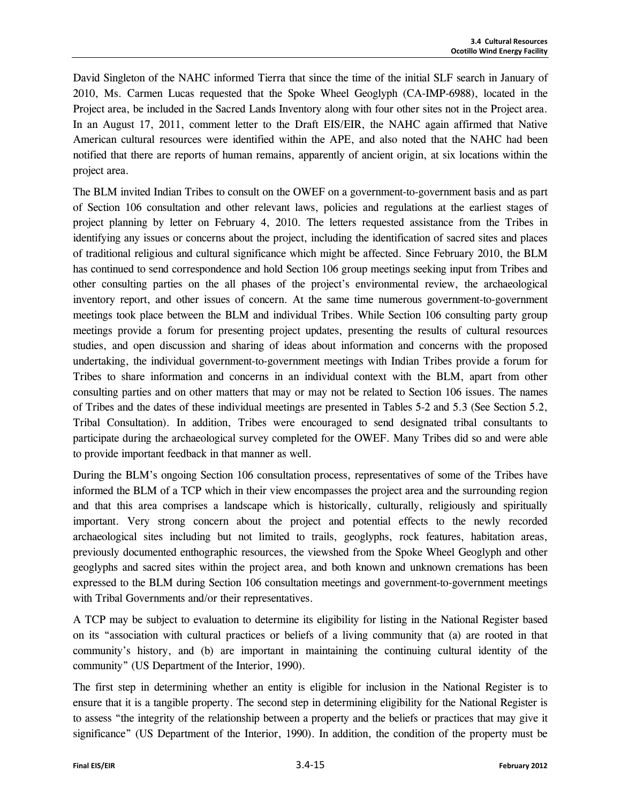David Singleton of the NAHC informed Tierra that since the time of the initial SLF search in January of 2010, Ms. Carmen Lucas requested that the Spoke Wheel Geoglyph (CA-IMP-6988), located in the Project area, be included in the Sacred Lands Inventory along with four other sites not in the Project area. In an August 17, 2011, comment letter to the Draft EIS/EIR, the NAHC again affirmed that Native American cultural resources were identified within the APE, and also noted that the NAHC had been notified that there are reports of human remains, apparently of ancient origin, at six locations within the project area.

The BLM invited Indian Tribes to consult on the OWEF on a government-to-government basis and as part of Section 106 consultation and other relevant laws, policies and regulations at the earliest stages of project planning by letter on February 4, 2010. The letters requested assistance from the Tribes in identifying any issues or concerns about the project, including the identification of sacred sites and places of traditional religious and cultural significance which might be affected. Since February 2010, the BLM has continued to send correspondence and hold Section 106 group meetings seeking input from Tribes and other consulting parties on the all phases of the project's environmental review, the archaeological inventory report, and other issues of concern. At the same time numerous government-to-government meetings took place between the BLM and individual Tribes. While Section 106 consulting party group meetings provide a forum for presenting project updates, presenting the results of cultural resources studies, and open discussion and sharing of ideas about information and concerns with the proposed undertaking, the individual government-to-government meetings with Indian Tribes provide a forum for Tribes to share information and concerns in an individual context with the BLM, apart from other consulting parties and on other matters that may or may not be related to Section 106 issues. The names of Tribes and the dates of these individual meetings are presented in Tables 5-2 and 5.3 (See Section 5.2, Tribal Consultation). In addition, Tribes were encouraged to send designated tribal consultants to participate during the archaeological survey completed for the OWEF. Many Tribes did so and were able to provide important feedback in that manner as well.

During the BLM's ongoing Section 106 consultation process, representatives of some of the Tribes have informed the BLM of a TCP which in their view encompasses the project area and the surrounding region and that this area comprises a landscape which is historically, culturally, religiously and spiritually important. Very strong concern about the project and potential effects to the newly recorded archaeological sites including but not limited to trails, geoglyphs, rock features, habitation areas, previously documented enthographic resources, the viewshed from the Spoke Wheel Geoglyph and other geoglyphs and sacred sites within the project area, and both known and unknown cremations has been expressed to the BLM during Section 106 consultation meetings and government-to-government meetings with Tribal Governments and/or their representatives.

A TCP may be subject to evaluation to determine its eligibility for listing in the National Register based on its "association with cultural practices or beliefs of a living community that (a) are rooted in that community's history, and (b) are important in maintaining the continuing cultural identity of the community" (US Department of the Interior, 1990).

The first step in determining whether an entity is eligible for inclusion in the National Register is to ensure that it is a tangible property. The second step in determining eligibility for the National Register is to assess "the integrity of the relationship between a property and the beliefs or practices that may give it significance" (US Department of the Interior, 1990). In addition, the condition of the property must be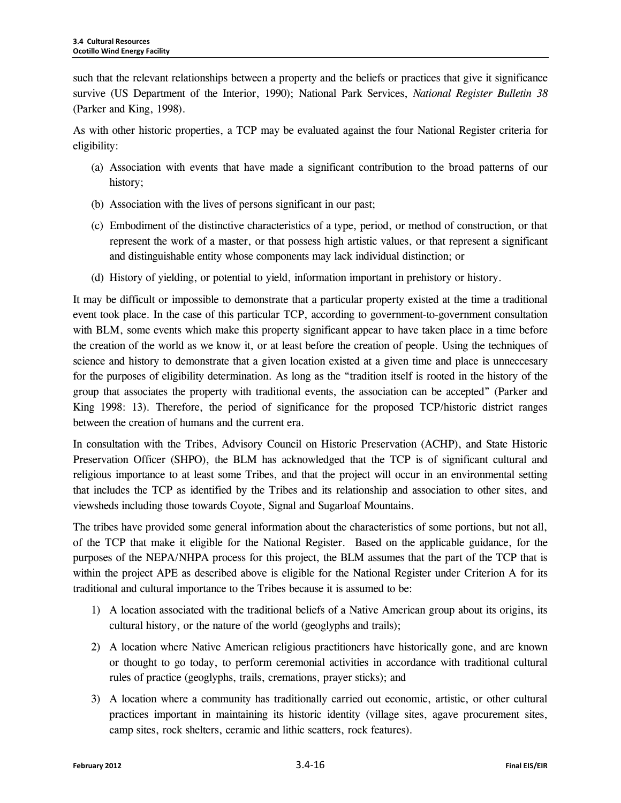such that the relevant relationships between a property and the beliefs or practices that give it significance survive (US Department of the Interior, 1990); National Park Services, *National Register Bulletin 38* (Parker and King, 1998).

As with other historic properties, a TCP may be evaluated against the four National Register criteria for eligibility:

- (a) Association with events that have made a significant contribution to the broad patterns of our history;
- (b) Association with the lives of persons significant in our past;
- (c) Embodiment of the distinctive characteristics of a type, period, or method of construction, or that represent the work of a master, or that possess high artistic values, or that represent a significant and distinguishable entity whose components may lack individual distinction; or
- (d) History of yielding, or potential to yield, information important in prehistory or history.

It may be difficult or impossible to demonstrate that a particular property existed at the time a traditional event took place. In the case of this particular TCP, according to government-to-government consultation with BLM, some events which make this property significant appear to have taken place in a time before the creation of the world as we know it, or at least before the creation of people. Using the techniques of science and history to demonstrate that a given location existed at a given time and place is unneccesary for the purposes of eligibility determination. As long as the "tradition itself is rooted in the history of the group that associates the property with traditional events, the association can be accepted" (Parker and King 1998: 13). Therefore, the period of significance for the proposed TCP/historic district ranges between the creation of humans and the current era.

In consultation with the Tribes, Advisory Council on Historic Preservation (ACHP), and State Historic Preservation Officer (SHPO), the BLM has acknowledged that the TCP is of significant cultural and religious importance to at least some Tribes, and that the project will occur in an environmental setting that includes the TCP as identified by the Tribes and its relationship and association to other sites, and viewsheds including those towards Coyote, Signal and Sugarloaf Mountains.

The tribes have provided some general information about the characteristics of some portions, but not all, of the TCP that make it eligible for the National Register. Based on the applicable guidance, for the purposes of the NEPA/NHPA process for this project, the BLM assumes that the part of the TCP that is within the project APE as described above is eligible for the National Register under Criterion A for its traditional and cultural importance to the Tribes because it is assumed to be:

- 1) A location associated with the traditional beliefs of a Native American group about its origins, its cultural history, or the nature of the world (geoglyphs and trails);
- 2) A location where Native American religious practitioners have historically gone, and are known or thought to go today, to perform ceremonial activities in accordance with traditional cultural rules of practice (geoglyphs, trails, cremations, prayer sticks); and
- 3) A location where a community has traditionally carried out economic, artistic, or other cultural practices important in maintaining its historic identity (village sites, agave procurement sites, camp sites, rock shelters, ceramic and lithic scatters, rock features).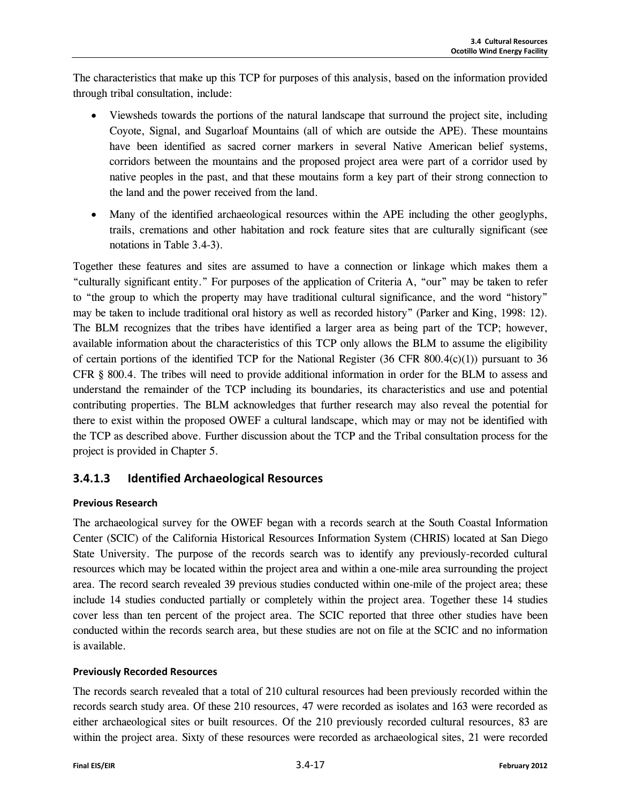The characteristics that make up this TCP for purposes of this analysis, based on the information provided through tribal consultation, include:

- Viewsheds towards the portions of the natural landscape that surround the project site, including Coyote, Signal, and Sugarloaf Mountains (all of which are outside the APE). These mountains have been identified as sacred corner markers in several Native American belief systems, corridors between the mountains and the proposed project area were part of a corridor used by native peoples in the past, and that these moutains form a key part of their strong connection to the land and the power received from the land.
- Many of the identified archaeological resources within the APE including the other geoglyphs, trails, cremations and other habitation and rock feature sites that are culturally significant (see notations in Table 3.4-3).

Together these features and sites are assumed to have a connection or linkage which makes them a "culturally significant entity." For purposes of the application of Criteria A, "our" may be taken to refer to "the group to which the property may have traditional cultural significance, and the word "history" may be taken to include traditional oral history as well as recorded history" (Parker and King, 1998: 12). The BLM recognizes that the tribes have identified a larger area as being part of the TCP; however, available information about the characteristics of this TCP only allows the BLM to assume the eligibility of certain portions of the identified TCP for the National Register (36 CFR 800.4(c)(1)) pursuant to 36 CFR § 800.4. The tribes will need to provide additional information in order for the BLM to assess and understand the remainder of the TCP including its boundaries, its characteristics and use and potential contributing properties. The BLM acknowledges that further research may also reveal the potential for there to exist within the proposed OWEF a cultural landscape, which may or may not be identified with the TCP as described above. Further discussion about the TCP and the Tribal consultation process for the project is provided in Chapter 5.

## **3.4.1.3 Identified Archaeological Resources**

#### **Previous Research**

The archaeological survey for the OWEF began with a records search at the South Coastal Information Center (SCIC) of the California Historical Resources Information System (CHRIS) located at San Diego State University. The purpose of the records search was to identify any previously-recorded cultural resources which may be located within the project area and within a one-mile area surrounding the project area. The record search revealed 39 previous studies conducted within one-mile of the project area; these include 14 studies conducted partially or completely within the project area. Together these 14 studies cover less than ten percent of the project area. The SCIC reported that three other studies have been conducted within the records search area, but these studies are not on file at the SCIC and no information is available.

#### **Previously Recorded Resources**

The records search revealed that a total of 210 cultural resources had been previously recorded within the records search study area. Of these 210 resources, 47 were recorded as isolates and 163 were recorded as either archaeological sites or built resources. Of the 210 previously recorded cultural resources, 83 are within the project area. Sixty of these resources were recorded as archaeological sites, 21 were recorded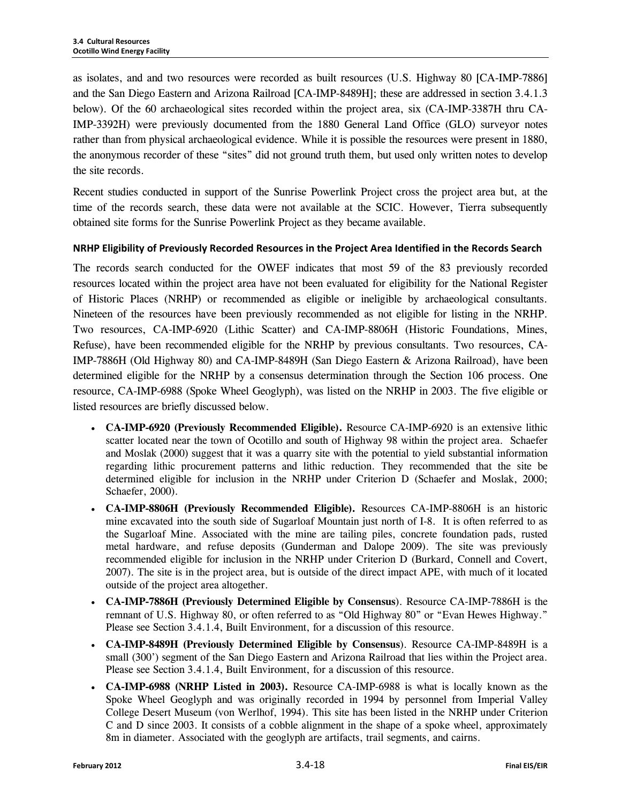as isolates, and and two resources were recorded as built resources (U.S. Highway 80 [CA-IMP-7886] and the San Diego Eastern and Arizona Railroad [CA-IMP-8489H]; these are addressed in section 3.4.1.3 below). Of the 60 archaeological sites recorded within the project area, six (CA-IMP-3387H thru CA-IMP-3392H) were previously documented from the 1880 General Land Office (GLO) surveyor notes rather than from physical archaeological evidence. While it is possible the resources were present in 1880, the anonymous recorder of these "sites" did not ground truth them, but used only written notes to develop the site records.

Recent studies conducted in support of the Sunrise Powerlink Project cross the project area but, at the time of the records search, these data were not available at the SCIC. However, Tierra subsequently obtained site forms for the Sunrise Powerlink Project as they became available.

#### **NRHP Eligibility of Previously Recorded Resources in the Project Area Identified in the Records Search**

The records search conducted for the OWEF indicates that most 59 of the 83 previously recorded resources located within the project area have not been evaluated for eligibility for the National Register of Historic Places (NRHP) or recommended as eligible or ineligible by archaeological consultants. Nineteen of the resources have been previously recommended as not eligible for listing in the NRHP. Two resources, CA-IMP-6920 (Lithic Scatter) and CA-IMP-8806H (Historic Foundations, Mines, Refuse), have been recommended eligible for the NRHP by previous consultants. Two resources, CA-IMP-7886H (Old Highway 80) and CA-IMP-8489H (San Diego Eastern & Arizona Railroad), have been determined eligible for the NRHP by a consensus determination through the Section 106 process. One resource, CA-IMP-6988 (Spoke Wheel Geoglyph), was listed on the NRHP in 2003. The five eligible or listed resources are briefly discussed below.

- **CA-IMP-6920 (Previously Recommended Eligible).** Resource CA-IMP-6920 is an extensive lithic scatter located near the town of Ocotillo and south of Highway 98 within the project area. Schaefer and Moslak (2000) suggest that it was a quarry site with the potential to yield substantial information regarding lithic procurement patterns and lithic reduction. They recommended that the site be determined eligible for inclusion in the NRHP under Criterion D (Schaefer and Moslak, 2000; Schaefer, 2000).
- **CA-IMP-8806H (Previously Recommended Eligible).** Resources CA-IMP-8806H is an historic mine excavated into the south side of Sugarloaf Mountain just north of I-8. It is often referred to as the Sugarloaf Mine. Associated with the mine are tailing piles, concrete foundation pads, rusted metal hardware, and refuse deposits (Gunderman and Dalope 2009). The site was previously recommended eligible for inclusion in the NRHP under Criterion D (Burkard, Connell and Covert, 2007). The site is in the project area, but is outside of the direct impact APE, with much of it located outside of the project area altogether.
- **CA-IMP-7886H (Previously Determined Eligible by Consensus**). Resource CA-IMP-7886H is the remnant of U.S. Highway 80, or often referred to as "Old Highway 80" or "Evan Hewes Highway." Please see Section 3.4.1.4, Built Environment, for a discussion of this resource.
- **CA-IMP-8489H (Previously Determined Eligible by Consensus**). Resource CA-IMP-8489H is a small (300') segment of the San Diego Eastern and Arizona Railroad that lies within the Project area. Please see Section 3.4.1.4, Built Environment, for a discussion of this resource.
- **CA-IMP-6988 (NRHP Listed in 2003).** Resource CA-IMP-6988 is what is locally known as the Spoke Wheel Geoglyph and was originally recorded in 1994 by personnel from Imperial Valley College Desert Museum (von Werlhof, 1994). This site has been listed in the NRHP under Criterion C and D since 2003. It consists of a cobble alignment in the shape of a spoke wheel, approximately 8m in diameter. Associated with the geoglyph are artifacts, trail segments, and cairns.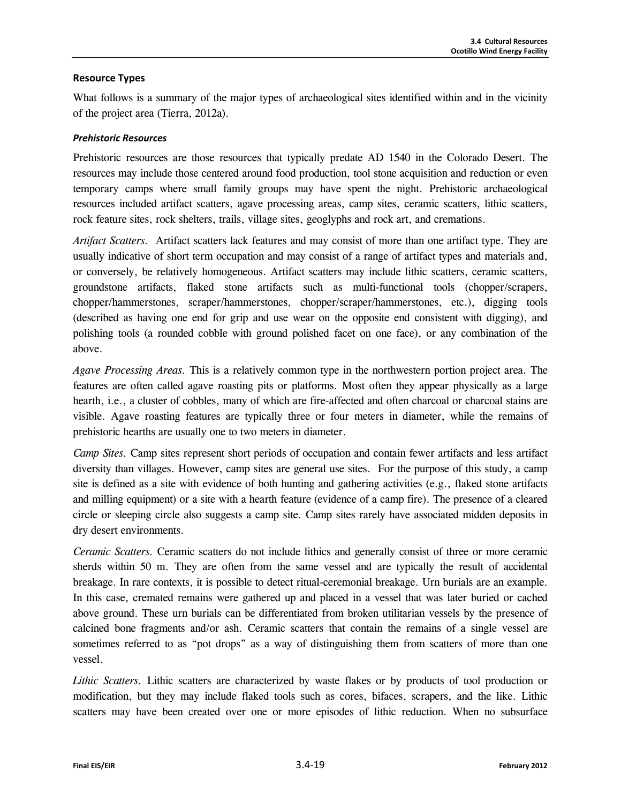#### **Resource Types**

What follows is a summary of the major types of archaeological sites identified within and in the vicinity of the project area (Tierra, 2012a).

#### *Prehistoric Resources*

Prehistoric resources are those resources that typically predate AD 1540 in the Colorado Desert. The resources may include those centered around food production, tool stone acquisition and reduction or even temporary camps where small family groups may have spent the night. Prehistoric archaeological resources included artifact scatters, agave processing areas, camp sites, ceramic scatters, lithic scatters, rock feature sites, rock shelters, trails, village sites, geoglyphs and rock art, and cremations.

*Artifact Scatters.* Artifact scatters lack features and may consist of more than one artifact type. They are usually indicative of short term occupation and may consist of a range of artifact types and materials and, or conversely, be relatively homogeneous. Artifact scatters may include lithic scatters, ceramic scatters, groundstone artifacts, flaked stone artifacts such as multi-functional tools (chopper/scrapers, chopper/hammerstones, scraper/hammerstones, chopper/scraper/hammerstones, etc.), digging tools (described as having one end for grip and use wear on the opposite end consistent with digging), and polishing tools (a rounded cobble with ground polished facet on one face), or any combination of the above.

*Agave Processing Areas.* This is a relatively common type in the northwestern portion project area. The features are often called agave roasting pits or platforms. Most often they appear physically as a large hearth, i.e., a cluster of cobbles, many of which are fire-affected and often charcoal or charcoal stains are visible. Agave roasting features are typically three or four meters in diameter, while the remains of prehistoric hearths are usually one to two meters in diameter.

*Camp Sites.* Camp sites represent short periods of occupation and contain fewer artifacts and less artifact diversity than villages. However, camp sites are general use sites. For the purpose of this study, a camp site is defined as a site with evidence of both hunting and gathering activities (e.g., flaked stone artifacts and milling equipment) or a site with a hearth feature (evidence of a camp fire). The presence of a cleared circle or sleeping circle also suggests a camp site. Camp sites rarely have associated midden deposits in dry desert environments.

*Ceramic Scatters.* Ceramic scatters do not include lithics and generally consist of three or more ceramic sherds within 50 m. They are often from the same vessel and are typically the result of accidental breakage. In rare contexts, it is possible to detect ritual-ceremonial breakage. Urn burials are an example. In this case, cremated remains were gathered up and placed in a vessel that was later buried or cached above ground. These urn burials can be differentiated from broken utilitarian vessels by the presence of calcined bone fragments and/or ash. Ceramic scatters that contain the remains of a single vessel are sometimes referred to as "pot drops" as a way of distinguishing them from scatters of more than one vessel.

Lithic Scatters. Lithic scatters are characterized by waste flakes or by products of tool production or modification, but they may include flaked tools such as cores, bifaces, scrapers, and the like. Lithic scatters may have been created over one or more episodes of lithic reduction. When no subsurface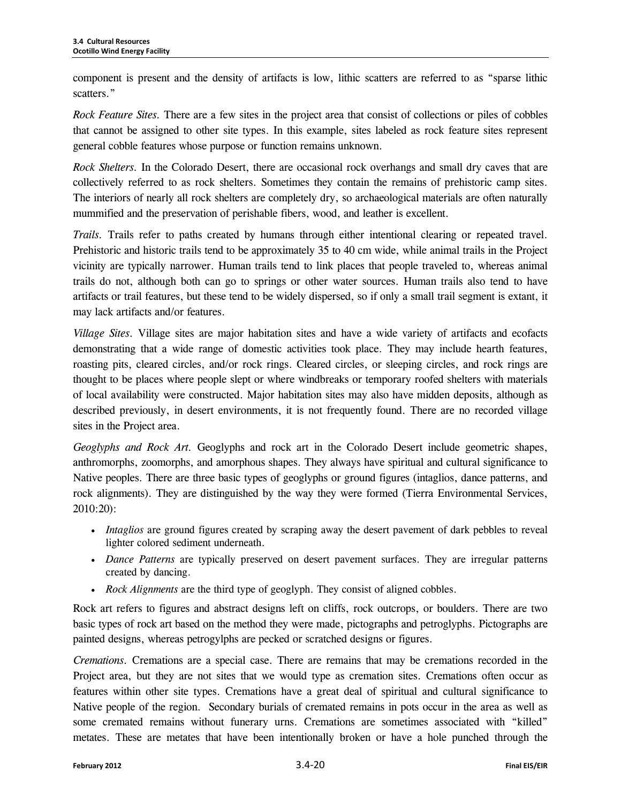component is present and the density of artifacts is low, lithic scatters are referred to as "sparse lithic scatters."

*Rock Feature Sites.* There are a few sites in the project area that consist of collections or piles of cobbles that cannot be assigned to other site types. In this example, sites labeled as rock feature sites represent general cobble features whose purpose or function remains unknown.

*Rock Shelters.* In the Colorado Desert, there are occasional rock overhangs and small dry caves that are collectively referred to as rock shelters. Sometimes they contain the remains of prehistoric camp sites. The interiors of nearly all rock shelters are completely dry, so archaeological materials are often naturally mummified and the preservation of perishable fibers, wood, and leather is excellent.

*Trails.* Trails refer to paths created by humans through either intentional clearing or repeated travel. Prehistoric and historic trails tend to be approximately 35 to 40 cm wide, while animal trails in the Project vicinity are typically narrower. Human trails tend to link places that people traveled to, whereas animal trails do not, although both can go to springs or other water sources. Human trails also tend to have artifacts or trail features, but these tend to be widely dispersed, so if only a small trail segment is extant, it may lack artifacts and/or features.

*Village Sites.* Village sites are major habitation sites and have a wide variety of artifacts and ecofacts demonstrating that a wide range of domestic activities took place. They may include hearth features, roasting pits, cleared circles, and/or rock rings. Cleared circles, or sleeping circles, and rock rings are thought to be places where people slept or where windbreaks or temporary roofed shelters with materials of local availability were constructed. Major habitation sites may also have midden deposits, although as described previously, in desert environments, it is not frequently found. There are no recorded village sites in the Project area.

*Geoglyphs and Rock Art.* Geoglyphs and rock art in the Colorado Desert include geometric shapes, anthromorphs, zoomorphs, and amorphous shapes. They always have spiritual and cultural significance to Native peoples. There are three basic types of geoglyphs or ground figures (intaglios, dance patterns, and rock alignments). They are distinguished by the way they were formed (Tierra Environmental Services, 2010:20):

- *Intaglios* are ground figures created by scraping away the desert pavement of dark pebbles to reveal lighter colored sediment underneath.
- *Dance Patterns* are typically preserved on desert pavement surfaces. They are irregular patterns created by dancing.
- *Rock Alignments* are the third type of geoglyph. They consist of aligned cobbles.

Rock art refers to figures and abstract designs left on cliffs, rock outcrops, or boulders. There are two basic types of rock art based on the method they were made, pictographs and petroglyphs. Pictographs are painted designs, whereas petrogylphs are pecked or scratched designs or figures.

*Cremations.* Cremations are a special case. There are remains that may be cremations recorded in the Project area, but they are not sites that we would type as cremation sites. Cremations often occur as features within other site types. Cremations have a great deal of spiritual and cultural significance to Native people of the region. Secondary burials of cremated remains in pots occur in the area as well as some cremated remains without funerary urns. Cremations are sometimes associated with "killed" metates. These are metates that have been intentionally broken or have a hole punched through the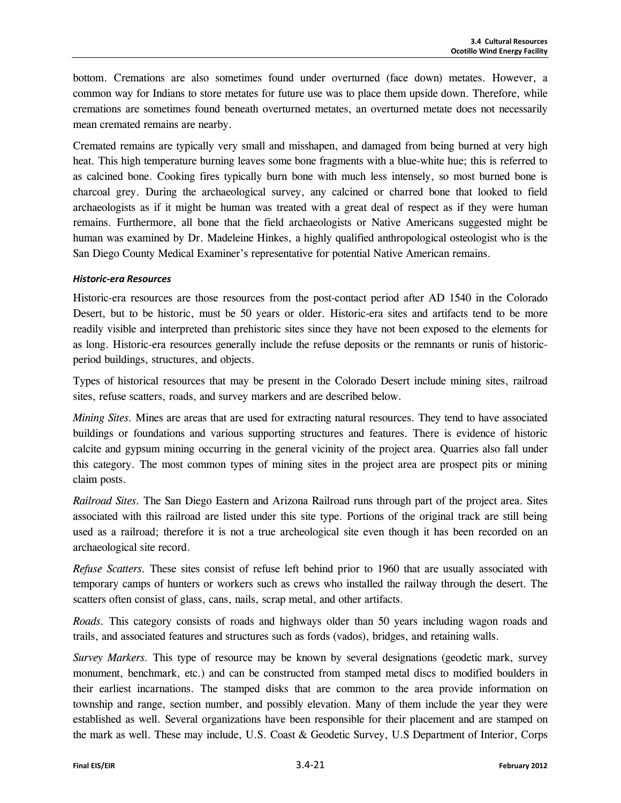bottom. Cremations are also sometimes found under overturned (face down) metates. However, a common way for Indians to store metates for future use was to place them upside down. Therefore, while cremations are sometimes found beneath overturned metates, an overturned metate does not necessarily mean cremated remains are nearby.

Cremated remains are typically very small and misshapen, and damaged from being burned at very high heat. This high temperature burning leaves some bone fragments with a blue-white hue; this is referred to as calcined bone. Cooking fires typically burn bone with much less intensely, so most burned bone is charcoal grey. During the archaeological survey, any calcined or charred bone that looked to field archaeologists as if it might be human was treated with a great deal of respect as if they were human remains. Furthermore, all bone that the field archaeologists or Native Americans suggested might be human was examined by Dr. Madeleine Hinkes, a highly qualified anthropological osteologist who is the San Diego County Medical Examiner's representative for potential Native American remains.

#### *Historic-era Resources*

Historic-era resources are those resources from the post-contact period after AD 1540 in the Colorado Desert, but to be historic, must be 50 years or older. Historic-era sites and artifacts tend to be more readily visible and interpreted than prehistoric sites since they have not been exposed to the elements for as long. Historic-era resources generally include the refuse deposits or the remnants or runis of historicperiod buildings, structures, and objects.

Types of historical resources that may be present in the Colorado Desert include mining sites, railroad sites, refuse scatters, roads, and survey markers and are described below.

*Mining Sites.* Mines are areas that are used for extracting natural resources. They tend to have associated buildings or foundations and various supporting structures and features. There is evidence of historic calcite and gypsum mining occurring in the general vicinity of the project area. Quarries also fall under this category. The most common types of mining sites in the project area are prospect pits or mining claim posts.

*Railroad Sites.* The San Diego Eastern and Arizona Railroad runs through part of the project area. Sites associated with this railroad are listed under this site type. Portions of the original track are still being used as a railroad; therefore it is not a true archeological site even though it has been recorded on an archaeological site record.

*Refuse Scatters.* These sites consist of refuse left behind prior to 1960 that are usually associated with temporary camps of hunters or workers such as crews who installed the railway through the desert. The scatters often consist of glass, cans, nails, scrap metal, and other artifacts.

*Roads.* This category consists of roads and highways older than 50 years including wagon roads and trails, and associated features and structures such as fords (vados), bridges, and retaining walls.

*Survey Markers.* This type of resource may be known by several designations (geodetic mark, survey monument, benchmark, etc.) and can be constructed from stamped metal discs to modified boulders in their earliest incarnations. The stamped disks that are common to the area provide information on township and range, section number, and possibly elevation. Many of them include the year they were established as well. Several organizations have been responsible for their placement and are stamped on the mark as well. These may include, U.S. Coast & Geodetic Survey, U.S Department of Interior, Corps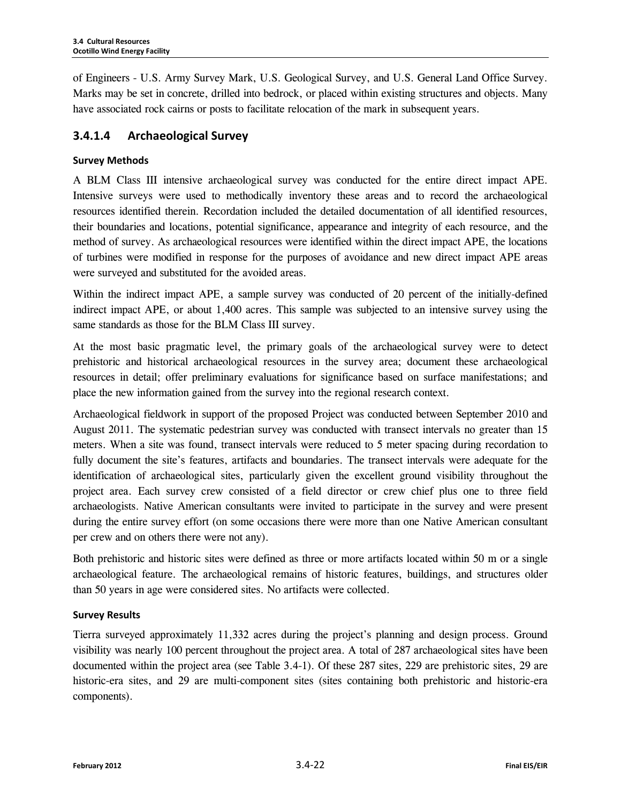of Engineers - U.S. Army Survey Mark, U.S. Geological Survey, and U.S. General Land Office Survey. Marks may be set in concrete, drilled into bedrock, or placed within existing structures and objects. Many have associated rock cairns or posts to facilitate relocation of the mark in subsequent years.

# **3.4.1.4 Archaeological Survey**

#### **Survey Methods**

A BLM Class III intensive archaeological survey was conducted for the entire direct impact APE. Intensive surveys were used to methodically inventory these areas and to record the archaeological resources identified therein. Recordation included the detailed documentation of all identified resources, their boundaries and locations, potential significance, appearance and integrity of each resource, and the method of survey. As archaeological resources were identified within the direct impact APE, the locations of turbines were modified in response for the purposes of avoidance and new direct impact APE areas were surveyed and substituted for the avoided areas.

Within the indirect impact APE, a sample survey was conducted of 20 percent of the initially-defined indirect impact APE, or about 1,400 acres. This sample was subjected to an intensive survey using the same standards as those for the BLM Class III survey.

At the most basic pragmatic level, the primary goals of the archaeological survey were to detect prehistoric and historical archaeological resources in the survey area; document these archaeological resources in detail; offer preliminary evaluations for significance based on surface manifestations; and place the new information gained from the survey into the regional research context.

Archaeological fieldwork in support of the proposed Project was conducted between September 2010 and August 2011. The systematic pedestrian survey was conducted with transect intervals no greater than 15 meters. When a site was found, transect intervals were reduced to 5 meter spacing during recordation to fully document the site's features, artifacts and boundaries. The transect intervals were adequate for the identification of archaeological sites, particularly given the excellent ground visibility throughout the project area. Each survey crew consisted of a field director or crew chief plus one to three field archaeologists. Native American consultants were invited to participate in the survey and were present during the entire survey effort (on some occasions there were more than one Native American consultant per crew and on others there were not any).

Both prehistoric and historic sites were defined as three or more artifacts located within 50 m or a single archaeological feature. The archaeological remains of historic features, buildings, and structures older than 50 years in age were considered sites. No artifacts were collected.

#### **Survey Results**

Tierra surveyed approximately 11,332 acres during the project's planning and design process. Ground visibility was nearly 100 percent throughout the project area. A total of 287 archaeological sites have been documented within the project area (see Table 3.4-1). Of these 287 sites, 229 are prehistoric sites, 29 are historic-era sites, and 29 are multi-component sites (sites containing both prehistoric and historic-era components).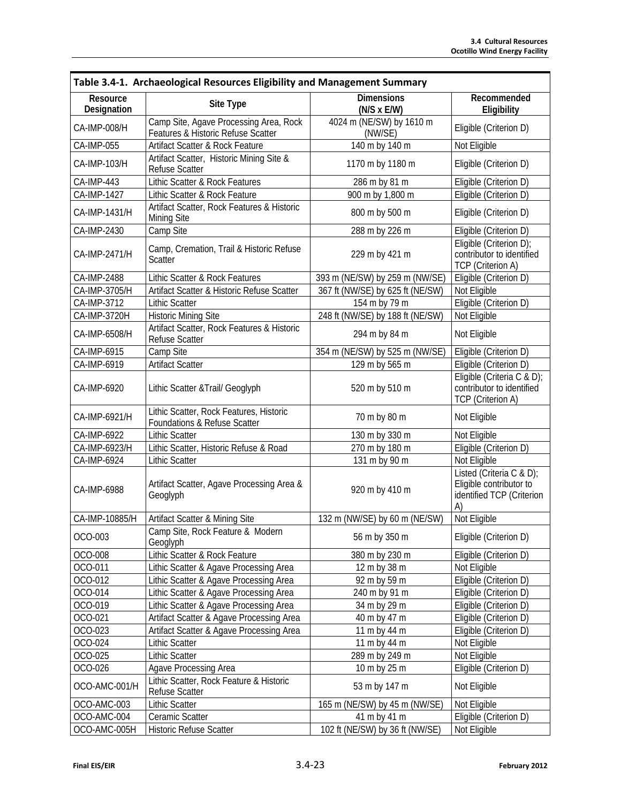| Table 3.4-1. Archaeological Resources Eligibility and Management Summary |                                                                              |                                         |                                                                                        |
|--------------------------------------------------------------------------|------------------------------------------------------------------------------|-----------------------------------------|----------------------------------------------------------------------------------------|
| Resource<br>Designation                                                  | Site Type                                                                    | <b>Dimensions</b><br>$(N/S \times E/W)$ | Recommended<br>Eligibility                                                             |
| CA-IMP-008/H                                                             | Camp Site, Agave Processing Area, Rock<br>Features & Historic Refuse Scatter | 4024 m (NE/SW) by 1610 m<br>(NW/SE)     | Eligible (Criterion D)                                                                 |
| CA-IMP-055                                                               | Artifact Scatter & Rock Feature                                              | 140 m by 140 m                          | Not Eligible                                                                           |
| CA-IMP-103/H                                                             | Artifact Scatter, Historic Mining Site &<br><b>Refuse Scatter</b>            | 1170 m by 1180 m                        | Eligible (Criterion D)                                                                 |
| CA-IMP-443                                                               | Lithic Scatter & Rock Features                                               | 286 m by 81 m                           | Eligible (Criterion D)                                                                 |
| CA-IMP-1427                                                              | Lithic Scatter & Rock Feature                                                | 900 m by 1,800 m                        | Eligible (Criterion D)                                                                 |
| CA-IMP-1431/H                                                            | Artifact Scatter, Rock Features & Historic<br>Mining Site                    | 800 m by 500 m                          | Eligible (Criterion D)                                                                 |
| CA-IMP-2430                                                              | Camp Site                                                                    | 288 m by 226 m                          | Eligible (Criterion D)                                                                 |
| CA-IMP-2471/H                                                            | Camp, Cremation, Trail & Historic Refuse<br><b>Scatter</b>                   | 229 m by 421 m                          | Eligible (Criterion D);<br>contributor to identified<br>TCP (Criterion A)              |
| CA-IMP-2488                                                              | Lithic Scatter & Rock Features                                               | 393 m (NE/SW) by 259 m (NW/SE)          | Eligible (Criterion D)                                                                 |
| CA-IMP-3705/H                                                            | Artifact Scatter & Historic Refuse Scatter                                   | 367 ft (NW/SE) by 625 ft (NE/SW)        | Not Eligible                                                                           |
| CA-IMP-3712                                                              | <b>Lithic Scatter</b>                                                        | 154 m by 79 m                           | Eligible (Criterion D)                                                                 |
| CA-IMP-3720H                                                             | <b>Historic Mining Site</b>                                                  | 248 ft (NW/SE) by 188 ft (NE/SW)        | Not Eligible                                                                           |
| CA-IMP-6508/H                                                            | Artifact Scatter, Rock Features & Historic<br><b>Refuse Scatter</b>          | 294 m by 84 m                           | Not Eligible                                                                           |
| CA-IMP-6915                                                              | Camp Site                                                                    | 354 m (NE/SW) by 525 m (NW/SE)          | Eligible (Criterion D)                                                                 |
| CA-IMP-6919                                                              | <b>Artifact Scatter</b>                                                      | 129 m by 565 m                          | Eligible (Criterion D)                                                                 |
| CA-IMP-6920                                                              | Lithic Scatter & Trail/ Geoglyph                                             | 520 m by 510 m                          | Eligible (Criteria C & D);<br>contributor to identified<br>TCP (Criterion A)           |
| CA-IMP-6921/H                                                            | Lithic Scatter, Rock Features, Historic<br>Foundations & Refuse Scatter      | 70 m by 80 m                            | Not Eligible                                                                           |
| CA-IMP-6922                                                              | <b>Lithic Scatter</b>                                                        | 130 m by 330 m                          | Not Eligible                                                                           |
| CA-IMP-6923/H                                                            | Lithic Scatter, Historic Refuse & Road                                       | 270 m by 180 m                          | Eligible (Criterion D)                                                                 |
| CA-IMP-6924                                                              | <b>Lithic Scatter</b>                                                        | 131 m by 90 m                           | Not Eligible                                                                           |
| CA-IMP-6988                                                              | Artifact Scatter, Agave Processing Area &<br>Geoglyph                        | 920 m by 410 m                          | Listed (Criteria C & D);<br>Eligible contributor to<br>identified TCP (Criterion<br>A) |
| CA-IMP-10885/H                                                           | Artifact Scatter & Mining Site                                               | 132 m (NW/SE) by 60 m (NE/SW)           | Not Eligible                                                                           |
| OCO-003                                                                  | Camp Site, Rock Feature & Modern<br>Geoglyph                                 | 56 m by 350 m                           | Eligible (Criterion D)                                                                 |
| OCO-008                                                                  | Lithic Scatter & Rock Feature                                                | 380 m by 230 m                          | Eligible (Criterion D)                                                                 |
| OCO-011                                                                  | Lithic Scatter & Agave Processing Area                                       | 12 m by 38 m                            | Not Eligible                                                                           |
| OCO-012                                                                  | Lithic Scatter & Agave Processing Area                                       | 92 m by 59 m                            | Eligible (Criterion D)                                                                 |
| OCO-014                                                                  | Lithic Scatter & Agave Processing Area                                       | 240 m by 91 m                           | Eligible (Criterion D)                                                                 |
| OCO-019                                                                  | Lithic Scatter & Agave Processing Area                                       | 34 m by 29 m                            | Eligible (Criterion D)                                                                 |
| OCO-021                                                                  | Artifact Scatter & Agave Processing Area                                     | 40 m by 47 m                            | Eligible (Criterion D)                                                                 |
| OCO-023                                                                  | Artifact Scatter & Agave Processing Area                                     | 11 m by 44 m                            | Eligible (Criterion D)                                                                 |
| OCO-024                                                                  | Lithic Scatter                                                               | 11 m by 44 m                            | Not Eligible                                                                           |
| OCO-025                                                                  | <b>Lithic Scatter</b>                                                        | 289 m by 249 m                          | Not Eligible                                                                           |
| OCO-026                                                                  | <b>Agave Processing Area</b>                                                 | 10 m by 25 m                            | Eligible (Criterion D)                                                                 |
| OCO-AMC-001/H                                                            | Lithic Scatter, Rock Feature & Historic<br>Refuse Scatter                    | 53 m by 147 m                           | Not Eligible                                                                           |
| OCO-AMC-003                                                              | <b>Lithic Scatter</b>                                                        | 165 m (NE/SW) by 45 m (NW/SE)           | Not Eligible                                                                           |
| OCO-AMC-004                                                              | Ceramic Scatter                                                              | 41 m by 41 m                            | Eligible (Criterion D)                                                                 |
| OCO-AMC-005H                                                             | Historic Refuse Scatter                                                      | 102 ft (NE/SW) by 36 ft (NW/SE)         | Not Eligible                                                                           |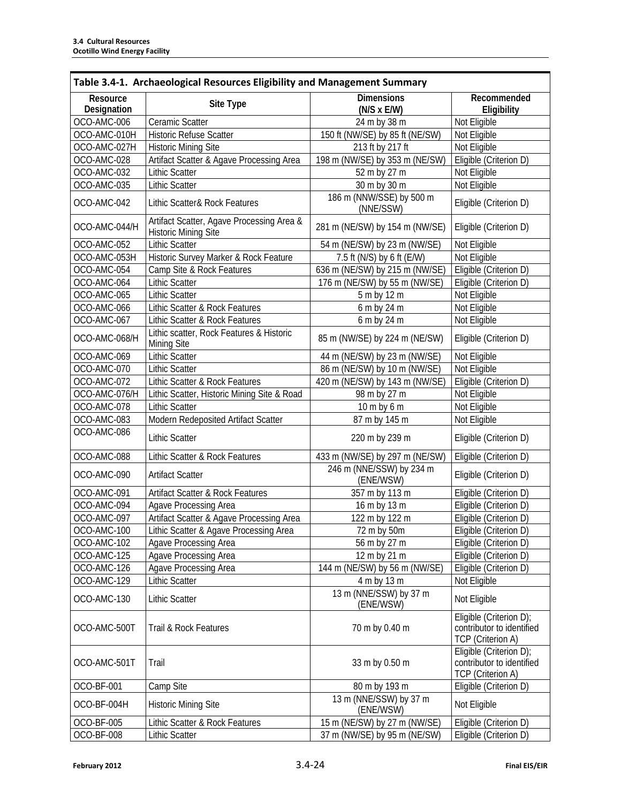| Table 3.4-1. Archaeological Resources Eligibility and Management Summary |                                                                          |                                         |                                                                                  |
|--------------------------------------------------------------------------|--------------------------------------------------------------------------|-----------------------------------------|----------------------------------------------------------------------------------|
| Resource<br>Designation                                                  | Site Type                                                                | <b>Dimensions</b><br>$(N/S \times E/W)$ | Recommended<br>Eligibility                                                       |
| OCO-AMC-006                                                              | Ceramic Scatter                                                          | 24 m by 38 m                            | Not Eligible                                                                     |
| OCO-AMC-010H                                                             | <b>Historic Refuse Scatter</b>                                           | 150 ft (NW/SE) by 85 ft (NE/SW)         | Not Eligible                                                                     |
| OCO-AMC-027H                                                             | <b>Historic Mining Site</b>                                              | 213 ft by 217 ft                        | Not Eligible                                                                     |
| OCO-AMC-028                                                              | Artifact Scatter & Agave Processing Area                                 | 198 m (NW/SE) by 353 m (NE/SW)          | Eligible (Criterion D)                                                           |
| OCO-AMC-032                                                              | <b>Lithic Scatter</b>                                                    | 52 m by 27 m                            | Not Eligible                                                                     |
| OCO-AMC-035                                                              | <b>Lithic Scatter</b>                                                    | 30 m by 30 m                            | Not Eligible                                                                     |
| OCO-AMC-042                                                              | Lithic Scatter& Rock Features                                            | 186 m (NNW/SSE) by 500 m<br>(NNE/SSW)   | Eligible (Criterion D)                                                           |
| OCO-AMC-044/H                                                            | Artifact Scatter, Agave Processing Area &<br><b>Historic Mining Site</b> | 281 m (NE/SW) by 154 m (NW/SE)          | Eligible (Criterion D)                                                           |
| OCO-AMC-052                                                              | <b>Lithic Scatter</b>                                                    | 54 m (NE/SW) by 23 m (NW/SE)            | Not Eligible                                                                     |
| OCO-AMC-053H                                                             | Historic Survey Marker & Rock Feature                                    | 7.5 ft (N/S) by 6 ft (E/W)              | Not Eligible                                                                     |
| OCO-AMC-054                                                              | Camp Site & Rock Features                                                | 636 m (NE/SW) by 215 m (NW/SE)          | Eligible (Criterion D)                                                           |
| OCO-AMC-064                                                              | <b>Lithic Scatter</b>                                                    | 176 m (NE/SW) by 55 m (NW/SE)           | Eligible (Criterion D)                                                           |
| OCO-AMC-065                                                              | <b>Lithic Scatter</b>                                                    | 5 m by 12 m                             | Not Eligible                                                                     |
| OCO-AMC-066                                                              | Lithic Scatter & Rock Features                                           | 6 m by 24 m                             | Not Eligible                                                                     |
| OCO-AMC-067                                                              | Lithic Scatter & Rock Features                                           | 6 m by 24 m                             | Not Eligible                                                                     |
| OCO-AMC-068/H                                                            | Lithic scatter, Rock Features & Historic<br>Mining Site                  | 85 m (NW/SE) by 224 m (NE/SW)           | Eligible (Criterion D)                                                           |
| OCO-AMC-069                                                              | <b>Lithic Scatter</b>                                                    | 44 m (NE/SW) by 23 m (NW/SE)            | Not Eligible                                                                     |
| OCO-AMC-070                                                              | <b>Lithic Scatter</b>                                                    | 86 m (NE/SW) by 10 m (NW/SE)            | Not Eligible                                                                     |
| OCO-AMC-072                                                              | Lithic Scatter & Rock Features                                           | 420 m (NE/SW) by 143 m (NW/SE)          | Eligible (Criterion D)                                                           |
| OCO-AMC-076/H                                                            | Lithic Scatter, Historic Mining Site & Road                              | 98 m by 27 m                            | Not Eligible                                                                     |
| OCO-AMC-078                                                              | <b>Lithic Scatter</b>                                                    | 10 m by 6 m                             | Not Eligible                                                                     |
| OCO-AMC-083                                                              | Modern Redeposited Artifact Scatter                                      | 87 m by 145 m                           | Not Eligible                                                                     |
| OCO-AMC-086                                                              | <b>Lithic Scatter</b>                                                    | 220 m by 239 m                          | Eligible (Criterion D)                                                           |
| OCO-AMC-088                                                              | Lithic Scatter & Rock Features                                           | 433 m (NW/SE) by 297 m (NE/SW)          | Eligible (Criterion D)                                                           |
| OCO-AMC-090                                                              | <b>Artifact Scatter</b>                                                  | 246 m (NNE/SSW) by 234 m<br>(ENE/WSW)   | Eligible (Criterion D)                                                           |
| OCO-AMC-091                                                              | Artifact Scatter & Rock Features                                         | 357 m by 113 m                          | Eligible (Criterion D)                                                           |
| OCO-AMC-094                                                              | Agave Processing Area                                                    | 16 m by 13 m                            | Eligible (Criterion D)                                                           |
| OCO-AMC-097                                                              | Artifact Scatter & Agave Processing Area                                 | 122 m by 122 m                          | Eligible (Criterion D)                                                           |
| OCO-AMC-100                                                              | Lithic Scatter & Agave Processing Area                                   | 72 m by 50m                             | Eligible (Criterion D)                                                           |
| OCO-AMC-102                                                              | Agave Processing Area                                                    | 56 m by 27 m                            | Eligible (Criterion D)                                                           |
| OCO-AMC-125                                                              | <b>Agave Processing Area</b>                                             | 12 m by 21 m                            | Eligible (Criterion D)                                                           |
| OCO-AMC-126                                                              | Agave Processing Area                                                    | 144 m (NE/SW) by 56 m (NW/SE)           | Eligible (Criterion D)                                                           |
| OCO-AMC-129                                                              | <b>Lithic Scatter</b>                                                    | 4 m by 13 m                             | Not Eligible                                                                     |
| OCO-AMC-130                                                              | <b>Lithic Scatter</b>                                                    | 13 m (NNE/SSW) by 37 m<br>(ENE/WSW)     | Not Eligible                                                                     |
| OCO-AMC-500T                                                             | Trail & Rock Features                                                    | 70 m by 0.40 m                          | Eligible (Criterion D);<br>contributor to identified<br><b>TCP</b> (Criterion A) |
| OCO-AMC-501T                                                             | Trail                                                                    | 33 m by 0.50 m                          | Eligible (Criterion D);<br>contributor to identified<br><b>TCP</b> (Criterion A) |
| OCO-BF-001                                                               | Camp Site                                                                | 80 m by 193 m                           | Eligible (Criterion D)                                                           |
| OCO-BF-004H                                                              | <b>Historic Mining Site</b>                                              | 13 m (NNE/SSW) by 37 m<br>(ENE/WSW)     | Not Eligible                                                                     |
| OCO-BF-005                                                               | Lithic Scatter & Rock Features                                           | 15 m (NE/SW) by 27 m (NW/SE)            | Eligible (Criterion D)                                                           |
| OCO-BF-008                                                               | <b>Lithic Scatter</b>                                                    | 37 m (NW/SE) by 95 m (NE/SW)            | Eligible (Criterion D)                                                           |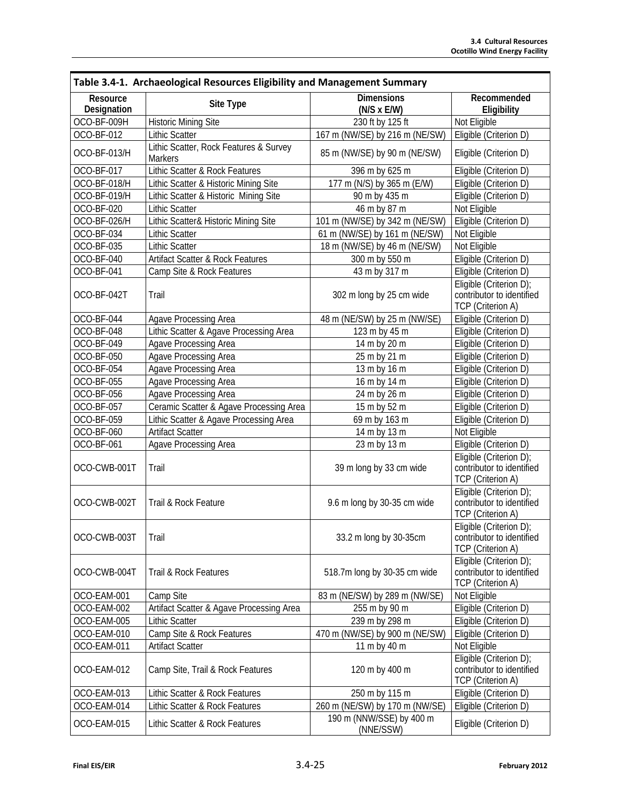٦

| Table 3.4-1. Archaeological Resources Eligibility and Management Summary |                                                          |                                         |                                                                                  |
|--------------------------------------------------------------------------|----------------------------------------------------------|-----------------------------------------|----------------------------------------------------------------------------------|
| Resource<br>Designation                                                  | Site Type                                                | <b>Dimensions</b><br>$(N/S \times E/W)$ | Recommended<br>Eligibility                                                       |
| OCO-BF-009H                                                              | <b>Historic Mining Site</b>                              | 230 ft by 125 ft                        | Not Eligible                                                                     |
| OCO-BF-012                                                               | <b>Lithic Scatter</b>                                    | 167 m (NW/SE) by 216 m (NE/SW)          | Eligible (Criterion D)                                                           |
| OCO-BF-013/H                                                             | Lithic Scatter, Rock Features & Survey<br><b>Markers</b> | 85 m (NW/SE) by 90 m (NE/SW)            | Eligible (Criterion D)                                                           |
| OCO-BF-017                                                               | Lithic Scatter & Rock Features                           | 396 m by 625 m                          | Eligible (Criterion D)                                                           |
| OCO-BF-018/H                                                             | Lithic Scatter & Historic Mining Site                    | 177 m (N/S) by 365 m (E/W)              | Eligible (Criterion D)                                                           |
| OCO-BF-019/H                                                             | Lithic Scatter & Historic Mining Site                    | 90 m by 435 m                           | Eligible (Criterion D)                                                           |
| OCO-BF-020                                                               | <b>Lithic Scatter</b>                                    | 46 m by 87 m                            | Not Eligible                                                                     |
| OCO-BF-026/H                                                             | Lithic Scatter& Historic Mining Site                     | 101 m (NW/SE) by 342 m (NE/SW)          | Eligible (Criterion D)                                                           |
| OCO-BF-034                                                               | <b>Lithic Scatter</b>                                    | 61 m (NW/SE) by 161 m (NE/SW)           | Not Eligible                                                                     |
| OCO-BF-035                                                               | <b>Lithic Scatter</b>                                    | 18 m (NW/SE) by 46 m (NE/SW)            | Not Eligible                                                                     |
| OCO-BF-040                                                               | Artifact Scatter & Rock Features                         | 300 m by 550 m                          | Eligible (Criterion D)                                                           |
| OCO-BF-041                                                               | Camp Site & Rock Features                                | 43 m by 317 m                           | Eligible (Criterion D)                                                           |
| OCO-BF-042T                                                              | Trail                                                    | 302 m long by 25 cm wide                | Eligible (Criterion D);<br>contributor to identified<br>TCP (Criterion A)        |
| OCO-BF-044                                                               | Agave Processing Area                                    | 48 m (NE/SW) by 25 m (NW/SE)            | Eligible (Criterion D)                                                           |
| OCO-BF-048                                                               | Lithic Scatter & Agave Processing Area                   | 123 m by 45 m                           | Eligible (Criterion D)                                                           |
| OCO-BF-049                                                               | Agave Processing Area                                    | 14 m by 20 m                            | Eligible (Criterion D)                                                           |
| OCO-BF-050                                                               | Agave Processing Area                                    | 25 m by 21 m                            | Eligible (Criterion D)                                                           |
| OCO-BF-054                                                               | Agave Processing Area                                    | 13 m by 16 m                            | Eligible (Criterion D)                                                           |
| OCO-BF-055                                                               | Agave Processing Area                                    | 16 m by 14 m                            | Eligible (Criterion D)                                                           |
| OCO-BF-056                                                               | Agave Processing Area                                    | 24 m by 26 m                            | Eligible (Criterion D)                                                           |
| OCO-BF-057                                                               | Ceramic Scatter & Agave Processing Area                  | 15 m by 52 m                            | Eligible (Criterion D)                                                           |
| OCO-BF-059                                                               | Lithic Scatter & Agave Processing Area                   | 69 m by 163 m                           | Eligible (Criterion D)                                                           |
| OCO-BF-060                                                               | <b>Artifact Scatter</b>                                  | 14 m by 13 m                            | Not Eligible                                                                     |
| OCO-BF-061                                                               | Agave Processing Area                                    | 23 m by 13 m                            | Eligible (Criterion D)                                                           |
| OCO-CWB-001T                                                             | Trail                                                    | 39 m long by 33 cm wide                 | Eligible (Criterion D);<br>contributor to identified<br><b>TCP</b> (Criterion A) |
| OCO-CWB-002T                                                             | Trail & Rock Feature                                     | 9.6 m long by 30-35 cm wide             | Eligible (Criterion D);<br>contributor to identified<br><b>TCP</b> (Criterion A) |
| OCO-CWB-003T                                                             | Trail                                                    | 33.2 m long by 30-35cm                  | Eligible (Criterion D);<br>contributor to identified<br><b>TCP</b> (Criterion A) |
| OCO-CWB-004T                                                             | Trail & Rock Features                                    | 518.7m long by 30-35 cm wide            | Eligible (Criterion D);<br>contributor to identified<br>TCP (Criterion A)        |
| OCO-EAM-001                                                              | Camp Site                                                | 83 m (NE/SW) by 289 m (NW/SE)           | Not Eligible                                                                     |
| OCO-EAM-002                                                              | Artifact Scatter & Agave Processing Area                 | 255 m by 90 m                           | Eligible (Criterion D)                                                           |
| OCO-EAM-005                                                              | Lithic Scatter                                           | 239 m by 298 m                          | Eligible (Criterion D)                                                           |
| OCO-EAM-010                                                              | Camp Site & Rock Features                                | 470 m (NW/SE) by 900 m (NE/SW)          | Eligible (Criterion D)                                                           |
| OCO-EAM-011                                                              | <b>Artifact Scatter</b>                                  | 11 m by 40 m                            | Not Eligible                                                                     |
| OCO-EAM-012                                                              | Camp Site, Trail & Rock Features                         | 120 m by 400 m                          | Eligible (Criterion D);<br>contributor to identified<br>TCP (Criterion A)        |
| OCO-EAM-013                                                              | Lithic Scatter & Rock Features                           | 250 m by 115 m                          | Eligible (Criterion D)                                                           |
| OCO-EAM-014                                                              | Lithic Scatter & Rock Features                           | 260 m (NE/SW) by 170 m (NW/SE)          | Eligible (Criterion D)                                                           |
| OCO-EAM-015                                                              | Lithic Scatter & Rock Features                           | 190 m (NNW/SSE) by 400 m<br>(NNE/SSW)   | Eligible (Criterion D)                                                           |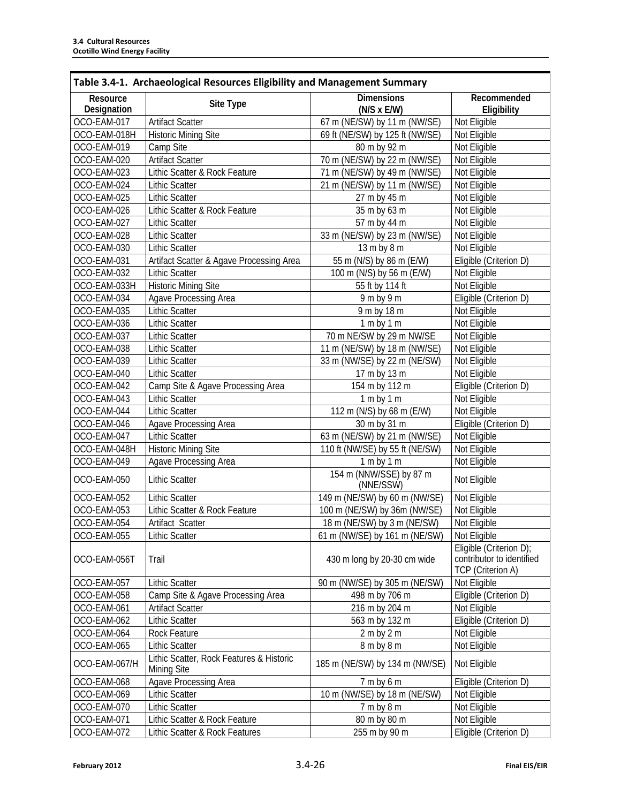Г

| Table 3.4-1. Archaeological Resources Eligibility and Management Summary |                                                         |                                         |                                                                                  |
|--------------------------------------------------------------------------|---------------------------------------------------------|-----------------------------------------|----------------------------------------------------------------------------------|
| Resource<br>Designation                                                  | Site Type                                               | <b>Dimensions</b><br>$(N/S \times E/W)$ | Recommended<br>Eligibility                                                       |
| OCO-EAM-017                                                              | <b>Artifact Scatter</b>                                 | 67 m (NE/SW) by 11 m (NW/SE)            | Not Eligible                                                                     |
| OCO-EAM-018H                                                             | <b>Historic Mining Site</b>                             | 69 ft (NE/SW) by 125 ft (NW/SE)         | Not Eligible                                                                     |
| OCO-EAM-019                                                              | Camp Site                                               | 80 m by 92 m                            | Not Eligible                                                                     |
| OCO-EAM-020                                                              | <b>Artifact Scatter</b>                                 | 70 m (NE/SW) by 22 m (NW/SE)            | Not Eligible                                                                     |
| OCO-EAM-023                                                              | Lithic Scatter & Rock Feature                           | 71 m (NE/SW) by 49 m (NW/SE)            | Not Eligible                                                                     |
| OCO-EAM-024                                                              | <b>Lithic Scatter</b>                                   | 21 m (NE/SW) by 11 m (NW/SE)            | Not Eligible                                                                     |
| OCO-EAM-025                                                              | <b>Lithic Scatter</b>                                   | 27 m by 45 m                            | Not Eligible                                                                     |
| OCO-EAM-026                                                              | Lithic Scatter & Rock Feature                           | 35 m by 63 m                            | Not Eligible                                                                     |
| OCO-EAM-027                                                              | <b>Lithic Scatter</b>                                   | 57 m by 44 m                            | Not Eligible                                                                     |
| OCO-EAM-028                                                              | <b>Lithic Scatter</b>                                   | 33 m (NE/SW) by 23 m (NW/SE)            | Not Eligible                                                                     |
| OCO-EAM-030                                                              | <b>Lithic Scatter</b>                                   | 13 m by 8 m                             | Not Eligible                                                                     |
| OCO-EAM-031                                                              | Artifact Scatter & Agave Processing Area                | 55 m (N/S) by 86 m (E/W)                | Eligible (Criterion D)                                                           |
| OCO-EAM-032                                                              | <b>Lithic Scatter</b>                                   | 100 m (N/S) by 56 m (E/W)               | Not Eligible                                                                     |
| OCO-EAM-033H                                                             | <b>Historic Mining Site</b>                             | 55 ft by 114 ft                         | Not Eligible                                                                     |
| OCO-EAM-034                                                              | Agave Processing Area                                   | $9m$ by $9m$                            | Eligible (Criterion D)                                                           |
| OCO-EAM-035                                                              | <b>Lithic Scatter</b>                                   | 9 m by 18 m                             | Not Eligible                                                                     |
| OCO-EAM-036                                                              | <b>Lithic Scatter</b>                                   | 1 m by 1 m                              | Not Eligible                                                                     |
| OCO-EAM-037                                                              | <b>Lithic Scatter</b>                                   | 70 m NE/SW by 29 m NW/SE                | Not Eligible                                                                     |
| OCO-EAM-038                                                              | <b>Lithic Scatter</b>                                   | 11 m (NE/SW) by 18 m (NW/SE)            | Not Eligible                                                                     |
| OCO-EAM-039                                                              | <b>Lithic Scatter</b>                                   | 33 m (NW/SE) by 22 m (NE/SW)            | Not Eligible                                                                     |
| OCO-EAM-040                                                              | <b>Lithic Scatter</b>                                   | 17 m by 13 m                            | Not Eligible                                                                     |
| OCO-EAM-042                                                              | Camp Site & Agave Processing Area                       | 154 m by 112 m                          | Eligible (Criterion D)                                                           |
| OCO-EAM-043                                                              | <b>Lithic Scatter</b>                                   | 1 m by 1 m                              | Not Eligible                                                                     |
| OCO-EAM-044                                                              | <b>Lithic Scatter</b>                                   | 112 m (N/S) by 68 m (E/W)               | Not Eligible                                                                     |
| OCO-EAM-046                                                              | Agave Processing Area                                   | 30 m by 31 m                            | Eligible (Criterion D)                                                           |
| OCO-EAM-047                                                              | <b>Lithic Scatter</b>                                   | 63 m (NE/SW) by 21 m (NW/SE)            | Not Eligible                                                                     |
| OCO-EAM-048H                                                             | <b>Historic Mining Site</b>                             | 110 ft (NW/SE) by 55 ft (NE/SW)         | Not Eligible                                                                     |
| OCO-EAM-049                                                              | <b>Agave Processing Area</b>                            | 1 m by 1 m                              | Not Eligible                                                                     |
| OCO-EAM-050                                                              | <b>Lithic Scatter</b>                                   | 154 m (NNW/SSE) by 87 m<br>(NNE/SSW)    | Not Eligible                                                                     |
| OCO-EAM-052                                                              | <b>Lithic Scatter</b>                                   | 149 m (NE/SW) by 60 m (NW/SE)           | Not Eligible                                                                     |
| OCO-EAM-053                                                              | Lithic Scatter & Rock Feature                           | 100 m (NE/SW) by 36m (NW/SE)            | Not Eligible                                                                     |
| OCO-EAM-054                                                              | Artifact Scatter                                        | 18 m (NE/SW) by 3 m (NE/SW)             | Not Eligible                                                                     |
| OCO-EAM-055                                                              | <b>Lithic Scatter</b>                                   | 61 m (NW/SE) by 161 m (NE/SW)           | Not Eligible                                                                     |
| OCO-EAM-056T                                                             | Trail                                                   | 430 m long by 20-30 cm wide             | Eligible (Criterion D);<br>contributor to identified<br><b>TCP</b> (Criterion A) |
| OCO-EAM-057                                                              | <b>Lithic Scatter</b>                                   | 90 m (NW/SE) by 305 m (NE/SW)           | Not Eligible                                                                     |
| OCO-EAM-058                                                              | Camp Site & Agave Processing Area                       | 498 m by 706 m                          | Eligible (Criterion D)                                                           |
| OCO-EAM-061                                                              | Artifact Scatter                                        | 216 m by 204 m                          | Not Eligible                                                                     |
| OCO-EAM-062                                                              | Lithic Scatter                                          | 563 m by 132 m                          | Eligible (Criterion D)                                                           |
| OCO-EAM-064                                                              | Rock Feature                                            | 2 m by 2 m                              | Not Eligible                                                                     |
| OCO-EAM-065                                                              | Lithic Scatter                                          | 8 m by 8 m                              | Not Eligible                                                                     |
| OCO-EAM-067/H                                                            | Lithic Scatter, Rock Features & Historic<br>Mining Site | 185 m (NE/SW) by 134 m (NW/SE)          | Not Eligible                                                                     |
| OCO-EAM-068                                                              | Agave Processing Area                                   | $7m$ by 6 m                             | Eligible (Criterion D)                                                           |
| OCO-EAM-069                                                              | <b>Lithic Scatter</b>                                   | 10 m (NW/SE) by 18 m (NE/SW)            | Not Eligible                                                                     |
| OCO-EAM-070                                                              | <b>Lithic Scatter</b>                                   | 7 m by 8 m                              | Not Eligible                                                                     |
| OCO-EAM-071                                                              | Lithic Scatter & Rock Feature                           | 80 m by 80 m                            | Not Eligible                                                                     |
| OCO-EAM-072                                                              | Lithic Scatter & Rock Features                          | 255 m by 90 m                           | Eligible (Criterion D)                                                           |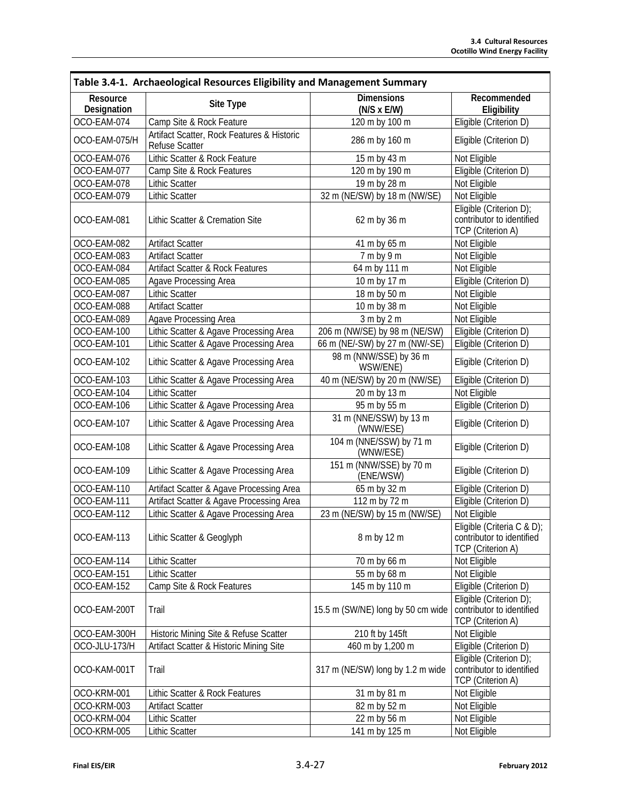| Table 3.4-1. Archaeological Resources Eligibility and Management Summary |                                                                     |                                         |                                                                                     |
|--------------------------------------------------------------------------|---------------------------------------------------------------------|-----------------------------------------|-------------------------------------------------------------------------------------|
| Resource<br>Designation                                                  | Site Type                                                           | <b>Dimensions</b><br>$(N/S \times E/W)$ | Recommended<br>Eligibility                                                          |
| OCO-EAM-074                                                              | Camp Site & Rock Feature                                            | 120 m by 100 m                          | Eligible (Criterion D)                                                              |
| OCO-EAM-075/H                                                            | Artifact Scatter, Rock Features & Historic<br><b>Refuse Scatter</b> | 286 m by 160 m                          | Eligible (Criterion D)                                                              |
| OCO-EAM-076                                                              | Lithic Scatter & Rock Feature                                       | 15 m by 43 m                            | Not Eligible                                                                        |
| OCO-EAM-077                                                              | Camp Site & Rock Features                                           | 120 m by 190 m                          | Eligible (Criterion D)                                                              |
| OCO-EAM-078                                                              | <b>Lithic Scatter</b>                                               | 19 m by 28 m                            | Not Eligible                                                                        |
| OCO-EAM-079                                                              | <b>Lithic Scatter</b>                                               | 32 m (NE/SW) by 18 m (NW/SE)            | Not Eligible                                                                        |
| OCO-EAM-081                                                              | Lithic Scatter & Cremation Site                                     | 62 m by 36 m                            | Eligible (Criterion D);<br>contributor to identified<br>TCP (Criterion A)           |
| OCO-EAM-082                                                              | <b>Artifact Scatter</b>                                             | 41 m by 65 m                            | Not Eligible                                                                        |
| OCO-EAM-083                                                              | <b>Artifact Scatter</b>                                             | 7 m by 9 m                              | Not Eligible                                                                        |
| OCO-EAM-084                                                              | <b>Artifact Scatter &amp; Rock Features</b>                         | 64 m by 111 m                           | Not Eligible                                                                        |
| OCO-EAM-085                                                              | Agave Processing Area                                               | 10 m by 17 m                            | Eligible (Criterion D)                                                              |
| OCO-EAM-087                                                              | <b>Lithic Scatter</b>                                               | 18 m by 50 m                            | Not Eligible                                                                        |
| OCO-EAM-088                                                              | <b>Artifact Scatter</b>                                             | 10 m by 38 m                            | Not Eligible                                                                        |
| OCO-EAM-089                                                              | Agave Processing Area                                               | 3 m by 2 m                              | Not Eligible                                                                        |
| OCO-EAM-100                                                              | Lithic Scatter & Agave Processing Area                              | 206 m (NW/SE) by 98 m (NE/SW)           | Eligible (Criterion D)                                                              |
| OCO-EAM-101                                                              | Lithic Scatter & Agave Processing Area                              | 66 m (NE/-SW) by 27 m (NW/-SE)          | Eligible (Criterion D)                                                              |
| OCO-EAM-102                                                              | Lithic Scatter & Agave Processing Area                              | 98 m (NNW/SSE) by 36 m<br>WSW/ENE)      | Eligible (Criterion D)                                                              |
| OCO-EAM-103                                                              | Lithic Scatter & Agave Processing Area                              | 40 m (NE/SW) by 20 m (NW/SE)            | Eligible (Criterion D)                                                              |
| OCO-EAM-104                                                              | <b>Lithic Scatter</b>                                               | 20 m by 13 m                            | Not Eligible                                                                        |
| OCO-EAM-106                                                              | Lithic Scatter & Agave Processing Area                              | 95 m by 55 m                            | Eligible (Criterion D)                                                              |
| OCO-EAM-107                                                              | Lithic Scatter & Agave Processing Area                              | 31 m (NNE/SSW) by 13 m<br>(WNW/ESE)     | Eligible (Criterion D)                                                              |
| OCO-EAM-108                                                              | Lithic Scatter & Agave Processing Area                              | 104 m (NNE/SSW) by 71 m<br>(WNW/ESE)    | Eligible (Criterion D)                                                              |
| OCO-EAM-109                                                              | Lithic Scatter & Agave Processing Area                              | 151 m (NNW/SSE) by 70 m<br>(ENE/WSW)    | Eligible (Criterion D)                                                              |
| OCO-EAM-110                                                              | Artifact Scatter & Agave Processing Area                            | 65 m by 32 m                            | Eligible (Criterion D)                                                              |
| OCO-EAM-111                                                              | Artifact Scatter & Agave Processing Area                            | 112 m by 72 m                           | Eligible (Criterion D)                                                              |
| OCO-EAM-112                                                              | Lithic Scatter & Agave Processing Area                              | 23 m (NE/SW) by 15 m (NW/SE)            | Not Eligible                                                                        |
| OCO-EAM-113                                                              | Lithic Scatter & Geoglyph                                           | 8 m by 12 m                             | Eligible (Criteria C & D);<br>contributor to identified<br><b>TCP</b> (Criterion A) |
| OCO-EAM-114                                                              | <b>Lithic Scatter</b>                                               | 70 m by 66 m                            | Not Eligible                                                                        |
| OCO-EAM-151                                                              | <b>Lithic Scatter</b>                                               | 55 m by 68 m                            | Not Eligible                                                                        |
| OCO-EAM-152                                                              | Camp Site & Rock Features                                           | 145 m by 110 m                          | Eligible (Criterion D)                                                              |
| OCO-EAM-200T                                                             | Trail                                                               | 15.5 m (SW/NE) long by 50 cm wide       | Eligible (Criterion D);<br>contributor to identified<br>TCP (Criterion A)           |
| OCO-EAM-300H                                                             | Historic Mining Site & Refuse Scatter                               | 210 ft by 145ft                         | Not Eligible                                                                        |
| OCO-JLU-173/H                                                            | Artifact Scatter & Historic Mining Site                             | 460 m by 1,200 m                        | Eligible (Criterion D)                                                              |
| OCO-KAM-001T                                                             | Trail                                                               | 317 m (NE/SW) long by 1.2 m wide        | Eligible (Criterion D);<br>contributor to identified<br>TCP (Criterion A)           |
| OCO-KRM-001                                                              | Lithic Scatter & Rock Features                                      | 31 m by 81 m                            | Not Eligible                                                                        |
| OCO-KRM-003                                                              | <b>Artifact Scatter</b>                                             | 82 m by 52 m                            | Not Eligible                                                                        |
| OCO-KRM-004                                                              | <b>Lithic Scatter</b>                                               | 22 m by 56 m                            | Not Eligible                                                                        |
| OCO-KRM-005                                                              | <b>Lithic Scatter</b>                                               | 141 m by 125 m                          | Not Eligible                                                                        |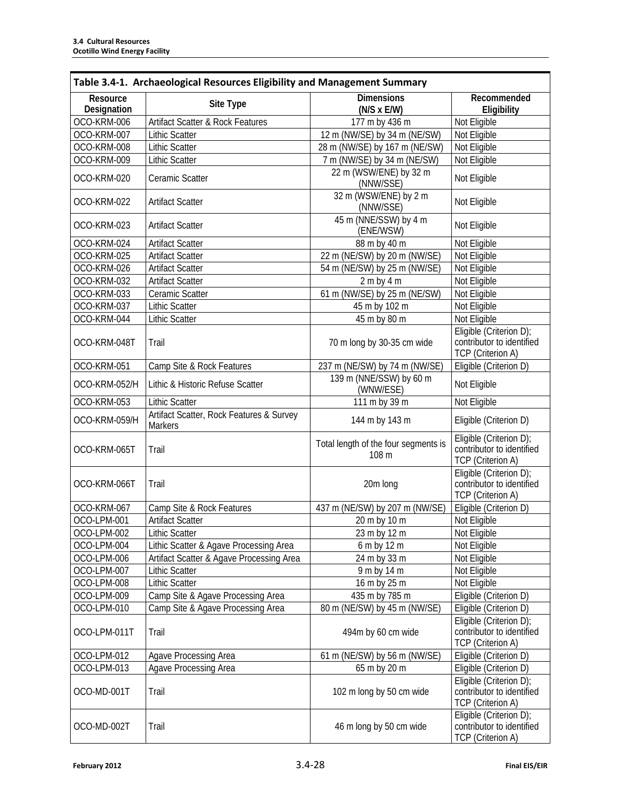| Table 3.4-1. Archaeological Resources Eligibility and Management Summary |                                                            |                                               |                                                                                  |
|--------------------------------------------------------------------------|------------------------------------------------------------|-----------------------------------------------|----------------------------------------------------------------------------------|
| Resource<br>Designation                                                  | Site Type                                                  | <b>Dimensions</b><br>$(N/S \times E/W)$       | Recommended<br>Eligibility                                                       |
| OCO-KRM-006                                                              | Artifact Scatter & Rock Features                           | 177 m by 436 m                                | Not Eligible                                                                     |
| OCO-KRM-007                                                              | <b>Lithic Scatter</b>                                      | 12 m (NW/SE) by 34 m (NE/SW)                  | Not Eligible                                                                     |
| OCO-KRM-008                                                              | <b>Lithic Scatter</b>                                      | 28 m (NW/SE) by 167 m (NE/SW)                 | Not Eligible                                                                     |
| OCO-KRM-009                                                              | <b>Lithic Scatter</b>                                      | 7 m (NW/SE) by 34 m (NE/SW)                   | Not Eligible                                                                     |
| OCO-KRM-020                                                              | Ceramic Scatter                                            | 22 m (WSW/ENE) by 32 m<br>(NNW/SSE)           | Not Eligible                                                                     |
| OCO-KRM-022                                                              | <b>Artifact Scatter</b>                                    | 32 m (WSW/ENE) by 2 m<br>(NNW/SSE)            | Not Eligible                                                                     |
| OCO-KRM-023                                                              | <b>Artifact Scatter</b>                                    | 45 m (NNE/SSW) by 4 m<br>(ENE/WSW)            | Not Eligible                                                                     |
| OCO-KRM-024                                                              | <b>Artifact Scatter</b>                                    | 88 m by 40 m                                  | Not Eligible                                                                     |
| OCO-KRM-025                                                              | <b>Artifact Scatter</b>                                    | 22 m (NE/SW) by 20 m (NW/SE)                  | Not Eligible                                                                     |
| OCO-KRM-026                                                              | <b>Artifact Scatter</b>                                    | 54 m (NE/SW) by 25 m (NW/SE)                  | Not Eligible                                                                     |
| OCO-KRM-032                                                              | <b>Artifact Scatter</b>                                    | 2 m by 4 m                                    | Not Eligible                                                                     |
| OCO-KRM-033                                                              | Ceramic Scatter                                            | 61 m (NW/SE) by 25 m (NE/SW)                  | Not Eligible                                                                     |
| OCO-KRM-037                                                              | <b>Lithic Scatter</b>                                      | 45 m by 102 m                                 | Not Eligible                                                                     |
| OCO-KRM-044                                                              | <b>Lithic Scatter</b>                                      | 45 m by 80 m                                  | Not Eligible                                                                     |
| OCO-KRM-048T                                                             | Trail                                                      | 70 m long by 30-35 cm wide                    | Eligible (Criterion D);<br>contributor to identified<br>TCP (Criterion A)        |
| OCO-KRM-051                                                              | Camp Site & Rock Features                                  | 237 m (NE/SW) by 74 m (NW/SE)                 | Eligible (Criterion D)                                                           |
| OCO-KRM-052/H                                                            | Lithic & Historic Refuse Scatter                           | 139 m (NNE/SSW) by 60 m<br>(WNW/ESE)          | Not Eligible                                                                     |
| OCO-KRM-053                                                              | <b>Lithic Scatter</b>                                      | $\overline{111}$ m by 39 m                    | Not Eligible                                                                     |
| OCO-KRM-059/H                                                            | Artifact Scatter, Rock Features & Survey<br><b>Markers</b> | 144 m by 143 m                                | Eligible (Criterion D)                                                           |
| OCO-KRM-065T                                                             | Trail                                                      | Total length of the four segments is<br>108 m | Eligible (Criterion D);<br>contributor to identified<br>TCP (Criterion A)        |
| OCO-KRM-066T                                                             | Trail                                                      | 20m long                                      | Eligible (Criterion D);<br>contributor to identified<br>TCP (Criterion A)        |
| OCO-KRM-067                                                              | Camp Site & Rock Features                                  | 437 m (NE/SW) by 207 m (NW/SE)                | Eligible (Criterion D)                                                           |
| OCO-LPM-001                                                              | <b>Artifact Scatter</b>                                    | 20 m by 10 m                                  | Not Eligible                                                                     |
| OCO-LPM-002                                                              | Lithic Scatter                                             | 23 m by 12 m                                  | Not Eligible                                                                     |
| OCO-LPM-004                                                              | Lithic Scatter & Agave Processing Area                     | 6 m by 12 m                                   | Not Eligible                                                                     |
| OCO-LPM-006                                                              | Artifact Scatter & Agave Processing Area                   | 24 m by 33 m                                  | Not Eligible                                                                     |
| OCO-LPM-007                                                              | <b>Lithic Scatter</b>                                      | 9 m by 14 m                                   | Not Eligible                                                                     |
| OCO-LPM-008                                                              | <b>Lithic Scatter</b>                                      | 16 m by 25 m                                  | Not Eligible                                                                     |
| OCO-LPM-009                                                              | Camp Site & Agave Processing Area                          | 435 m by 785 m                                | Eligible (Criterion D)                                                           |
| OCO-LPM-010                                                              | Camp Site & Agave Processing Area                          | 80 m (NE/SW) by 45 m (NW/SE)                  | Eligible (Criterion D)                                                           |
| OCO-LPM-011T                                                             | Trail                                                      | 494m by 60 cm wide                            | Eligible (Criterion D);<br>contributor to identified<br><b>TCP</b> (Criterion A) |
| OCO-LPM-012                                                              | <b>Agave Processing Area</b>                               | 61 m (NE/SW) by 56 m (NW/SE)                  | Eligible (Criterion D)                                                           |
| OCO-LPM-013                                                              | <b>Agave Processing Area</b>                               | 65 m by 20 m                                  | Eligible (Criterion D)                                                           |
| OCO-MD-001T                                                              | Trail                                                      | 102 m long by 50 cm wide                      | Eligible (Criterion D);<br>contributor to identified<br><b>TCP</b> (Criterion A) |
| OCO-MD-002T                                                              | Trail                                                      | 46 m long by 50 cm wide                       | Eligible (Criterion D);<br>contributor to identified<br>TCP (Criterion A)        |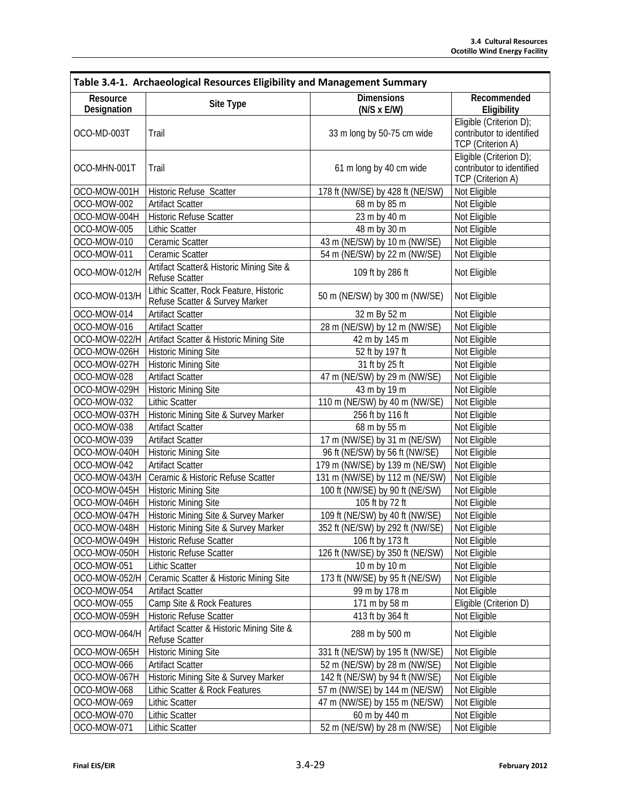| Table 3.4-1. Archaeological Resources Eligibility and Management Summary |                                                                          |                                                   |                                                                                  |
|--------------------------------------------------------------------------|--------------------------------------------------------------------------|---------------------------------------------------|----------------------------------------------------------------------------------|
| Resource<br>Designation                                                  | Site Type                                                                | <b>Dimensions</b><br>$(N/S \times E/W)$           | Recommended<br>Eligibility                                                       |
| OCO-MD-003T                                                              | Trail                                                                    | 33 m long by 50-75 cm wide                        | Eligible (Criterion D);<br>contributor to identified<br><b>TCP</b> (Criterion A) |
| OCO-MHN-001T                                                             | Trail                                                                    | 61 m long by 40 cm wide                           | Eligible (Criterion D);<br>contributor to identified<br>TCP (Criterion A)        |
| OCO-MOW-001H                                                             | Historic Refuse Scatter                                                  | 178 ft (NW/SE) by 428 ft (NE/SW)                  | Not Eligible                                                                     |
| OCO-MOW-002                                                              | <b>Artifact Scatter</b>                                                  | 68 m by 85 m                                      | Not Eligible                                                                     |
| OCO-MOW-004H                                                             | Historic Refuse Scatter                                                  | 23 m by 40 m                                      | Not Eligible                                                                     |
| OCO-MOW-005                                                              | <b>Lithic Scatter</b>                                                    | 48 m by 30 m                                      | Not Eligible                                                                     |
| OCO-MOW-010                                                              | Ceramic Scatter                                                          | 43 m (NE/SW) by 10 m (NW/SE)                      | Not Eligible                                                                     |
| OCO-MOW-011                                                              | Ceramic Scatter                                                          | $\overline{54 \text{ m}}$ (NE/SW) by 22 m (NW/SE) | Not Eligible                                                                     |
| OCO-MOW-012/H                                                            | Artifact Scatter& Historic Mining Site &<br><b>Refuse Scatter</b>        | 109 ft by 286 ft                                  | Not Eligible                                                                     |
| OCO-MOW-013/H                                                            | Lithic Scatter, Rock Feature, Historic<br>Refuse Scatter & Survey Marker | 50 m (NE/SW) by 300 m (NW/SE)                     | Not Eligible                                                                     |
| OCO-MOW-014                                                              | <b>Artifact Scatter</b>                                                  | 32 m By 52 m                                      | Not Eligible                                                                     |
| OCO-MOW-016                                                              | <b>Artifact Scatter</b>                                                  | 28 m (NE/SW) by 12 m (NW/SE)                      | Not Eligible                                                                     |
| OCO-MOW-022/H                                                            | Artifact Scatter & Historic Mining Site                                  | 42 m by 145 m                                     | Not Eligible                                                                     |
| OCO-MOW-026H                                                             | <b>Historic Mining Site</b>                                              | 52 ft by 197 ft                                   | Not Eligible                                                                     |
| OCO-MOW-027H                                                             | <b>Historic Mining Site</b>                                              | 31 ft by 25 ft                                    | Not Eligible                                                                     |
| OCO-MOW-028                                                              | <b>Artifact Scatter</b>                                                  | 47 m (NE/SW) by 29 m (NW/SE)                      | Not Eligible                                                                     |
| OCO-MOW-029H                                                             | <b>Historic Mining Site</b>                                              | 43 m by 19 m                                      |                                                                                  |
| OCO-MOW-032                                                              | <b>Lithic Scatter</b>                                                    | 110 m (NE/SW) by 40 m (NW/SE)                     | Not Eligible                                                                     |
| OCO-MOW-037H                                                             | Historic Mining Site & Survey Marker                                     | 256 ft by 116 ft                                  | Not Eligible                                                                     |
| OCO-MOW-038                                                              | <b>Artifact Scatter</b>                                                  | 68 m by 55 m                                      | Not Eligible                                                                     |
| OCO-MOW-039                                                              | <b>Artifact Scatter</b>                                                  | 17 m (NW/SE) by 31 m (NE/SW)                      | Not Eligible                                                                     |
| OCO-MOW-040H                                                             | <b>Historic Mining Site</b>                                              | 96 ft (NE/SW) by 56 ft (NW/SE)                    | Not Eligible                                                                     |
| OCO-MOW-042                                                              | <b>Artifact Scatter</b>                                                  | 179 m (NW/SE) by 139 m (NE/SW)                    | Not Eligible                                                                     |
| OCO-MOW-043/H                                                            | Ceramic & Historic Refuse Scatter                                        | 131 m (NW/SE) by 112 m (NE/SW)                    | Not Eligible                                                                     |
| OCO-MOW-045H                                                             | <b>Historic Mining Site</b>                                              | 100 ft (NW/SE) by 90 ft (NE/SW)                   | Not Eligible                                                                     |
| OCO-MOW-046H                                                             | <b>Historic Mining Site</b>                                              | 105 ft by 72 ft                                   | Not Eligible                                                                     |
| OCO-MOW-047H                                                             | Historic Mining Site & Survey Marker                                     | 109 ft (NE/SW) by 40 ft (NW/SE)                   | Not Eligible                                                                     |
| OCO-MOW-048H                                                             | Historic Mining Site & Survey Marker                                     | 352 ft (NE/SW) by 292 ft (NW/SE)                  | Not Eligible                                                                     |
| OCO-MOW-049H                                                             | Historic Refuse Scatter                                                  | 106 ft by 173 ft                                  | Not Eligible                                                                     |
| OCO-MOW-050H                                                             | Historic Refuse Scatter                                                  | 126 ft (NW/SE) by 350 ft (NE/SW)                  | Not Eligible                                                                     |
| OCO-MOW-051                                                              | <b>Lithic Scatter</b>                                                    | 10 m by 10 m                                      | Not Eligible                                                                     |
| OCO-MOW-052/H                                                            | Ceramic Scatter & Historic Mining Site                                   | 173 ft (NW/SE) by 95 ft (NE/SW)                   | Not Eligible                                                                     |
| OCO-MOW-054                                                              | <b>Artifact Scatter</b>                                                  | 99 m by 178 m                                     | Not Eligible                                                                     |
| OCO-MOW-055                                                              | Camp Site & Rock Features                                                | 171 m by 58 m                                     | Eligible (Criterion D)                                                           |
| OCO-MOW-059H                                                             | Historic Refuse Scatter                                                  | 413 ft by 364 ft                                  | Not Eligible                                                                     |
| OCO-MOW-064/H                                                            | Artifact Scatter & Historic Mining Site &<br>Refuse Scatter              | 288 m by 500 m                                    | Not Eligible                                                                     |
| OCO-MOW-065H                                                             | <b>Historic Mining Site</b>                                              | 331 ft (NE/SW) by 195 ft (NW/SE)                  | Not Eligible                                                                     |
| OCO-MOW-066                                                              | <b>Artifact Scatter</b>                                                  | 52 m (NE/SW) by 28 m (NW/SE)                      | Not Eligible                                                                     |
| OCO-MOW-067H                                                             | Historic Mining Site & Survey Marker                                     | 142 ft (NE/SW) by 94 ft (NW/SE)                   | Not Eligible                                                                     |
| OCO-MOW-068                                                              | Lithic Scatter & Rock Features                                           | 57 m (NW/SE) by 144 m (NE/SW)                     | Not Eligible                                                                     |
| OCO-MOW-069                                                              | <b>Lithic Scatter</b>                                                    | 47 m (NW/SE) by 155 m (NE/SW)                     | Not Eligible                                                                     |
| OCO-MOW-070                                                              | <b>Lithic Scatter</b>                                                    | 60 m by 440 m                                     | Not Eligible                                                                     |
| OCO-MOW-071                                                              | <b>Lithic Scatter</b>                                                    | 52 m (NE/SW) by 28 m (NW/SE)                      | Not Eligible                                                                     |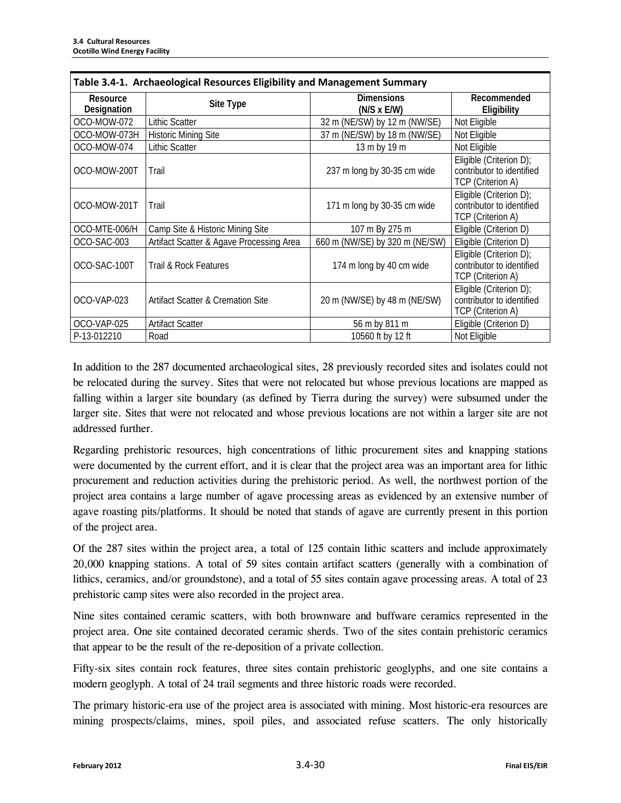| Table 3.4-1. Archaeological Resources Eligibility and Management Summary |                                              |                                         |                                                                           |
|--------------------------------------------------------------------------|----------------------------------------------|-----------------------------------------|---------------------------------------------------------------------------|
| Resource<br>Designation                                                  | Site Type                                    | <b>Dimensions</b><br>$(N/S \times E/W)$ | Recommended<br>Eligibility                                                |
| OCO-MOW-072                                                              | <b>Lithic Scatter</b>                        | 32 m (NE/SW) by 12 m (NW/SE)            | Not Eligible                                                              |
| OCO-MOW-073H                                                             | <b>Historic Mining Site</b>                  | 37 m (NE/SW) by 18 m (NW/SE)            | Not Eligible                                                              |
| OCO-MOW-074                                                              | Lithic Scatter                               | 13 m by 19 m                            | Not Eligible                                                              |
| OCO-MOW-200T                                                             | Trail                                        | 237 m long by 30-35 cm wide             | Eligible (Criterion D);<br>contributor to identified<br>TCP (Criterion A) |
| OCO-MOW-201T                                                             | Trail                                        | 171 m long by 30-35 cm wide             | Eligible (Criterion D);<br>contributor to identified<br>TCP (Criterion A) |
| OCO-MTE-006/H                                                            | Camp Site & Historic Mining Site             | 107 m By 275 m                          | Eligible (Criterion D)                                                    |
| OCO-SAC-003                                                              | Artifact Scatter & Agave Processing Area     | 660 m (NW/SE) by 320 m (NE/SW)          | Eligible (Criterion D)                                                    |
| OCO-SAC-100T                                                             | Trail & Rock Features                        | 174 m long by 40 cm wide                | Eligible (Criterion D);<br>contributor to identified<br>TCP (Criterion A) |
| OCO-VAP-023                                                              | <b>Artifact Scatter &amp; Cremation Site</b> | 20 m (NW/SE) by 48 m (NE/SW)            | Eligible (Criterion D);<br>contributor to identified<br>TCP (Criterion A) |
| OCO-VAP-025                                                              | <b>Artifact Scatter</b>                      | 56 m by 811 m                           | Eligible (Criterion D)                                                    |
| P-13-012210                                                              | Road                                         | 10560 ft by 12 ft                       | Not Eligible                                                              |

In addition to the 287 documented archaeological sites, 28 previously recorded sites and isolates could not be relocated during the survey. Sites that were not relocated but whose previous locations are mapped as falling within a larger site boundary (as defined by Tierra during the survey) were subsumed under the larger site. Sites that were not relocated and whose previous locations are not within a larger site are not addressed further.

Regarding prehistoric resources, high concentrations of lithic procurement sites and knapping stations were documented by the current effort, and it is clear that the project area was an important area for lithic procurement and reduction activities during the prehistoric period. As well, the northwest portion of the project area contains a large number of agave processing areas as evidenced by an extensive number of agave roasting pits/platforms. It should be noted that stands of agave are currently present in this portion of the project area.

Of the 287 sites within the project area, a total of 125 contain lithic scatters and include approximately 20,000 knapping stations. A total of 59 sites contain artifact scatters (generally with a combination of lithics, ceramics, and/or groundstone), and a total of 55 sites contain agave processing areas. A total of 23 prehistoric camp sites were also recorded in the project area.

Nine sites contained ceramic scatters, with both brownware and buffware ceramics represented in the project area. One site contained decorated ceramic sherds. Two of the sites contain prehistoric ceramics that appear to be the result of the re-deposition of a private collection.

Fifty-six sites contain rock features, three sites contain prehistoric geoglyphs, and one site contains a modern geoglyph. A total of 24 trail segments and three historic roads were recorded.

The primary historic-era use of the project area is associated with mining. Most historic-era resources are mining prospects/claims, mines, spoil piles, and associated refuse scatters. The only historically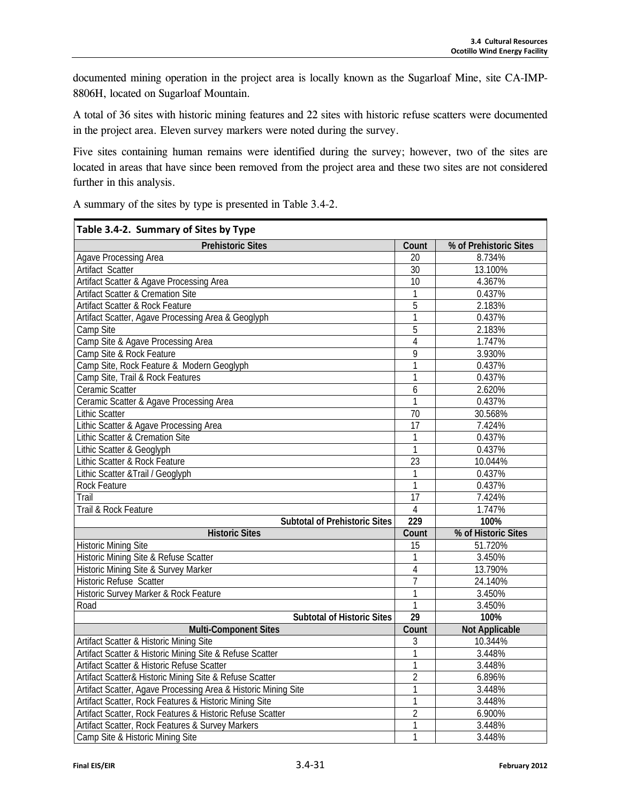documented mining operation in the project area is locally known as the Sugarloaf Mine, site CA-IMP-8806H, located on Sugarloaf Mountain.

A total of 36 sites with historic mining features and 22 sites with historic refuse scatters were documented in the project area. Eleven survey markers were noted during the survey.

Five sites containing human remains were identified during the survey; however, two of the sites are located in areas that have since been removed from the project area and these two sites are not considered further in this analysis.

A summary of the sites by type is presented in Table 3.4-2.

| Table 3.4-2. Summary of Sites by Type                          |                     |                        |
|----------------------------------------------------------------|---------------------|------------------------|
| <b>Prehistoric Sites</b>                                       | Count               | % of Prehistoric Sites |
| Agave Processing Area                                          | 20                  | 8.734%                 |
| <b>Artifact Scatter</b>                                        | 30                  | 13.100%                |
| Artifact Scatter & Agave Processing Area                       | 10                  | 4.367%                 |
| <b>Artifact Scatter &amp; Cremation Site</b>                   | 1                   | 0.437%                 |
| Artifact Scatter & Rock Feature                                | $\overline{5}$      | 2.183%                 |
| Artifact Scatter, Agave Processing Area & Geoglyph             | 1                   | 0.437%                 |
| Camp Site                                                      | 5                   | 2.183%                 |
| Camp Site & Agave Processing Area                              | $\overline{4}$      | 1.747%                 |
| Camp Site & Rock Feature                                       | 9                   | 3.930%                 |
| Camp Site, Rock Feature & Modern Geoglyph                      | 1                   | 0.437%                 |
| Camp Site, Trail & Rock Features                               | 1                   | 0.437%                 |
| Ceramic Scatter                                                | 6                   | 2.620%                 |
| Ceramic Scatter & Agave Processing Area                        | $\mathbf{1}$        | 0.437%                 |
| <b>Lithic Scatter</b>                                          | $\overline{70}$     | 30.568%                |
| Lithic Scatter & Agave Processing Area                         | $\overline{17}$     | 7.424%                 |
| Lithic Scatter & Cremation Site                                | $\overline{1}$      | 0.437%                 |
| Lithic Scatter & Geoglyph                                      | 1                   | 0.437%                 |
| Lithic Scatter & Rock Feature                                  | $\overline{23}$     | 10.044%                |
| Lithic Scatter & Trail / Geoglyph                              | 1                   | 0.437%                 |
| Rock Feature                                                   | 1                   | 0.437%                 |
| Trail                                                          | 17                  | 7.424%                 |
| Trail & Rock Feature                                           | 4<br>229            | 1.747%                 |
| <b>Subtotal of Prehistoric Sites</b>                           |                     | 100%                   |
| <b>Historic Sites</b>                                          | Count               | % of Historic Sites    |
| <b>Historic Mining Site</b>                                    | $\overline{15}$     | 51.720%                |
| Historic Mining Site & Refuse Scatter                          | 1                   | 3.450%                 |
| Historic Mining Site & Survey Marker                           | $\overline{4}$      | 13.790%                |
| <b>Historic Refuse Scatter</b>                                 | $\overline{7}$      | 24.140%                |
| Historic Survey Marker & Rock Feature                          | 1                   | 3.450%                 |
| Road                                                           | 1                   | 3.450%                 |
| <b>Subtotal of Historic Sites</b>                              | 29                  | 100%                   |
| <b>Multi-Component Sites</b>                                   | Count               | <b>Not Applicable</b>  |
| Artifact Scatter & Historic Mining Site                        | 3                   | 10.344%                |
| Artifact Scatter & Historic Mining Site & Refuse Scatter       | 1                   | 3.448%                 |
| Artifact Scatter & Historic Refuse Scatter                     | 1<br>$\overline{2}$ | 3.448%                 |
| Artifact Scatter& Historic Mining Site & Refuse Scatter        |                     | 6.896%                 |
| Artifact Scatter, Agave Processing Area & Historic Mining Site |                     | 3.448%                 |
| Artifact Scatter, Rock Features & Historic Mining Site         |                     | 3.448%                 |
| Artifact Scatter, Rock Features & Historic Refuse Scatter      | $\overline{2}$<br>1 | 6.900%                 |
| Artifact Scatter, Rock Features & Survey Markers               |                     | 3.448%                 |
| Camp Site & Historic Mining Site                               |                     | 3.448%                 |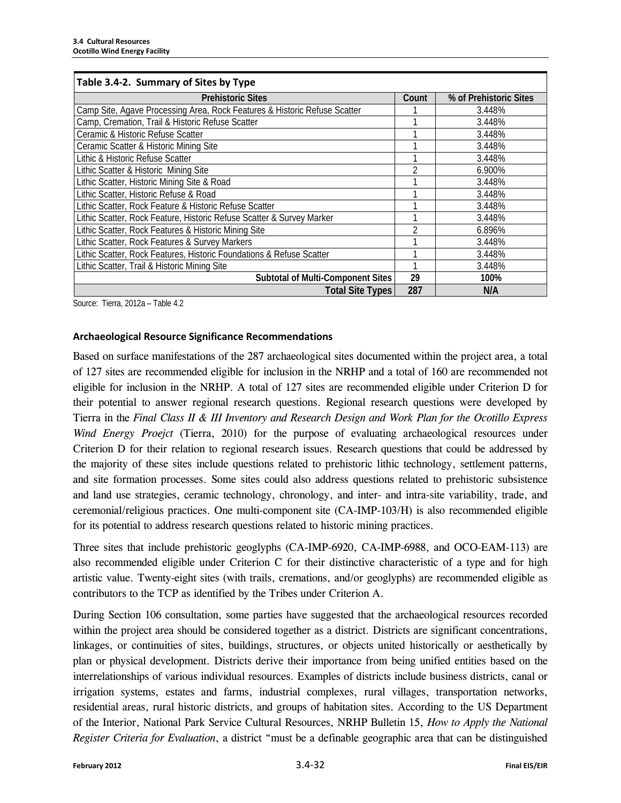| Table 3.4-2. Summary of Sites by Type                                     |       |                        |
|---------------------------------------------------------------------------|-------|------------------------|
| <b>Prehistoric Sites</b>                                                  | Count | % of Prehistoric Sites |
| Camp Site, Agave Processing Area, Rock Features & Historic Refuse Scatter |       | 3.448%                 |
| Camp, Cremation, Trail & Historic Refuse Scatter                          |       | 3.448%                 |
| Ceramic & Historic Refuse Scatter                                         |       | 3.448%                 |
| Ceramic Scatter & Historic Mining Site                                    |       | 3.448%                 |
| Lithic & Historic Refuse Scatter                                          |       | 3.448%                 |
| Lithic Scatter & Historic Mining Site                                     |       | 6.900%                 |
| Lithic Scatter, Historic Mining Site & Road                               |       | 3.448%                 |
| Lithic Scatter, Historic Refuse & Road                                    |       | 3.448%                 |
| Lithic Scatter, Rock Feature & Historic Refuse Scatter                    |       | 3.448%                 |
| Lithic Scatter, Rock Feature, Historic Refuse Scatter & Survey Marker     |       | 3.448%                 |
| Lithic Scatter, Rock Features & Historic Mining Site                      |       | 6.896%                 |
| Lithic Scatter, Rock Features & Survey Markers                            |       | 3.448%                 |
| Lithic Scatter, Rock Features, Historic Foundations & Refuse Scatter      |       | 3.448%                 |
| Lithic Scatter, Trail & Historic Mining Site                              |       | 3.448%                 |
| <b>Subtotal of Multi-Component Sites</b>                                  | 29    | 100%                   |
| <b>Total Site Types</b>                                                   | 287   | N/A                    |

Source: Tierra, 2012a – Table 4.2

#### **Archaeological Resource Significance Recommendations**

Based on surface manifestations of the 287 archaeological sites documented within the project area, a total of 127 sites are recommended eligible for inclusion in the NRHP and a total of 160 are recommended not eligible for inclusion in the NRHP. A total of 127 sites are recommended eligible under Criterion D for their potential to answer regional research questions. Regional research questions were developed by Tierra in the *Final Class II & III Inventory and Research Design and Work Plan for the Ocotillo Express Wind Energy Proejct* (Tierra, 2010) for the purpose of evaluating archaeological resources under Criterion D for their relation to regional research issues. Research questions that could be addressed by the majority of these sites include questions related to prehistoric lithic technology, settlement patterns, and site formation processes. Some sites could also address questions related to prehistoric subsistence and land use strategies, ceramic technology, chronology, and inter- and intra-site variability, trade, and ceremonial/religious practices. One multi-component site (CA-IMP-103/H) is also recommended eligible for its potential to address research questions related to historic mining practices.

Three sites that include prehistoric geoglyphs (CA-IMP-6920, CA-IMP-6988, and OCO-EAM-113) are also recommended eligible under Criterion C for their distinctive characteristic of a type and for high artistic value. Twenty-eight sites (with trails, cremations, and/or geoglyphs) are recommended eligible as contributors to the TCP as identified by the Tribes under Criterion A.

During Section 106 consultation, some parties have suggested that the archaeological resources recorded within the project area should be considered together as a district. Districts are significant concentrations, linkages, or continuities of sites, buildings, structures, or objects united historically or aesthetically by plan or physical development. Districts derive their importance from being unified entities based on the interrelationships of various individual resources. Examples of districts include business districts, canal or irrigation systems, estates and farms, industrial complexes, rural villages, transportation networks, residential areas, rural historic districts, and groups of habitation sites. According to the US Department of the Interior, National Park Service Cultural Resources, NRHP Bulletin 15, *How to Apply the National Register Criteria for Evaluation*, a district "must be a definable geographic area that can be distinguished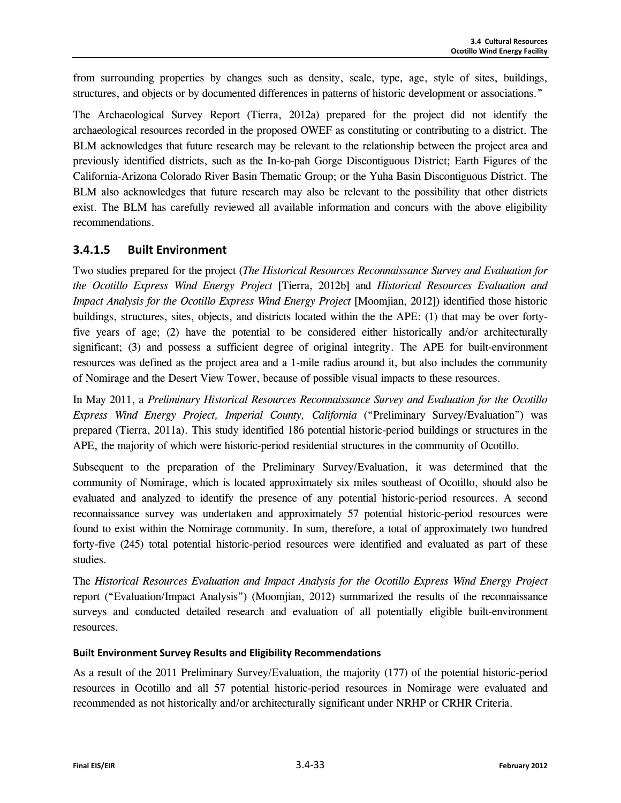from surrounding properties by changes such as density, scale, type, age, style of sites, buildings, structures, and objects or by documented differences in patterns of historic development or associations."

The Archaeological Survey Report (Tierra, 2012a) prepared for the project did not identify the archaeological resources recorded in the proposed OWEF as constituting or contributing to a district. The BLM acknowledges that future research may be relevant to the relationship between the project area and previously identified districts, such as the In-ko-pah Gorge Discontiguous District; Earth Figures of the California-Arizona Colorado River Basin Thematic Group; or the Yuha Basin Discontiguous District. The BLM also acknowledges that future research may also be relevant to the possibility that other districts exist. The BLM has carefully reviewed all available information and concurs with the above eligibility recommendations.

### **3.4.1.5 Built Environment**

Two studies prepared for the project (*The Historical Resources Reconnaissance Survey and Evaluation for the Ocotillo Express Wind Energy Project* [Tierra, 2012b] and *Historical Resources Evaluation and Impact Analysis for the Ocotillo Express Wind Energy Project* [Moomjian, 2012]) identified those historic buildings, structures, sites, objects, and districts located within the the APE: (1) that may be over fortyfive years of age; (2) have the potential to be considered either historically and/or architecturally significant; (3) and possess a sufficient degree of original integrity. The APE for built-environment resources was defined as the project area and a 1-mile radius around it, but also includes the community of Nomirage and the Desert View Tower, because of possible visual impacts to these resources.

In May 2011, a *Preliminary Historical Resources Reconnaissance Survey and Evaluation for the Ocotillo Express Wind Energy Project, Imperial County, California* ("Preliminary Survey/Evaluation") was prepared (Tierra, 2011a). This study identified 186 potential historic-period buildings or structures in the APE, the majority of which were historic-period residential structures in the community of Ocotillo.

Subsequent to the preparation of the Preliminary Survey/Evaluation, it was determined that the community of Nomirage, which is located approximately six miles southeast of Ocotillo, should also be evaluated and analyzed to identify the presence of any potential historic-period resources. A second reconnaissance survey was undertaken and approximately 57 potential historic-period resources were found to exist within the Nomirage community. In sum, therefore, a total of approximately two hundred forty-five (245) total potential historic-period resources were identified and evaluated as part of these studies.

The *Historical Resources Evaluation and Impact Analysis for the Ocotillo Express Wind Energy Project* report ("Evaluation/Impact Analysis") (Moomjian, 2012) summarized the results of the reconnaissance surveys and conducted detailed research and evaluation of all potentially eligible built-environment resources.

#### **Built Environment Survey Results and Eligibility Recommendations**

As a result of the 2011 Preliminary Survey/Evaluation, the majority (177) of the potential historic-period resources in Ocotillo and all 57 potential historic-period resources in Nomirage were evaluated and recommended as not historically and/or architecturally significant under NRHP or CRHR Criteria.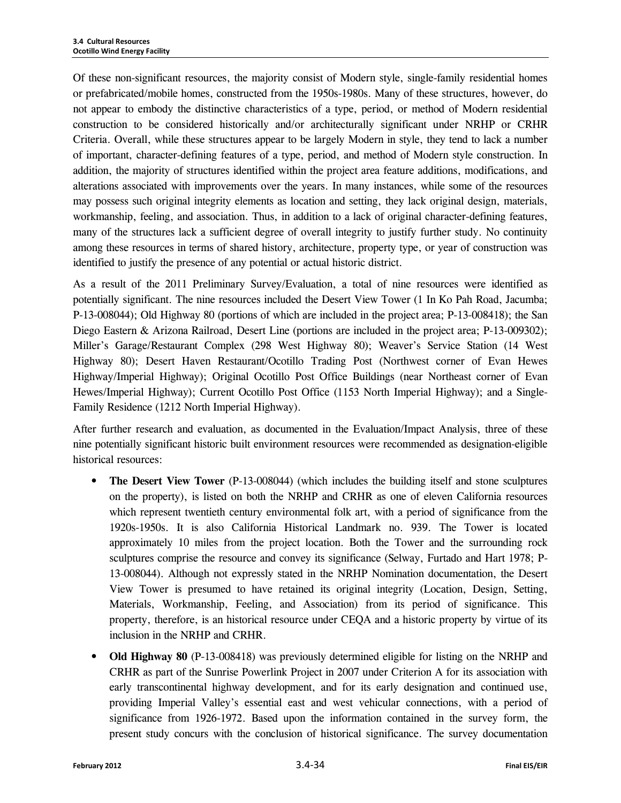Of these non-significant resources, the majority consist of Modern style, single-family residential homes or prefabricated/mobile homes, constructed from the 1950s-1980s. Many of these structures, however, do not appear to embody the distinctive characteristics of a type, period, or method of Modern residential construction to be considered historically and/or architecturally significant under NRHP or CRHR Criteria. Overall, while these structures appear to be largely Modern in style, they tend to lack a number of important, character-defining features of a type, period, and method of Modern style construction. In addition, the majority of structures identified within the project area feature additions, modifications, and alterations associated with improvements over the years. In many instances, while some of the resources may possess such original integrity elements as location and setting, they lack original design, materials, workmanship, feeling, and association. Thus, in addition to a lack of original character-defining features, many of the structures lack a sufficient degree of overall integrity to justify further study. No continuity among these resources in terms of shared history, architecture, property type, or year of construction was identified to justify the presence of any potential or actual historic district.

As a result of the 2011 Preliminary Survey/Evaluation, a total of nine resources were identified as potentially significant. The nine resources included the Desert View Tower (1 In Ko Pah Road, Jacumba; P-13-008044); Old Highway 80 (portions of which are included in the project area; P-13-008418); the San Diego Eastern & Arizona Railroad, Desert Line (portions are included in the project area; P-13-009302); Miller's Garage/Restaurant Complex (298 West Highway 80); Weaver's Service Station (14 West Highway 80); Desert Haven Restaurant/Ocotillo Trading Post (Northwest corner of Evan Hewes Highway/Imperial Highway); Original Ocotillo Post Office Buildings (near Northeast corner of Evan Hewes/Imperial Highway); Current Ocotillo Post Office (1153 North Imperial Highway); and a Single-Family Residence (1212 North Imperial Highway).

After further research and evaluation, as documented in the Evaluation/Impact Analysis, three of these nine potentially significant historic built environment resources were recommended as designation-eligible historical resources:

- **The Desert View Tower** (P-13-008044) (which includes the building itself and stone sculptures on the property), is listed on both the NRHP and CRHR as one of eleven California resources which represent twentieth century environmental folk art, with a period of significance from the 1920s-1950s. It is also California Historical Landmark no. 939. The Tower is located approximately 10 miles from the project location. Both the Tower and the surrounding rock sculptures comprise the resource and convey its significance (Selway, Furtado and Hart 1978; P-13-008044). Although not expressly stated in the NRHP Nomination documentation, the Desert View Tower is presumed to have retained its original integrity (Location, Design, Setting, Materials, Workmanship, Feeling, and Association) from its period of significance. This property, therefore, is an historical resource under CEQA and a historic property by virtue of its inclusion in the NRHP and CRHR.
- **Old Highway 80** (P-13-008418) was previously determined eligible for listing on the NRHP and CRHR as part of the Sunrise Powerlink Project in 2007 under Criterion A for its association with early transcontinental highway development, and for its early designation and continued use, providing Imperial Valley's essential east and west vehicular connections, with a period of significance from 1926-1972. Based upon the information contained in the survey form, the present study concurs with the conclusion of historical significance. The survey documentation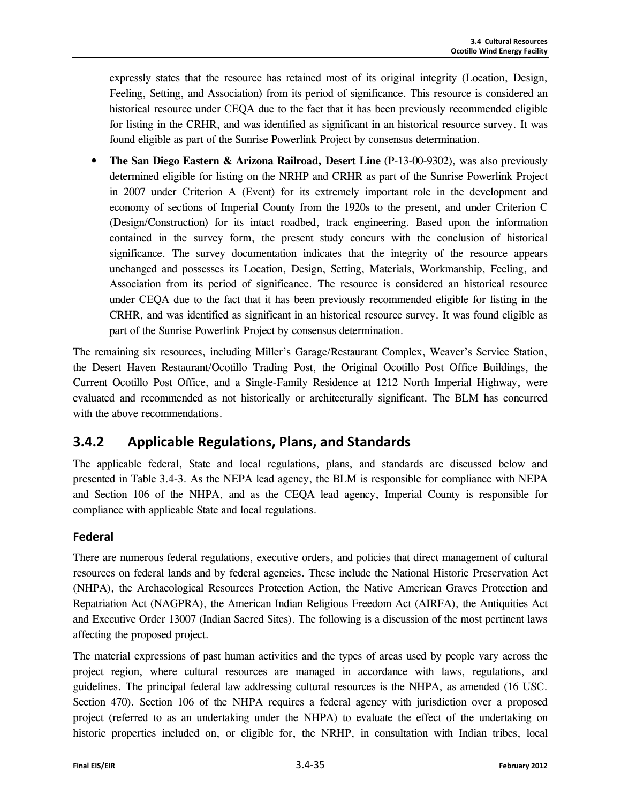expressly states that the resource has retained most of its original integrity (Location, Design, Feeling, Setting, and Association) from its period of significance. This resource is considered an historical resource under CEQA due to the fact that it has been previously recommended eligible for listing in the CRHR, and was identified as significant in an historical resource survey. It was found eligible as part of the Sunrise Powerlink Project by consensus determination.

• **The San Diego Eastern & Arizona Railroad, Desert Line** (P-13-00-9302), was also previously determined eligible for listing on the NRHP and CRHR as part of the Sunrise Powerlink Project in 2007 under Criterion A (Event) for its extremely important role in the development and economy of sections of Imperial County from the 1920s to the present, and under Criterion C (Design/Construction) for its intact roadbed, track engineering. Based upon the information contained in the survey form, the present study concurs with the conclusion of historical significance. The survey documentation indicates that the integrity of the resource appears unchanged and possesses its Location, Design, Setting, Materials, Workmanship, Feeling, and Association from its period of significance. The resource is considered an historical resource under CEQA due to the fact that it has been previously recommended eligible for listing in the CRHR, and was identified as significant in an historical resource survey. It was found eligible as part of the Sunrise Powerlink Project by consensus determination.

The remaining six resources, including Miller's Garage/Restaurant Complex, Weaver's Service Station, the Desert Haven Restaurant/Ocotillo Trading Post, the Original Ocotillo Post Office Buildings, the Current Ocotillo Post Office, and a Single-Family Residence at 1212 North Imperial Highway, were evaluated and recommended as not historically or architecturally significant. The BLM has concurred with the above recommendations.

# **3.4.2 Applicable Regulations, Plans, and Standards**

The applicable federal, State and local regulations, plans, and standards are discussed below and presented in Table 3.4-3. As the NEPA lead agency, the BLM is responsible for compliance with NEPA and Section 106 of the NHPA, and as the CEQA lead agency, Imperial County is responsible for compliance with applicable State and local regulations.

### **Federal**

There are numerous federal regulations, executive orders, and policies that direct management of cultural resources on federal lands and by federal agencies. These include the National Historic Preservation Act (NHPA), the Archaeological Resources Protection Action, the Native American Graves Protection and Repatriation Act (NAGPRA), the American Indian Religious Freedom Act (AIRFA), the Antiquities Act and Executive Order 13007 (Indian Sacred Sites). The following is a discussion of the most pertinent laws affecting the proposed project.

The material expressions of past human activities and the types of areas used by people vary across the project region, where cultural resources are managed in accordance with laws, regulations, and guidelines. The principal federal law addressing cultural resources is the NHPA, as amended (16 USC. Section 470). Section 106 of the NHPA requires a federal agency with jurisdiction over a proposed project (referred to as an undertaking under the NHPA) to evaluate the effect of the undertaking on historic properties included on, or eligible for, the NRHP, in consultation with Indian tribes, local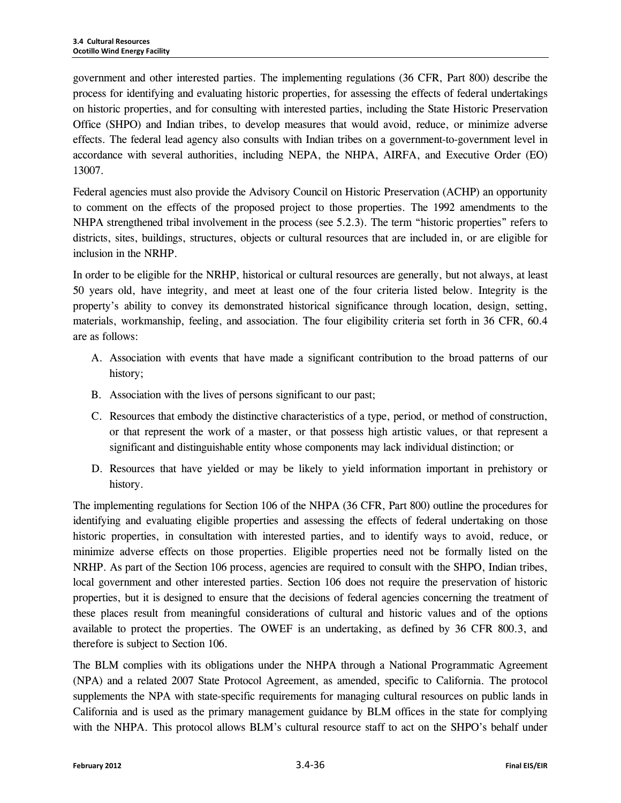government and other interested parties. The implementing regulations (36 CFR, Part 800) describe the process for identifying and evaluating historic properties, for assessing the effects of federal undertakings on historic properties, and for consulting with interested parties, including the State Historic Preservation Office (SHPO) and Indian tribes, to develop measures that would avoid, reduce, or minimize adverse effects. The federal lead agency also consults with Indian tribes on a government-to-government level in accordance with several authorities, including NEPA, the NHPA, AIRFA, and Executive Order (EO) 13007.

Federal agencies must also provide the Advisory Council on Historic Preservation (ACHP) an opportunity to comment on the effects of the proposed project to those properties. The 1992 amendments to the NHPA strengthened tribal involvement in the process (see 5.2.3). The term "historic properties" refers to districts, sites, buildings, structures, objects or cultural resources that are included in, or are eligible for inclusion in the NRHP.

In order to be eligible for the NRHP, historical or cultural resources are generally, but not always, at least 50 years old, have integrity, and meet at least one of the four criteria listed below. Integrity is the property's ability to convey its demonstrated historical significance through location, design, setting, materials, workmanship, feeling, and association. The four eligibility criteria set forth in 36 CFR, 60.4 are as follows:

- A. Association with events that have made a significant contribution to the broad patterns of our history;
- B. Association with the lives of persons significant to our past;
- C. Resources that embody the distinctive characteristics of a type, period, or method of construction, or that represent the work of a master, or that possess high artistic values, or that represent a significant and distinguishable entity whose components may lack individual distinction; or
- D. Resources that have yielded or may be likely to yield information important in prehistory or history.

The implementing regulations for Section 106 of the NHPA (36 CFR, Part 800) outline the procedures for identifying and evaluating eligible properties and assessing the effects of federal undertaking on those historic properties, in consultation with interested parties, and to identify ways to avoid, reduce, or minimize adverse effects on those properties. Eligible properties need not be formally listed on the NRHP. As part of the Section 106 process, agencies are required to consult with the SHPO, Indian tribes, local government and other interested parties. Section 106 does not require the preservation of historic properties, but it is designed to ensure that the decisions of federal agencies concerning the treatment of these places result from meaningful considerations of cultural and historic values and of the options available to protect the properties. The OWEF is an undertaking, as defined by 36 CFR 800.3, and therefore is subject to Section 106.

The BLM complies with its obligations under the NHPA through a National Programmatic Agreement (NPA) and a related 2007 State Protocol Agreement, as amended, specific to California. The protocol supplements the NPA with state-specific requirements for managing cultural resources on public lands in California and is used as the primary management guidance by BLM offices in the state for complying with the NHPA. This protocol allows BLM's cultural resource staff to act on the SHPO's behalf under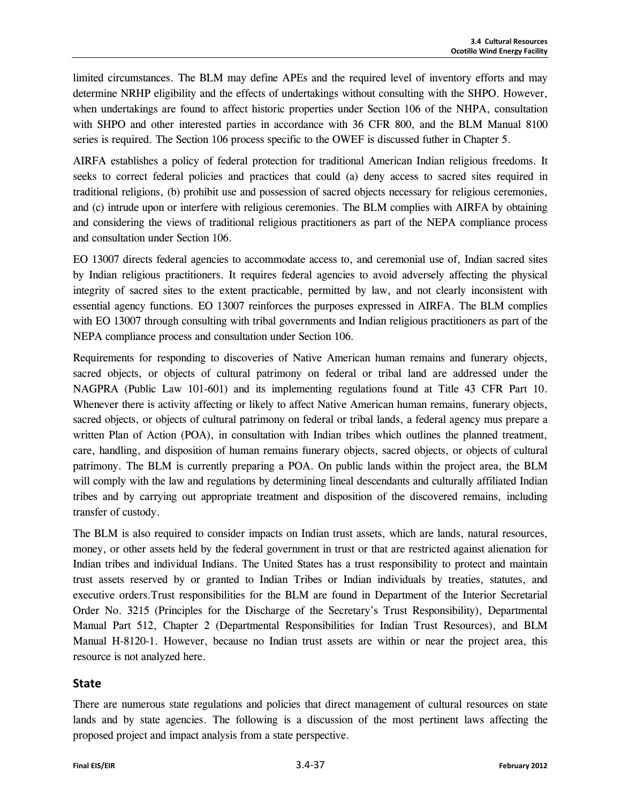limited circumstances. The BLM may define APEs and the required level of inventory efforts and may determine NRHP eligibility and the effects of undertakings without consulting with the SHPO. However, when undertakings are found to affect historic properties under Section 106 of the NHPA, consultation with SHPO and other interested parties in accordance with 36 CFR 800, and the BLM Manual 8100 series is required. The Section 106 process specific to the OWEF is discussed futher in Chapter 5.

AIRFA establishes a policy of federal protection for traditional American Indian religious freedoms. It seeks to correct federal policies and practices that could (a) deny access to sacred sites required in traditional religions, (b) prohibit use and possession of sacred objects necessary for religious ceremonies, and (c) intrude upon or interfere with religious ceremonies. The BLM complies with AIRFA by obtaining and considering the views of traditional religious practitioners as part of the NEPA compliance process and consultation under Section 106.

EO 13007 directs federal agencies to accommodate access to, and ceremonial use of, Indian sacred sites by Indian religious practitioners. It requires federal agencies to avoid adversely affecting the physical integrity of sacred sites to the extent practicable, permitted by law, and not clearly inconsistent with essential agency functions. EO 13007 reinforces the purposes expressed in AIRFA. The BLM complies with EO 13007 through consulting with tribal governments and Indian religious practitioners as part of the NEPA compliance process and consultation under Section 106*.* 

Requirements for responding to discoveries of Native American human remains and funerary objects, sacred objects, or objects of cultural patrimony on federal or tribal land are addressed under the NAGPRA (Public Law 101-601) and its implementing regulations found at Title 43 CFR Part 10. Whenever there is activity affecting or likely to affect Native American human remains, funerary objects, sacred objects, or objects of cultural patrimony on federal or tribal lands, a federal agency mus prepare a written Plan of Action (POA), in consultation with Indian tribes which outlines the planned treatment, care, handling, and disposition of human remains funerary objects, sacred objects, or objects of cultural patrimony. The BLM is currently preparing a POA. On public lands within the project area, the BLM will comply with the law and regulations by determining lineal descendants and culturally affiliated Indian tribes and by carrying out appropriate treatment and disposition of the discovered remains, including transfer of custody.

The BLM is also required to consider impacts on Indian trust assets, which are lands, natural resources, money, or other assets held by the federal government in trust or that are restricted against alienation for Indian tribes and individual Indians. The United States has a trust responsibility to protect and maintain trust assets reserved by or granted to Indian Tribes or Indian individuals by treaties, statutes, and executive orders.Trust responsibilities for the BLM are found in Department of the Interior Secretarial Order No. 3215 (Principles for the Discharge of the Secretary's Trust Responsibility), Departmental Manual Part 512, Chapter 2 (Departmental Responsibilities for Indian Trust Resources), and BLM Manual H-8120-1. However, because no Indian trust assets are within or near the project area, this resource is not analyzed here.

#### **State**

There are numerous state regulations and policies that direct management of cultural resources on state lands and by state agencies. The following is a discussion of the most pertinent laws affecting the proposed project and impact analysis from a state perspective.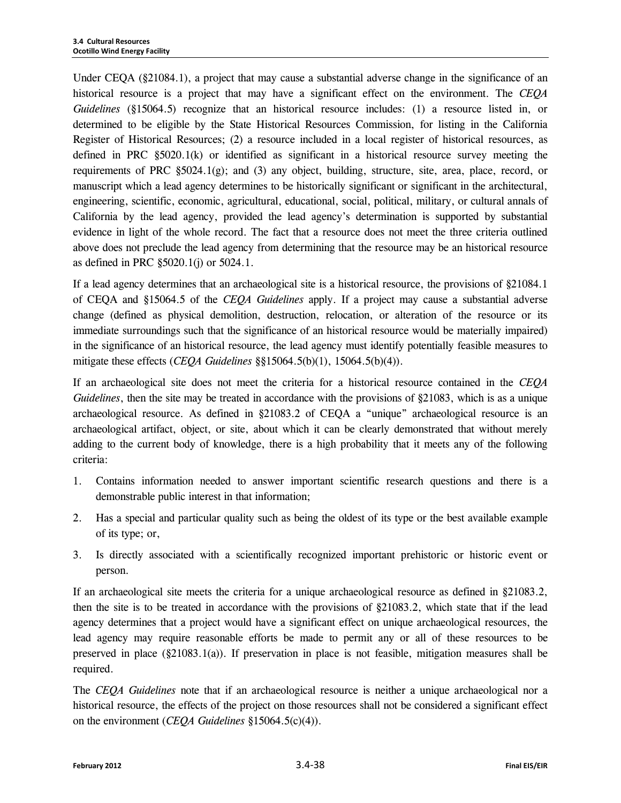Under CEQA (§21084.1), a project that may cause a substantial adverse change in the significance of an historical resource is a project that may have a significant effect on the environment. The *CEQA Guidelines* (§15064.5) recognize that an historical resource includes: (1) a resource listed in, or determined to be eligible by the State Historical Resources Commission, for listing in the California Register of Historical Resources; (2) a resource included in a local register of historical resources, as defined in PRC  $\S5020.1(k)$  or identified as significant in a historical resource survey meeting the requirements of PRC  $\S5024.1(g)$ ; and (3) any object, building, structure, site, area, place, record, or manuscript which a lead agency determines to be historically significant or significant in the architectural, engineering, scientific, economic, agricultural, educational, social, political, military, or cultural annals of California by the lead agency, provided the lead agency's determination is supported by substantial evidence in light of the whole record. The fact that a resource does not meet the three criteria outlined above does not preclude the lead agency from determining that the resource may be an historical resource as defined in PRC §5020.1(j) or 5024.1.

If a lead agency determines that an archaeological site is a historical resource, the provisions of §21084.1 of CEQA and §15064.5 of the *CEQA Guidelines* apply. If a project may cause a substantial adverse change (defined as physical demolition, destruction, relocation, or alteration of the resource or its immediate surroundings such that the significance of an historical resource would be materially impaired) in the significance of an historical resource, the lead agency must identify potentially feasible measures to mitigate these effects (*CEQA Guidelines* §§15064.5(b)(1), 15064.5(b)(4)).

If an archaeological site does not meet the criteria for a historical resource contained in the *CEQA Guidelines*, then the site may be treated in accordance with the provisions of §21083, which is as a unique archaeological resource. As defined in §21083.2 of CEQA a "unique" archaeological resource is an archaeological artifact, object, or site, about which it can be clearly demonstrated that without merely adding to the current body of knowledge, there is a high probability that it meets any of the following criteria:

- 1. Contains information needed to answer important scientific research questions and there is a demonstrable public interest in that information;
- 2. Has a special and particular quality such as being the oldest of its type or the best available example of its type; or,
- 3. Is directly associated with a scientifically recognized important prehistoric or historic event or person.

If an archaeological site meets the criteria for a unique archaeological resource as defined in §21083.2, then the site is to be treated in accordance with the provisions of §21083.2, which state that if the lead agency determines that a project would have a significant effect on unique archaeological resources, the lead agency may require reasonable efforts be made to permit any or all of these resources to be preserved in place (§21083.1(a)). If preservation in place is not feasible, mitigation measures shall be required.

The *CEQA Guidelines* note that if an archaeological resource is neither a unique archaeological nor a historical resource, the effects of the project on those resources shall not be considered a significant effect on the environment (*CEQA Guidelines* §15064.5(c)(4)).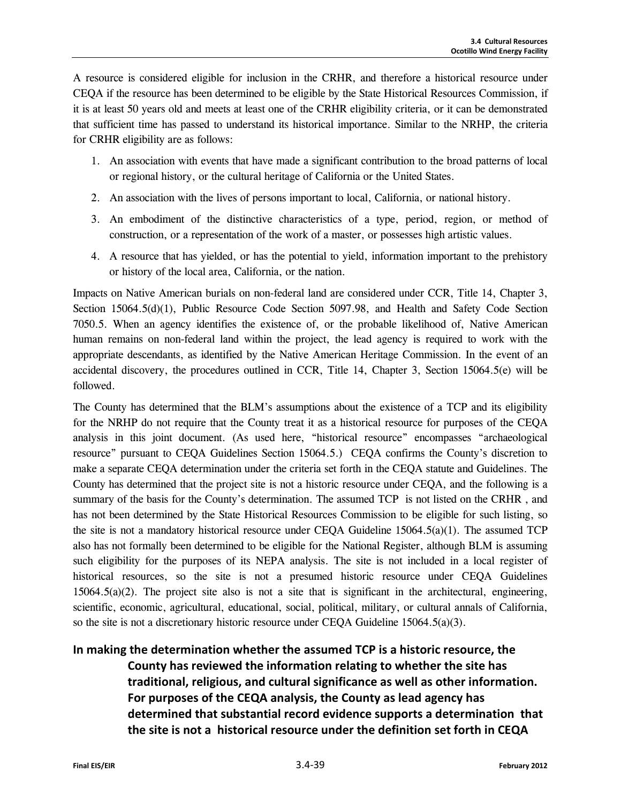A resource is considered eligible for inclusion in the CRHR, and therefore a historical resource under CEQA if the resource has been determined to be eligible by the State Historical Resources Commission, if it is at least 50 years old and meets at least one of the CRHR eligibility criteria, or it can be demonstrated that sufficient time has passed to understand its historical importance. Similar to the NRHP, the criteria for CRHR eligibility are as follows:

- 1. An association with events that have made a significant contribution to the broad patterns of local or regional history, or the cultural heritage of California or the United States.
- 2. An association with the lives of persons important to local, California, or national history.
- 3. An embodiment of the distinctive characteristics of a type, period, region, or method of construction, or a representation of the work of a master, or possesses high artistic values.
- 4. A resource that has yielded, or has the potential to yield, information important to the prehistory or history of the local area, California, or the nation.

Impacts on Native American burials on non-federal land are considered under CCR, Title 14, Chapter 3, Section 15064.5(d)(1), Public Resource Code Section 5097.98, and Health and Safety Code Section 7050.5. When an agency identifies the existence of, or the probable likelihood of, Native American human remains on non-federal land within the project, the lead agency is required to work with the appropriate descendants, as identified by the Native American Heritage Commission. In the event of an accidental discovery, the procedures outlined in CCR, Title 14, Chapter 3, Section 15064.5(e) will be followed.

The County has determined that the BLM's assumptions about the existence of a TCP and its eligibility for the NRHP do not require that the County treat it as a historical resource for purposes of the CEQA analysis in this joint document. (As used here, "historical resource" encompasses "archaeological resource" pursuant to CEQA Guidelines Section 15064.5.) CEQA confirms the County's discretion to make a separate CEQA determination under the criteria set forth in the CEQA statute and Guidelines. The County has determined that the project site is not a historic resource under CEQA, and the following is a summary of the basis for the County's determination. The assumed TCP is not listed on the CRHR, and has not been determined by the State Historical Resources Commission to be eligible for such listing, so the site is not a mandatory historical resource under CEQA Guideline 15064.5(a)(1). The assumed TCP also has not formally been determined to be eligible for the National Register, although BLM is assuming such eligibility for the purposes of its NEPA analysis. The site is not included in a local register of historical resources, so the site is not a presumed historic resource under CEQA Guidelines 15064.5(a)(2). The project site also is not a site that is significant in the architectural, engineering, scientific, economic, agricultural, educational, social, political, military, or cultural annals of California, so the site is not a discretionary historic resource under CEQA Guideline  $15064.5(a)(3)$ .

**In making the determination whether the assumed TCP is a historic resource, the County has reviewed the information relating to whether the site has traditional, religious, and cultural significance as well as other information. For purposes of the CEQA analysis, the County as lead agency has determined that substantial record evidence supports a determination that the site is not a historical resource under the definition set forth in CEQA**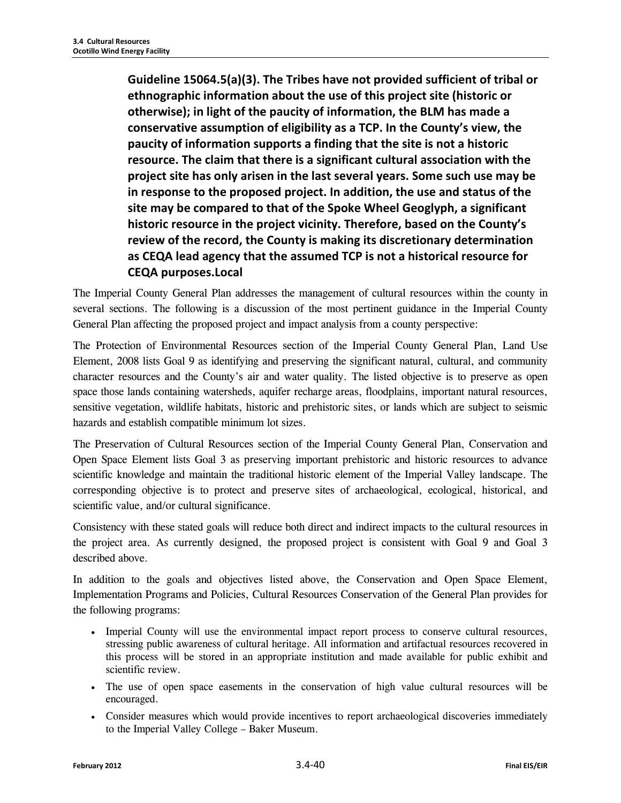**Guideline 15064.5(a)(3). The Tribes have not provided sufficient of tribal or ethnographic information about the use of this project site (historic or otherwise); in light of the paucity of information, the BLM has made a conservative assumption of eligibility as a TCP. In the County's view, the paucity of information supports a finding that the site is not a historic resource. The claim that there is a significant cultural association with the project site has only arisen in the last several years. Some such use may be in response to the proposed project. In addition, the use and status of the site may be compared to that of the Spoke Wheel Geoglyph, a significant historic resource in the project vicinity. Therefore, based on the County's review of the record, the County is making its discretionary determination as CEQA lead agency that the assumed TCP is not a historical resource for CEQA purposes.Local** 

The Imperial County General Plan addresses the management of cultural resources within the county in several sections. The following is a discussion of the most pertinent guidance in the Imperial County General Plan affecting the proposed project and impact analysis from a county perspective:

The Protection of Environmental Resources section of the Imperial County General Plan, Land Use Element, 2008 lists Goal 9 as identifying and preserving the significant natural, cultural, and community character resources and the County's air and water quality. The listed objective is to preserve as open space those lands containing watersheds, aquifer recharge areas, floodplains, important natural resources, sensitive vegetation, wildlife habitats, historic and prehistoric sites, or lands which are subject to seismic hazards and establish compatible minimum lot sizes.

The Preservation of Cultural Resources section of the Imperial County General Plan, Conservation and Open Space Element lists Goal 3 as preserving important prehistoric and historic resources to advance scientific knowledge and maintain the traditional historic element of the Imperial Valley landscape. The corresponding objective is to protect and preserve sites of archaeological, ecological, historical, and scientific value, and/or cultural significance.

Consistency with these stated goals will reduce both direct and indirect impacts to the cultural resources in the project area. As currently designed, the proposed project is consistent with Goal 9 and Goal 3 described above.

In addition to the goals and objectives listed above, the Conservation and Open Space Element, Implementation Programs and Policies, Cultural Resources Conservation of the General Plan provides for the following programs:

- Imperial County will use the environmental impact report process to conserve cultural resources, stressing public awareness of cultural heritage. All information and artifactual resources recovered in this process will be stored in an appropriate institution and made available for public exhibit and scientific review.
- The use of open space easements in the conservation of high value cultural resources will be encouraged.
- Consider measures which would provide incentives to report archaeological discoveries immediately to the Imperial Valley College – Baker Museum.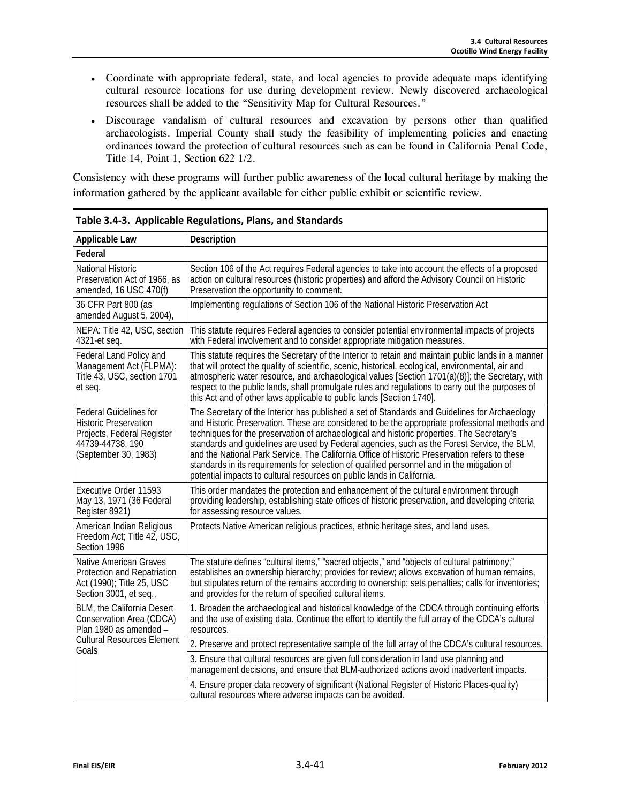- Coordinate with appropriate federal, state, and local agencies to provide adequate maps identifying cultural resource locations for use during development review. Newly discovered archaeological resources shall be added to the "Sensitivity Map for Cultural Resources."
- Discourage vandalism of cultural resources and excavation by persons other than qualified archaeologists. Imperial County shall study the feasibility of implementing policies and enacting ordinances toward the protection of cultural resources such as can be found in California Penal Code, Title 14, Point 1, Section 622 1/2.

Consistency with these programs will further public awareness of the local cultural heritage by making the information gathered by the applicant available for either public exhibit or scientific review.

| Table 3.4-3. Applicable Regulations, Plans, and Standards                                                                               |                                                                                                                                                                                                                                                                                                                                                                                                                                                                                                                                                                                                                                                                        |  |
|-----------------------------------------------------------------------------------------------------------------------------------------|------------------------------------------------------------------------------------------------------------------------------------------------------------------------------------------------------------------------------------------------------------------------------------------------------------------------------------------------------------------------------------------------------------------------------------------------------------------------------------------------------------------------------------------------------------------------------------------------------------------------------------------------------------------------|--|
| <b>Applicable Law</b>                                                                                                                   | Description                                                                                                                                                                                                                                                                                                                                                                                                                                                                                                                                                                                                                                                            |  |
| Federal                                                                                                                                 |                                                                                                                                                                                                                                                                                                                                                                                                                                                                                                                                                                                                                                                                        |  |
| National Historic<br>Preservation Act of 1966, as<br>amended, 16 USC 470(f)                                                             | Section 106 of the Act requires Federal agencies to take into account the effects of a proposed<br>action on cultural resources (historic properties) and afford the Advisory Council on Historic<br>Preservation the opportunity to comment.                                                                                                                                                                                                                                                                                                                                                                                                                          |  |
| 36 CFR Part 800 (as<br>amended August 5, 2004),                                                                                         | Implementing regulations of Section 106 of the National Historic Preservation Act                                                                                                                                                                                                                                                                                                                                                                                                                                                                                                                                                                                      |  |
| NEPA: Title 42, USC, section<br>4321-et seq.                                                                                            | This statute requires Federal agencies to consider potential environmental impacts of projects<br>with Federal involvement and to consider appropriate mitigation measures.                                                                                                                                                                                                                                                                                                                                                                                                                                                                                            |  |
| Federal Land Policy and<br>Management Act (FLPMA):<br>Title 43, USC, section 1701<br>et seq.                                            | This statute requires the Secretary of the Interior to retain and maintain public lands in a manner<br>that will protect the quality of scientific, scenic, historical, ecological, environmental, air and<br>atmospheric water resource, and archaeological values [Section 1701(a)(8)]; the Secretary, with<br>respect to the public lands, shall promulgate rules and regulations to carry out the purposes of<br>this Act and of other laws applicable to public lands [Section 1740].                                                                                                                                                                             |  |
| <b>Federal Guidelines for</b><br><b>Historic Preservation</b><br>Projects, Federal Register<br>44739-44738, 190<br>(September 30, 1983) | The Secretary of the Interior has published a set of Standards and Guidelines for Archaeology<br>and Historic Preservation. These are considered to be the appropriate professional methods and<br>techniques for the preservation of archaeological and historic properties. The Secretary's<br>standards and guidelines are used by Federal agencies, such as the Forest Service, the BLM,<br>and the National Park Service. The California Office of Historic Preservation refers to these<br>standards in its requirements for selection of qualified personnel and in the mitigation of<br>potential impacts to cultural resources on public lands in California. |  |
| Executive Order 11593<br>May 13, 1971 (36 Federal<br>Register 8921)                                                                     | This order mandates the protection and enhancement of the cultural environment through<br>providing leadership, establishing state offices of historic preservation, and developing criteria<br>for assessing resource values.                                                                                                                                                                                                                                                                                                                                                                                                                                         |  |
| American Indian Religious<br>Freedom Act; Title 42, USC,<br>Section 1996                                                                | Protects Native American religious practices, ethnic heritage sites, and land uses.                                                                                                                                                                                                                                                                                                                                                                                                                                                                                                                                                                                    |  |
| <b>Native American Graves</b><br>Protection and Repatriation<br>Act (1990); Title 25, USC<br>Section 3001, et seq.,                     | The stature defines "cultural items," "sacred objects," and "objects of cultural patrimony;"<br>establishes an ownership hierarchy; provides for review; allows excavation of human remains,<br>but stipulates return of the remains according to ownership; sets penalties; calls for inventories;<br>and provides for the return of specified cultural items.                                                                                                                                                                                                                                                                                                        |  |
| <b>BLM, the California Desert</b><br>Conservation Area (CDCA)<br>Plan 1980 as amended -                                                 | 1. Broaden the archaeological and historical knowledge of the CDCA through continuing efforts<br>and the use of existing data. Continue the effort to identify the full array of the CDCA's cultural<br>resources.                                                                                                                                                                                                                                                                                                                                                                                                                                                     |  |
| <b>Cultural Resources Element</b><br>Goals                                                                                              | 2. Preserve and protect representative sample of the full array of the CDCA's cultural resources.                                                                                                                                                                                                                                                                                                                                                                                                                                                                                                                                                                      |  |
|                                                                                                                                         | 3. Ensure that cultural resources are given full consideration in land use planning and<br>management decisions, and ensure that BLM-authorized actions avoid inadvertent impacts.                                                                                                                                                                                                                                                                                                                                                                                                                                                                                     |  |
|                                                                                                                                         | 4. Ensure proper data recovery of significant (National Register of Historic Places-quality)<br>cultural resources where adverse impacts can be avoided.                                                                                                                                                                                                                                                                                                                                                                                                                                                                                                               |  |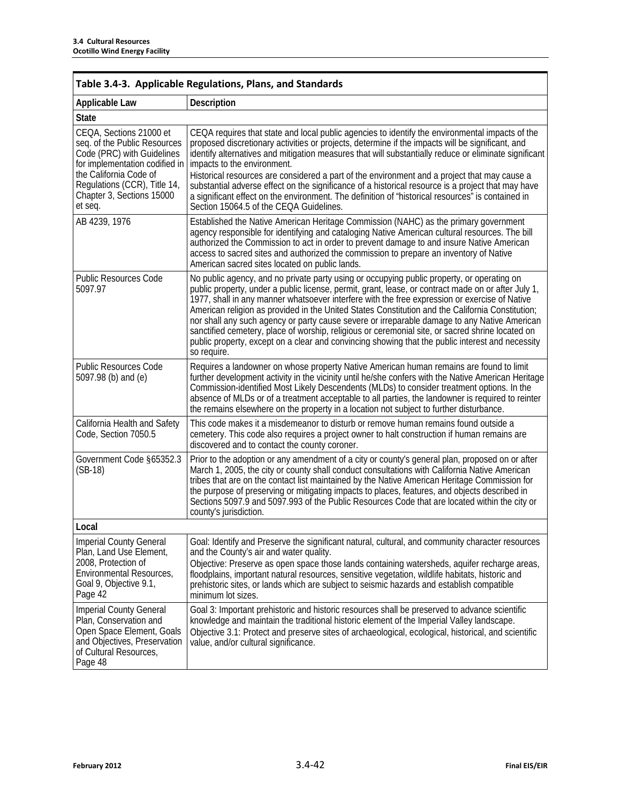| Table 3.4-3. Applicable Regulations, Plans, and Standards                                                                                                                                                                 |                                                                                                                                                                                                                                                                                                                                                                                                                                                                                                                                                                                                                                                                                                                               |  |  |  |  |
|---------------------------------------------------------------------------------------------------------------------------------------------------------------------------------------------------------------------------|-------------------------------------------------------------------------------------------------------------------------------------------------------------------------------------------------------------------------------------------------------------------------------------------------------------------------------------------------------------------------------------------------------------------------------------------------------------------------------------------------------------------------------------------------------------------------------------------------------------------------------------------------------------------------------------------------------------------------------|--|--|--|--|
| <b>Applicable Law</b>                                                                                                                                                                                                     | Description                                                                                                                                                                                                                                                                                                                                                                                                                                                                                                                                                                                                                                                                                                                   |  |  |  |  |
| <b>State</b>                                                                                                                                                                                                              |                                                                                                                                                                                                                                                                                                                                                                                                                                                                                                                                                                                                                                                                                                                               |  |  |  |  |
| CEQA, Sections 21000 et<br>seg. of the Public Resources<br>Code (PRC) with Guidelines<br>for implementation codified in<br>the California Code of<br>Regulations (CCR), Title 14,<br>Chapter 3, Sections 15000<br>et seq. | CEQA requires that state and local public agencies to identify the environmental impacts of the<br>proposed discretionary activities or projects, determine if the impacts will be significant, and<br>identify alternatives and mitigation measures that will substantially reduce or eliminate significant<br>impacts to the environment.<br>Historical resources are considered a part of the environment and a project that may cause a<br>substantial adverse effect on the significance of a historical resource is a project that may have<br>a significant effect on the environment. The definition of "historical resources" is contained in<br>Section 15064.5 of the CEQA Guidelines.                             |  |  |  |  |
| AB 4239, 1976                                                                                                                                                                                                             | Established the Native American Heritage Commission (NAHC) as the primary government<br>agency responsible for identifying and cataloging Native American cultural resources. The bill<br>authorized the Commission to act in order to prevent damage to and insure Native American<br>access to sacred sites and authorized the commission to prepare an inventory of Native<br>American sacred sites located on public lands.                                                                                                                                                                                                                                                                                               |  |  |  |  |
| <b>Public Resources Code</b><br>5097.97                                                                                                                                                                                   | No public agency, and no private party using or occupying public property, or operating on<br>public property, under a public license, permit, grant, lease, or contract made on or after July 1,<br>1977, shall in any manner whatsoever interfere with the free expression or exercise of Native<br>American religion as provided in the United States Constitution and the California Constitution;<br>nor shall any such agency or party cause severe or irreparable damage to any Native American<br>sanctified cemetery, place of worship, religious or ceremonial site, or sacred shrine located on<br>public property, except on a clear and convincing showing that the public interest and necessity<br>so require. |  |  |  |  |
| <b>Public Resources Code</b><br>5097.98 (b) and (e)                                                                                                                                                                       | Requires a landowner on whose property Native American human remains are found to limit<br>further development activity in the vicinity until he/she confers with the Native American Heritage<br>Commission-identified Most Likely Descendents (MLDs) to consider treatment options. In the<br>absence of MLDs or of a treatment acceptable to all parties, the landowner is required to reinter<br>the remains elsewhere on the property in a location not subject to further disturbance.                                                                                                                                                                                                                                  |  |  |  |  |
| California Health and Safety<br>Code, Section 7050.5                                                                                                                                                                      | This code makes it a misdemeanor to disturb or remove human remains found outside a<br>cemetery. This code also requires a project owner to halt construction if human remains are<br>discovered and to contact the county coroner.                                                                                                                                                                                                                                                                                                                                                                                                                                                                                           |  |  |  |  |
| Government Code §65352.3<br>$(SB-18)$                                                                                                                                                                                     | Prior to the adoption or any amendment of a city or county's general plan, proposed on or after<br>March 1, 2005, the city or county shall conduct consultations with California Native American<br>tribes that are on the contact list maintained by the Native American Heritage Commission for<br>the purpose of preserving or mitigating impacts to places, features, and objects described in<br>Sections 5097.9 and 5097.993 of the Public Resources Code that are located within the city or<br>county's jurisdiction.                                                                                                                                                                                                 |  |  |  |  |
| Local                                                                                                                                                                                                                     |                                                                                                                                                                                                                                                                                                                                                                                                                                                                                                                                                                                                                                                                                                                               |  |  |  |  |
| <b>Imperial County General</b><br>Plan, Land Use Element,<br>2008, Protection of<br>Environmental Resources,<br>Goal 9, Objective 9.1,<br>Page 42                                                                         | Goal: Identify and Preserve the significant natural, cultural, and community character resources<br>and the County's air and water quality.<br>Objective: Preserve as open space those lands containing watersheds, aquifer recharge areas,<br>floodplains, important natural resources, sensitive vegetation, wildlife habitats, historic and<br>prehistoric sites, or lands which are subject to seismic hazards and establish compatible<br>minimum lot sizes.                                                                                                                                                                                                                                                             |  |  |  |  |
| <b>Imperial County General</b><br>Plan, Conservation and<br>Open Space Element, Goals<br>and Objectives, Preservation<br>of Cultural Resources,<br>Page 48                                                                | Goal 3: Important prehistoric and historic resources shall be preserved to advance scientific<br>knowledge and maintain the traditional historic element of the Imperial Valley landscape.<br>Objective 3.1: Protect and preserve sites of archaeological, ecological, historical, and scientific<br>value, and/or cultural significance.                                                                                                                                                                                                                                                                                                                                                                                     |  |  |  |  |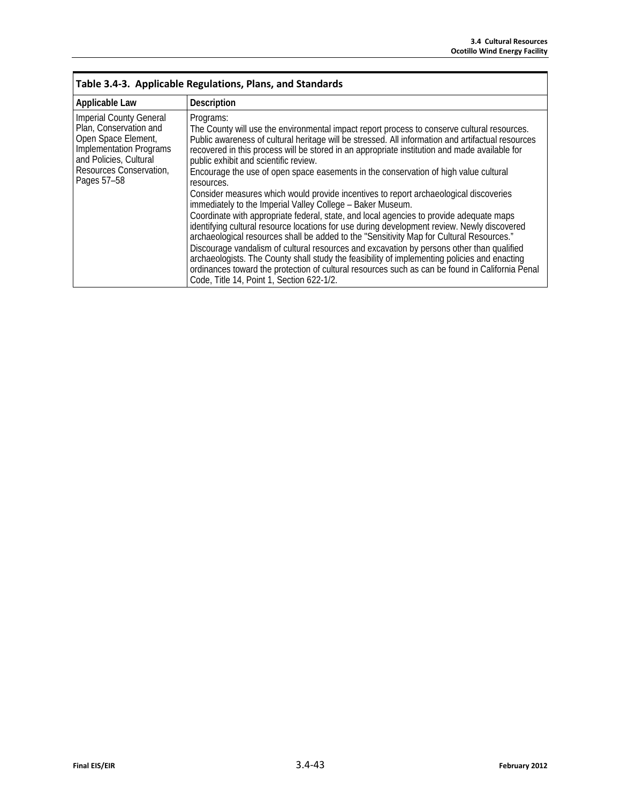| Table 3.4-3. Applicable Regulations, Plans, and Standards                                                                                                                      |                                                                                                                                                                                                                                                                                                                                                                                                                                                                                                                                                                                                                                                                                                                                                                                                                                                                                                                                                                                                                                                                                                                                                                                                                                                         |  |  |  |  |
|--------------------------------------------------------------------------------------------------------------------------------------------------------------------------------|---------------------------------------------------------------------------------------------------------------------------------------------------------------------------------------------------------------------------------------------------------------------------------------------------------------------------------------------------------------------------------------------------------------------------------------------------------------------------------------------------------------------------------------------------------------------------------------------------------------------------------------------------------------------------------------------------------------------------------------------------------------------------------------------------------------------------------------------------------------------------------------------------------------------------------------------------------------------------------------------------------------------------------------------------------------------------------------------------------------------------------------------------------------------------------------------------------------------------------------------------------|--|--|--|--|
| <b>Applicable Law</b>                                                                                                                                                          | <b>Description</b>                                                                                                                                                                                                                                                                                                                                                                                                                                                                                                                                                                                                                                                                                                                                                                                                                                                                                                                                                                                                                                                                                                                                                                                                                                      |  |  |  |  |
| <b>Imperial County General</b><br>Plan, Conservation and<br>Open Space Element,<br>Implementation Programs<br>and Policies, Cultural<br>Resources Conservation,<br>Pages 57-58 | Programs:<br>The County will use the environmental impact report process to conserve cultural resources.<br>Public awareness of cultural heritage will be stressed. All information and artifactual resources<br>recovered in this process will be stored in an appropriate institution and made available for<br>public exhibit and scientific review.<br>Encourage the use of open space easements in the conservation of high value cultural<br>resources.<br>Consider measures which would provide incentives to report archaeological discoveries<br>immediately to the Imperial Valley College - Baker Museum.<br>Coordinate with appropriate federal, state, and local agencies to provide adequate maps<br>identifying cultural resource locations for use during development review. Newly discovered<br>archaeological resources shall be added to the "Sensitivity Map for Cultural Resources."<br>Discourage vandalism of cultural resources and excavation by persons other than qualified<br>archaeologists. The County shall study the feasibility of implementing policies and enacting<br>ordinances toward the protection of cultural resources such as can be found in California Penal<br>Code, Title 14, Point 1, Section 622-1/2. |  |  |  |  |

Г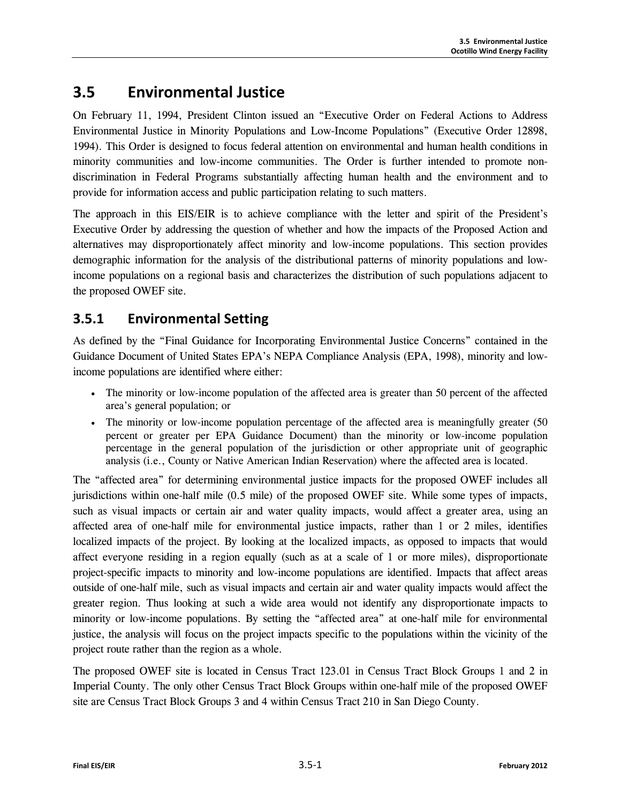# **3.5 Environmental Justice**

On February 11, 1994, President Clinton issued an "Executive Order on Federal Actions to Address Environmental Justice in Minority Populations and Low-Income Populations" (Executive Order 12898, 1994). This Order is designed to focus federal attention on environmental and human health conditions in minority communities and low-income communities. The Order is further intended to promote nondiscrimination in Federal Programs substantially affecting human health and the environment and to provide for information access and public participation relating to such matters.

The approach in this EIS/EIR is to achieve compliance with the letter and spirit of the President's Executive Order by addressing the question of whether and how the impacts of the Proposed Action and alternatives may disproportionately affect minority and low-income populations. This section provides demographic information for the analysis of the distributional patterns of minority populations and lowincome populations on a regional basis and characterizes the distribution of such populations adjacent to the proposed OWEF site.

# **3.5.1 Environmental Setting**

As defined by the "Final Guidance for Incorporating Environmental Justice Concerns" contained in the Guidance Document of United States EPA's NEPA Compliance Analysis (EPA, 1998), minority and lowincome populations are identified where either:

- The minority or low-income population of the affected area is greater than 50 percent of the affected area's general population; or
- The minority or low-income population percentage of the affected area is meaningfully greater (50) percent or greater per EPA Guidance Document) than the minority or low-income population percentage in the general population of the jurisdiction or other appropriate unit of geographic analysis (i.e., County or Native American Indian Reservation) where the affected area is located.

The "affected area" for determining environmental justice impacts for the proposed OWEF includes all jurisdictions within one-half mile (0.5 mile) of the proposed OWEF site. While some types of impacts, such as visual impacts or certain air and water quality impacts, would affect a greater area, using an affected area of one-half mile for environmental justice impacts, rather than 1 or 2 miles, identifies localized impacts of the project. By looking at the localized impacts, as opposed to impacts that would affect everyone residing in a region equally (such as at a scale of 1 or more miles), disproportionate project-specific impacts to minority and low-income populations are identified. Impacts that affect areas outside of one-half mile, such as visual impacts and certain air and water quality impacts would affect the greater region. Thus looking at such a wide area would not identify any disproportionate impacts to minority or low-income populations. By setting the "affected area" at one-half mile for environmental justice, the analysis will focus on the project impacts specific to the populations within the vicinity of the project route rather than the region as a whole.

The proposed OWEF site is located in Census Tract 123.01 in Census Tract Block Groups 1 and 2 in Imperial County. The only other Census Tract Block Groups within one-half mile of the proposed OWEF site are Census Tract Block Groups 3 and 4 within Census Tract 210 in San Diego County.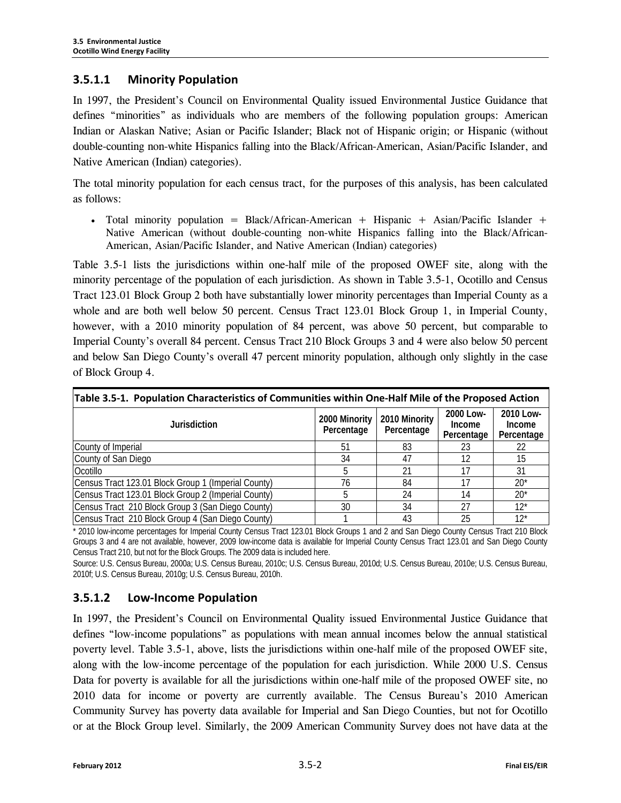### **3.5.1.1 Minority Population**

In 1997, the President's Council on Environmental Quality issued Environmental Justice Guidance that defines "minorities" as individuals who are members of the following population groups: American Indian or Alaskan Native; Asian or Pacific Islander; Black not of Hispanic origin; or Hispanic (without double-counting non-white Hispanics falling into the Black/African-American, Asian/Pacific Islander, and Native American (Indian) categories).

The total minority population for each census tract, for the purposes of this analysis, has been calculated as follows:

• Total minority population = Black/African-American + Hispanic + Asian/Pacific Islander + Native American (without double-counting non-white Hispanics falling into the Black/African-American, Asian/Pacific Islander, and Native American (Indian) categories)

Table 3.5-1 lists the jurisdictions within one-half mile of the proposed OWEF site, along with the minority percentage of the population of each jurisdiction. As shown in Table 3.5-1, Ocotillo and Census Tract 123.01 Block Group 2 both have substantially lower minority percentages than Imperial County as a whole and are both well below 50 percent. Census Tract 123.01 Block Group 1, in Imperial County, however, with a 2010 minority population of 84 percent, was above 50 percent, but comparable to Imperial County's overall 84 percent. Census Tract 210 Block Groups 3 and 4 were also below 50 percent and below San Diego County's overall 47 percent minority population, although only slightly in the case of Block Group 4.

| Table 3.5-1. Population Characteristics of Communities within One-Half Mile of the Proposed Action |                             |                             |                                          |                                          |  |  |  |
|----------------------------------------------------------------------------------------------------|-----------------------------|-----------------------------|------------------------------------------|------------------------------------------|--|--|--|
| Jurisdiction                                                                                       | 2000 Minority<br>Percentage | 2010 Minority<br>Percentage | 2000 Low-<br><b>Income</b><br>Percentage | 2010 Low-<br><b>Income</b><br>Percentage |  |  |  |
| County of Imperial                                                                                 | 51                          | 83                          | 23                                       | 22                                       |  |  |  |
| County of San Diego                                                                                | 34                          | 47                          | 12                                       | 15                                       |  |  |  |
| Ocotillo                                                                                           |                             | 21                          |                                          | 31                                       |  |  |  |
| Census Tract 123.01 Block Group 1 (Imperial County)                                                | 76                          | 84                          |                                          | $20*$                                    |  |  |  |
| Census Tract 123.01 Block Group 2 (Imperial County)                                                |                             | 24                          | 14                                       | $20*$                                    |  |  |  |
| Census Tract 210 Block Group 3 (San Diego County)                                                  | 30                          | 34                          | 27                                       | $12^{*}$                                 |  |  |  |
| Census Tract 210 Block Group 4 (San Diego County)                                                  |                             | 43                          | 25                                       | $12*$                                    |  |  |  |

\* 2010 low-income percentages for Imperial County Census Tract 123.01 Block Groups 1 and 2 and San Diego County Census Tract 210 Block Groups 3 and 4 are not available, however, 2009 low-income data is available for Imperial County Census Tract 123.01 and San Diego County Census Tract 210, but not for the Block Groups. The 2009 data is included here.

Source: U.S. Census Bureau, 2000a; U.S. Census Bureau, 2010c; U.S. Census Bureau, 2010d; U.S. Census Bureau, 2010e; U.S. Census Bureau, 2010f; U.S. Census Bureau, 2010g; U.S. Census Bureau, 2010h.

### **3.5.1.2 Low-Income Population**

In 1997, the President's Council on Environmental Quality issued Environmental Justice Guidance that defines "low-income populations" as populations with mean annual incomes below the annual statistical poverty level. Table 3.5-1, above, lists the jurisdictions within one-half mile of the proposed OWEF site, along with the low-income percentage of the population for each jurisdiction. While 2000 U.S. Census Data for poverty is available for all the jurisdictions within one-half mile of the proposed OWEF site, no 2010 data for income or poverty are currently available. The Census Bureau's 2010 American Community Survey has poverty data available for Imperial and San Diego Counties, but not for Ocotillo or at the Block Group level. Similarly, the 2009 American Community Survey does not have data at the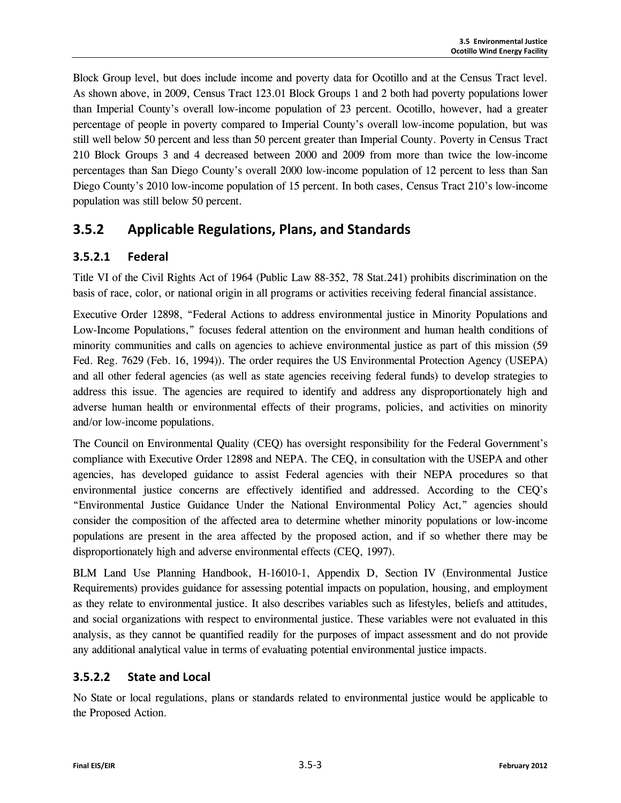Block Group level, but does include income and poverty data for Ocotillo and at the Census Tract level. As shown above, in 2009, Census Tract 123.01 Block Groups 1 and 2 both had poverty populations lower than Imperial County's overall low-income population of 23 percent. Ocotillo, however, had a greater percentage of people in poverty compared to Imperial County's overall low-income population, but was still well below 50 percent and less than 50 percent greater than Imperial County. Poverty in Census Tract 210 Block Groups 3 and 4 decreased between 2000 and 2009 from more than twice the low-income percentages than San Diego County's overall 2000 low-income population of 12 percent to less than San Diego County's 2010 low-income population of 15 percent. In both cases, Census Tract 210's low-income population was still below 50 percent.

# **3.5.2 Applicable Regulations, Plans, and Standards**

# **3.5.2.1 Federal**

Title VI of the Civil Rights Act of 1964 (Public Law 88-352, 78 Stat.241) prohibits discrimination on the basis of race, color, or national origin in all programs or activities receiving federal financial assistance.

Executive Order 12898, "Federal Actions to address environmental justice in Minority Populations and Low-Income Populations," focuses federal attention on the environment and human health conditions of minority communities and calls on agencies to achieve environmental justice as part of this mission (59 Fed. Reg. 7629 (Feb. 16, 1994)). The order requires the US Environmental Protection Agency (USEPA) and all other federal agencies (as well as state agencies receiving federal funds) to develop strategies to address this issue. The agencies are required to identify and address any disproportionately high and adverse human health or environmental effects of their programs, policies, and activities on minority and/or low-income populations.

The Council on Environmental Quality (CEQ) has oversight responsibility for the Federal Government's compliance with Executive Order 12898 and NEPA. The CEQ, in consultation with the USEPA and other agencies, has developed guidance to assist Federal agencies with their NEPA procedures so that environmental justice concerns are effectively identified and addressed. According to the CEQ's "Environmental Justice Guidance Under the National Environmental Policy Act," agencies should consider the composition of the affected area to determine whether minority populations or low-income populations are present in the area affected by the proposed action, and if so whether there may be disproportionately high and adverse environmental effects (CEQ, 1997).

BLM Land Use Planning Handbook, H-16010-1, Appendix D, Section IV (Environmental Justice Requirements) provides guidance for assessing potential impacts on population, housing, and employment as they relate to environmental justice. It also describes variables such as lifestyles, beliefs and attitudes, and social organizations with respect to environmental justice. These variables were not evaluated in this analysis, as they cannot be quantified readily for the purposes of impact assessment and do not provide any additional analytical value in terms of evaluating potential environmental justice impacts.

# **3.5.2.2 State and Local**

No State or local regulations, plans or standards related to environmental justice would be applicable to the Proposed Action.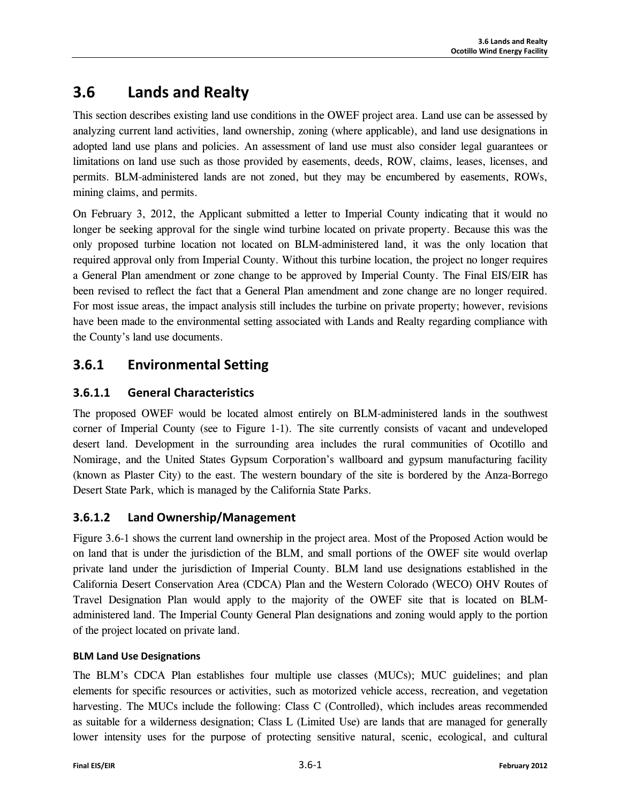# **3.6 Lands and Realty**

This section describes existing land use conditions in the OWEF project area. Land use can be assessed by analyzing current land activities, land ownership, zoning (where applicable), and land use designations in adopted land use plans and policies. An assessment of land use must also consider legal guarantees or limitations on land use such as those provided by easements, deeds, ROW, claims, leases, licenses, and permits. BLM-administered lands are not zoned, but they may be encumbered by easements, ROWs, mining claims, and permits.

On February 3, 2012, the Applicant submitted a letter to Imperial County indicating that it would no longer be seeking approval for the single wind turbine located on private property. Because this was the only proposed turbine location not located on BLM-administered land, it was the only location that required approval only from Imperial County. Without this turbine location, the project no longer requires a General Plan amendment or zone change to be approved by Imperial County. The Final EIS/EIR has been revised to reflect the fact that a General Plan amendment and zone change are no longer required. For most issue areas, the impact analysis still includes the turbine on private property; however, revisions have been made to the environmental setting associated with Lands and Realty regarding compliance with the County's land use documents.

# **3.6.1 Environmental Setting**

# **3.6.1.1 General Characteristics**

The proposed OWEF would be located almost entirely on BLM-administered lands in the southwest corner of Imperial County (see to Figure 1-1). The site currently consists of vacant and undeveloped desert land. Development in the surrounding area includes the rural communities of Ocotillo and Nomirage, and the United States Gypsum Corporation's wallboard and gypsum manufacturing facility (known as Plaster City) to the east. The western boundary of the site is bordered by the Anza-Borrego Desert State Park, which is managed by the California State Parks.

# **3.6.1.2 Land Ownership/Management**

Figure 3.6-1 shows the current land ownership in the project area. Most of the Proposed Action would be on land that is under the jurisdiction of the BLM, and small portions of the OWEF site would overlap private land under the jurisdiction of Imperial County. BLM land use designations established in the California Desert Conservation Area (CDCA) Plan and the Western Colorado (WECO) OHV Routes of Travel Designation Plan would apply to the majority of the OWEF site that is located on BLMadministered land. The Imperial County General Plan designations and zoning would apply to the portion of the project located on private land.

### **BLM Land Use Designations**

The BLM's CDCA Plan establishes four multiple use classes (MUCs); MUC guidelines; and plan elements for specific resources or activities, such as motorized vehicle access, recreation, and vegetation harvesting. The MUCs include the following: Class C (Controlled), which includes areas recommended as suitable for a wilderness designation; Class L (Limited Use) are lands that are managed for generally lower intensity uses for the purpose of protecting sensitive natural, scenic, ecological, and cultural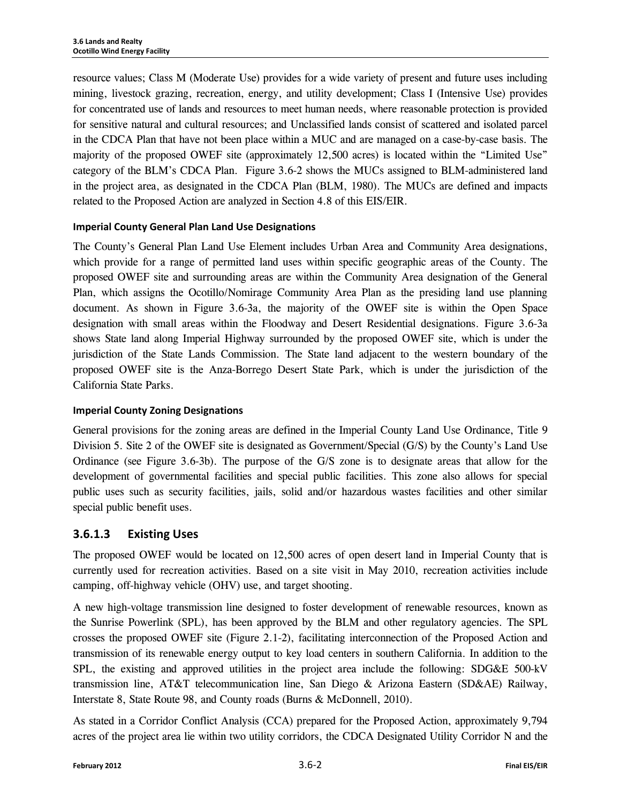resource values; Class M (Moderate Use) provides for a wide variety of present and future uses including mining, livestock grazing, recreation, energy, and utility development; Class I (Intensive Use) provides for concentrated use of lands and resources to meet human needs, where reasonable protection is provided for sensitive natural and cultural resources; and Unclassified lands consist of scattered and isolated parcel in the CDCA Plan that have not been place within a MUC and are managed on a case-by-case basis. The majority of the proposed OWEF site (approximately 12,500 acres) is located within the "Limited Use" category of the BLM's CDCA Plan. Figure 3.6-2 shows the MUCs assigned to BLM-administered land in the project area, as designated in the CDCA Plan (BLM, 1980). The MUCs are defined and impacts related to the Proposed Action are analyzed in Section 4.8 of this EIS/EIR.

#### **Imperial County General Plan Land Use Designations**

The County's General Plan Land Use Element includes Urban Area and Community Area designations, which provide for a range of permitted land uses within specific geographic areas of the County. The proposed OWEF site and surrounding areas are within the Community Area designation of the General Plan, which assigns the Ocotillo/Nomirage Community Area Plan as the presiding land use planning document. As shown in Figure 3.6-3a, the majority of the OWEF site is within the Open Space designation with small areas within the Floodway and Desert Residential designations. Figure 3.6-3a shows State land along Imperial Highway surrounded by the proposed OWEF site, which is under the jurisdiction of the State Lands Commission. The State land adjacent to the western boundary of the proposed OWEF site is the Anza-Borrego Desert State Park, which is under the jurisdiction of the California State Parks.

#### **Imperial County Zoning Designations**

General provisions for the zoning areas are defined in the Imperial County Land Use Ordinance, Title 9 Division 5. Site 2 of the OWEF site is designated as Government/Special (G/S) by the County's Land Use Ordinance (see Figure 3.6-3b). The purpose of the G/S zone is to designate areas that allow for the development of governmental facilities and special public facilities. This zone also allows for special public uses such as security facilities, jails, solid and/or hazardous wastes facilities and other similar special public benefit uses.

#### **3.6.1.3 Existing Uses**

The proposed OWEF would be located on 12,500 acres of open desert land in Imperial County that is currently used for recreation activities. Based on a site visit in May 2010, recreation activities include camping, off-highway vehicle (OHV) use, and target shooting.

A new high-voltage transmission line designed to foster development of renewable resources, known as the Sunrise Powerlink (SPL), has been approved by the BLM and other regulatory agencies. The SPL crosses the proposed OWEF site (Figure 2.1-2), facilitating interconnection of the Proposed Action and transmission of its renewable energy output to key load centers in southern California. In addition to the SPL, the existing and approved utilities in the project area include the following: SDG&E 500-kV transmission line, AT&T telecommunication line, San Diego & Arizona Eastern (SD&AE) Railway, Interstate 8, State Route 98, and County roads (Burns & McDonnell, 2010).

As stated in a Corridor Conflict Analysis (CCA) prepared for the Proposed Action, approximately 9,794 acres of the project area lie within two utility corridors, the CDCA Designated Utility Corridor N and the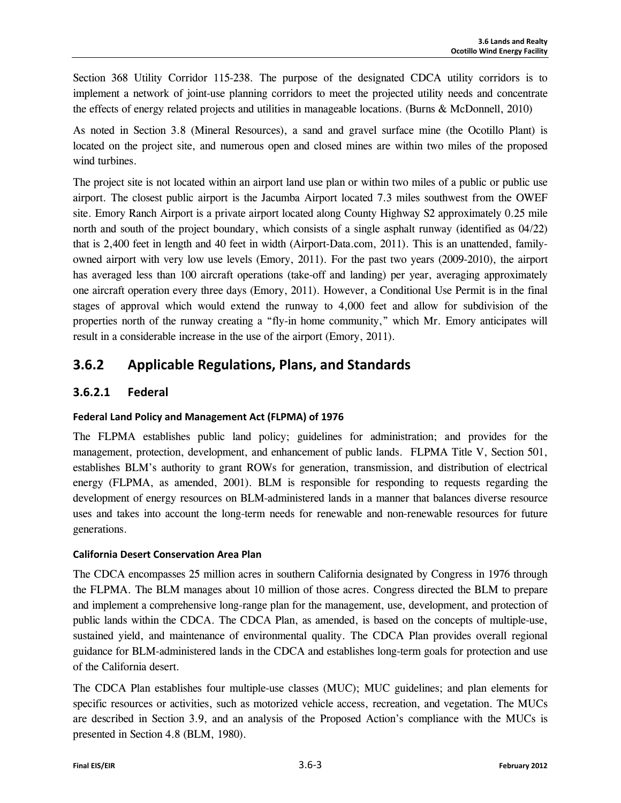Section 368 Utility Corridor 115-238. The purpose of the designated CDCA utility corridors is to implement a network of joint-use planning corridors to meet the projected utility needs and concentrate the effects of energy related projects and utilities in manageable locations. (Burns & McDonnell, 2010)

As noted in Section 3.8 (Mineral Resources), a sand and gravel surface mine (the Ocotillo Plant) is located on the project site, and numerous open and closed mines are within two miles of the proposed wind turbines.

The project site is not located within an airport land use plan or within two miles of a public or public use airport. The closest public airport is the Jacumba Airport located 7.3 miles southwest from the OWEF site. Emory Ranch Airport is a private airport located along County Highway S2 approximately 0.25 mile north and south of the project boundary, which consists of a single asphalt runway (identified as 04/22) that is 2,400 feet in length and 40 feet in width (Airport-Data.com, 2011). This is an unattended, familyowned airport with very low use levels (Emory, 2011). For the past two years (2009-2010), the airport has averaged less than 100 aircraft operations (take-off and landing) per year, averaging approximately one aircraft operation every three days (Emory, 2011). However, a Conditional Use Permit is in the final stages of approval which would extend the runway to 4,000 feet and allow for subdivision of the properties north of the runway creating a "fly-in home community," which Mr. Emory anticipates will result in a considerable increase in the use of the airport (Emory, 2011).

# **3.6.2 Applicable Regulations, Plans, and Standards**

# **3.6.2.1 Federal**

### **Federal Land Policy and Management Act (FLPMA) of 1976**

The FLPMA establishes public land policy; guidelines for administration; and provides for the management, protection, development, and enhancement of public lands. FLPMA Title V, Section 501, establishes BLM's authority to grant ROWs for generation, transmission, and distribution of electrical energy (FLPMA, as amended, 2001). BLM is responsible for responding to requests regarding the development of energy resources on BLM-administered lands in a manner that balances diverse resource uses and takes into account the long-term needs for renewable and non-renewable resources for future generations.

### **California Desert Conservation Area Plan**

The CDCA encompasses 25 million acres in southern California designated by Congress in 1976 through the FLPMA. The BLM manages about 10 million of those acres. Congress directed the BLM to prepare and implement a comprehensive long-range plan for the management, use, development, and protection of public lands within the CDCA. The CDCA Plan, as amended, is based on the concepts of multiple-use, sustained yield, and maintenance of environmental quality. The CDCA Plan provides overall regional guidance for BLM-administered lands in the CDCA and establishes long-term goals for protection and use of the California desert.

The CDCA Plan establishes four multiple-use classes (MUC); MUC guidelines; and plan elements for specific resources or activities, such as motorized vehicle access, recreation, and vegetation. The MUCs are described in Section 3.9, and an analysis of the Proposed Action's compliance with the MUCs is presented in Section 4.8 (BLM, 1980).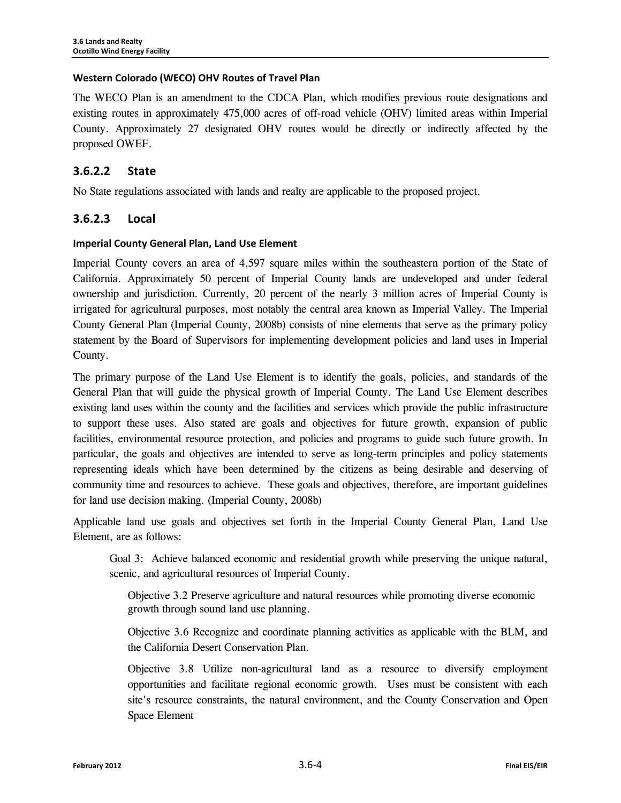#### **Western Colorado (WECO) OHV Routes of Travel Plan**

The WECO Plan is an amendment to the CDCA Plan, which modifies previous route designations and existing routes in approximately 475,000 acres of off-road vehicle (OHV) limited areas within Imperial County. Approximately 27 designated OHV routes would be directly or indirectly affected by the proposed OWEF.

### **3.6.2.2 State**

No State regulations associated with lands and realty are applicable to the proposed project.

### **3.6.2.3 Local**

#### **Imperial County General Plan, Land Use Element**

Imperial County covers an area of 4,597 square miles within the southeastern portion of the State of California. Approximately 50 percent of Imperial County lands are undeveloped and under federal ownership and jurisdiction. Currently, 20 percent of the nearly 3 million acres of Imperial County is irrigated for agricultural purposes, most notably the central area known as Imperial Valley. The Imperial County General Plan (Imperial County, 2008b) consists of nine elements that serve as the primary policy statement by the Board of Supervisors for implementing development policies and land uses in Imperial County.

The primary purpose of the Land Use Element is to identify the goals, policies, and standards of the General Plan that will guide the physical growth of Imperial County. The Land Use Element describes existing land uses within the county and the facilities and services which provide the public infrastructure to support these uses. Also stated are goals and objectives for future growth, expansion of public facilities, environmental resource protection, and policies and programs to guide such future growth. In particular, the goals and objectives are intended to serve as long-term principles and policy statements representing ideals which have been determined by the citizens as being desirable and deserving of community time and resources to achieve. These goals and objectives, therefore, are important guidelines for land use decision making. (Imperial County, 2008b)

Applicable land use goals and objectives set forth in the Imperial County General Plan, Land Use Element, are as follows:

Goal 3: Achieve balanced economic and residential growth while preserving the unique natural, scenic, and agricultural resources of Imperial County.

Objective 3.2 Preserve agriculture and natural resources while promoting diverse economic growth through sound land use planning.

Objective 3.6 Recognize and coordinate planning activities as applicable with the BLM, and the California Desert Conservation Plan.

Objective 3.8 Utilize non-agricultural land as a resource to diversify employment opportunities and facilitate regional economic growth. Uses must be consistent with each site's resource constraints, the natural environment, and the County Conservation and Open Space Element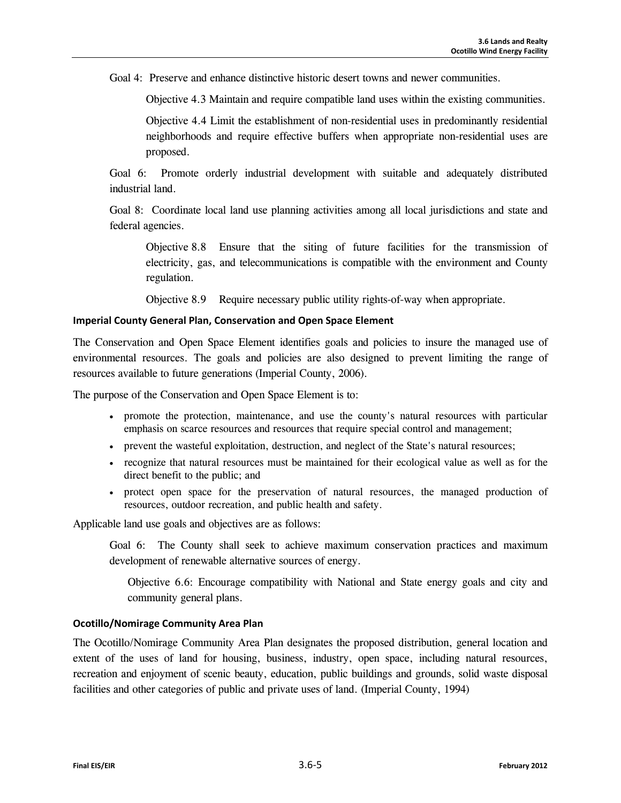Goal 4: Preserve and enhance distinctive historic desert towns and newer communities.

Objective 4.3 Maintain and require compatible land uses within the existing communities.

Objective 4.4 Limit the establishment of non-residential uses in predominantly residential neighborhoods and require effective buffers when appropriate non-residential uses are proposed.

Goal 6: Promote orderly industrial development with suitable and adequately distributed industrial land.

Goal 8: Coordinate local land use planning activities among all local jurisdictions and state and federal agencies.

Objective 8.8 Ensure that the siting of future facilities for the transmission of electricity, gas, and telecommunications is compatible with the environment and County regulation.

Objective 8.9 Require necessary public utility rights-of-way when appropriate.

#### **Imperial County General Plan, Conservation and Open Space Element**

The Conservation and Open Space Element identifies goals and policies to insure the managed use of environmental resources. The goals and policies are also designed to prevent limiting the range of resources available to future generations (Imperial County, 2006).

The purpose of the Conservation and Open Space Element is to:

- promote the protection, maintenance, and use the county's natural resources with particular emphasis on scarce resources and resources that require special control and management;
- prevent the wasteful exploitation, destruction, and neglect of the State's natural resources;
- recognize that natural resources must be maintained for their ecological value as well as for the direct benefit to the public; and
- protect open space for the preservation of natural resources, the managed production of resources, outdoor recreation, and public health and safety.

Applicable land use goals and objectives are as follows:

Goal 6: The County shall seek to achieve maximum conservation practices and maximum development of renewable alternative sources of energy.

Objective 6.6: Encourage compatibility with National and State energy goals and city and community general plans.

#### **Ocotillo/Nomirage Community Area Plan**

The Ocotillo/Nomirage Community Area Plan designates the proposed distribution, general location and extent of the uses of land for housing, business, industry, open space, including natural resources, recreation and enjoyment of scenic beauty, education, public buildings and grounds, solid waste disposal facilities and other categories of public and private uses of land. (Imperial County, 1994)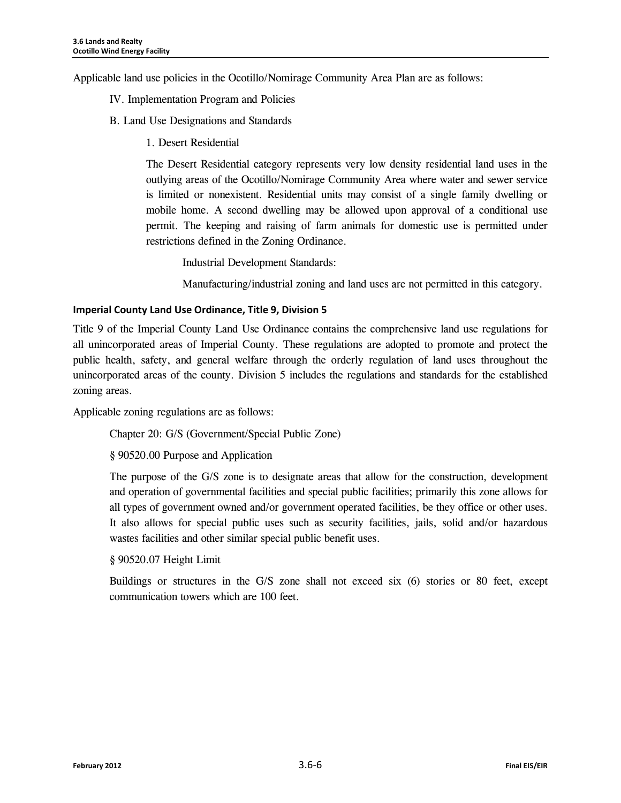Applicable land use policies in the Ocotillo/Nomirage Community Area Plan are as follows:

#### IV. Implementation Program and Policies

- B. Land Use Designations and Standards
	- 1. Desert Residential

The Desert Residential category represents very low density residential land uses in the outlying areas of the Ocotillo/Nomirage Community Area where water and sewer service is limited or nonexistent. Residential units may consist of a single family dwelling or mobile home. A second dwelling may be allowed upon approval of a conditional use permit. The keeping and raising of farm animals for domestic use is permitted under restrictions defined in the Zoning Ordinance.

Industrial Development Standards:

Manufacturing/industrial zoning and land uses are not permitted in this category.

#### **Imperial County Land Use Ordinance, Title 9, Division 5**

Title 9 of the Imperial County Land Use Ordinance contains the comprehensive land use regulations for all unincorporated areas of Imperial County. These regulations are adopted to promote and protect the public health, safety, and general welfare through the orderly regulation of land uses throughout the unincorporated areas of the county. Division 5 includes the regulations and standards for the established zoning areas.

Applicable zoning regulations are as follows:

Chapter 20: G/S (Government/Special Public Zone)

§ 90520.00 Purpose and Application

The purpose of the G/S zone is to designate areas that allow for the construction, development and operation of governmental facilities and special public facilities; primarily this zone allows for all types of government owned and/or government operated facilities, be they office or other uses. It also allows for special public uses such as security facilities, jails, solid and/or hazardous wastes facilities and other similar special public benefit uses.

§ 90520.07 Height Limit

Buildings or structures in the G/S zone shall not exceed six (6) stories or 80 feet, except communication towers which are 100 feet.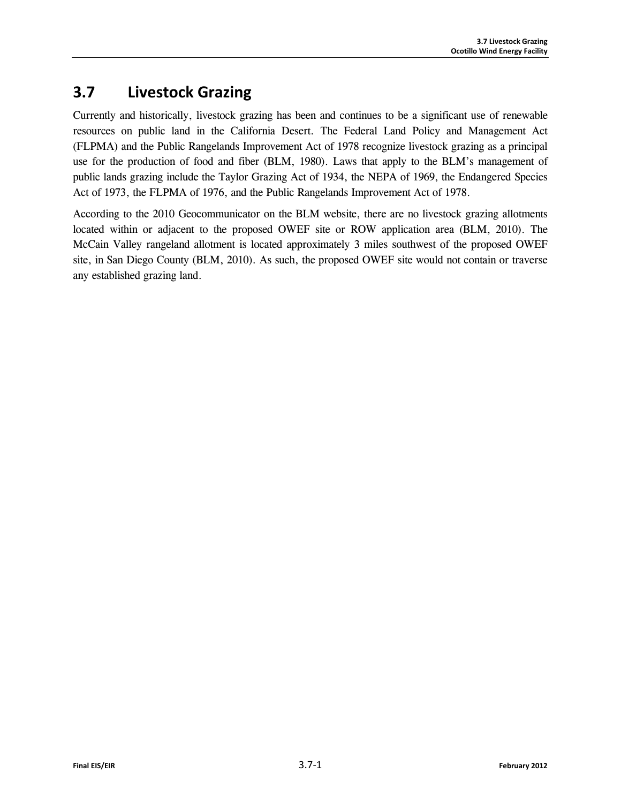# **3.7 Livestock Grazing**

Currently and historically, livestock grazing has been and continues to be a significant use of renewable resources on public land in the California Desert. The Federal Land Policy and Management Act (FLPMA) and the Public Rangelands Improvement Act of 1978 recognize livestock grazing as a principal use for the production of food and fiber (BLM, 1980). Laws that apply to the BLM's management of public lands grazing include the Taylor Grazing Act of 1934, the NEPA of 1969, the Endangered Species Act of 1973, the FLPMA of 1976, and the Public Rangelands Improvement Act of 1978.

According to the 2010 Geocommunicator on the BLM website, there are no livestock grazing allotments located within or adjacent to the proposed OWEF site or ROW application area (BLM, 2010). The McCain Valley rangeland allotment is located approximately 3 miles southwest of the proposed OWEF site, in San Diego County (BLM, 2010). As such, the proposed OWEF site would not contain or traverse any established grazing land.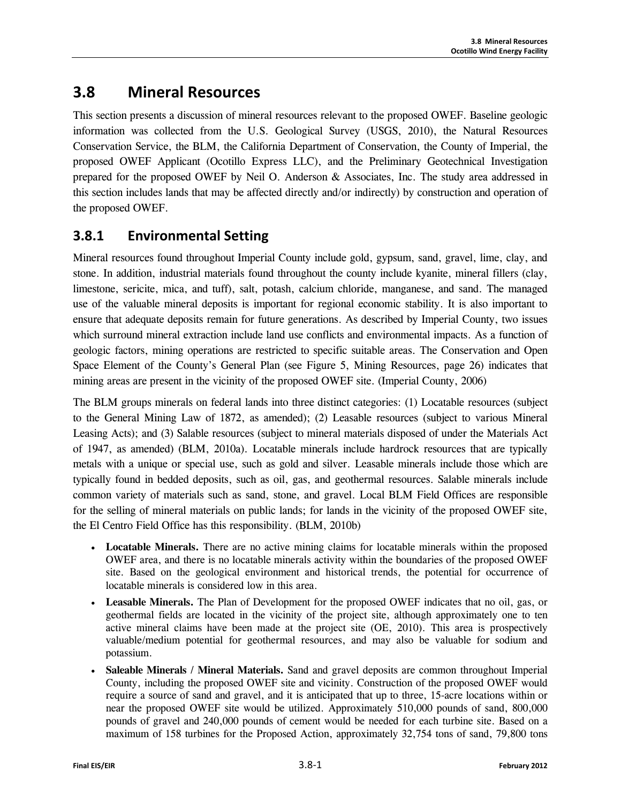# **3.8 Mineral Resources**

This section presents a discussion of mineral resources relevant to the proposed OWEF. Baseline geologic information was collected from the U.S. Geological Survey (USGS, 2010), the Natural Resources Conservation Service, the BLM, the California Department of Conservation, the County of Imperial, the proposed OWEF Applicant (Ocotillo Express LLC), and the Preliminary Geotechnical Investigation prepared for the proposed OWEF by Neil O. Anderson & Associates, Inc. The study area addressed in this section includes lands that may be affected directly and/or indirectly) by construction and operation of the proposed OWEF.

# **3.8.1 Environmental Setting**

Mineral resources found throughout Imperial County include gold, gypsum, sand, gravel, lime, clay, and stone. In addition, industrial materials found throughout the county include kyanite, mineral fillers (clay, limestone, sericite, mica, and tuff), salt, potash, calcium chloride, manganese, and sand. The managed use of the valuable mineral deposits is important for regional economic stability. It is also important to ensure that adequate deposits remain for future generations. As described by Imperial County, two issues which surround mineral extraction include land use conflicts and environmental impacts. As a function of geologic factors, mining operations are restricted to specific suitable areas. The Conservation and Open Space Element of the County's General Plan (see Figure 5, Mining Resources, page 26) indicates that mining areas are present in the vicinity of the proposed OWEF site. (Imperial County, 2006)

The BLM groups minerals on federal lands into three distinct categories: (1) Locatable resources (subject to the General Mining Law of 1872, as amended); (2) Leasable resources (subject to various Mineral Leasing Acts); and (3) Salable resources (subject to mineral materials disposed of under the Materials Act of 1947, as amended) (BLM, 2010a). Locatable minerals include hardrock resources that are typically metals with a unique or special use, such as gold and silver. Leasable minerals include those which are typically found in bedded deposits, such as oil, gas, and geothermal resources. Salable minerals include common variety of materials such as sand, stone, and gravel. Local BLM Field Offices are responsible for the selling of mineral materials on public lands; for lands in the vicinity of the proposed OWEF site, the El Centro Field Office has this responsibility. (BLM, 2010b)

- **Locatable Minerals.** There are no active mining claims for locatable minerals within the proposed OWEF area, and there is no locatable minerals activity within the boundaries of the proposed OWEF site. Based on the geological environment and historical trends, the potential for occurrence of locatable minerals is considered low in this area.
- **Leasable Minerals.** The Plan of Development for the proposed OWEF indicates that no oil, gas, or geothermal fields are located in the vicinity of the project site, although approximately one to ten active mineral claims have been made at the project site (OE, 2010). This area is prospectively valuable/medium potential for geothermal resources, and may also be valuable for sodium and potassium.
- **Saleable Minerals / Mineral Materials.** Sand and gravel deposits are common throughout Imperial County, including the proposed OWEF site and vicinity. Construction of the proposed OWEF would require a source of sand and gravel, and it is anticipated that up to three, 15-acre locations within or near the proposed OWEF site would be utilized. Approximately 510,000 pounds of sand, 800,000 pounds of gravel and 240,000 pounds of cement would be needed for each turbine site. Based on a maximum of 158 turbines for the Proposed Action, approximately 32,754 tons of sand, 79,800 tons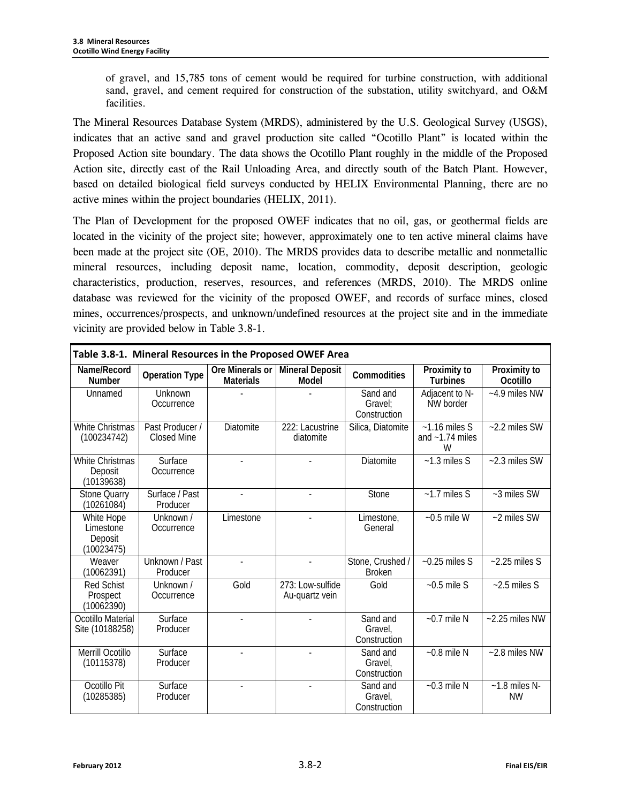of gravel, and 15,785 tons of cement would be required for turbine construction, with additional sand, gravel, and cement required for construction of the substation, utility switchyard, and O&M facilities.

The Mineral Resources Database System (MRDS), administered by the U.S. Geological Survey (USGS), indicates that an active sand and gravel production site called "Ocotillo Plant" is located within the Proposed Action site boundary. The data shows the Ocotillo Plant roughly in the middle of the Proposed Action site, directly east of the Rail Unloading Area, and directly south of the Batch Plant. However, based on detailed biological field surveys conducted by HELIX Environmental Planning, there are no active mines within the project boundaries (HELIX, 2011).

The Plan of Development for the proposed OWEF indicates that no oil, gas, or geothermal fields are located in the vicinity of the project site; however, approximately one to ten active mineral claims have been made at the project site (OE, 2010). The MRDS provides data to describe metallic and nonmetallic mineral resources, including deposit name, location, commodity, deposit description, geologic characteristics, production, reserves, resources, and references (MRDS, 2010). The MRDS online database was reviewed for the vicinity of the proposed OWEF, and records of surface mines, closed mines, occurrences/prospects, and unknown/undefined resources at the project site and in the immediate vicinity are provided below in Table 3.8-1.

| Table 3.8-1. Mineral Resources in the Proposed OWEF Area |                                       |                                     |                                    |                                     |                                           |                                 |  |
|----------------------------------------------------------|---------------------------------------|-------------------------------------|------------------------------------|-------------------------------------|-------------------------------------------|---------------------------------|--|
| Name/Record<br><b>Number</b>                             | <b>Operation Type</b>                 | Ore Minerals or<br><b>Materials</b> | <b>Mineral Deposit</b><br>Model    | Commodities                         | Proximity to<br><b>Turbines</b>           | Proximity to<br><b>Ocotillo</b> |  |
| Unnamed                                                  | Unknown<br>Occurrence                 |                                     |                                    | Sand and<br>Gravel:<br>Construction | Adjacent to N-<br>NW border               | $-4.9$ miles NW                 |  |
| <b>White Christmas</b><br>(100234742)                    | Past Producer /<br><b>Closed Mine</b> | <b>Diatomite</b>                    | 222: Lacustrine<br>diatomite       | Silica, Diatomite                   | $~1.16$ miles S<br>and $~1.74$ miles<br>W | $-2.2$ miles SW                 |  |
| <b>White Christmas</b><br>Deposit<br>(10139638)          | Surface<br>Occurrence                 | $\overline{a}$                      |                                    | Diatomite                           | $-1.3$ miles S                            | $-2.3$ miles SW                 |  |
| <b>Stone Quarry</b><br>(10261084)                        | Surface / Past<br>Producer            | $\blacksquare$                      | $\overline{\phantom{a}}$           | Stone                               | $-1.7$ miles S                            | ~3 miles SW                     |  |
| White Hope<br>Limestone<br>Deposit<br>(10023475)         | Unknown /<br>Occurrence               | Limestone                           | $\overline{a}$                     | Limestone,<br>General               | $-0.5$ mile W                             | ~2 miles SW                     |  |
| Weaver<br>(10062391)                                     | Unknown / Past<br>Producer            |                                     | $\overline{a}$                     | Stone, Crushed /<br><b>Broken</b>   | $-0.25$ miles S                           | $-2.25$ miles S                 |  |
| <b>Red Schist</b><br>Prospect<br>(10062390)              | Unknown /<br>Occurrence               | Gold                                | 273: Low-sulfide<br>Au-quartz vein | Gold                                | $-0.5$ mile S                             | $-2.5$ miles S                  |  |
| Ocotillo Material<br>Site (10188258)                     | Surface<br>Producer                   |                                     |                                    | Sand and<br>Gravel,<br>Construction | $-0.7$ mile N                             | $-2.25$ miles NW                |  |
| Merrill Ocotillo<br>(10115378)                           | Surface<br>Producer                   | $\overline{\phantom{a}}$            | $\overline{\phantom{a}}$           | Sand and<br>Gravel.<br>Construction | $-0.8$ mile N                             | $-2.8$ miles NW                 |  |
| Ocotillo Pit<br>(10285385)                               | Surface<br>Producer                   | $\blacksquare$                      | $\overline{\phantom{a}}$           | Sand and<br>Gravel,<br>Construction | $-0.3$ mile N                             | $~1.8$ miles N-<br><b>NW</b>    |  |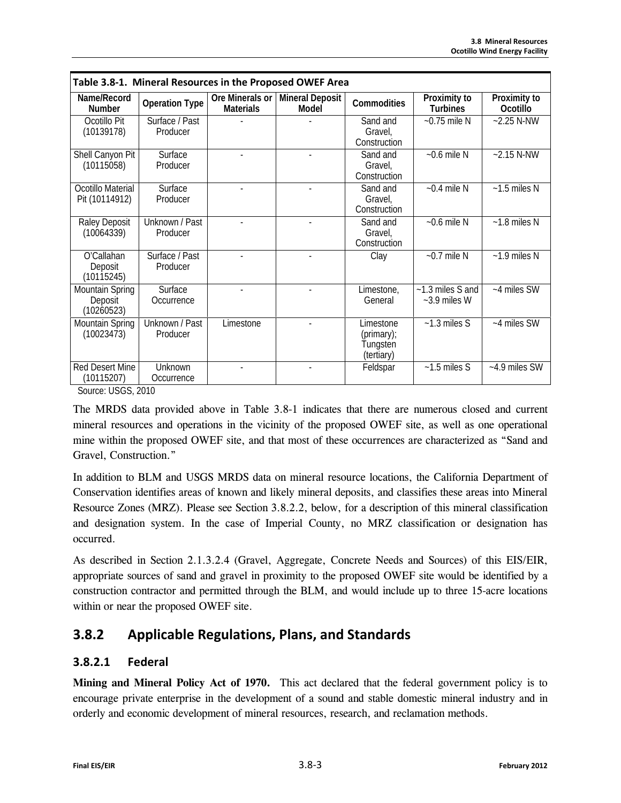| Table 3.8-1. Mineral Resources in the Proposed OWEF Area |                            |                                     |                                 |                                                   |                                    |                          |  |
|----------------------------------------------------------|----------------------------|-------------------------------------|---------------------------------|---------------------------------------------------|------------------------------------|--------------------------|--|
| Name/Record<br><b>Number</b>                             | <b>Operation Type</b>      | Ore Minerals or<br><b>Materials</b> | <b>Mineral Deposit</b><br>Model | Commodities                                       | Proximity to<br>Turbines           | Proximity to<br>Ocotillo |  |
| Ocotillo Pit<br>(10139178)                               | Surface / Past<br>Producer |                                     |                                 | Sand and<br>Gravel,<br>Construction               | $~0.75$ mile N                     | $-2.25$ N-NW             |  |
| Shell Canyon Pit<br>(10115058)                           | Surface<br>Producer        |                                     |                                 | Sand and<br>Gravel.<br>Construction               | $~5$ -0.6 mile N                   | $-2.15 N-NW$             |  |
| Ocotillo Material<br>Pit (10114912)                      | Surface<br>Producer        |                                     |                                 | Sand and<br>Gravel.<br>Construction               | $~0.4$ mile N                      | $~1.5$ miles N           |  |
| Raley Deposit<br>(10064339)                              | Unknown / Past<br>Producer |                                     |                                 | Sand and<br>Gravel,<br>Construction               | $~0.6$ mile N                      | $~1.8$ miles N           |  |
| O'Callahan<br>Deposit<br>(10115245)                      | Surface / Past<br>Producer |                                     |                                 | Clay                                              | $~0.7$ mile N                      | $-1.9$ miles N           |  |
| Mountain Spring<br>Deposit<br>(10260523)                 | Surface<br>Occurrence      |                                     |                                 | Limestone,<br>General                             | ~1.3 miles S and<br>$~5.9$ miles W | ~4 miles SW              |  |
| Mountain Spring<br>(10023473)                            | Unknown / Past<br>Producer | Limestone                           |                                 | Limestone<br>(primary);<br>Tungsten<br>(tertiary) | $~1.3$ miles S                     | ~4 miles SW              |  |
| Red Desert Mine<br>(10115207)                            | Unknown<br>Occurrence      |                                     |                                 | Feldspar                                          | $~1.5$ miles S                     | $~1.9$ miles SW          |  |

Source: USGS, 2010

The MRDS data provided above in Table 3.8-1 indicates that there are numerous closed and current mineral resources and operations in the vicinity of the proposed OWEF site, as well as one operational mine within the proposed OWEF site, and that most of these occurrences are characterized as "Sand and Gravel, Construction."

In addition to BLM and USGS MRDS data on mineral resource locations, the California Department of Conservation identifies areas of known and likely mineral deposits, and classifies these areas into Mineral Resource Zones (MRZ). Please see Section 3.8.2.2, below, for a description of this mineral classification and designation system. In the case of Imperial County, no MRZ classification or designation has occurred.

As described in Section 2.1.3.2.4 (Gravel, Aggregate, Concrete Needs and Sources) of this EIS/EIR, appropriate sources of sand and gravel in proximity to the proposed OWEF site would be identified by a construction contractor and permitted through the BLM, and would include up to three 15-acre locations within or near the proposed OWEF site.

# **3.8.2 Applicable Regulations, Plans, and Standards**

### **3.8.2.1 Federal**

**Mining and Mineral Policy Act of 1970.** This act declared that the federal government policy is to encourage private enterprise in the development of a sound and stable domestic mineral industry and in orderly and economic development of mineral resources, research, and reclamation methods.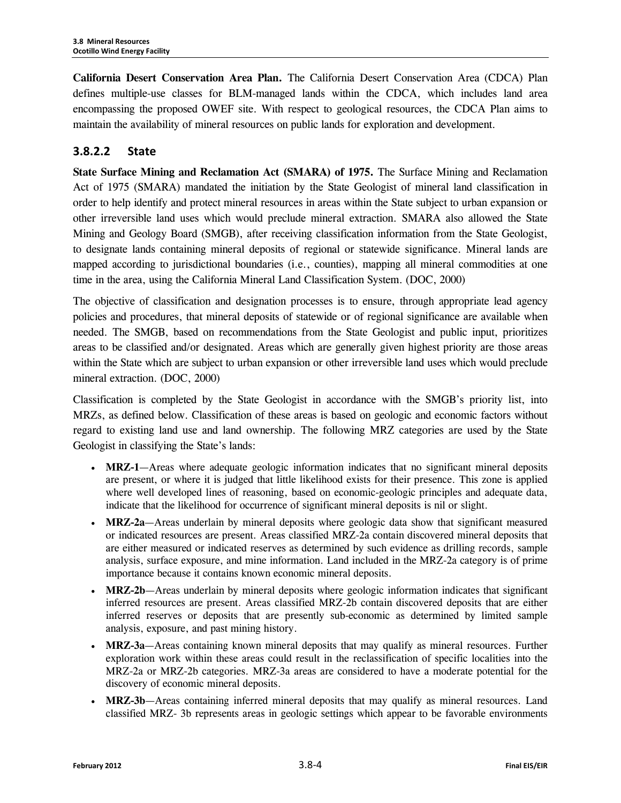**California Desert Conservation Area Plan.** The California Desert Conservation Area (CDCA) Plan defines multiple-use classes for BLM-managed lands within the CDCA, which includes land area encompassing the proposed OWEF site. With respect to geological resources, the CDCA Plan aims to maintain the availability of mineral resources on public lands for exploration and development.

## **3.8.2.2 State**

**State Surface Mining and Reclamation Act (SMARA) of 1975.** The Surface Mining and Reclamation Act of 1975 (SMARA) mandated the initiation by the State Geologist of mineral land classification in order to help identify and protect mineral resources in areas within the State subject to urban expansion or other irreversible land uses which would preclude mineral extraction. SMARA also allowed the State Mining and Geology Board (SMGB), after receiving classification information from the State Geologist, to designate lands containing mineral deposits of regional or statewide significance. Mineral lands are mapped according to jurisdictional boundaries (i.e., counties), mapping all mineral commodities at one time in the area, using the California Mineral Land Classification System. (DOC, 2000)

The objective of classification and designation processes is to ensure, through appropriate lead agency policies and procedures, that mineral deposits of statewide or of regional significance are available when needed. The SMGB, based on recommendations from the State Geologist and public input, prioritizes areas to be classified and/or designated. Areas which are generally given highest priority are those areas within the State which are subject to urban expansion or other irreversible land uses which would preclude mineral extraction. (DOC, 2000)

Classification is completed by the State Geologist in accordance with the SMGB's priority list, into MRZs, as defined below. Classification of these areas is based on geologic and economic factors without regard to existing land use and land ownership. The following MRZ categories are used by the State Geologist in classifying the State's lands:

- **MRZ-1**—Areas where adequate geologic information indicates that no significant mineral deposits are present, or where it is judged that little likelihood exists for their presence. This zone is applied where well developed lines of reasoning, based on economic-geologic principles and adequate data, indicate that the likelihood for occurrence of significant mineral deposits is nil or slight.
- **MRZ-2a**—Areas underlain by mineral deposits where geologic data show that significant measured or indicated resources are present. Areas classified MRZ-2a contain discovered mineral deposits that are either measured or indicated reserves as determined by such evidence as drilling records, sample analysis, surface exposure, and mine information. Land included in the MRZ-2a category is of prime importance because it contains known economic mineral deposits.
- **MRZ-2b**—Areas underlain by mineral deposits where geologic information indicates that significant inferred resources are present. Areas classified MRZ-2b contain discovered deposits that are either inferred reserves or deposits that are presently sub-economic as determined by limited sample analysis, exposure, and past mining history.
- **MRZ-3a**—Areas containing known mineral deposits that may qualify as mineral resources. Further exploration work within these areas could result in the reclassification of specific localities into the MRZ-2a or MRZ-2b categories. MRZ-3a areas are considered to have a moderate potential for the discovery of economic mineral deposits.
- **MRZ-3b**—Areas containing inferred mineral deposits that may qualify as mineral resources. Land classified MRZ- 3b represents areas in geologic settings which appear to be favorable environments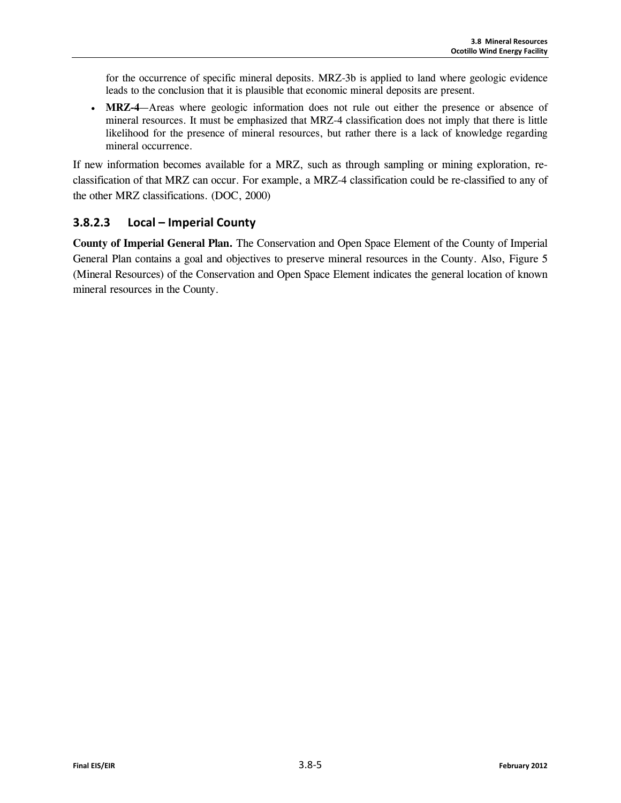for the occurrence of specific mineral deposits. MRZ-3b is applied to land where geologic evidence leads to the conclusion that it is plausible that economic mineral deposits are present.

• **MRZ-4**—Areas where geologic information does not rule out either the presence or absence of mineral resources. It must be emphasized that MRZ-4 classification does not imply that there is little likelihood for the presence of mineral resources, but rather there is a lack of knowledge regarding mineral occurrence.

If new information becomes available for a MRZ, such as through sampling or mining exploration, reclassification of that MRZ can occur. For example, a MRZ-4 classification could be re-classified to any of the other MRZ classifications. (DOC, 2000)

## **3.8.2.3 Local – Imperial County**

**County of Imperial General Plan.** The Conservation and Open Space Element of the County of Imperial General Plan contains a goal and objectives to preserve mineral resources in the County. Also, Figure 5 (Mineral Resources) of the Conservation and Open Space Element indicates the general location of known mineral resources in the County.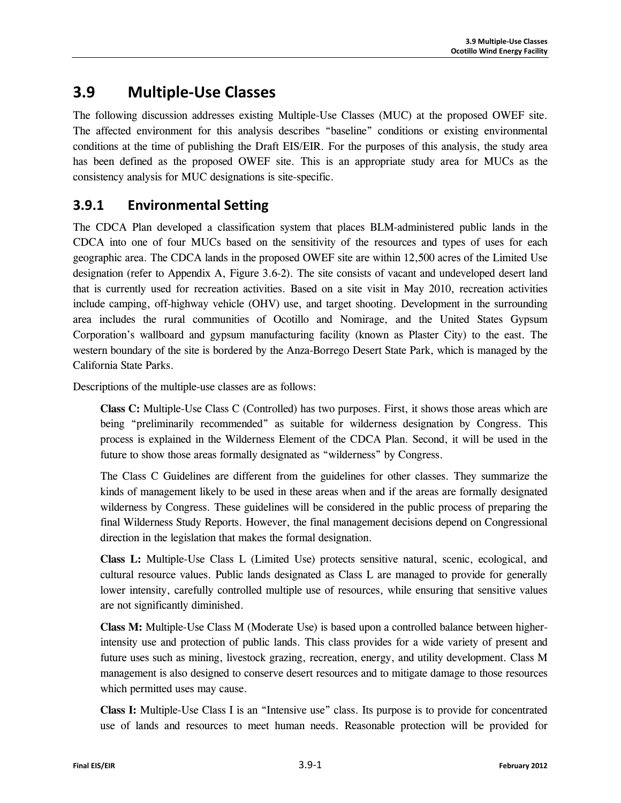# **3.9 Multiple-Use Classes**

The following discussion addresses existing Multiple-Use Classes (MUC) at the proposed OWEF site. The affected environment for this analysis describes "baseline" conditions or existing environmental conditions at the time of publishing the Draft EIS/EIR. For the purposes of this analysis, the study area has been defined as the proposed OWEF site. This is an appropriate study area for MUCs as the consistency analysis for MUC designations is site-specific.

# **3.9.1 Environmental Setting**

The CDCA Plan developed a classification system that places BLM-administered public lands in the CDCA into one of four MUCs based on the sensitivity of the resources and types of uses for each geographic area. The CDCA lands in the proposed OWEF site are within 12,500 acres of the Limited Use designation (refer to Appendix A, Figure 3.6-2). The site consists of vacant and undeveloped desert land that is currently used for recreation activities. Based on a site visit in May 2010, recreation activities include camping, off-highway vehicle (OHV) use, and target shooting. Development in the surrounding area includes the rural communities of Ocotillo and Nomirage, and the United States Gypsum Corporation's wallboard and gypsum manufacturing facility (known as Plaster City) to the east. The western boundary of the site is bordered by the Anza-Borrego Desert State Park, which is managed by the California State Parks.

Descriptions of the multiple-use classes are as follows:

**Class C:** Multiple-Use Class C (Controlled) has two purposes. First, it shows those areas which are being "preliminarily recommended" as suitable for wilderness designation by Congress. This process is explained in the Wilderness Element of the CDCA Plan. Second, it will be used in the future to show those areas formally designated as "wilderness" by Congress.

The Class C Guidelines are different from the guidelines for other classes. They summarize the kinds of management likely to be used in these areas when and if the areas are formally designated wilderness by Congress. These guidelines will be considered in the public process of preparing the final Wilderness Study Reports. However, the final management decisions depend on Congressional direction in the legislation that makes the formal designation.

**Class L:** Multiple-Use Class L (Limited Use) protects sensitive natural, scenic, ecological, and cultural resource values. Public lands designated as Class L are managed to provide for generally lower intensity, carefully controlled multiple use of resources, while ensuring that sensitive values are not significantly diminished.

**Class M:** Multiple-Use Class M (Moderate Use) is based upon a controlled balance between higherintensity use and protection of public lands. This class provides for a wide variety of present and future uses such as mining, livestock grazing, recreation, energy, and utility development. Class M management is also designed to conserve desert resources and to mitigate damage to those resources which permitted uses may cause.

**Class I:** Multiple-Use Class I is an "Intensive use" class. Its purpose is to provide for concentrated use of lands and resources to meet human needs. Reasonable protection will be provided for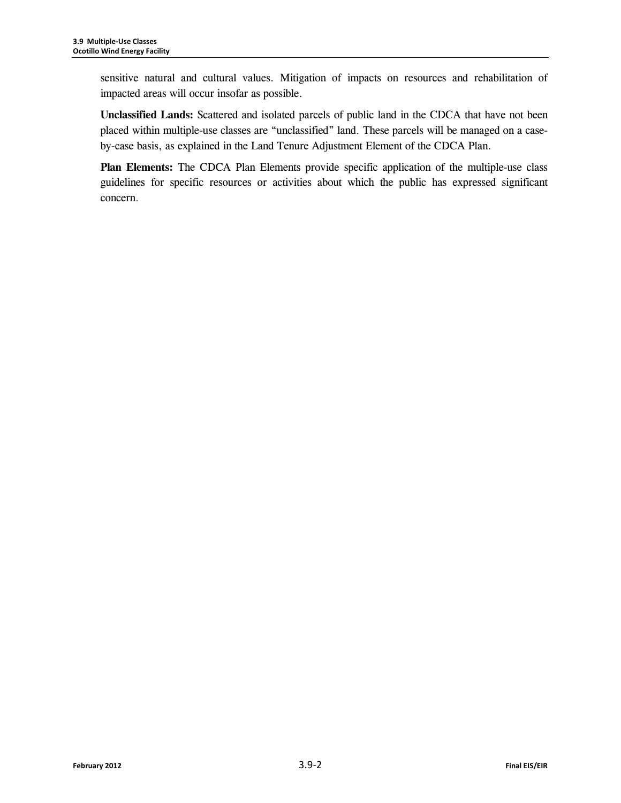sensitive natural and cultural values. Mitigation of impacts on resources and rehabilitation of impacted areas will occur insofar as possible.

**Unclassified Lands:** Scattered and isolated parcels of public land in the CDCA that have not been placed within multiple-use classes are "unclassified" land. These parcels will be managed on a caseby-case basis, as explained in the Land Tenure Adjustment Element of the CDCA Plan.

**Plan Elements:** The CDCA Plan Elements provide specific application of the multiple-use class guidelines for specific resources or activities about which the public has expressed significant concern.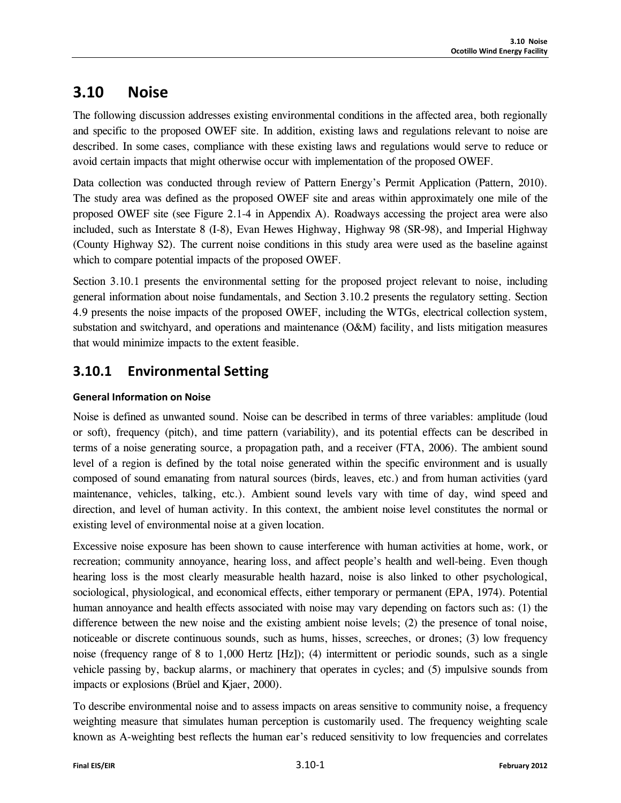# **3.10 Noise**

The following discussion addresses existing environmental conditions in the affected area, both regionally and specific to the proposed OWEF site. In addition, existing laws and regulations relevant to noise are described. In some cases, compliance with these existing laws and regulations would serve to reduce or avoid certain impacts that might otherwise occur with implementation of the proposed OWEF.

Data collection was conducted through review of Pattern Energy's Permit Application (Pattern, 2010). The study area was defined as the proposed OWEF site and areas within approximately one mile of the proposed OWEF site (see Figure 2.1-4 in Appendix A). Roadways accessing the project area were also included, such as Interstate 8 (I-8), Evan Hewes Highway, Highway 98 (SR-98), and Imperial Highway (County Highway S2). The current noise conditions in this study area were used as the baseline against which to compare potential impacts of the proposed OWEF.

Section 3.10.1 presents the environmental setting for the proposed project relevant to noise, including general information about noise fundamentals, and Section 3.10.2 presents the regulatory setting. Section 4.9 presents the noise impacts of the proposed OWEF, including the WTGs, electrical collection system, substation and switchyard, and operations and maintenance (O&M) facility, and lists mitigation measures that would minimize impacts to the extent feasible.

# **3.10.1 Environmental Setting**

#### **General Information on Noise**

Noise is defined as unwanted sound. Noise can be described in terms of three variables: amplitude (loud or soft), frequency (pitch), and time pattern (variability), and its potential effects can be described in terms of a noise generating source, a propagation path, and a receiver (FTA, 2006). The ambient sound level of a region is defined by the total noise generated within the specific environment and is usually composed of sound emanating from natural sources (birds, leaves, etc.) and from human activities (yard maintenance, vehicles, talking, etc.). Ambient sound levels vary with time of day, wind speed and direction, and level of human activity. In this context, the ambient noise level constitutes the normal or existing level of environmental noise at a given location.

Excessive noise exposure has been shown to cause interference with human activities at home, work, or recreation; community annoyance, hearing loss, and affect people's health and well-being. Even though hearing loss is the most clearly measurable health hazard, noise is also linked to other psychological, sociological, physiological, and economical effects, either temporary or permanent (EPA, 1974). Potential human annoyance and health effects associated with noise may vary depending on factors such as: (1) the difference between the new noise and the existing ambient noise levels; (2) the presence of tonal noise, noticeable or discrete continuous sounds, such as hums, hisses, screeches, or drones; (3) low frequency noise (frequency range of 8 to 1,000 Hertz [Hz]); (4) intermittent or periodic sounds, such as a single vehicle passing by, backup alarms, or machinery that operates in cycles; and (5) impulsive sounds from impacts or explosions (Brüel and Kjaer, 2000).

To describe environmental noise and to assess impacts on areas sensitive to community noise, a frequency weighting measure that simulates human perception is customarily used. The frequency weighting scale known as A-weighting best reflects the human ear's reduced sensitivity to low frequencies and correlates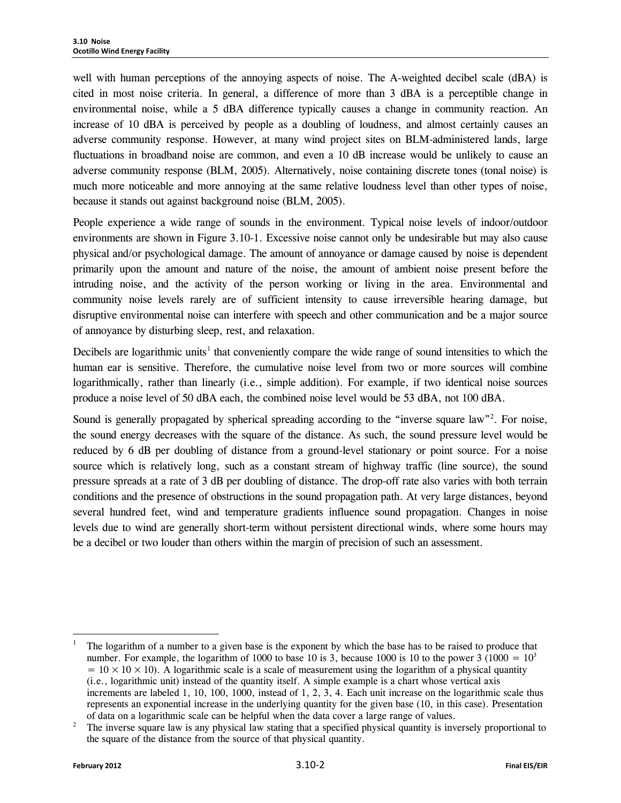well with human perceptions of the annoying aspects of noise. The A-weighted decibel scale (dBA) is cited in most noise criteria. In general, a difference of more than 3 dBA is a perceptible change in environmental noise, while a 5 dBA difference typically causes a change in community reaction. An increase of 10 dBA is perceived by people as a doubling of loudness, and almost certainly causes an adverse community response. However, at many wind project sites on BLM-administered lands, large fluctuations in broadband noise are common, and even a 10 dB increase would be unlikely to cause an adverse community response (BLM, 2005). Alternatively, noise containing discrete tones (tonal noise) is much more noticeable and more annoying at the same relative loudness level than other types of noise, because it stands out against background noise (BLM, 2005).

People experience a wide range of sounds in the environment. Typical noise levels of indoor/outdoor environments are shown in Figure 3.10-1. Excessive noise cannot only be undesirable but may also cause physical and/or psychological damage. The amount of annoyance or damage caused by noise is dependent primarily upon the amount and nature of the noise, the amount of ambient noise present before the intruding noise, and the activity of the person working or living in the area. Environmental and community noise levels rarely are of sufficient intensity to cause irreversible hearing damage, but disruptive environmental noise can interfere with speech and other communication and be a major source of annoyance by disturbing sleep, rest, and relaxation.

Decibels are logarithmic units<sup>[1](#page-76-0)</sup> that conveniently compare the wide range of sound intensities to which the human ear is sensitive. Therefore, the cumulative noise level from two or more sources will combine logarithmically, rather than linearly (i.e., simple addition). For example, if two identical noise sources produce a noise level of 50 dBA each, the combined noise level would be 53 dBA, not 100 dBA.

Sound is generally propagated by spherical spreading according to the "inverse square law"<sup>[2](#page-76-1)</sup>. For noise, the sound energy decreases with the square of the distance. As such, the sound pressure level would be reduced by 6 dB per doubling of distance from a ground-level stationary or point source. For a noise source which is relatively long, such as a constant stream of highway traffic (line source), the sound pressure spreads at a rate of 3 dB per doubling of distance. The drop-off rate also varies with both terrain conditions and the presence of obstructions in the sound propagation path. At very large distances, beyond several hundred feet, wind and temperature gradients influence sound propagation. Changes in noise levels due to wind are generally short-term without persistent directional winds, where some hours may be a decibel or two louder than others within the margin of precision of such an assessment.

<span id="page-76-0"></span><sup>1</sup> The logarithm of a number to a given base is the exponent by which the base has to be raised to produce that number. For example, the logarithm of 1000 to base 10 is 3, because 1000 is 10 to the power 3 (1000 =  $10<sup>3</sup>$  $= 10 \times 10 \times 10$ ). A logarithmic scale is a scale of measurement using the logarithm of a physical quantity (i.e., logarithmic unit) instead of the quantity itself. A simple example is a chart whose vertical axis increments are labeled 1, 10, 100, 1000, instead of 1, 2, 3, 4. Each unit increase on the logarithmic scale thus represents an exponential increase in the underlying quantity for the given base (10, in this case). Presentation of data on a logarithmic scale can be helpful when the data cover a large range of values.

<span id="page-76-1"></span><sup>2</sup> The inverse square law is any physical law stating that a specified physical quantity is inversely proportional to the square of the distance from the source of that physical quantity.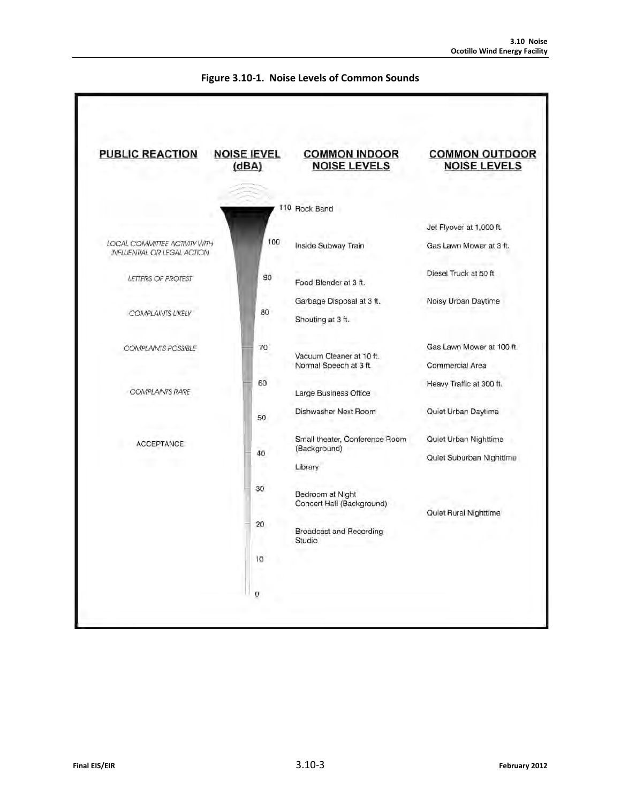

#### **Figure 3.10-1. Noise Levels of Common Sounds**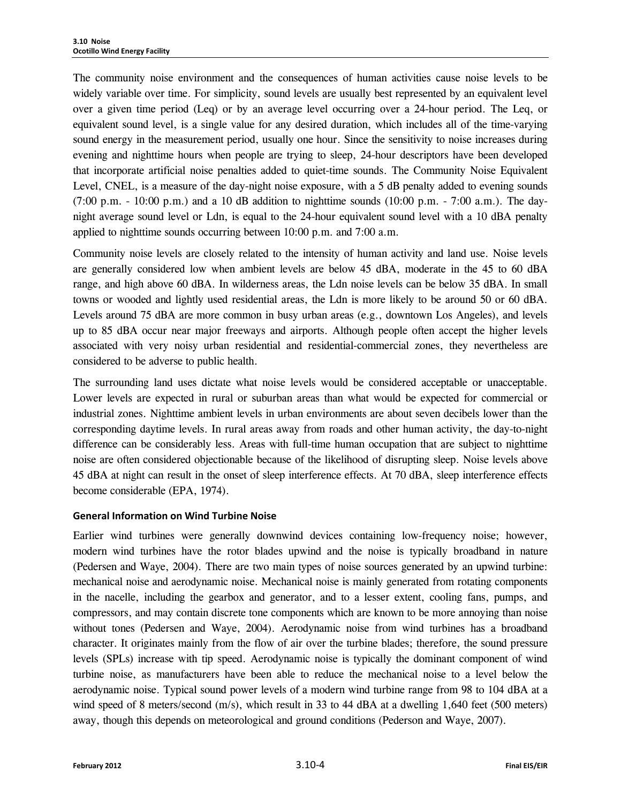The community noise environment and the consequences of human activities cause noise levels to be widely variable over time. For simplicity, sound levels are usually best represented by an equivalent level over a given time period (Leq) or by an average level occurring over a 24-hour period. The Leq, or equivalent sound level, is a single value for any desired duration, which includes all of the time-varying sound energy in the measurement period, usually one hour. Since the sensitivity to noise increases during evening and nighttime hours when people are trying to sleep, 24-hour descriptors have been developed that incorporate artificial noise penalties added to quiet-time sounds. The Community Noise Equivalent Level, CNEL, is a measure of the day-night noise exposure, with a 5 dB penalty added to evening sounds  $(7:00 \text{ p.m.} - 10:00 \text{ p.m.})$  and a 10 dB addition to nighttime sounds  $(10:00 \text{ p.m.} - 7:00 \text{ a.m.})$ . The daynight average sound level or Ldn, is equal to the 24-hour equivalent sound level with a 10 dBA penalty applied to nighttime sounds occurring between 10:00 p.m. and 7:00 a.m.

Community noise levels are closely related to the intensity of human activity and land use. Noise levels are generally considered low when ambient levels are below 45 dBA, moderate in the 45 to 60 dBA range, and high above 60 dBA. In wilderness areas, the Ldn noise levels can be below 35 dBA. In small towns or wooded and lightly used residential areas, the Ldn is more likely to be around 50 or 60 dBA. Levels around 75 dBA are more common in busy urban areas (e.g., downtown Los Angeles), and levels up to 85 dBA occur near major freeways and airports. Although people often accept the higher levels associated with very noisy urban residential and residential-commercial zones, they nevertheless are considered to be adverse to public health.

The surrounding land uses dictate what noise levels would be considered acceptable or unacceptable. Lower levels are expected in rural or suburban areas than what would be expected for commercial or industrial zones. Nighttime ambient levels in urban environments are about seven decibels lower than the corresponding daytime levels. In rural areas away from roads and other human activity, the day-to-night difference can be considerably less. Areas with full-time human occupation that are subject to nighttime noise are often considered objectionable because of the likelihood of disrupting sleep. Noise levels above 45 dBA at night can result in the onset of sleep interference effects. At 70 dBA, sleep interference effects become considerable (EPA, 1974).

#### **General Information on Wind Turbine Noise**

Earlier wind turbines were generally downwind devices containing low-frequency noise; however, modern wind turbines have the rotor blades upwind and the noise is typically broadband in nature (Pedersen and Waye, 2004). There are two main types of noise sources generated by an upwind turbine: mechanical noise and aerodynamic noise. Mechanical noise is mainly generated from rotating components in the nacelle, including the gearbox and generator, and to a lesser extent, cooling fans, pumps, and compressors, and may contain discrete tone components which are known to be more annoying than noise without tones (Pedersen and Waye, 2004). Aerodynamic noise from wind turbines has a broadband character. It originates mainly from the flow of air over the turbine blades; therefore, the sound pressure levels (SPLs) increase with tip speed. Aerodynamic noise is typically the dominant component of wind turbine noise, as manufacturers have been able to reduce the mechanical noise to a level below the aerodynamic noise. Typical sound power levels of a modern wind turbine range from 98 to 104 dBA at a wind speed of 8 meters/second (m/s), which result in 33 to 44 dBA at a dwelling 1,640 feet (500 meters) away, though this depends on meteorological and ground conditions (Pederson and Waye, 2007).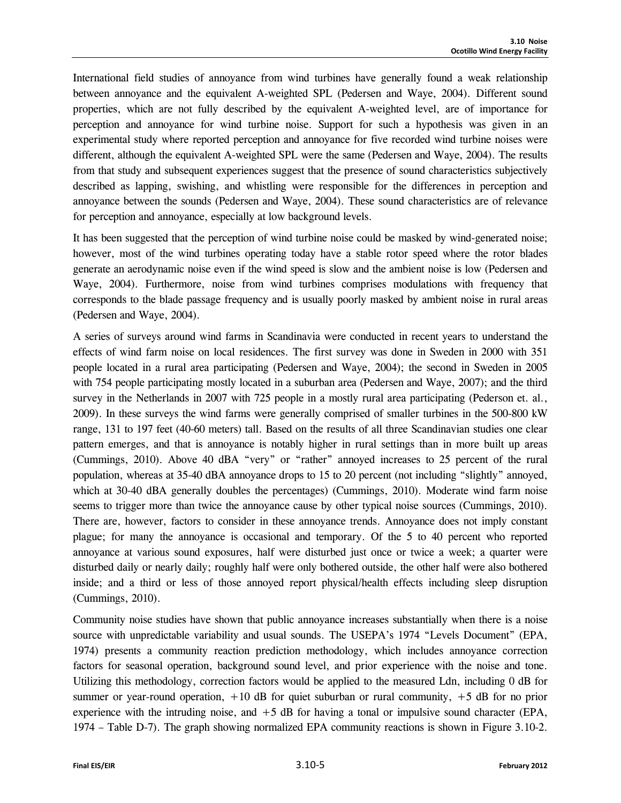International field studies of annoyance from wind turbines have generally found a weak relationship between annoyance and the equivalent A-weighted SPL (Pedersen and Waye, 2004). Different sound properties, which are not fully described by the equivalent A-weighted level, are of importance for perception and annoyance for wind turbine noise. Support for such a hypothesis was given in an experimental study where reported perception and annoyance for five recorded wind turbine noises were different, although the equivalent A-weighted SPL were the same (Pedersen and Waye, 2004). The results from that study and subsequent experiences suggest that the presence of sound characteristics subjectively described as lapping, swishing, and whistling were responsible for the differences in perception and annoyance between the sounds (Pedersen and Waye, 2004). These sound characteristics are of relevance for perception and annoyance, especially at low background levels.

It has been suggested that the perception of wind turbine noise could be masked by wind-generated noise; however, most of the wind turbines operating today have a stable rotor speed where the rotor blades generate an aerodynamic noise even if the wind speed is slow and the ambient noise is low (Pedersen and Waye, 2004). Furthermore, noise from wind turbines comprises modulations with frequency that corresponds to the blade passage frequency and is usually poorly masked by ambient noise in rural areas (Pedersen and Waye, 2004).

A series of surveys around wind farms in Scandinavia were conducted in recent years to understand the effects of wind farm noise on local residences. The first survey was done in Sweden in 2000 with 351 people located in a rural area participating (Pedersen and Waye, 2004); the second in Sweden in 2005 with 754 people participating mostly located in a suburban area (Pedersen and Waye, 2007); and the third survey in the Netherlands in 2007 with 725 people in a mostly rural area participating (Pederson et. al., 2009). In these surveys the wind farms were generally comprised of smaller turbines in the 500-800 kW range, 131 to 197 feet (40-60 meters) tall. Based on the results of all three Scandinavian studies one clear pattern emerges, and that is annoyance is notably higher in rural settings than in more built up areas (Cummings, 2010). Above 40 dBA "very" or "rather" annoyed increases to 25 percent of the rural population, whereas at 35-40 dBA annoyance drops to 15 to 20 percent (not including "slightly" annoyed, which at 30-40 dBA generally doubles the percentages) (Cummings, 2010). Moderate wind farm noise seems to trigger more than twice the annoyance cause by other typical noise sources (Cummings, 2010). There are, however, factors to consider in these annoyance trends. Annoyance does not imply constant plague; for many the annoyance is occasional and temporary. Of the 5 to 40 percent who reported annoyance at various sound exposures, half were disturbed just once or twice a week; a quarter were disturbed daily or nearly daily; roughly half were only bothered outside, the other half were also bothered inside; and a third or less of those annoyed report physical/health effects including sleep disruption (Cummings, 2010).

Community noise studies have shown that public annoyance increases substantially when there is a noise source with unpredictable variability and usual sounds. The USEPA's 1974 "Levels Document" (EPA, 1974) presents a community reaction prediction methodology, which includes annoyance correction factors for seasonal operation, background sound level, and prior experience with the noise and tone. Utilizing this methodology, correction factors would be applied to the measured Ldn, including 0 dB for summer or year-round operation,  $+10$  dB for quiet suburban or rural community,  $+5$  dB for no prior experience with the intruding noise, and  $+5$  dB for having a tonal or impulsive sound character (EPA, 1974 – Table D-7). The graph showing normalized EPA community reactions is shown in Figure 3.10-2.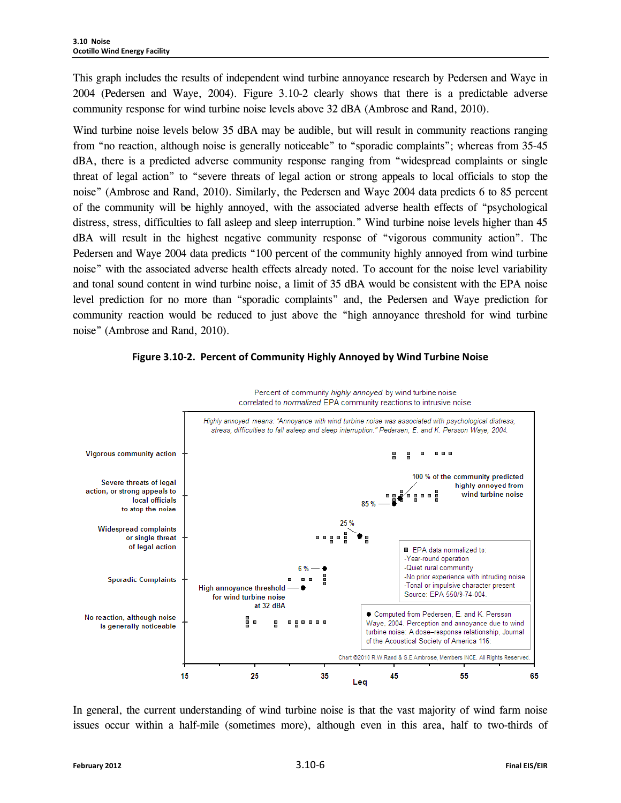This graph includes the results of independent wind turbine annoyance research by Pedersen and Waye in 2004 (Pedersen and Waye, 2004). Figure 3.10-2 clearly shows that there is a predictable adverse community response for wind turbine noise levels above 32 dBA (Ambrose and Rand, 2010).

Wind turbine noise levels below 35 dBA may be audible, but will result in community reactions ranging from "no reaction, although noise is generally noticeable" to "sporadic complaints"; whereas from 35-45 dBA, there is a predicted adverse community response ranging from "widespread complaints or single threat of legal action" to "severe threats of legal action or strong appeals to local officials to stop the noise" (Ambrose and Rand, 2010). Similarly, the Pedersen and Waye 2004 data predicts 6 to 85 percent of the community will be highly annoyed, with the associated adverse health effects of "psychological distress, stress, difficulties to fall asleep and sleep interruption." Wind turbine noise levels higher than 45 dBA will result in the highest negative community response of "vigorous community action". The Pedersen and Waye 2004 data predicts "100 percent of the community highly annoyed from wind turbine noise" with the associated adverse health effects already noted. To account for the noise level variability and tonal sound content in wind turbine noise, a limit of 35 dBA would be consistent with the EPA noise level prediction for no more than "sporadic complaints" and, the Pedersen and Waye prediction for community reaction would be reduced to just above the "high annoyance threshold for wind turbine noise" (Ambrose and Rand, 2010).



**Figure 3.10-2. Percent of Community Highly Annoyed by Wind Turbine Noise**

In general, the current understanding of wind turbine noise is that the vast majority of wind farm noise issues occur within a half-mile (sometimes more), although even in this area, half to two-thirds of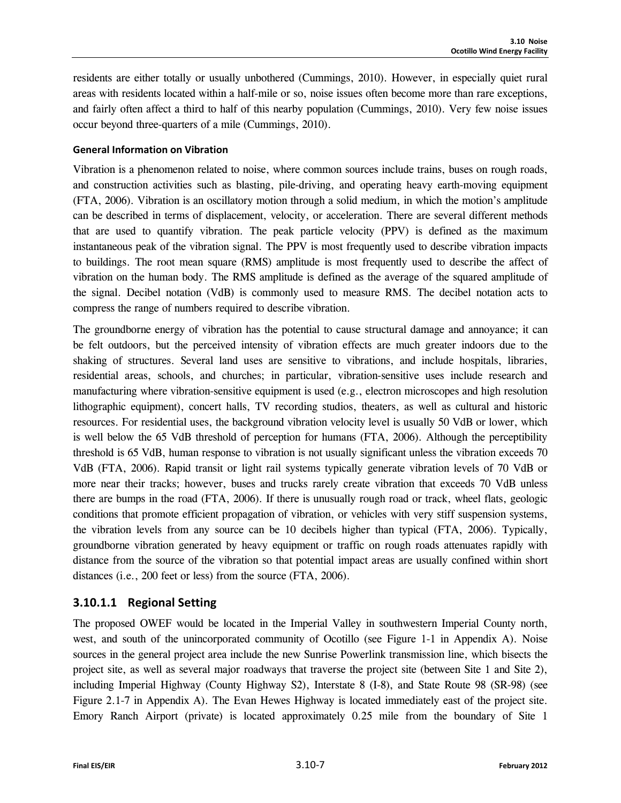residents are either totally or usually unbothered (Cummings, 2010). However, in especially quiet rural areas with residents located within a half-mile or so, noise issues often become more than rare exceptions, and fairly often affect a third to half of this nearby population (Cummings, 2010). Very few noise issues occur beyond three-quarters of a mile (Cummings, 2010).

#### **General Information on Vibration**

Vibration is a phenomenon related to noise, where common sources include trains, buses on rough roads, and construction activities such as blasting, pile-driving, and operating heavy earth-moving equipment (FTA, 2006). Vibration is an oscillatory motion through a solid medium, in which the motion's amplitude can be described in terms of displacement, velocity, or acceleration. There are several different methods that are used to quantify vibration. The peak particle velocity (PPV) is defined as the maximum instantaneous peak of the vibration signal. The PPV is most frequently used to describe vibration impacts to buildings. The root mean square (RMS) amplitude is most frequently used to describe the affect of vibration on the human body. The RMS amplitude is defined as the average of the squared amplitude of the signal. Decibel notation (VdB) is commonly used to measure RMS. The decibel notation acts to compress the range of numbers required to describe vibration.

The groundborne energy of vibration has the potential to cause structural damage and annoyance; it can be felt outdoors, but the perceived intensity of vibration effects are much greater indoors due to the shaking of structures. Several land uses are sensitive to vibrations, and include hospitals, libraries, residential areas, schools, and churches; in particular, vibration-sensitive uses include research and manufacturing where vibration-sensitive equipment is used (e.g., electron microscopes and high resolution lithographic equipment), concert halls, TV recording studios, theaters, as well as cultural and historic resources. For residential uses, the background vibration velocity level is usually 50 VdB or lower, which is well below the 65 VdB threshold of perception for humans (FTA, 2006). Although the perceptibility threshold is 65 VdB, human response to vibration is not usually significant unless the vibration exceeds 70 VdB (FTA, 2006). Rapid transit or light rail systems typically generate vibration levels of 70 VdB or more near their tracks; however, buses and trucks rarely create vibration that exceeds 70 VdB unless there are bumps in the road (FTA, 2006). If there is unusually rough road or track, wheel flats, geologic conditions that promote efficient propagation of vibration, or vehicles with very stiff suspension systems, the vibration levels from any source can be 10 decibels higher than typical (FTA, 2006). Typically, groundborne vibration generated by heavy equipment or traffic on rough roads attenuates rapidly with distance from the source of the vibration so that potential impact areas are usually confined within short distances (i.e., 200 feet or less) from the source (FTA, 2006).

## **3.10.1.1 Regional Setting**

The proposed OWEF would be located in the Imperial Valley in southwestern Imperial County north, west, and south of the unincorporated community of Ocotillo (see Figure 1-1 in Appendix A). Noise sources in the general project area include the new Sunrise Powerlink transmission line, which bisects the project site, as well as several major roadways that traverse the project site (between Site 1 and Site 2), including Imperial Highway (County Highway S2), Interstate 8 (I-8), and State Route 98 (SR-98) (see Figure 2.1-7 in Appendix A). The Evan Hewes Highway is located immediately east of the project site. Emory Ranch Airport (private) is located approximately 0.25 mile from the boundary of Site 1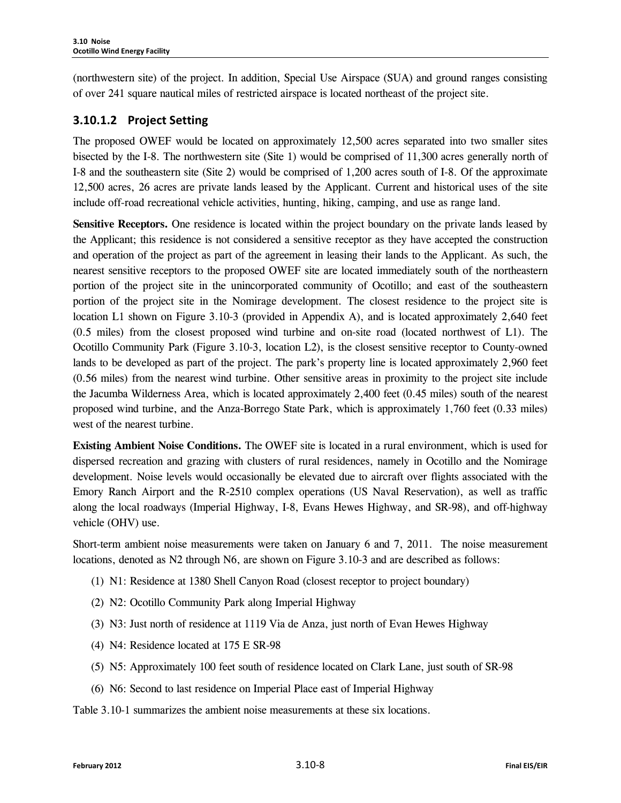(northwestern site) of the project. In addition, Special Use Airspace (SUA) and ground ranges consisting of over 241 square nautical miles of restricted airspace is located northeast of the project site.

## **3.10.1.2 Project Setting**

The proposed OWEF would be located on approximately 12,500 acres separated into two smaller sites bisected by the I-8. The northwestern site (Site 1) would be comprised of 11,300 acres generally north of I-8 and the southeastern site (Site 2) would be comprised of 1,200 acres south of I-8. Of the approximate 12,500 acres, 26 acres are private lands leased by the Applicant. Current and historical uses of the site include off-road recreational vehicle activities, hunting, hiking, camping, and use as range land.

**Sensitive Receptors.** One residence is located within the project boundary on the private lands leased by the Applicant; this residence is not considered a sensitive receptor as they have accepted the construction and operation of the project as part of the agreement in leasing their lands to the Applicant. As such, the nearest sensitive receptors to the proposed OWEF site are located immediately south of the northeastern portion of the project site in the unincorporated community of Ocotillo; and east of the southeastern portion of the project site in the Nomirage development. The closest residence to the project site is location L1 shown on Figure 3.10-3 (provided in Appendix A), and is located approximately 2,640 feet (0.5 miles) from the closest proposed wind turbine and on-site road (located northwest of L1). The Ocotillo Community Park (Figure 3.10-3, location L2), is the closest sensitive receptor to County-owned lands to be developed as part of the project. The park's property line is located approximately 2,960 feet (0.56 miles) from the nearest wind turbine. Other sensitive areas in proximity to the project site include the Jacumba Wilderness Area, which is located approximately 2,400 feet (0.45 miles) south of the nearest proposed wind turbine, and the Anza-Borrego State Park, which is approximately 1,760 feet (0.33 miles) west of the nearest turbine.

**Existing Ambient Noise Conditions.** The OWEF site is located in a rural environment, which is used for dispersed recreation and grazing with clusters of rural residences, namely in Ocotillo and the Nomirage development. Noise levels would occasionally be elevated due to aircraft over flights associated with the Emory Ranch Airport and the R-2510 complex operations (US Naval Reservation), as well as traffic along the local roadways (Imperial Highway, I-8, Evans Hewes Highway, and SR-98), and off-highway vehicle (OHV) use.

Short-term ambient noise measurements were taken on January 6 and 7, 2011. The noise measurement locations, denoted as N2 through N6, are shown on Figure 3.10-3 and are described as follows:

- (1) N1: Residence at 1380 Shell Canyon Road (closest receptor to project boundary)
- (2) N2: Ocotillo Community Park along Imperial Highway
- (3) N3: Just north of residence at 1119 Via de Anza, just north of Evan Hewes Highway
- (4) N4: Residence located at 175 E SR-98
- (5) N5: Approximately 100 feet south of residence located on Clark Lane, just south of SR-98
- (6) N6: Second to last residence on Imperial Place east of Imperial Highway

Table 3.10-1 summarizes the ambient noise measurements at these six locations.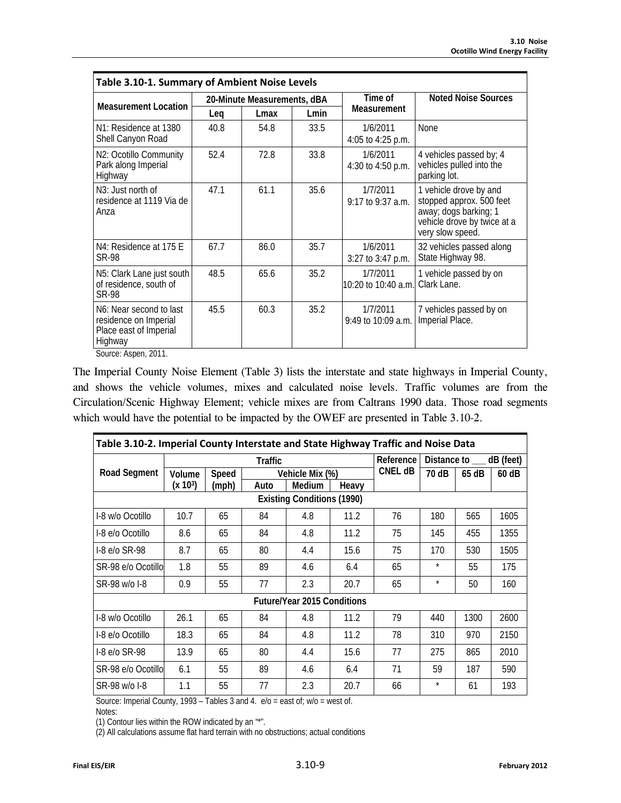| Table 3.10-1. Summary of Ambient Noise Levels                                                      |             |                             |      |                                 |                                                                                                                                |  |  |  |
|----------------------------------------------------------------------------------------------------|-------------|-----------------------------|------|---------------------------------|--------------------------------------------------------------------------------------------------------------------------------|--|--|--|
| <b>Measurement Location</b>                                                                        |             | 20-Minute Measurements, dBA |      | Time of                         | <b>Noted Noise Sources</b>                                                                                                     |  |  |  |
|                                                                                                    | Leg<br>Lmax |                             | Lmin | <b>Measurement</b>              |                                                                                                                                |  |  |  |
| N1: Residence at 1380<br>Shell Canyon Road                                                         | 40.8        | 54.8                        | 33.5 | 1/6/2011<br>4:05 to 4:25 p.m.   | <b>None</b>                                                                                                                    |  |  |  |
| N2: Ocotillo Community<br>Park along Imperial<br>Highway                                           | 52.4        | 72.8                        | 33.8 | 1/6/2011<br>4:30 to 4:50 p.m.   | 4 vehicles passed by; 4<br>vehicles pulled into the<br>parking lot.                                                            |  |  |  |
| N <sub>3</sub> : Just north of<br>residence at 1119 Via de<br>Anza                                 | 47.1        | 61.1                        | 35.6 | 1/7/2011<br>9:17 to 9:37 a.m.   | 1 vehicle drove by and<br>stopped approx. 500 feet<br>away; dogs barking; 1<br>vehicle drove by twice at a<br>very slow speed. |  |  |  |
| N4: Residence at 175 E<br>SR-98                                                                    | 67.7        | 86.0                        | 35.7 | 1/6/2011<br>3:27 to 3:47 p.m.   | 32 vehicles passed along<br>State Highway 98.                                                                                  |  |  |  |
| N5: Clark Lane just south<br>of residence, south of<br><b>SR-98</b>                                | 48.5        | 65.6                        | 35.2 | 1/7/2011<br>10:20 to 10:40 a.m. | 1 vehicle passed by on<br>Clark Lane.                                                                                          |  |  |  |
| N <sub>6</sub> : Near second to last<br>residence on Imperial<br>Place east of Imperial<br>Highway | 45.5        | 60.3                        | 35.2 | 1/7/2011<br>9:49 to 10:09 a.m.  | 7 vehicles passed by on<br>Imperial Place.                                                                                     |  |  |  |

Source: Aspen, 2011.

The Imperial County Noise Element (Table 3) lists the interstate and state highways in Imperial County, and shows the vehicle volumes, mixes and calculated noise levels. Traffic volumes are from the Circulation/Scenic Highway Element; vehicle mixes are from Caltrans 1990 data. Those road segments which would have the potential to be impacted by the OWEF are presented in Table 3.10-2.

| Table 3.10-2. Imperial County Interstate and State Highway Traffic and Noise Data |                      |       |      |                 |       |           |                           |       |         |  |
|-----------------------------------------------------------------------------------|----------------------|-------|------|-----------------|-------|-----------|---------------------------|-------|---------|--|
|                                                                                   | <b>Traffic</b>       |       |      |                 |       | Reference | Distance to ___ dB (feet) |       |         |  |
| <b>Road Segment</b>                                                               | Volume               | Speed |      | Vehicle Mix (%) |       | CNEL dB   | 70 dB                     | 65 dB | $60$ dB |  |
|                                                                                   | (x 10 <sup>3</sup> ) | (mph) | Auto | Medium          | Heavy |           |                           |       |         |  |
| <b>Existing Conditions (1990)</b>                                                 |                      |       |      |                 |       |           |                           |       |         |  |
| I-8 w/o Ocotillo                                                                  | 10.7                 | 65    | 84   | 4.8             | 11.2  | 76        | 180                       | 565   | 1605    |  |
| I-8 e/o Ocotillo                                                                  | 8.6                  | 65    | 84   | 4.8             | 11.2  | 75        | 145                       | 455   | 1355    |  |
| $-8$ e/o SR-98                                                                    | 8.7                  | 65    | 80   | 4.4             | 15.6  | 75        | 170                       | 530   | 1505    |  |
| SR-98 e/o Ocotillo                                                                | 1.8                  | 55    | 89   | 4.6             | 6.4   | 65        | $\star$                   | 55    | 175     |  |
| SR-98 w/o I-8                                                                     | 0.9                  | 55    | 77   | 2.3             | 20.7  | 65        | $\star$                   | 50    | 160     |  |
| <b>Future/Year 2015 Conditions</b>                                                |                      |       |      |                 |       |           |                           |       |         |  |
| I-8 w/o Ocotillo                                                                  | 26.1                 | 65    | 84   | 4.8             | 11.2  | 79        | 440                       | 1300  | 2600    |  |
| I-8 e/o Ocotillo                                                                  | 18.3                 | 65    | 84   | 4.8             | 11.2  | 78        | 310                       | 970   | 2150    |  |
| $I-8$ e/o SR-98                                                                   | 13.9                 | 65    | 80   | 4.4             | 15.6  | 77        | 275                       | 865   | 2010    |  |
| SR-98 e/o Ocotillo                                                                | 6.1                  | 55    | 89   | 4.6             | 6.4   | 71        | 59                        | 187   | 590     |  |
| SR-98 w/o I-8                                                                     | 1.1                  | 55    | 77   | 2.3             | 20.7  | 66        | $\star$                   | 61    | 193     |  |

Source: Imperial County, 1993 – Tables 3 and 4. e/o = east of; w/o = west of.

Notes:

(1) Contour lies within the ROW indicated by an "\*".

(2) All calculations assume flat hard terrain with no obstructions; actual conditions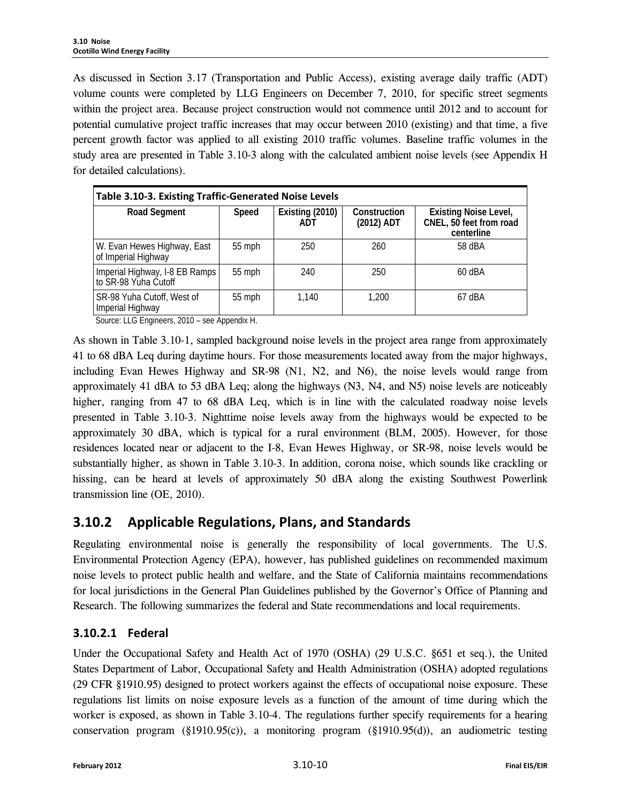As discussed in Section 3.17 (Transportation and Public Access), existing average daily traffic (ADT) volume counts were completed by LLG Engineers on December 7, 2010, for specific street segments within the project area. Because project construction would not commence until 2012 and to account for potential cumulative project traffic increases that may occur between 2010 (existing) and that time, a five percent growth factor was applied to all existing 2010 traffic volumes. Baseline traffic volumes in the study area are presented in Table 3.10-3 along with the calculated ambient noise levels (see Appendix H for detailed calculations).

| Table 3.10-3. Existing Traffic-Generated Noise Levels  |          |                               |                            |                                                                       |  |  |  |  |  |
|--------------------------------------------------------|----------|-------------------------------|----------------------------|-----------------------------------------------------------------------|--|--|--|--|--|
| <b>Road Segment</b>                                    | Speed    | Existing (2010)<br><b>ADT</b> | Construction<br>(2012) ADT | <b>Existing Noise Level,</b><br>CNEL, 50 feet from road<br>centerline |  |  |  |  |  |
| W. Evan Hewes Highway, East<br>of Imperial Highway     | $55$ mph | 250                           | 260                        | 58 dBA                                                                |  |  |  |  |  |
| Imperial Highway, I-8 EB Ramps<br>to SR-98 Yuha Cutoff | 55 mph   | 240                           | 250                        | $60$ dBA                                                              |  |  |  |  |  |
| SR-98 Yuha Cutoff, West of<br>Imperial Highway         | $55$ mph | 1.140                         | 1.200                      | $67$ dBA                                                              |  |  |  |  |  |

Source: LLG Engineers, 2010 – see Appendix H.

As shown in Table 3.10-1, sampled background noise levels in the project area range from approximately 41 to 68 dBA Leq during daytime hours. For those measurements located away from the major highways, including Evan Hewes Highway and SR-98 (N1, N2, and N6), the noise levels would range from approximately 41 dBA to 53 dBA Leq; along the highways (N3, N4, and N5) noise levels are noticeably higher, ranging from 47 to 68 dBA Leq, which is in line with the calculated roadway noise levels presented in Table 3.10-3. Nighttime noise levels away from the highways would be expected to be approximately 30 dBA, which is typical for a rural environment (BLM, 2005). However, for those residences located near or adjacent to the I-8, Evan Hewes Highway, or SR-98, noise levels would be substantially higher, as shown in Table 3.10-3. In addition, corona noise, which sounds like crackling or hissing, can be heard at levels of approximately 50 dBA along the existing Southwest Powerlink transmission line (OE, 2010).

## **3.10.2 Applicable Regulations, Plans, and Standards**

Regulating environmental noise is generally the responsibility of local governments. The U.S. Environmental Protection Agency (EPA), however, has published guidelines on recommended maximum noise levels to protect public health and welfare, and the State of California maintains recommendations for local jurisdictions in the General Plan Guidelines published by the Governor's Office of Planning and Research. The following summarizes the federal and State recommendations and local requirements.

## **3.10.2.1 Federal**

Under the Occupational Safety and Health Act of 1970 (OSHA) (29 U.S.C. §651 et seq.), the United States Department of Labor, Occupational Safety and Health Administration (OSHA) adopted regulations (29 CFR §1910.95) designed to protect workers against the effects of occupational noise exposure. These regulations list limits on noise exposure levels as a function of the amount of time during which the worker is exposed, as shown in Table 3.10-4. The regulations further specify requirements for a hearing conservation program (§1910.95(c)), a monitoring program (§1910.95(d)), an audiometric testing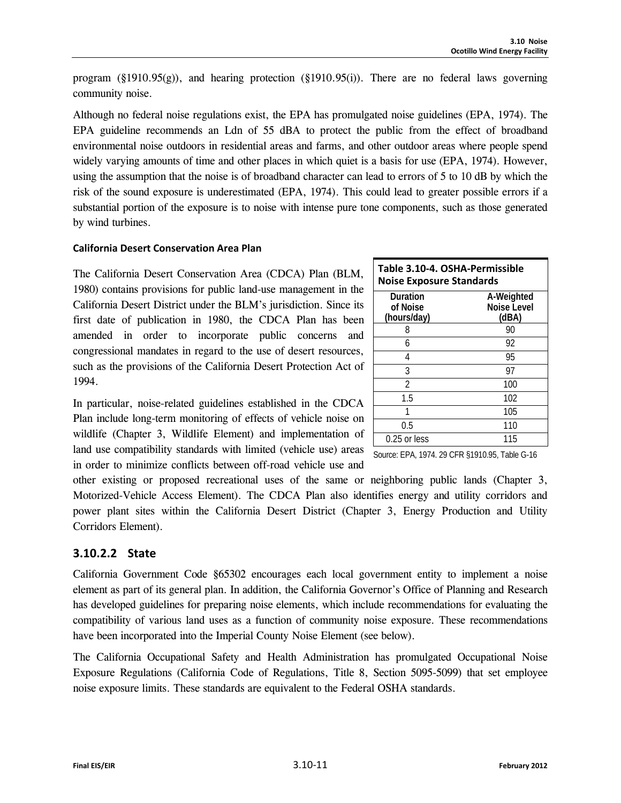program (§1910.95(g)), and hearing protection (§1910.95(i)). There are no federal laws governing community noise.

Although no federal noise regulations exist, the EPA has promulgated noise guidelines (EPA, 1974). The EPA guideline recommends an Ldn of 55 dBA to protect the public from the effect of broadband environmental noise outdoors in residential areas and farms, and other outdoor areas where people spend widely varying amounts of time and other places in which quiet is a basis for use (EPA, 1974). However, using the assumption that the noise is of broadband character can lead to errors of 5 to 10 dB by which the risk of the sound exposure is underestimated (EPA, 1974). This could lead to greater possible errors if a substantial portion of the exposure is to noise with intense pure tone components, such as those generated by wind turbines.

#### **California Desert Conservation Area Plan**

The California Desert Conservation Area (CDCA) Plan (BLM, 1980) contains provisions for public land-use management in the California Desert District under the BLM's jurisdiction. Since its first date of publication in 1980, the CDCA Plan has been amended in order to incorporate public concerns and congressional mandates in regard to the use of desert resources, such as the provisions of the California Desert Protection Act of 1994.

| Table 3.10-4. OSHA-Permissible<br><b>Noise Exposure Standards</b> |                                    |  |  |  |  |  |
|-------------------------------------------------------------------|------------------------------------|--|--|--|--|--|
| Duration<br>of Noise<br>(hours/day)                               | A-Weighted<br>Noise Level<br>(dBA) |  |  |  |  |  |
| 8                                                                 | 90                                 |  |  |  |  |  |
| 6                                                                 | 92                                 |  |  |  |  |  |
| 4                                                                 | 95                                 |  |  |  |  |  |
| 3                                                                 | 97                                 |  |  |  |  |  |
| 2                                                                 | 100                                |  |  |  |  |  |
| 1.5                                                               | 102                                |  |  |  |  |  |
|                                                                   | 105                                |  |  |  |  |  |
| 0.5                                                               | 110                                |  |  |  |  |  |
| $0.25$ or less                                                    | 115                                |  |  |  |  |  |

Source: EPA, 1974. 29 CFR §1910.95, Table G-16

In particular, noise-related guidelines established in the CDCA Plan include long-term monitoring of effects of vehicle noise on wildlife (Chapter 3, Wildlife Element) and implementation of land use compatibility standards with limited (vehicle use) areas in order to minimize conflicts between off-road vehicle use and

other existing or proposed recreational uses of the same or neighboring public lands (Chapter 3, Motorized-Vehicle Access Element). The CDCA Plan also identifies energy and utility corridors and power plant sites within the California Desert District (Chapter 3, Energy Production and Utility Corridors Element).

## **3.10.2.2 State**

California Government Code §65302 encourages each local government entity to implement a noise element as part of its general plan. In addition, the California Governor's Office of Planning and Research has developed guidelines for preparing noise elements, which include recommendations for evaluating the compatibility of various land uses as a function of community noise exposure. These recommendations have been incorporated into the Imperial County Noise Element (see below).

The California Occupational Safety and Health Administration has promulgated Occupational Noise Exposure Regulations (California Code of Regulations, Title 8, Section 5095-5099) that set employee noise exposure limits. These standards are equivalent to the Federal OSHA standards.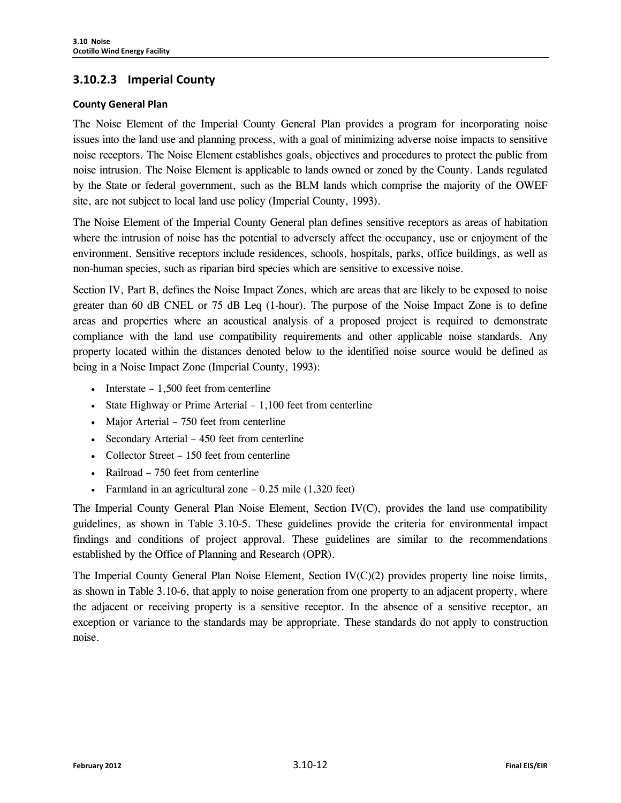### **3.10.2.3 Imperial County**

#### **County General Plan**

The Noise Element of the Imperial County General Plan provides a program for incorporating noise issues into the land use and planning process, with a goal of minimizing adverse noise impacts to sensitive noise receptors. The Noise Element establishes goals, objectives and procedures to protect the public from noise intrusion. The Noise Element is applicable to lands owned or zoned by the County. Lands regulated by the State or federal government, such as the BLM lands which comprise the majority of the OWEF site, are not subject to local land use policy (Imperial County, 1993).

The Noise Element of the Imperial County General plan defines sensitive receptors as areas of habitation where the intrusion of noise has the potential to adversely affect the occupancy, use or enjoyment of the environment. Sensitive receptors include residences, schools, hospitals, parks, office buildings, as well as non-human species, such as riparian bird species which are sensitive to excessive noise.

Section IV, Part B, defines the Noise Impact Zones, which are areas that are likely to be exposed to noise greater than 60 dB CNEL or 75 dB Leq (1-hour). The purpose of the Noise Impact Zone is to define areas and properties where an acoustical analysis of a proposed project is required to demonstrate compliance with the land use compatibility requirements and other applicable noise standards. Any property located within the distances denoted below to the identified noise source would be defined as being in a Noise Impact Zone (Imperial County, 1993):

- Interstate 1,500 feet from centerline
- State Highway or Prime Arterial 1,100 feet from centerline
- Major Arterial 750 feet from centerline
- Secondary Arterial 450 feet from centerline
- Collector Street 150 feet from centerline
- Railroad 750 feet from centerline
- Farmland in an agricultural zone  $-0.25$  mile  $(1,320$  feet)

The Imperial County General Plan Noise Element, Section IV(C), provides the land use compatibility guidelines, as shown in Table 3.10-5. These guidelines provide the criteria for environmental impact findings and conditions of project approval. These guidelines are similar to the recommendations established by the Office of Planning and Research (OPR).

The Imperial County General Plan Noise Element, Section IV(C)(2) provides property line noise limits, as shown in Table 3.10-6, that apply to noise generation from one property to an adjacent property, where the adjacent or receiving property is a sensitive receptor. In the absence of a sensitive receptor, an exception or variance to the standards may be appropriate. These standards do not apply to construction noise.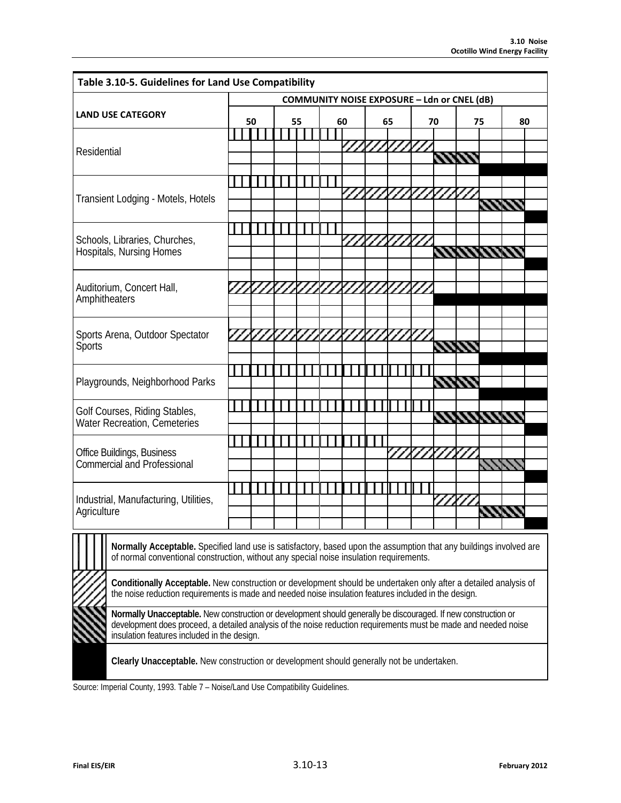| Table 3.10-5. Guidelines for Land Use Compatibility                                                                                                                                                                                                                              |                                                    |    |  |    |  |                |      |    |            |                |                |    |    |  |
|----------------------------------------------------------------------------------------------------------------------------------------------------------------------------------------------------------------------------------------------------------------------------------|----------------------------------------------------|----|--|----|--|----------------|------|----|------------|----------------|----------------|----|----|--|
|                                                                                                                                                                                                                                                                                  | <b>COMMUNITY NOISE EXPOSURE - Ldn or CNEL (dB)</b> |    |  |    |  |                |      |    |            |                |                |    |    |  |
| <b>LAND USE CATEGORY</b>                                                                                                                                                                                                                                                         |                                                    | 50 |  | 55 |  | 60             |      | 65 |            | 70             |                | 75 | 80 |  |
|                                                                                                                                                                                                                                                                                  |                                                    |    |  |    |  |                |      |    |            |                |                |    |    |  |
| Residential                                                                                                                                                                                                                                                                      |                                                    |    |  |    |  |                | 2222 |    | $\prime$ , | 11 I V         |                |    |    |  |
|                                                                                                                                                                                                                                                                                  |                                                    |    |  |    |  |                |      |    |            |                |                |    |    |  |
|                                                                                                                                                                                                                                                                                  |                                                    |    |  |    |  |                |      |    |            |                |                |    |    |  |
| Transient Lodging - Motels, Hotels                                                                                                                                                                                                                                               |                                                    |    |  |    |  |                |      |    |            |                |                |    |    |  |
|                                                                                                                                                                                                                                                                                  |                                                    |    |  |    |  |                |      |    |            |                |                |    |    |  |
|                                                                                                                                                                                                                                                                                  |                                                    |    |  |    |  |                |      |    |            |                |                |    |    |  |
| Schools, Libraries, Churches,<br>Hospitals, Nursing Homes                                                                                                                                                                                                                        |                                                    |    |  |    |  |                |      |    |            |                | <b>KANARI</b>  |    |    |  |
|                                                                                                                                                                                                                                                                                  |                                                    |    |  |    |  |                |      |    |            |                |                |    |    |  |
| Auditorium, Concert Hall,                                                                                                                                                                                                                                                        |                                                    |    |  |    |  | Ω              |      |    |            |                |                |    |    |  |
| Amphitheaters                                                                                                                                                                                                                                                                    |                                                    |    |  |    |  |                |      |    |            |                |                |    |    |  |
|                                                                                                                                                                                                                                                                                  |                                                    |    |  |    |  |                |      |    |            |                |                |    |    |  |
| Sports Arena, Outdoor Spectator                                                                                                                                                                                                                                                  |                                                    |    |  |    |  | 77X7X7X7X7X7X7 |      |    |            |                |                |    |    |  |
| <b>Sports</b>                                                                                                                                                                                                                                                                    |                                                    |    |  |    |  |                |      |    |            | <b>1711111</b> |                |    |    |  |
|                                                                                                                                                                                                                                                                                  |                                                    |    |  |    |  |                |      |    |            |                |                |    |    |  |
| Playgrounds, Neighborhood Parks                                                                                                                                                                                                                                                  |                                                    |    |  |    |  |                |      |    |            |                | <b>KKKK</b>    |    |    |  |
|                                                                                                                                                                                                                                                                                  |                                                    |    |  |    |  |                |      |    |            |                |                |    |    |  |
| Golf Courses, Riding Stables,                                                                                                                                                                                                                                                    |                                                    |    |  |    |  |                |      |    |            |                |                |    |    |  |
| <b>Water Recreation, Cemeteries</b>                                                                                                                                                                                                                                              |                                                    |    |  |    |  |                |      |    |            |                | <b>KAKANAN</b> |    |    |  |
|                                                                                                                                                                                                                                                                                  |                                                    |    |  |    |  |                |      |    |            |                |                |    |    |  |
| Office Buildings, Business<br><b>Commercial and Professional</b>                                                                                                                                                                                                                 |                                                    |    |  |    |  |                |      |    |            |                |                |    |    |  |
|                                                                                                                                                                                                                                                                                  |                                                    |    |  |    |  |                |      |    |            |                |                |    |    |  |
|                                                                                                                                                                                                                                                                                  |                                                    |    |  |    |  |                |      |    |            |                |                |    |    |  |
| Industrial, Manufacturing, Utilities,<br>Agriculture                                                                                                                                                                                                                             |                                                    |    |  |    |  |                |      |    |            |                |                |    |    |  |
|                                                                                                                                                                                                                                                                                  |                                                    |    |  |    |  |                |      |    |            |                |                |    |    |  |
| Normally Acceptable. Specified land use is satisfactory, based upon the assumption that any buildings involved are<br>of normal conventional construction, without any special noise insulation requirements.                                                                    |                                                    |    |  |    |  |                |      |    |            |                |                |    |    |  |
| Conditionally Acceptable. New construction or development should be undertaken only after a detailed analysis of<br>the noise reduction requirements is made and needed noise insulation features included in the design.                                                        |                                                    |    |  |    |  |                |      |    |            |                |                |    |    |  |
| Normally Unacceptable. New construction or development should generally be discouraged. If new construction or<br>development does proceed, a detailed analysis of the noise reduction requirements must be made and needed noise<br>insulation features included in the design. |                                                    |    |  |    |  |                |      |    |            |                |                |    |    |  |
| Clearly Unacceptable. New construction or development should generally not be undertaken.                                                                                                                                                                                        |                                                    |    |  |    |  |                |      |    |            |                |                |    |    |  |

Source: Imperial County, 1993. Table 7 – Noise/Land Use Compatibility Guidelines.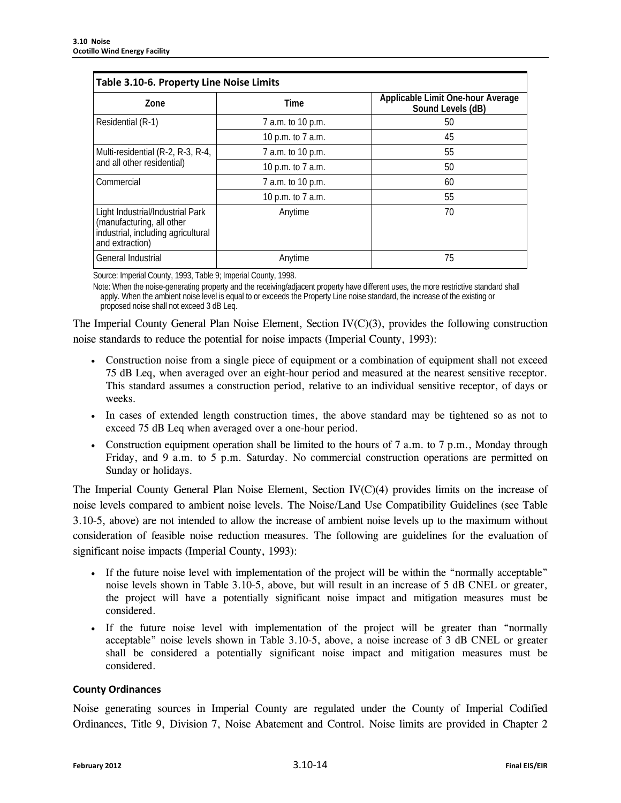| Table 3.10-6. Property Line Noise Limits                                                                               |                   |                                                        |  |  |  |  |  |
|------------------------------------------------------------------------------------------------------------------------|-------------------|--------------------------------------------------------|--|--|--|--|--|
| Zone                                                                                                                   | Time              | Applicable Limit One-hour Average<br>Sound Levels (dB) |  |  |  |  |  |
| Residential (R-1)                                                                                                      | 7 a.m. to 10 p.m. | 50                                                     |  |  |  |  |  |
|                                                                                                                        | 10 p.m. to 7 a.m. | 45                                                     |  |  |  |  |  |
| Multi-residential (R-2, R-3, R-4,                                                                                      | 7 a.m. to 10 p.m. | 55                                                     |  |  |  |  |  |
| and all other residential)                                                                                             | 10 p.m. to 7 a.m. | 50                                                     |  |  |  |  |  |
| Commercial                                                                                                             | 7 a.m. to 10 p.m. | 60                                                     |  |  |  |  |  |
|                                                                                                                        | 10 p.m. to 7 a.m. | 55                                                     |  |  |  |  |  |
| Light Industrial/Industrial Park<br>(manufacturing, all other<br>industrial, including agricultural<br>and extraction) | Anytime           | 70                                                     |  |  |  |  |  |
| General Industrial                                                                                                     | Anytime           | 75                                                     |  |  |  |  |  |

Source: Imperial County, 1993, Table 9; Imperial County, 1998.

Note: When the noise-generating property and the receiving/adjacent property have different uses, the more restrictive standard shall apply. When the ambient noise level is equal to or exceeds the Property Line noise standard, the increase of the existing or proposed noise shall not exceed 3 dB Leq.

The Imperial County General Plan Noise Element, Section IV(C)(3), provides the following construction noise standards to reduce the potential for noise impacts (Imperial County, 1993):

- Construction noise from a single piece of equipment or a combination of equipment shall not exceed 75 dB Leq, when averaged over an eight-hour period and measured at the nearest sensitive receptor. This standard assumes a construction period, relative to an individual sensitive receptor, of days or weeks.
- In cases of extended length construction times, the above standard may be tightened so as not to exceed 75 dB Leq when averaged over a one-hour period.
- Construction equipment operation shall be limited to the hours of 7 a.m. to 7 p.m., Monday through Friday, and 9 a.m. to 5 p.m. Saturday. No commercial construction operations are permitted on Sunday or holidays.

The Imperial County General Plan Noise Element, Section IV(C)(4) provides limits on the increase of noise levels compared to ambient noise levels. The Noise/Land Use Compatibility Guidelines (see Table 3.10-5, above) are not intended to allow the increase of ambient noise levels up to the maximum without consideration of feasible noise reduction measures. The following are guidelines for the evaluation of significant noise impacts (Imperial County, 1993):

- If the future noise level with implementation of the project will be within the "normally acceptable" noise levels shown in Table 3.10-5, above, but will result in an increase of 5 dB CNEL or greater, the project will have a potentially significant noise impact and mitigation measures must be considered.
- If the future noise level with implementation of the project will be greater than "normally acceptable" noise levels shown in Table 3.10-5, above, a noise increase of 3 dB CNEL or greater shall be considered a potentially significant noise impact and mitigation measures must be considered.

#### **County Ordinances**

Noise generating sources in Imperial County are regulated under the County of Imperial Codified Ordinances, Title 9, Division 7, Noise Abatement and Control. Noise limits are provided in Chapter 2